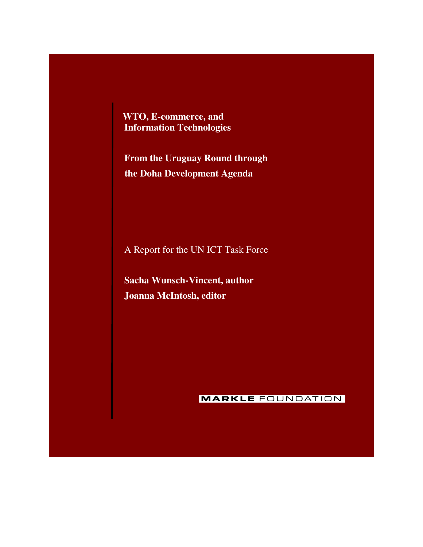**WTO, E-commerce, and Information Technologies**

**From the Uruguay Round through the Doha Development Agenda**

A Report for the UN ICT Task Force

**Sacha Wunsch-Vincent, author Joanna McIntosh, editor**

#### **MARKLE** FOUNDATION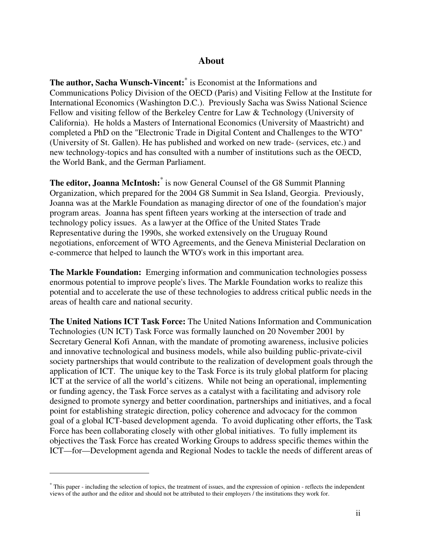#### **About**

**The author, Sacha Wunsch-Vincent:** ∗ is Economist at the Informations and Communications Policy Division of the OECD (Paris) and Visiting Fellow at the Institute for International Economics (Washington D.C.). Previously Sacha was Swiss National Science Fellow and visiting fellow of the Berkeley Centre for Law & Technology (University of California). He holds a Masters of International Economics (University of Maastricht) and completed a PhD on the "Electronic Trade in Digital Content and Challenges to the WTO" (University of St. Gallen). He has published and worked on new trade- (services, etc.) and new technology-topics and has consulted with a number of institutions such as the OECD, the World Bank, and the German Parliament.

**The editor, Joanna McIntosh:** \* is now General Counsel of the G8 Summit Planning Organization, which prepared for the 2004 G8 Summit in Sea Island, Georgia. Previously, Joanna was at the Markle Foundation as managing director of one of the foundation's major program areas. Joanna has spent fifteen years working at the intersection of trade and technology policy issues. As a lawyer at the Office of the United States Trade Representative during the 1990s, she worked extensively on the Uruguay Round negotiations, enforcement of WTO Agreements, and the Geneva Ministerial Declaration on e-commerce that helped to launch the WTO's work in this important area.

**The Markle Foundation:** Emerging information and communication technologies possess enormous potential to improve people's lives. The Markle Foundation works to realize this potential and to accelerate the use of these technologies to address critical public needs in the areas of health care and national security.

**The United Nations ICT Task Force:** The United Nations Information and Communication Technologies (UN ICT) Task Force was formally launched on 20 November 2001 by Secretary General Kofi Annan, with the mandate of promoting awareness, inclusive policies and innovative technological and business models, while also building public-private-civil society partnerships that would contribute to the realization of development goals through the application of ICT. The unique key to the Task Force is its truly global platform for placing ICT at the service of all the world's citizens. While not being an operational, implementing or funding agency, the Task Force serves as a catalyst with a facilitating and advisory role designed to promote synergy and better coordination, partnerships and initiatives, and a focal point for establishing strategic direction, policy coherence and advocacy for the common goal of a global ICT-based development agenda. To avoid duplicating other efforts, the Task Force has been collaborating closely with other global initiatives. To fully implement its objectives the Task Force has created Working Groups to address specific themes within the ICT—for—Development agenda and Regional Nodes to tackle the needs of different areas of

<sup>∗</sup> This paper - including the selection of topics, the treatment of issues, and the expression of opinion - reflects the independent views of the author and the editor and should not be attributed to their employers / the institutions they work for.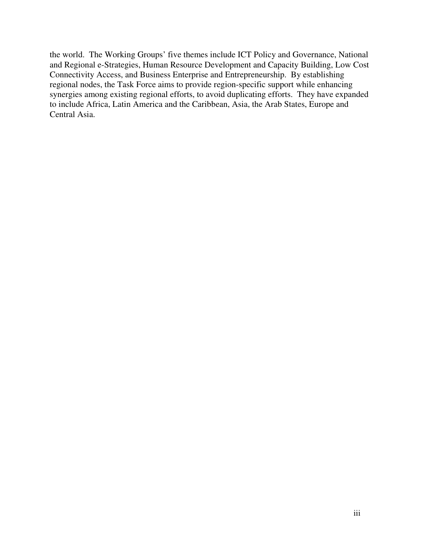the world. The Working Groups' five themes include ICT Policy and Governance, National and Regional e-Strategies, Human Resource Development and Capacity Building, Low Cost Connectivity Access, and Business Enterprise and Entrepreneurship. By establishing regional nodes, the Task Force aims to provide region-specific support while enhancing synergies among existing regional efforts, to avoid duplicating efforts. They have expanded to include Africa, Latin America and the Caribbean, Asia, the Arab States, Europe and Central Asia.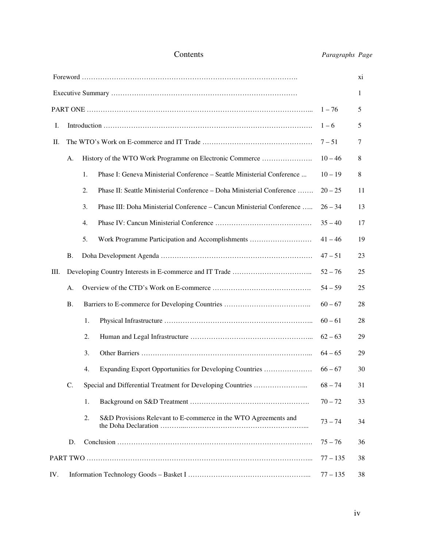#### Contents *Paragraphs Page*

| xi            |           |    |                                                                         |            |    |
|---------------|-----------|----|-------------------------------------------------------------------------|------------|----|
|               |           |    |                                                                         |            | 1  |
| $1 - 76$      |           |    |                                                                         |            | 5  |
| Ι.<br>$1 - 6$ |           |    |                                                                         | 5          |    |
| П.            |           |    |                                                                         | $7 - 51$   | 7  |
|               | A.        |    | History of the WTO Work Programme on Electronic Commerce                | $10 - 46$  | 8  |
|               |           | 1. | Phase I: Geneva Ministerial Conference - Seattle Ministerial Conference | $10 - 19$  | 8  |
|               |           | 2. | Phase II: Seattle Ministerial Conference - Doha Ministerial Conference  | $20 - 25$  | 11 |
|               |           | 3. | Phase III: Doha Ministerial Conference - Cancun Ministerial Conference  | $26 - 34$  | 13 |
|               |           | 4. |                                                                         | $35 - 40$  | 17 |
|               |           | 5. | Work Programme Participation and Accomplishments                        | $41 - 46$  | 19 |
|               | <b>B.</b> |    |                                                                         | $47 - 51$  | 23 |
| Ш.            |           |    |                                                                         | $52 - 76$  | 25 |
|               | A.        |    |                                                                         | $54 - 59$  | 25 |
|               | <b>B.</b> |    |                                                                         | $60 - 67$  | 28 |
|               |           | 1. |                                                                         | $60 - 61$  | 28 |
|               |           | 2. |                                                                         | $62 - 63$  | 29 |
|               |           | 3. |                                                                         | $64 - 65$  | 29 |
|               |           | 4. | Expanding Export Opportunities for Developing Countries                 | $66 - 67$  | 30 |
|               | C.        |    |                                                                         | $68 - 74$  | 31 |
|               |           | 1. |                                                                         | $70 - 72$  | 33 |
|               |           | 2. | S&D Provisions Relevant to E-commerce in the WTO Agreements and         | $73 - 74$  | 34 |
|               | D.        |    |                                                                         | $75 - 76$  | 36 |
|               |           |    |                                                                         | $77 - 135$ | 38 |
| IV.           |           |    |                                                                         | $77 - 135$ | 38 |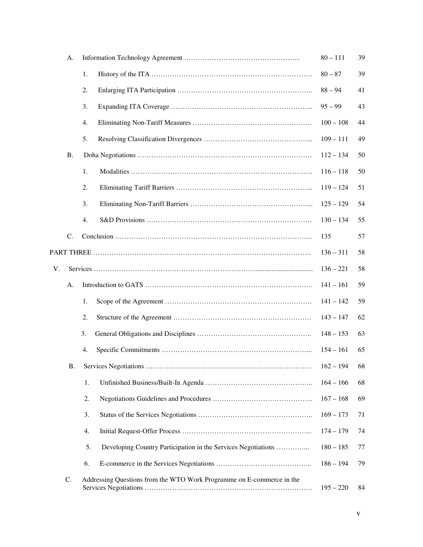|    | A. |    |                                                                       | $80 - 111$  | 39 |
|----|----|----|-----------------------------------------------------------------------|-------------|----|
|    |    | 1. |                                                                       | $80 - 87$   | 39 |
|    |    | 2. |                                                                       | $88 - 94$   | 41 |
|    |    | 3. |                                                                       | $95 - 99$   | 43 |
|    |    | 4. |                                                                       | $100 - 108$ | 44 |
|    |    | 5. |                                                                       | $109 - 111$ | 49 |
|    | Β. |    |                                                                       | $112 - 134$ | 50 |
|    |    | 1. |                                                                       | $116 - 118$ | 50 |
|    |    | 2. |                                                                       | $119 - 124$ | 51 |
|    |    | 3. |                                                                       | $125 - 129$ | 54 |
|    |    | 4. |                                                                       | $130 - 134$ | 55 |
|    | C. |    |                                                                       | 135         | 57 |
|    |    |    |                                                                       | $136 - 311$ | 58 |
| V. |    |    |                                                                       | $136 - 221$ | 58 |
|    | A. |    |                                                                       | $141 - 161$ | 59 |
|    |    | 1. |                                                                       | $141 - 142$ | 59 |
|    |    | 2. |                                                                       | $143 - 147$ | 62 |
|    |    | 3. |                                                                       | $148 - 153$ | 63 |
|    |    | 4. |                                                                       | $154 - 161$ | 65 |
|    | B. |    |                                                                       | $162 - 194$ | 68 |
|    |    | 1. |                                                                       | $164 - 166$ | 68 |
|    |    | 2. |                                                                       | $167 - 168$ | 69 |
|    |    | 3. |                                                                       | $169 - 173$ | 71 |
|    |    | 4. |                                                                       | $174 - 179$ | 74 |
|    |    | 5. | Developing Country Participation in the Services Negotiations         | $180 - 185$ | 77 |
|    |    | 6. |                                                                       | $186 - 194$ | 79 |
|    | C. |    | Addressing Questions from the WTO Work Programme on E-commerce in the | $195 - 220$ | 84 |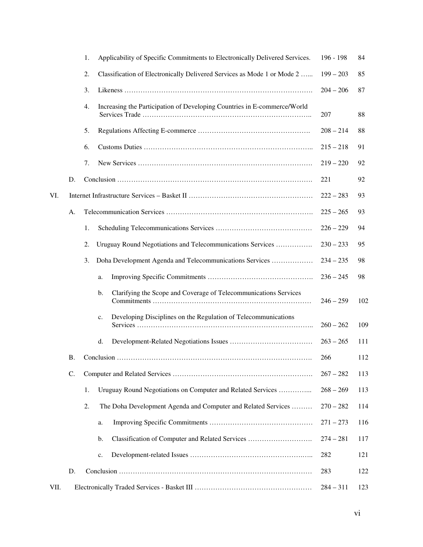|      |           | 1. |    | Applicability of Specific Commitments to Electronically Delivered Services. | 196 - 198   | 84  |
|------|-----------|----|----|-----------------------------------------------------------------------------|-------------|-----|
|      |           | 2. |    | Classification of Electronically Delivered Services as Mode 1 or Mode 2     | $199 - 203$ | 85  |
|      |           | 3. |    |                                                                             | $204 - 206$ | 87  |
|      |           | 4. |    | Increasing the Participation of Developing Countries in E-commerce/World    | 207         | 88  |
|      |           | 5. |    |                                                                             | $208 - 214$ | 88  |
|      |           | 6. |    |                                                                             | $215 - 218$ | 91  |
|      |           | 7. |    |                                                                             | $219 - 220$ | 92  |
|      | D.        |    |    |                                                                             | 221         | 92  |
| VI.  |           |    |    |                                                                             |             | 93  |
|      | A.        |    |    |                                                                             | $225 - 265$ | 93  |
|      |           | 1. |    |                                                                             | $226 - 229$ | 94  |
|      |           | 2. |    | Uruguay Round Negotiations and Telecommunications Services                  | $230 - 233$ | 95  |
|      |           | 3. |    | Doha Development Agenda and Telecommunications Services                     | $234 - 235$ | 98  |
|      |           |    | a. |                                                                             | $236 - 245$ | 98  |
|      |           |    | b. | Clarifying the Scope and Coverage of Telecommunications Services            | $246 - 259$ | 102 |
|      |           |    | c. | Developing Disciplines on the Regulation of Telecommunications              | $260 - 262$ | 109 |
|      |           |    | d. |                                                                             | $263 - 265$ | 111 |
|      | <b>B.</b> |    |    |                                                                             | 266         | 112 |
|      | C.        |    |    |                                                                             | $267 - 282$ | 113 |
|      |           | 1. |    | Uruguay Round Negotiations on Computer and Related Services                 | $268 - 269$ | 113 |
|      |           | 2. |    | The Doha Development Agenda and Computer and Related Services               | $270 - 282$ | 114 |
|      |           |    | a. |                                                                             | $271 - 273$ | 116 |
|      |           |    | b. | Classification of Computer and Related Services                             | $274 - 281$ | 117 |
|      |           |    | c. |                                                                             | 282         | 121 |
|      | D.        |    |    |                                                                             | 283         | 122 |
| VII. |           |    |    |                                                                             | $284 - 311$ | 123 |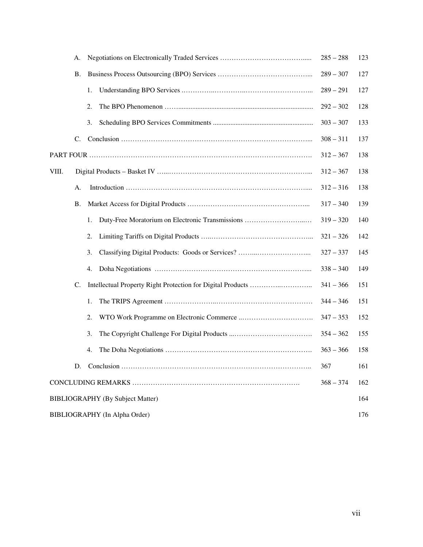|       | A.          |                                                        | $285 - 288$ | 123 |
|-------|-------------|--------------------------------------------------------|-------------|-----|
|       | Β.          | $289 - 307$                                            |             | 127 |
|       |             | 1.                                                     | $289 - 291$ | 127 |
|       |             | 2.                                                     | $292 - 302$ | 128 |
|       |             | 3.                                                     | $303 - 307$ | 133 |
|       | C.          |                                                        | $308 - 311$ | 137 |
|       |             |                                                        | $312 - 367$ | 138 |
| VIII. |             |                                                        | $312 - 367$ | 138 |
|       | А.          |                                                        | $312 - 316$ | 138 |
|       | Β.          |                                                        | $317 - 340$ | 139 |
|       |             | Duty-Free Moratorium on Electronic Transmissions<br>1. | $319 - 320$ | 140 |
|       |             | 2.                                                     | $321 - 326$ | 142 |
|       |             | 3.                                                     | $327 - 337$ | 145 |
|       |             | 4.                                                     | $338 - 340$ | 149 |
|       | C.          |                                                        | $341 - 366$ | 151 |
|       |             | 1.                                                     | $344 - 346$ | 151 |
|       |             | 2.                                                     | $347 - 353$ | 152 |
|       |             | 3.                                                     | $354 - 362$ | 155 |
|       |             | 4.                                                     | $363 - 366$ | 158 |
|       | D.          |                                                        | 367         | 161 |
|       | $368 - 374$ |                                                        |             | 162 |
|       |             | <b>BIBLIOGRAPHY</b> (By Subject Matter)                |             | 164 |
|       |             | <b>BIBLIOGRAPHY</b> (In Alpha Order)                   |             | 176 |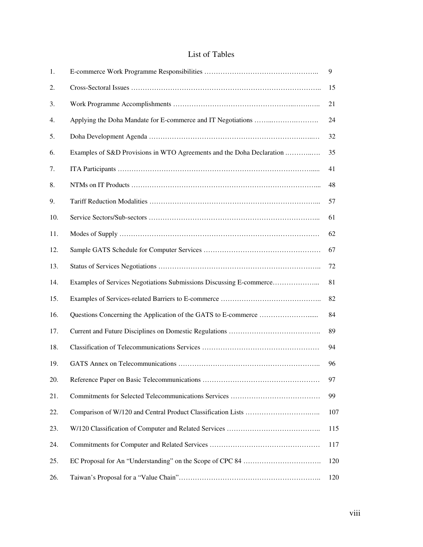#### List of Tables

| 1.  |                                                                       | 9   |
|-----|-----------------------------------------------------------------------|-----|
| 2.  |                                                                       | 15  |
| 3.  |                                                                       | 21  |
| 4.  |                                                                       | 24  |
| 5.  |                                                                       | 32  |
| 6.  | Examples of S&D Provisions in WTO Agreements and the Doha Declaration | 35  |
| 7.  |                                                                       | 41  |
| 8.  |                                                                       | 48  |
| 9.  |                                                                       | 57  |
| 10. |                                                                       | 61  |
| 11. |                                                                       | 62  |
| 12. |                                                                       | 67  |
| 13. |                                                                       | 72  |
| 14. | Examples of Services Negotiations Submissions Discussing E-commerce   | 81  |
| 15. |                                                                       | 82  |
| 16. |                                                                       | 84  |
| 17. |                                                                       | 89  |
| 18. |                                                                       | 94  |
| 19. |                                                                       | 96  |
| 20. |                                                                       | 97  |
| 21. |                                                                       | 99  |
| 22. |                                                                       | 107 |
| 23. |                                                                       | 115 |
| 24. |                                                                       | 117 |
| 25. |                                                                       | 120 |
| 26. |                                                                       | 120 |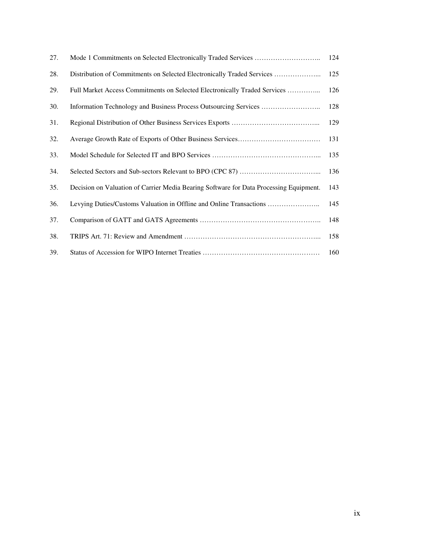| 27. |                                                                                        |     |
|-----|----------------------------------------------------------------------------------------|-----|
| 28. | Distribution of Commitments on Selected Electronically Traded Services                 | 125 |
| 29. | Full Market Access Commitments on Selected Electronically Traded Services              | 126 |
| 30. | Information Technology and Business Process Outsourcing Services                       | 128 |
| 31. |                                                                                        | 129 |
| 32. |                                                                                        | 131 |
| 33. |                                                                                        | 135 |
| 34. |                                                                                        | 136 |
| 35. | Decision on Valuation of Carrier Media Bearing Software for Data Processing Equipment. | 143 |
| 36. | Levying Duties/Customs Valuation in Offline and Online Transactions                    | 145 |
| 37. |                                                                                        | 148 |
| 38. |                                                                                        | 158 |
| 39. |                                                                                        | 160 |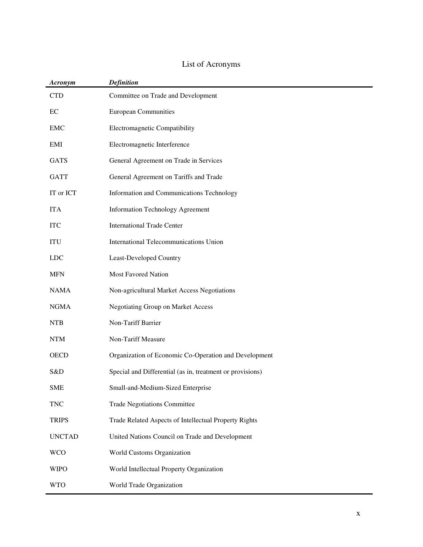# List of Acronyms

| Acronym       | <b>Definition</b>                                         |
|---------------|-----------------------------------------------------------|
| <b>CTD</b>    | Committee on Trade and Development                        |
| $\rm EC$      | <b>European Communities</b>                               |
| ${\rm EMC}$   | Electromagnetic Compatibility                             |
| EMI           | Electromagnetic Interference                              |
| <b>GATS</b>   | General Agreement on Trade in Services                    |
| <b>GATT</b>   | General Agreement on Tariffs and Trade                    |
| IT or ICT     | Information and Communications Technology                 |
| <b>ITA</b>    | <b>Information Technology Agreement</b>                   |
| <b>ITC</b>    | <b>International Trade Center</b>                         |
| <b>ITU</b>    | International Telecommunications Union                    |
| <b>LDC</b>    | <b>Least-Developed Country</b>                            |
| <b>MFN</b>    | <b>Most Favored Nation</b>                                |
| <b>NAMA</b>   | Non-agricultural Market Access Negotiations               |
| <b>NGMA</b>   | <b>Negotiating Group on Market Access</b>                 |
| <b>NTB</b>    | Non-Tariff Barrier                                        |
| <b>NTM</b>    | Non-Tariff Measure                                        |
| <b>OECD</b>   | Organization of Economic Co-Operation and Development     |
| S&D           | Special and Differential (as in, treatment or provisions) |
| <b>SME</b>    | Small-and-Medium-Sized Enterprise                         |
| <b>TNC</b>    | <b>Trade Negotiations Committee</b>                       |
| <b>TRIPS</b>  | Trade Related Aspects of Intellectual Property Rights     |
| <b>UNCTAD</b> | United Nations Council on Trade and Development           |
| <b>WCO</b>    | World Customs Organization                                |
| <b>WIPO</b>   | World Intellectual Property Organization                  |
| <b>WTO</b>    | World Trade Organization                                  |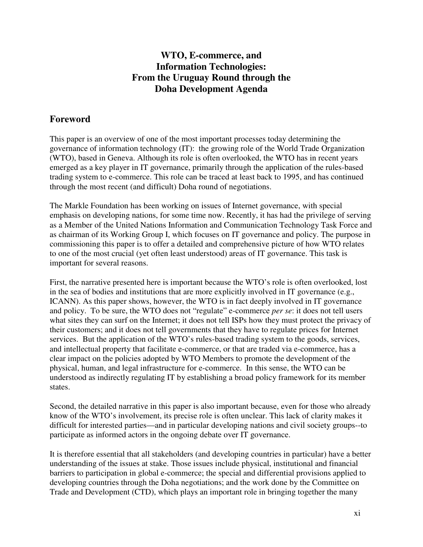# **WTO, E-commerce, and Information Technologies: From the Uruguay Round through the Doha Development Agenda**

# **Foreword**

This paper is an overview of one of the most important processes today determining the governance of information technology (IT): the growing role of the World Trade Organization (WTO), based in Geneva. Although its role is often overlooked, the WTO has in recent years emerged as a key player in IT governance, primarily through the application of the rules-based trading system to e-commerce. This role can be traced at least back to 1995, and has continued through the most recent (and difficult) Doha round of negotiations.

The Markle Foundation has been working on issues of Internet governance, with special emphasis on developing nations, for some time now. Recently, it has had the privilege of serving as a Member of the United Nations Information and Communication Technology Task Force and as chairman of its Working Group I, which focuses on IT governance and policy. The purpose in commissioning this paper is to offer a detailed and comprehensive picture of how WTO relates to one of the most crucial (yet often least understood) areas of IT governance. This task is important for several reasons.

First, the narrative presented here is important because the WTO's role is often overlooked, lost in the sea of bodies and institutions that are more explicitly involved in IT governance (e.g., ICANN). As this paper shows, however, the WTO is in fact deeply involved in IT governance and policy. To be sure, the WTO does not "regulate" e-commerce *per se*: it does not tell users what sites they can surf on the Internet; it does not tell ISPs how they must protect the privacy of their customers; and it does not tell governments that they have to regulate prices for Internet services. But the application of the WTO's rules-based trading system to the goods, services, and intellectual property that facilitate e-commerce, or that are traded via e-commerce, has a clear impact on the policies adopted by WTO Members to promote the development of the physical, human, and legal infrastructure for e-commerce. In this sense, the WTO can be understood as indirectly regulating IT by establishing a broad policy framework for its member states.

Second, the detailed narrative in this paper is also important because, even for those who already know of the WTO's involvement, its precise role is often unclear. This lack of clarity makes it difficult for interested parties—and in particular developing nations and civil society groups--to participate as informed actors in the ongoing debate over IT governance.

It is therefore essential that all stakeholders (and developing countries in particular) have a better understanding of the issues at stake. Those issues include physical, institutional and financial barriers to participation in global e-commerce; the special and differential provisions applied to developing countries through the Doha negotiations; and the work done by the Committee on Trade and Development (CTD), which plays an important role in bringing together the many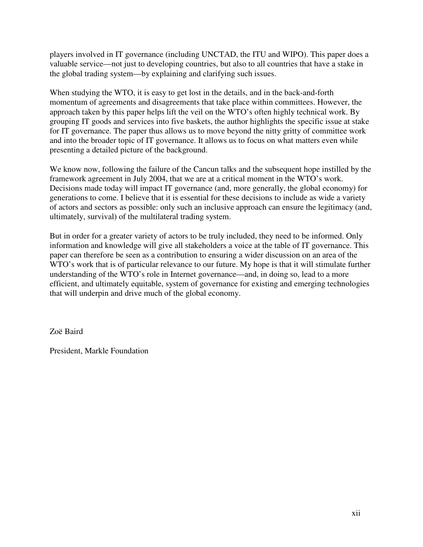players involved in IT governance (including UNCTAD, the ITU and WIPO). This paper does a valuable service—not just to developing countries, but also to all countries that have a stake in the global trading system—by explaining and clarifying such issues.

When studying the WTO, it is easy to get lost in the details, and in the back-and-forth momentum of agreements and disagreements that take place within committees. However, the approach taken by this paper helps lift the veil on the WTO's often highly technical work. By grouping IT goods and services into five baskets, the author highlights the specific issue at stake for IT governance. The paper thus allows us to move beyond the nitty gritty of committee work and into the broader topic of IT governance. It allows us to focus on what matters even while presenting a detailed picture of the background.

We know now, following the failure of the Cancun talks and the subsequent hope instilled by the framework agreement in July 2004, that we are at a critical moment in the WTO's work. Decisions made today will impact IT governance (and, more generally, the global economy) for generations to come. I believe that it is essential for these decisions to include as wide a variety of actors and sectors as possible: only such an inclusive approach can ensure the legitimacy (and, ultimately, survival) of the multilateral trading system.

But in order for a greater variety of actors to be truly included, they need to be informed. Only information and knowledge will give all stakeholders a voice at the table of IT governance. This paper can therefore be seen as a contribution to ensuring a wider discussion on an area of the WTO's work that is of particular relevance to our future. My hope is that it will stimulate further understanding of the WTO's role in Internet governance—and, in doing so, lead to a more efficient, and ultimately equitable, system of governance for existing and emerging technologies that will underpin and drive much of the global economy.

Zoë Baird

President, Markle Foundation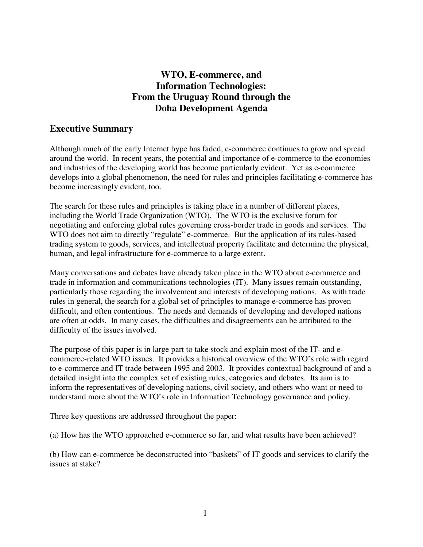# **WTO, E-commerce, and Information Technologies: From the Uruguay Round through the Doha Development Agenda**

#### **Executive Summary**

Although much of the early Internet hype has faded, e-commerce continues to grow and spread around the world. In recent years, the potential and importance of e-commerce to the economies and industries of the developing world has become particularly evident. Yet as e-commerce develops into a global phenomenon, the need for rules and principles facilitating e-commerce has become increasingly evident, too.

The search for these rules and principles is taking place in a number of different places, including the World Trade Organization (WTO). The WTO is the exclusive forum for negotiating and enforcing global rules governing cross-border trade in goods and services. The WTO does not aim to directly "regulate" e-commerce. But the application of its rules-based trading system to goods, services, and intellectual property facilitate and determine the physical, human, and legal infrastructure for e-commerce to a large extent.

Many conversations and debates have already taken place in the WTO about e-commerce and trade in information and communications technologies (IT). Many issues remain outstanding, particularly those regarding the involvement and interests of developing nations. As with trade rules in general, the search for a global set of principles to manage e-commerce has proven difficult, and often contentious. The needs and demands of developing and developed nations are often at odds. In many cases, the difficulties and disagreements can be attributed to the difficulty of the issues involved.

The purpose of this paper is in large part to take stock and explain most of the IT- and ecommerce-related WTO issues. It provides a historical overview of the WTO's role with regard to e-commerce and IT trade between 1995 and 2003. It provides contextual background of and a detailed insight into the complex set of existing rules, categories and debates. Its aim is to inform the representatives of developing nations, civil society, and others who want or need to understand more about the WTO's role in Information Technology governance and policy.

Three key questions are addressed throughout the paper:

(a) How has the WTO approached e-commerce so far, and what results have been achieved?

(b) How can e-commerce be deconstructed into "baskets" of IT goods and services to clarify the issues at stake?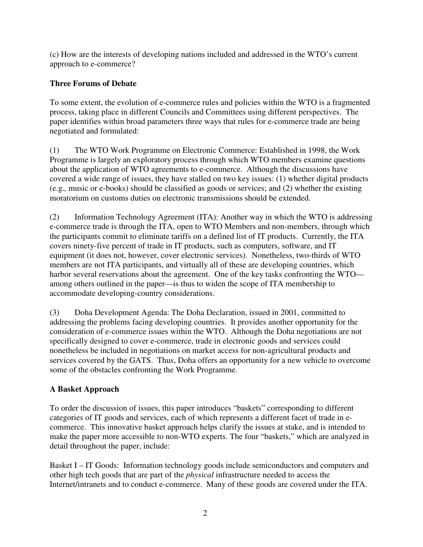(c) How are the interests of developing nations included and addressed in the WTO's current approach to e-commerce?

#### **Three Forums of Debate**

To some extent, the evolution of e-commerce rules and policies within the WTO is a fragmented process, taking place in different Councils and Committees using different perspectives. The paper identifies within broad parameters three ways that rules for e-commerce trade are being negotiated and formulated:

(1) The WTO Work Programme on Electronic Commerce: Established in 1998, the Work Programme is largely an exploratory process through which WTO members examine questions about the application of WTO agreements to e-commerce. Although the discussions have covered a wide range of issues, they have stalled on two key issues: (1) whether digital products (e.g.*,* music or e-books) should be classified as goods or services; and (2) whether the existing moratorium on customs duties on electronic transmissions should be extended.

(2) Information Technology Agreement (ITA): Another way in which the WTO is addressing e-commerce trade is through the ITA, open to WTO Members and non-members, through which the participants commit to eliminate tariffs on a defined list of IT products. Currently, the ITA covers ninety-five percent of trade in IT products, such as computers, software, and IT equipment (it does not, however, cover electronic services). Nonetheless, two-thirds of WTO members are not ITA participants, and virtually all of these are developing countries, which harbor several reservations about the agreement. One of the key tasks confronting the WTO among others outlined in the paper—is thus to widen the scope of ITA membership to accommodate developing-country considerations.

(3) Doha Development Agenda: The Doha Declaration, issued in 2001, committed to addressing the problems facing developing countries. It provides another opportunity for the consideration of e-commerce issues within the WTO. Although the Doha negotiations are not specifically designed to cover e-commerce, trade in electronic goods and services could nonetheless be included in negotiations on market access for non-agricultural products and services covered by the GATS. Thus, Doha offers an opportunity for a new vehicle to overcome some of the obstacles confronting the Work Programme.

## **A Basket Approach**

To order the discussion of issues, this paper introduces "baskets" corresponding to different categories of IT goods and services, each of which represents a different facet of trade in ecommerce. This innovative basket approach helps clarify the issues at stake, and is intended to make the paper more accessible to non-WTO experts. The four "baskets," which are analyzed in detail throughout the paper, include:

Basket I – IT Goods: Information technology goods include semiconductors and computers and other high tech goods that are part of the *physical* infrastructure needed to access the Internet/intranets and to conduct e-commerce. Many of these goods are covered under the ITA.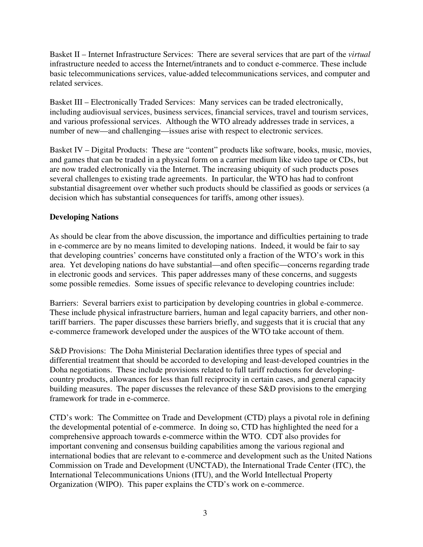Basket II – Internet Infrastructure Services: There are several services that are part of the *virtual* infrastructure needed to access the Internet/intranets and to conduct e-commerce. These include basic telecommunications services, value-added telecommunications services, and computer and related services.

Basket III – Electronically Traded Services: Many services can be traded electronically, including audiovisual services, business services, financial services, travel and tourism services, and various professional services. Although the WTO already addresses trade in services, a number of new—and challenging—issues arise with respect to electronic services.

Basket IV – Digital Products: These are "content" products like software, books, music, movies, and games that can be traded in a physical form on a carrier medium like video tape or CDs, but are now traded electronically via the Internet. The increasing ubiquity of such products poses several challenges to existing trade agreements. In particular, the WTO has had to confront substantial disagreement over whether such products should be classified as goods or services (a decision which has substantial consequences for tariffs, among other issues).

#### **Developing Nations**

As should be clear from the above discussion, the importance and difficulties pertaining to trade in e-commerce are by no means limited to developing nations. Indeed, it would be fair to say that developing countries' concerns have constituted only a fraction of the WTO's work in this area. Yet developing nations do have substantial—and often specific—concerns regarding trade in electronic goods and services. This paper addresses many of these concerns, and suggests some possible remedies. Some issues of specific relevance to developing countries include:

Barriers: Several barriers exist to participation by developing countries in global e-commerce. These include physical infrastructure barriers, human and legal capacity barriers, and other nontariff barriers. The paper discusses these barriers briefly, and suggests that it is crucial that any e-commerce framework developed under the auspices of the WTO take account of them.

S&D Provisions: The Doha Ministerial Declaration identifies three types of special and differential treatment that should be accorded to developing and least-developed countries in the Doha negotiations. These include provisions related to full tariff reductions for developingcountry products, allowances for less than full reciprocity in certain cases, and general capacity building measures. The paper discusses the relevance of these S&D provisions to the emerging framework for trade in e-commerce.

CTD's work: The Committee on Trade and Development (CTD) plays a pivotal role in defining the developmental potential of e-commerce. In doing so, CTD has highlighted the need for a comprehensive approach towards e-commerce within the WTO. CDT also provides for important convening and consensus building capabilities among the various regional and international bodies that are relevant to e-commerce and development such as the United Nations Commission on Trade and Development (UNCTAD), the International Trade Center (ITC), the International Telecommunications Unions (ITU), and the World Intellectual Property Organization (WIPO). This paper explains the CTD's work on e-commerce.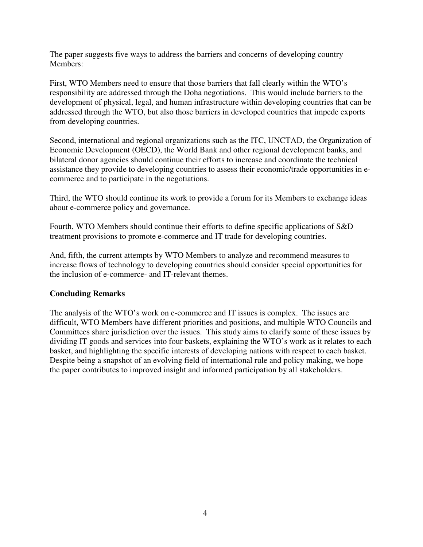The paper suggests five ways to address the barriers and concerns of developing country Members:

First, WTO Members need to ensure that those barriers that fall clearly within the WTO's responsibility are addressed through the Doha negotiations. This would include barriers to the development of physical, legal, and human infrastructure within developing countries that can be addressed through the WTO, but also those barriers in developed countries that impede exports from developing countries.

Second, international and regional organizations such as the ITC, UNCTAD, the Organization of Economic Development (OECD), the World Bank and other regional development banks, and bilateral donor agencies should continue their efforts to increase and coordinate the technical assistance they provide to developing countries to assess their economic/trade opportunities in ecommerce and to participate in the negotiations.

Third, the WTO should continue its work to provide a forum for its Members to exchange ideas about e-commerce policy and governance.

Fourth, WTO Members should continue their efforts to define specific applications of S&D treatment provisions to promote e-commerce and IT trade for developing countries.

And, fifth, the current attempts by WTO Members to analyze and recommend measures to increase flows of technology to developing countries should consider special opportunities for the inclusion of e-commerce- and IT-relevant themes.

#### **Concluding Remarks**

The analysis of the WTO's work on e-commerce and IT issues is complex. The issues are difficult, WTO Members have different priorities and positions, and multiple WTO Councils and Committees share jurisdiction over the issues. This study aims to clarify some of these issues by dividing IT goods and services into four baskets, explaining the WTO's work as it relates to each basket, and highlighting the specific interests of developing nations with respect to each basket. Despite being a snapshot of an evolving field of international rule and policy making, we hope the paper contributes to improved insight and informed participation by all stakeholders.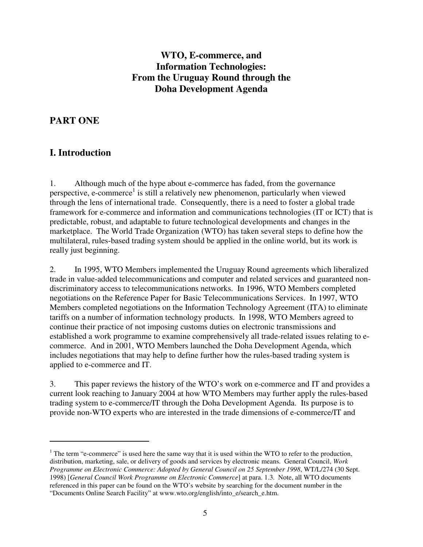# **WTO, E-commerce, and Information Technologies: From the Uruguay Round through the Doha Development Agenda**

# **PART ONE**

# **I. Introduction**

1. Although much of the hype about e-commerce has faded, from the governance perspective, e-commerce<sup>1</sup> is still a relatively new phenomenon, particularly when viewed through the lens of international trade. Consequently, there is a need to foster a global trade framework for e-commerce and information and communications technologies (IT or ICT) that is predictable, robust, and adaptable to future technological developments and changes in the marketplace. The World Trade Organization (WTO) has taken several steps to define how the multilateral, rules-based trading system should be applied in the online world, but its work is really just beginning.

2. In 1995, WTO Members implemented the Uruguay Round agreements which liberalized trade in value-added telecommunications and computer and related services and guaranteed nondiscriminatory access to telecommunications networks. In 1996, WTO Members completed negotiations on the Reference Paper for Basic Telecommunications Services. In 1997, WTO Members completed negotiations on the Information Technology Agreement (ITA) to eliminate tariffs on a number of information technology products. In 1998, WTO Members agreed to continue their practice of not imposing customs duties on electronic transmissions and established a work programme to examine comprehensively all trade-related issues relating to ecommerce. And in 2001, WTO Members launched the Doha Development Agenda, which includes negotiations that may help to define further how the rules-based trading system is applied to e-commerce and IT.

3. This paper reviews the history of the WTO's work on e-commerce and IT and provides a current look reaching to January 2004 at how WTO Members may further apply the rules-based trading system to e-commerce/IT through the Doha Development Agenda. Its purpose is to provide non-WTO experts who are interested in the trade dimensions of e-commerce/IT and

<sup>&</sup>lt;sup>1</sup> The term "e-commerce" is used here the same way that it is used within the WTO to refer to the production, distribution, marketing, sale, or delivery of goods and services by electronic means. General Council, *Work Programme on Electronic Commerce: Adopted by General Council on 25 September 1998*, WT/L/274 (30 Sept. 1998) [*General Council Work Programme on Electronic Commerce*] at para. 1.3. Note, all WTO documents referenced in this paper can be found on the WTO's website by searching for the document number in the "Documents Online Search Facility" at www.wto.org/english/into\_e/search\_e.htm.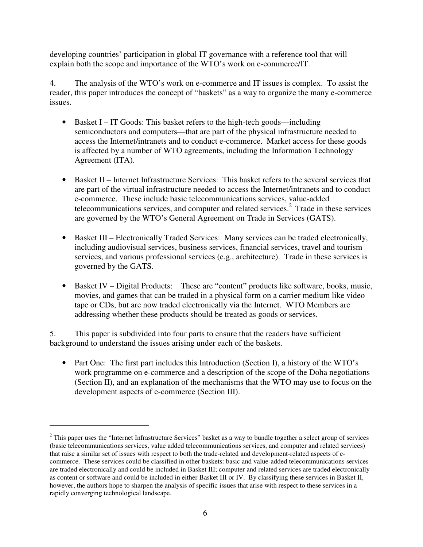developing countries' participation in global IT governance with a reference tool that will explain both the scope and importance of the WTO's work on e-commerce/IT.

4. The analysis of the WTO's work on e-commerce and IT issues is complex. To assist the reader, this paper introduces the concept of "baskets" as a way to organize the many e-commerce issues.

- Basket I IT Goods: This basket refers to the high-tech goods—including semiconductors and computers—that are part of the physical infrastructure needed to access the Internet/intranets and to conduct e-commerce. Market access for these goods is affected by a number of WTO agreements, including the Information Technology Agreement (ITA).
- Basket II Internet Infrastructure Services: This basket refers to the several services that are part of the virtual infrastructure needed to access the Internet/intranets and to conduct e-commerce. These include basic telecommunications services, value-added telecommunications services, and computer and related services. 2 Trade in these services are governed by the WTO's General Agreement on Trade in Services (GATS).
- Basket III Electronically Traded Services: Many services can be traded electronically, including audiovisual services, business services, financial services, travel and tourism services, and various professional services (e.g., architecture). Trade in these services is governed by the GATS.
- Basket IV Digital Products: These are "content" products like software, books, music, movies, and games that can be traded in a physical form on a carrier medium like video tape or CDs, but are now traded electronically via the Internet. WTO Members are addressing whether these products should be treated as goods or services.

5. This paper is subdivided into four parts to ensure that the readers have sufficient background to understand the issues arising under each of the baskets.

Part One: The first part includes this Introduction (Section I), a history of the WTO's work programme on e-commerce and a description of the scope of the Doha negotiations (Section II), and an explanation of the mechanisms that the WTO may use to focus on the development aspects of e-commerce (Section III).

 $2$  This paper uses the "Internet Infrastructure Services" basket as a way to bundle together a select group of services (basic telecommunications services, value added telecommunications services, and computer and related services) that raise a similar set of issues with respect to both the trade-related and development-related aspects of ecommerce. These services could be classified in other baskets: basic and value-added telecommunications services are traded electronically and could be included in Basket III; computer and related services are traded electronically as content or software and could be included in either Basket III or IV. By classifying these services in Basket II, however, the authors hope to sharpen the analysis of specific issues that arise with respect to these services in a rapidly converging technological landscape.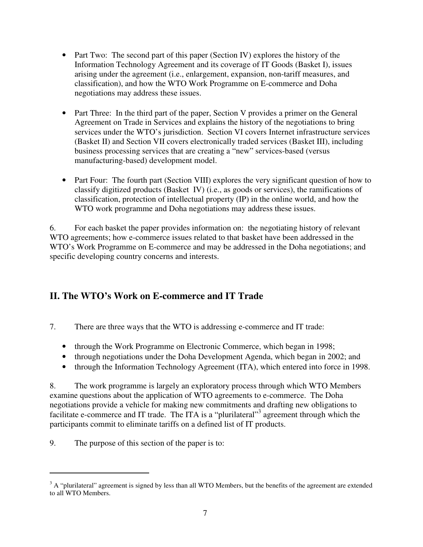- Part Two: The second part of this paper (Section IV) explores the history of the Information Technology Agreement and its coverage of IT Goods (Basket I), issues arising under the agreement (i.e., enlargement, expansion, non-tariff measures, and classification), and how the WTO Work Programme on E-commerce and Doha negotiations may address these issues.
- Part Three: In the third part of the paper, Section V provides a primer on the General Agreement on Trade in Services and explains the history of the negotiations to bring services under the WTO's jurisdiction. Section VI covers Internet infrastructure services (Basket II) and Section VII covers electronically traded services (Basket III), including business processing services that are creating a "new" services-based (versus manufacturing-based) development model.
- Part Four: The fourth part (Section VIII) explores the very significant question of how to classify digitized products (Basket IV) (i.e., as goods or services), the ramifications of classification, protection of intellectual property (IP) in the online world, and how the WTO work programme and Doha negotiations may address these issues.

6. For each basket the paper provides information on: the negotiating history of relevant WTO agreements; how e-commerce issues related to that basket have been addressed in the WTO's Work Programme on E-commerce and may be addressed in the Doha negotiations; and specific developing country concerns and interests.

# **II. The WTO's Work on E-commerce and IT Trade**

- 7. There are three ways that the WTO is addressing e-commerce and IT trade:
	- through the Work Programme on Electronic Commerce, which began in 1998;
	- through negotiations under the Doha Development Agenda, which began in 2002; and
	- through the Information Technology Agreement (ITA), which entered into force in 1998.

8. The work programme is largely an exploratory process through which WTO Members examine questions about the application of WTO agreements to e-commerce. The Doha negotiations provide a vehicle for making new commitments and drafting new obligations to facilitate e-commerce and IT trade. The ITA is a "plurilateral"<sup>3</sup> agreement through which the participants commit to eliminate tariffs on a defined list of IT products.

9. The purpose of this section of the paper is to:

 $3 \text{ A}$  "plurilateral" agreement is signed by less than all WTO Members, but the benefits of the agreement are extended to all WTO Members.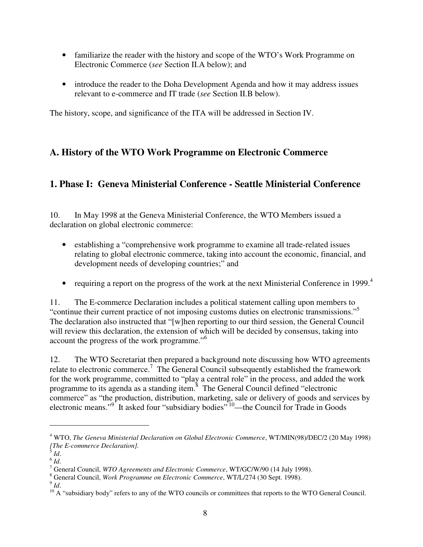- familiarize the reader with the history and scope of the WTO's Work Programme on Electronic Commerce (*see* Section II.A below); and
- introduce the reader to the Doha Development Agenda and how it may address issues relevant to e-commerce and IT trade (*see* Section II.B below).

The history, scope, and significance of the ITA will be addressed in Section IV.

# **A. History of the WTO Work Programme on Electronic Commerce**

## **1. Phase I: Geneva Ministerial Conference - Seattle Ministerial Conference**

10. In May 1998 at the Geneva Ministerial Conference, the WTO Members issued a declaration on global electronic commerce:

- establishing a "comprehensive work programme to examine all trade-related issues relating to global electronic commerce, taking into account the economic, financial, and development needs of developing countries;" and
- requiring a report on the progress of the work at the next Ministerial Conference in 1999.<sup>4</sup>

11. The E-commerce Declaration includes a political statement calling upon members to "continue their current practice of not imposing customs duties on electronic transmissions." 5 The declaration also instructed that "[w]hen reporting to our third session, the General Council will review this declaration, the extension of which will be decided by consensus, taking into account the progress of the work programme."<sup>6</sup>

12. The WTO Secretariat then prepared a background note discussing how WTO agreements relate to electronic commerce.<sup>7</sup> The General Council subsequently established the framework for the work programme, committed to "play a central role" in the process, and added the work programme to its agenda as a standing item.<sup>8</sup> The General Council defined "electronic commerce" as "the production, distribution, marketing, sale or delivery of goods and services by electronic means."<sup>9</sup> It asked four "subsidiary bodies" <sup>10</sup>—the Council for Trade in Goods

<sup>8</sup> General Council, *Work Programme on Electronic Commerce*, WT/L/274 (30 Sept. 1998).

<sup>4</sup> WTO, *The Geneva Ministerial Declaration on Global Electronic Commerce*, WT/MIN(98)/DEC/2 (20 May 1998) *[The E-commerce Declaration].* 5 *Id*.

<sup>6</sup> *Id*.

<sup>7</sup> General Council, *WTO Agreements and Electronic Commerce*, WT/GC/W/90 (14 July 1998).

<sup>9</sup> *Id*.

 $10$  A "subsidiary body" refers to any of the WTO councils or committees that reports to the WTO General Council.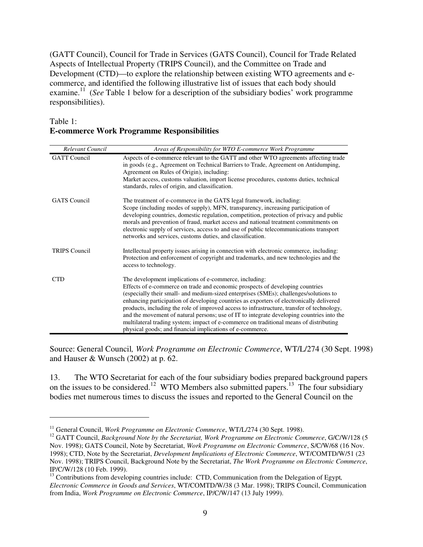(GATT Council), Council for Trade in Services (GATS Council), Council for Trade Related Aspects of Intellectual Property (TRIPS Council), and the Committee on Trade and Development (CTD)—to explore the relationship between existing WTO agreements and ecommerce, and identified the following illustrative list of issues that each body should examine.<sup>11</sup> (See Table 1 below for a description of the subsidiary bodies' work programme responsibilities).

| Table 1: |                                                   |  |
|----------|---------------------------------------------------|--|
|          | <b>E-commerce Work Programme Responsibilities</b> |  |

| Relevant Council     | Areas of Responsibility for WTO E-commerce Work Programme                                                                                                                                                                                                                                                                                                                                                                                                                                                                                                                                                                                                                      |
|----------------------|--------------------------------------------------------------------------------------------------------------------------------------------------------------------------------------------------------------------------------------------------------------------------------------------------------------------------------------------------------------------------------------------------------------------------------------------------------------------------------------------------------------------------------------------------------------------------------------------------------------------------------------------------------------------------------|
| <b>GATT</b> Council  | Aspects of e-commerce relevant to the GATT and other WTO agreements affecting trade<br>in goods (e.g., Agreement on Technical Barriers to Trade, Agreement on Antidumping,<br>Agreement on Rules of Origin), including:<br>Market access, customs valuation, import license procedures, customs duties, technical<br>standards, rules of origin, and classification.                                                                                                                                                                                                                                                                                                           |
| <b>GATS</b> Council  | The treatment of e-commerce in the GATS legal framework, including:<br>Scope (including modes of supply), MFN, transparency, increasing participation of<br>developing countries, domestic regulation, competition, protection of privacy and public<br>morals and prevention of fraud, market access and national treatment commitments on<br>electronic supply of services, access to and use of public telecommunications transport<br>networks and services, customs duties, and classification.                                                                                                                                                                           |
| <b>TRIPS Council</b> | Intellectual property issues arising in connection with electronic commerce, including:<br>Protection and enforcement of copyright and trademarks, and new technologies and the<br>access to technology.                                                                                                                                                                                                                                                                                                                                                                                                                                                                       |
| <b>CTD</b>           | The development implications of e-commerce, including:<br>Effects of e-commerce on trade and economic prospects of developing countries<br>(especially their small- and medium-sized enterprises (SMEs); challenges/solutions to<br>enhancing participation of developing countries as exporters of electronically delivered<br>products, including the role of improved access to infrastructure, transfer of technology,<br>and the movement of natural persons; use of IT to integrate developing countries into the<br>multilateral trading system; impact of e-commerce on traditional means of distributing<br>physical goods; and financial implications of e-commerce. |

Source: General Council*, Work Programme on Electronic Commerce*, WT/L/274 (30 Sept. 1998) and Hauser & Wunsch (2002) at p. 62.

13. The WTO Secretariat for each of the four subsidiary bodies prepared background papers on the issues to be considered.<sup>12</sup> WTO Members also submitted papers.<sup>13</sup> The four subsidiary bodies met numerous times to discuss the issues and reported to the General Council on the

<sup>11</sup> General Council, *Work Programme on Electronic Commerce*, WT/L/274 (30 Sept. 1998).

<sup>12</sup> GATT Council, *Background Note by the Secretariat, Work Programme on Electronic Commerce*, G/C/W/128 (5 Nov. 1998); GATS Council, Note by Secretariat, *Work Programme on Electronic Commerce*, S/C/W/68 (16 Nov. 1998); CTD, Note by the Secretariat, *Development Implications of Electronic Commerce*, WT/COMTD/W/51 (23 Nov. 1998); TRIPS Council, Background Note by the Secretariat, *The Work Programme on Electronic Commerce*, IP/C/W/128 (10 Feb. 1999).

<sup>&</sup>lt;sup>13</sup> Contributions from developing countries include: CTD, Communication from the Delegation of Egypt, *Electronic Commerce in Goods and Services*, WT/COMTD/W/38 (3 Mar. 1998); TRIPS Council, Communication from India, *Work Programme on Electronic Commerce*, IP/C/W/147 (13 July 1999).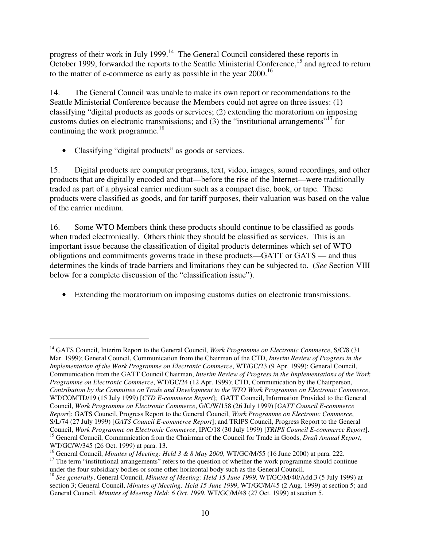progress of their work in July 1999.<sup>14</sup> The General Council considered these reports in October 1999, forwarded the reports to the Seattle Ministerial Conference,<sup>15</sup> and agreed to return to the matter of e-commerce as early as possible in the year  $2000$ .<sup>16</sup>

14. The General Council was unable to make its own report or recommendations to the Seattle Ministerial Conference because the Members could not agree on three issues: (1) classifying "digital products as goods or services; (2) extending the moratorium on imposing customs duties on electronic transmissions; and  $(3)$  the "institutional arrangements"<sup>17</sup> for continuing the work programme.<sup>18</sup>

• Classifying "digital products" as goods or services.

15. Digital products are computer programs, text, video, images, sound recordings, and other products that are digitally encoded and that—before the rise of the Internet—were traditionally traded as part of a physical carrier medium such as a compact disc, book, or tape. These products were classified as goods, and for tariff purposes, their valuation was based on the value of the carrier medium.

16. Some WTO Members think these products should continue to be classified as goods when traded electronically. Others think they should be classified as services. This is an important issue because the classification of digital products determines which set of WTO obligations and commitments governs trade in these products—GATT or GATS — and thus determines the kinds of trade barriers and limitations they can be subjected to. (*See* Section VIII below for a complete discussion of the "classification issue").

• Extending the moratorium on imposing customs duties on electronic transmissions.

<sup>14</sup> GATS Council, Interim Report to the General Council, *Work Programme on Electronic Commerce*, S/C/8 (31 Mar. 1999); General Council, Communication from the Chairman of the CTD, *Interim Review of Progress in the Implementation of the Work Programme on Electronic Commerce*, WT/GC/23 (9 Apr. 1999); General Council, Communication from the GATT Council Chairman, *Interim Review of Progress in the Implementations of the Work Programme on Electronic Commerce*, WT/GC/24 (12 Apr. 1999); CTD, Communication by the Chairperson, *Contribution by the Committee on Trade and Development to the WTO Work Programme on Electronic Commerce*, WT/COMTD/19 (15 July 1999) [*CTD E-commerce Report*]; GATT Council, Information Provided to the General Council, *Work Programme on Electronic Commerce*, G/C/W/158 (26 July 1999) [*GATT Council E-commerce Report*]; GATS Council, Progress Report to the General Council, *Work Programme on Electronic Commerce*, S/L/74 (27 July 1999) [*GATS Council E-commerce Report*]; and TRIPS Council, Progress Report to the General Council, *Work Programme on Electronic Commerce*, IP/C/18 (30 July 1999) [*TRIPS Council E-commerce Report*]. <sup>15</sup> General Council, Communication from the Chairman of the Council for Trade in Goods, *Draft Annual Report*, WT/GC/W/345 (26 Oct. 1999) at para. 13.

<sup>16</sup> General Council, *Minutes of Meeting: Held 3 & 8 May 2000*, WT/GC/M/55 (16 June 2000) at para. 222.

<sup>&</sup>lt;sup>17</sup> The term "institutional arrangements" refers to the question of whether the work programme should continue under the four subsidiary bodies or some other horizontal body such as the General Council.

<sup>18</sup> *See generally*, General Council, *Minutes of Meeting: Held 15 June 1999,* WT/GC/M/40/Add.3 (5 July 1999) at section 3; General Council, *Minutes of Meeting: Held 15 June 1999*, WT/GC/M/45 (2 Aug. 1999) at section 5; and General Council, *Minutes of Meeting Held: 6 Oct. 1999*, WT/GC/M/48 (27 Oct. 1999) at section 5.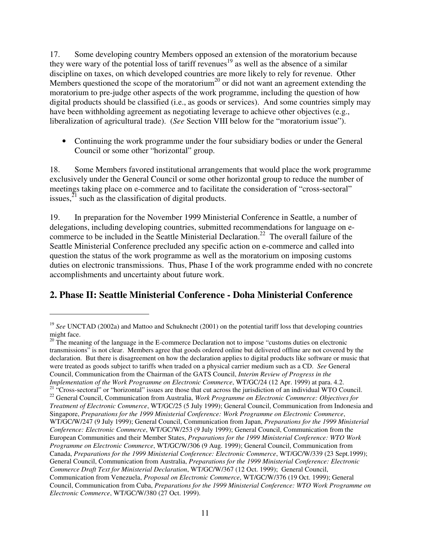17. Some developing country Members opposed an extension of the moratorium because they were wary of the potential loss of tariff revenues<sup>19</sup> as well as the absence of a similar discipline on taxes, on which developed countries are more likely to rely for revenue. Other Members questioned the scope of the moratorium<sup>20</sup> or did not want an agreement extending the moratorium to pre-judge other aspects of the work programme, including the question of how digital products should be classified (i.e., as goods or services). And some countries simply may have been withholding agreement as negotiating leverage to achieve other objectives (e.g., liberalization of agricultural trade). (*See* Section VIII below for the "moratorium issue").

• Continuing the work programme under the four subsidiary bodies or under the General Council or some other "horizontal" group.

18. Some Members favored institutional arrangements that would place the work programme exclusively under the General Council or some other horizontal group to reduce the number of meetings taking place on e-commerce and to facilitate the consideration of "cross-sectoral" issues, $^{21}$  such as the classification of digital products.

19. In preparation for the November 1999 Ministerial Conference in Seattle, a number of delegations, including developing countries, submitted recommendations for language on ecommerce to be included in the Seattle Ministerial Declaration.<sup>22</sup> The overall failure of the Seattle Ministerial Conference precluded any specific action on e-commerce and called into question the status of the work programme as well as the moratorium on imposing customs duties on electronic transmissions. Thus, Phase I of the work programme ended with no concrete accomplishments and uncertainty about future work.

## **2. Phase II: Seattle Ministerial Conference - Doha Ministerial Conference**

<sup>&</sup>lt;sup>19</sup> See UNCTAD (2002a) and Mattoo and Schuknecht (2001) on the potential tariff loss that developing countries might face.

 $20$  The meaning of the language in the E-commerce Declaration not to impose "customs duties on electronic transmissions" is not clear. Members agree that goods ordered online but delivered offline are not covered by the declaration. But there is disagreement on how the declaration applies to digital products like software or music that were treated as goods subject to tariffs when traded on a physical carrier medium such as a CD. *See* General Council, Communication from the Chairman of the GATS Council, *Interim Review of Progress in the Implementation of the Work Programme on Electronic Commerce*, WT/GC/24 (12 Apr. 1999) at para. 4.2. <sup>21</sup> "Cross-sectoral" or "horizontal" issues are those that cut across the jurisdiction of an individual WTO Council. <sup>22</sup> General Council, Communication from Australia, *Work Programme on Electronic Commerce: Objectives for Treatment of Electronic Commerce*, WT/GC/25 (5 July 1999); General Council, Communication from Indonesia and Singapore, *Preparations for the 1999 Ministerial Conference: Work Programme on Electronic Commerce*, WT/GC/W/247 (9 July 1999); General Council, Communication from Japan, *Preparations for the 1999 Ministerial Conference: Electronic Commerce*, WT/GC/W/253 (9 July 1999); General Council, Communication from the European Communities and their Member States, *Preparations for the 1999 Ministerial Conference: WTO Work Programme on Electronic Commerce*, WT/GC/W/306 (9 Aug. 1999); General Council, Communication from Canada, *Preparations for the 1999 Ministerial Conference: Electronic Commerce*, WT/GC/W/339 (23 Sept.1999); General Council, Communication from Australia, *Preparations for the 1999 Ministerial Conference: Electronic Commerce Draft Text for Ministerial Declaration*, WT/GC/W/367 (12 Oct. 1999); General Council, Communication from Venezuela, *Proposal on Electronic Commerce*, WT/GC/W/376 (19 Oct. 1999); General Council, Communication from Cuba, *Preparations for the 1999 Ministerial Conference: WTO Work Programme on Electronic Commerce*, WT/GC/W/380 (27 Oct. 1999).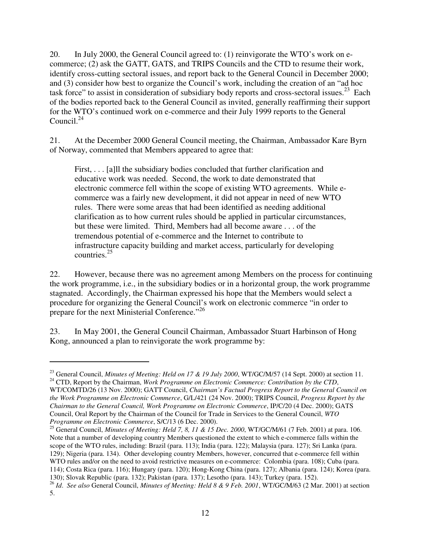20. In July 2000, the General Council agreed to: (1) reinvigorate the WTO's work on ecommerce; (2) ask the GATT, GATS, and TRIPS Councils and the CTD to resume their work, identify cross-cutting sectoral issues, and report back to the General Council in December 2000; and (3) consider how best to organize the Council's work, including the creation of an "ad hoc task force" to assist in consideration of subsidiary body reports and cross-sectoral issues.<sup>23</sup> Each of the bodies reported back to the General Council as invited, generally reaffirming their support for the WTO's continued work on e-commerce and their July 1999 reports to the General Council. 24

21. At the December 2000 General Council meeting, the Chairman, Ambassador Kare Byrn of Norway, commented that Members appeared to agree that:

First, . . . [a]ll the subsidiary bodies concluded that further clarification and educative work was needed. Second, the work to date demonstrated that electronic commerce fell within the scope of existing WTO agreements. While ecommerce was a fairly new development, it did not appear in need of new WTO rules. There were some areas that had been identified as needing additional clarification as to how current rules should be applied in particular circumstances, but these were limited. Third, Members had all become aware . . . of the tremendous potential of e-commerce and the Internet to contribute to infrastructure capacity building and market access, particularly for developing countries. 25

22. However, because there was no agreement among Members on the process for continuing the work programme, i.e., in the subsidiary bodies or in a horizontal group, the work programme stagnated. Accordingly, the Chairman expressed his hope that the Members would select a procedure for organizing the General Council's work on electronic commerce "in order to prepare for the next Ministerial Conference."<sup>26</sup>

23. In May 2001, the General Council Chairman, Ambassador Stuart Harbinson of Hong Kong, announced a plan to reinvigorate the work programme by:

WT/COMTD/26 (13 Nov. 2000); GATT Council, *Chairman's Factual Progress Report to the General Council on the Work Programme on Electronic Commerce*, G/L/421 (24 Nov. 2000); TRIPS Council, *Progress Report by the Chairman to the General Council, Work Programme on Electronic Commerce*, IP/C/20 (4 Dec. 2000); GATS Council, Oral Report by the Chairman of the Council for Trade in Services to the General Council, *WTO Programme on Electronic Commerce*, S/C/13 (6 Dec. 2000).

<sup>25</sup> General Council, *Minutes of Meeting: Held 7, 8, 11 & 15 Dec. 2000*, WT/GC/M/61 (7 Feb. 2001) at para. 106. Note that a number of developing country Members questioned the extent to which e-commerce falls within the scope of the WTO rules, including: Brazil (para. 113); India (para. 122); Malaysia (para. 127); Sri Lanka (para. 129); Nigeria (para. 134). Other developing country Members, however, concurred that e-commerce fell within WTO rules and/or on the need to avoid restrictive measures on e-commerce: Colombia (para. 108); Cuba (para. 114); Costa Rica (para. 116); Hungary (para. 120); Hong-Kong China (para. 127); Albania (para. 124); Korea (para. 130); Slovak Republic (para. 132); Pakistan (para. 137); Lesotho (para. 143); Turkey (para. 152).

<sup>23</sup> General Council, *Minutes of Meeting: Held on 17 & 19 July 2000*, WT/GC/M/57 (14 Sept. 2000) at section 11. <sup>24</sup> CTD, Report by the Chairman, *Work Programme on Electronic Commerce: Contribution by the CTD*,

<sup>26</sup> *Id*. *See also* General Council, *Minutes of Meeting: Held 8 & 9 Feb. 2001*, WT/GC/M/63 (2 Mar. 2001) at section 5.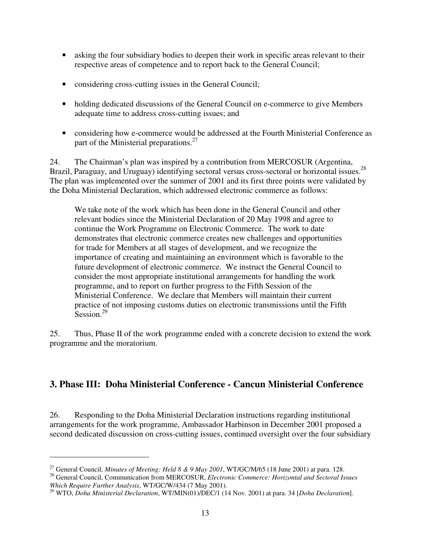- asking the four subsidiary bodies to deepen their work in specific areas relevant to their respective areas of competence and to report back to the General Council;
- considering cross-cutting issues in the General Council;
- holding dedicated discussions of the General Council on e-commerce to give Members adequate time to address cross-cutting issues; and
- considering how e-commerce would be addressed at the Fourth Ministerial Conference as part of the Ministerial preparations.<sup>27</sup>

24. The Chairman's plan was inspired by a contribution from MERCOSUR (Argentina, Brazil, Paraguay, and Uruguay) identifying sectoral versus cross-sectoral or horizontal issues.<sup>28</sup> The plan was implemented over the summer of 2001 and its first three points were validated by the Doha Ministerial Declaration, which addressed electronic commerce as follows:

We take note of the work which has been done in the General Council and other relevant bodies since the Ministerial Declaration of 20 May 1998 and agree to continue the Work Programme on Electronic Commerce. The work to date demonstrates that electronic commerce creates new challenges and opportunities for trade for Members at all stages of development, and we recognize the importance of creating and maintaining an environment which is favorable to the future development of electronic commerce. We instruct the General Council to consider the most appropriate institutional arrangements for handling the work programme, and to report on further progress to the Fifth Session of the Ministerial Conference. We declare that Members will maintain their current practice of not imposing customs duties on electronic transmissions until the Fifth Session.<sup>29</sup>

25. Thus, Phase II of the work programme ended with a concrete decision to extend the work programme and the moratorium.

# **3. Phase III: Doha Ministerial Conference - Cancun Ministerial Conference**

26. Responding to the Doha Ministerial Declaration instructions regarding institutional arrangements for the work programme, Ambassador Harbinson in December 2001 proposed a second dedicated discussion on cross-cutting issues, continued oversight over the four subsidiary

<sup>27</sup> General Council, *Minutes of Meeting: Held 8 & 9 May 2001*, WT/GC/M/65 (18 June 2001) at para. 128.

<sup>28</sup> General Council, Communication from MERCOSUR, *Electronic Commerce: Horizontal and Sectoral Issues Which Require Further Analysis*, WT/GC/W/434 (7 May 2001).

<sup>29</sup> WTO, *Doha Ministerial Declaration*, WT/MIN(01)/DEC/1 (14 Nov. 2001) at para. 34 [*Doha Declaratio*n].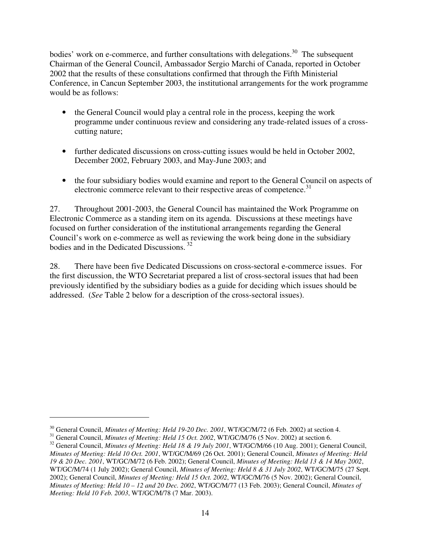bodies' work on e-commerce, and further consultations with delegations.<sup>30</sup> The subsequent Chairman of the General Council, Ambassador Sergio Marchi of Canada, reported in October 2002 that the results of these consultations confirmed that through the Fifth Ministerial Conference, in Cancun September 2003, the institutional arrangements for the work programme would be as follows:

- the General Council would play a central role in the process, keeping the work programme under continuous review and considering any trade-related issues of a crosscutting nature;
- further dedicated discussions on cross-cutting issues would be held in October 2002, December 2002, February 2003, and May-June 2003; and
- the four subsidiary bodies would examine and report to the General Council on aspects of electronic commerce relevant to their respective areas of competence.<sup>31</sup>

27. Throughout 2001-2003, the General Council has maintained the Work Programme on Electronic Commerce as a standing item on its agenda. Discussions at these meetings have focused on further consideration of the institutional arrangements regarding the General Council's work on e-commerce as well as reviewing the work being done in the subsidiary bodies and in the Dedicated Discussions.<sup>32</sup>

28. There have been five Dedicated Discussions on cross-sectoral e-commerce issues. For the first discussion, the WTO Secretariat prepared a list of cross-sectoral issues that had been previously identified by the subsidiary bodies as a guide for deciding which issues should be addressed. (*See* Table 2 below for a description of the cross-sectoral issues).

<sup>30</sup> General Council, *Minutes of Meeting: Held 19-20 Dec. 2001*, WT/GC/M/72 (6 Feb. 2002) at section 4.

<sup>31</sup> General Council, *Minutes of Meeting: Held 15 Oct. 2002*, WT/GC/M/76 (5 Nov. 2002) at section 6.

<sup>32</sup> General Council, *Minutes of Meeting: Held 18 & 19 July 2001*, WT/GC/M/66 (10 Aug. 2001); General Council, *Minutes of Meeting: Held 10 Oct. 2001*, WT/GC/M/69 (26 Oct. 2001); General Council, *Minutes of Meeting: Held 19 & 20 Dec. 2001*, WT/GC/M/72 (6 Feb. 2002); General Council, *Minutes of Meeting: Held 13 & 14 May 2002*, WT/GC/M/74 (1 July 2002); General Council, *Minutes of Meeting: Held 8 & 31 July 2002*, WT/GC/M/75 (27 Sept. 2002); General Council, *Minutes of Meeting: Held 15 Oct. 2002*, WT/GC/M/76 (5 Nov. 2002); General Council, *Minutes of Meeting: Held 10 – 12 and 20 Dec. 2002*, WT/GC/M/77 (13 Feb. 2003); General Council, *Minutes of Meeting: Held 10 Feb. 2003*, WT/GC/M/78 (7 Mar. 2003).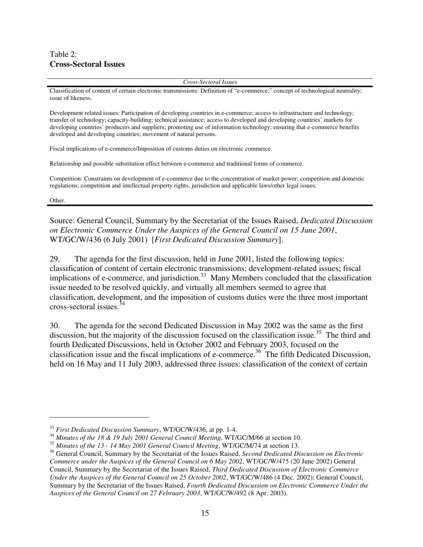#### Table 2: **Cross-Sectoral Issues**

#### *Cross-Sectoral Issues*

Classification of content of certain electronic transmissions: Definition of "e-commerce;" concept of technological neutrality; issue of likeness.

Development related issues: Participation of developing countries in e-commerce; access to infrastructure and technology; transfer of technology; capacity-building; technical assistance; access to developed and developing countries' markets for developing countries' producers and suppliers; promoting use of information technology; ensuring that e-commerce benefits developed and developing countries; movement of natural persons.

Fiscal implications of e-commerce/Imposition of customs duties on electronic commerce.

Relationship and possible substitution effect between e-commerce and traditional forms of commerce.

Competition: Constraints on development of e-commerce due to the concentration of market power; competition and domestic regulations; competition and intellectual property rights; jurisdiction and applicable laws/other legal issues.

#### Other.

Source: General Council, Summary by the Secretariat of the Issues Raised, *Dedicated Discussion on Electronic Commerce Under the Auspices of the General Council on 15 June 2001*, WT/GC/W/436 (6 July 2001) [*First Dedicated Discussion Summary*].

29. The agenda for the first discussion, held in June 2001, listed the following topics: classification of content of certain electronic transmissions; development-related issues; fiscal implications of e-commerce, and jurisdiction.<sup>33</sup> Many Members concluded that the classification issue needed to be resolved quickly, and virtually all members seemed to agree that classification, development, and the imposition of customs duties were the three most important cross-sectoral issues. 34

30. The agenda for the second Dedicated Discussion in May 2002 was the same as the first discussion, but the majority of the discussion focused on the classification issue.<sup>35</sup> The third and fourth Dedicated Discussions, held in October 2002 and February 2003, focused on the classification issue and the fiscal implications of e-commerce. 36 The fifth Dedicated Discussion, held on 16 May and 11 July 2003, addressed three issues: classification of the context of certain

<sup>33</sup> *First Dedicated Discussion Summary*, WT/GC/W/436, at pp. 1-4.

<sup>34</sup> *Minutes of the 18 & 19 July 2001 General Council Meeting*, WT/GC/M/66 at section 10.

<sup>35</sup> *Minutes of the 13 - 14 May 2001 General Council Meeting*, WT/GC/M/74 at section 13.

<sup>36</sup> General Council, Summary by the Secretariat of the Issues Raised, *Second Dedicated Discussion on Electronic Commerce under the Auspices of the General Council on 6 May 2002*, WT/GC/W/475 (20 June 2002) General Council, Summary by the Secretariat of the Issues Raised, *Third Dedicated Discussion of Electronic Commerce Under the Auspices of the General Council on 25 October 2002*, WT/GC/W/486 (4 Dec. 2002); General Council, Summary by the Secretariat of the Issues Raised, *Fourth Dedicated Discussion on Electronic Commerce Under the Auspices of the General Council on 27 February 2003*, WT/GC/W/492 (8 Apr. 2003).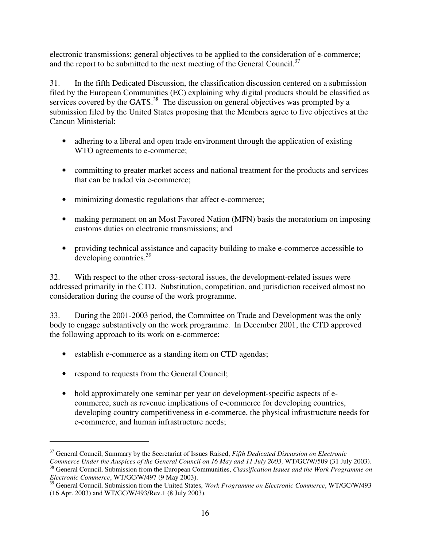electronic transmissions; general objectives to be applied to the consideration of e-commerce; and the report to be submitted to the next meeting of the General Council.<sup>37</sup>

31. In the fifth Dedicated Discussion, the classification discussion centered on a submission filed by the European Communities (EC) explaining why digital products should be classified as services covered by the GATS.<sup>38</sup> The discussion on general objectives was prompted by a submission filed by the United States proposing that the Members agree to five objectives at the Cancun Ministerial:

- adhering to a liberal and open trade environment through the application of existing WTO agreements to e-commerce;
- committing to greater market access and national treatment for the products and services that can be traded via e-commerce;
- minimizing domestic regulations that affect e-commerce;
- making permanent on an Most Favored Nation (MFN) basis the moratorium on imposing customs duties on electronic transmissions; and
- providing technical assistance and capacity building to make e-commerce accessible to developing countries.<sup>39</sup>

32. With respect to the other cross-sectoral issues, the development-related issues were addressed primarily in the CTD. Substitution, competition, and jurisdiction received almost no consideration during the course of the work programme.

33. During the 2001-2003 period, the Committee on Trade and Development was the only body to engage substantively on the work programme. In December 2001, the CTD approved the following approach to its work on e-commerce:

- establish e-commerce as a standing item on CTD agendas;
- respond to requests from the General Council;
- hold approximately one seminar per year on development-specific aspects of ecommerce, such as revenue implications of e-commerce for developing countries, developing country competitiveness in e-commerce, the physical infrastructure needs for e-commerce, and human infrastructure needs;

<sup>37</sup> General Council, Summary by the Secretariat of Issues Raised, *Fifth Dedicated Discussion on Electronic*

*Commerce Under the Auspices of the General Council on 16 May and 11 July 2003,* WT/GC/W/509 (31 July 2003). <sup>38</sup> General Council, Submission from the European Communities, *Classification Issues and the Work Programme on*

*Electronic Commerce*, WT/GC/W/497 (9 May 2003).

<sup>39</sup> General Council, Submission from the United States, *Work Programme on Electronic Commerce*, WT/GC/W/493 (16 Apr. 2003) and WT/GC/W/493/Rev.1 (8 July 2003).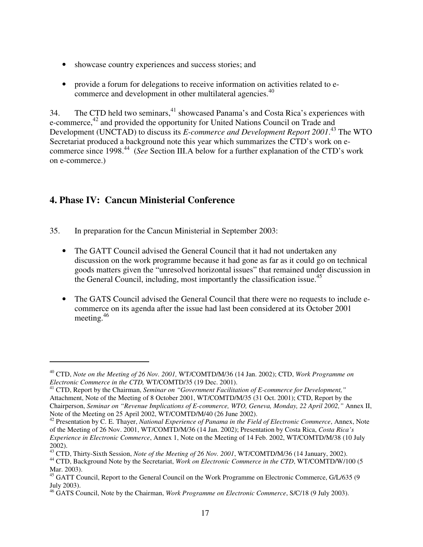- showcase country experiences and success stories; and
- provide a forum for delegations to receive information on activities related to ecommerce and development in other multilateral agencies.<sup>40</sup>

34. The CTD held two seminars, <sup>41</sup> showcased Panama's and Costa Rica's experiences with e-commerce,<sup>42</sup> and provided the opportunity for United Nations Council on Trade and Development (UNCTAD) to discuss its *E-commerce and Development Report 2001*. 43 The WTO Secretariat produced a background note this year which summarizes the CTD's work on ecommerce since 1998.<sup>44</sup> (*See* Section III.A below for a further explanation of the CTD's work on e-commerce.)

## **4. Phase IV: Cancun Ministerial Conference**

- 35. In preparation for the Cancun Ministerial in September 2003:
	- The GATT Council advised the General Council that it had not undertaken any discussion on the work programme because it had gone as far as it could go on technical goods matters given the "unresolved horizontal issues" that remained under discussion in the General Council, including, most importantly the classification issue. 45
	- The GATS Council advised the General Council that there were no requests to include ecommerce on its agenda after the issue had last been considered at its October 2001 meeting. 46

<sup>40</sup> CTD, *Note on the Meeting of 26 Nov. 2001,* WT/COMTD/M/36 (14 Jan. 2002); CTD, *Work Programme on Electronic Commerce in the CTD,* WT/COMTD/35 (19 Dec. 2001).

<sup>41</sup> CTD, Report by the Chairman, *Seminar on "Government Facilitation of E-commerce for Development,"* Attachment, Note of the Meeting of 8 October 2001, WT/COMTD/M/35 (31 Oct. 2001); CTD, Report by the Chairperson, *Seminar on "Revenue Implications of E-commerce, WTO, Geneva, Monday, 22 April 2002,"* Annex II, Note of the Meeting on 25 April 2002, WT/COMTD/M/40 (26 June 2002).

<sup>42</sup> Presentation by C. E. Thayer, *National Experience of Panama in the Field of Electronic Commerce*, Annex, Note of the Meeting of 26 Nov. 2001, WT/COMTD/M/36 (14 Jan. 2002); Presentation by Costa Rica, *Costa Rica's Experience in Electronic Commerce*, Annex 1, Note on the Meeting of 14 Feb. 2002, WT/COMTD/M/38 (10 July 2002).

<sup>43</sup> CTD, Thirty-Sixth Session, *Note of the Meeting of 26 Nov. 2001*, WT/COMTD/M/36 (14 January, 2002). <sup>44</sup> CTD, Background Note by the Secretariat, *Work on Electronic Commerce in the CTD*, WT/COMTD/W/100 (5 Mar. 2003).

<sup>&</sup>lt;sup>45</sup> GATT Council, Report to the General Council on the Work Programme on Electronic Commerce, G/L/635 (9 July 2003).

<sup>46</sup> GATS Council, Note by the Chairman, *Work Programme on Electronic Commerce*, S/C/18 (9 July 2003).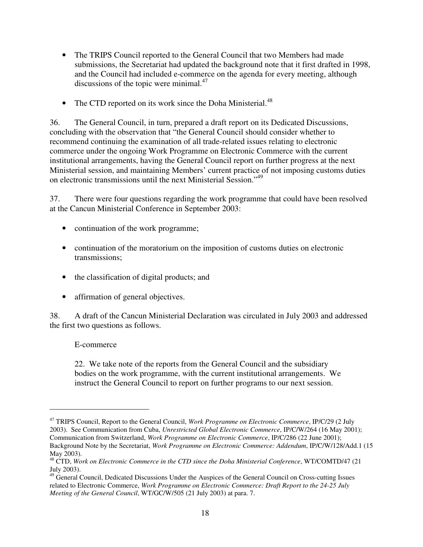- The TRIPS Council reported to the General Council that two Members had made submissions, the Secretariat had updated the background note that it first drafted in 1998, and the Council had included e-commerce on the agenda for every meeting, although discussions of the topic were minimal.<sup>47</sup>
- The CTD reported on its work since the Doha Ministerial.<sup>48</sup>

36. The General Council, in turn, prepared a draft report on its Dedicated Discussions, concluding with the observation that "the General Council should consider whether to recommend continuing the examination of all trade-related issues relating to electronic commerce under the ongoing Work Programme on Electronic Commerce with the current institutional arrangements, having the General Council report on further progress at the next Ministerial session, and maintaining Members' current practice of not imposing customs duties on electronic transmissions until the next Ministerial Session."<sup>49</sup>

37. There were four questions regarding the work programme that could have been resolved at the Cancun Ministerial Conference in September 2003:

- continuation of the work programme;
- continuation of the moratorium on the imposition of customs duties on electronic transmissions;
- the classification of digital products; and
- affirmation of general objectives.

38. A draft of the Cancun Ministerial Declaration was circulated in July 2003 and addressed the first two questions as follows.

#### E-commerce

22. We take note of the reports from the General Council and the subsidiary bodies on the work programme, with the current institutional arrangements. We instruct the General Council to report on further programs to our next session.

<sup>47</sup> TRIPS Council, Report to the General Council, *Work Programme on Electronic Commerce*, IP/C/29 (2 July 2003). See Communication from Cuba, *Unrestricted Global Electronic Commerce*, IP/C/W/264 (16 May 2001); Communication from Switzerland, *Work Programme on Electronic Commerce*, IP/C/286 (22 June 2001); Background Note by the Secretariat, *Work Programme on Electronic Commerce: Addendum*, IP/C/W/128/Add.1 (15 May 2003).

<sup>48</sup> CTD, *Work on Electronic Commerce in the CTD since the Doha Ministerial Conference*, WT/COMTD/47 (21 July 2003).

<sup>&</sup>lt;sup>49</sup> General Council, Dedicated Discussions Under the Auspices of the General Council on Cross-cutting Issues related to Electronic Commerce, *Work Programme on Electronic Commerce: Draft Report to the 24-25 July Meeting of the General Council*, WT/GC/W/505 (21 July 2003) at para. 7.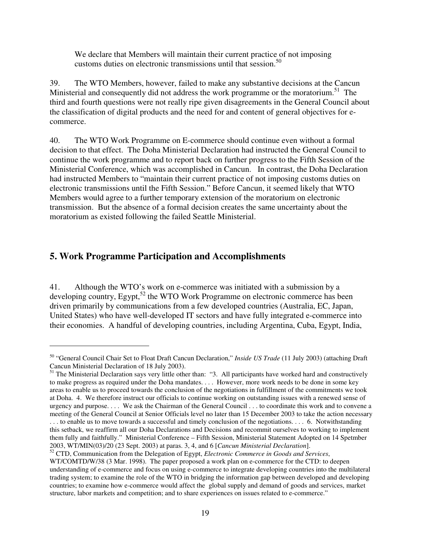We declare that Members will maintain their current practice of not imposing customs duties on electronic transmissions until that session. 50

39. The WTO Members, however, failed to make any substantive decisions at the Cancun Ministerial and consequently did not address the work programme or the moratorium.<sup>51</sup> The third and fourth questions were not really ripe given disagreements in the General Council about the classification of digital products and the need for and content of general objectives for ecommerce.

40. The WTO Work Programme on E-commerce should continue even without a formal decision to that effect. The Doha Ministerial Declaration had instructed the General Council to continue the work programme and to report back on further progress to the Fifth Session of the Ministerial Conference, which was accomplished in Cancun. In contrast, the Doha Declaration had instructed Members to "maintain their current practice of not imposing customs duties on electronic transmissions until the Fifth Session." Before Cancun, it seemed likely that WTO Members would agree to a further temporary extension of the moratorium on electronic transmission. But the absence of a formal decision creates the same uncertainty about the moratorium as existed following the failed Seattle Ministerial.

# **5. Work Programme Participation and Accomplishments**

41. Although the WTO's work on e-commerce was initiated with a submission by a developing country, Egypt,<sup>52</sup> the WTO Work Programme on electronic commerce has been driven primarily by communications from a few developed countries (Australia, EC, Japan, United States) who have well-developed IT sectors and have fully integrated e-commerce into their economies. A handful of developing countries, including Argentina, Cuba, Egypt, India,

<sup>50</sup> "General Council Chair Set to Float Draft Cancun Declaration," *Inside US Trade* (11 July 2003) (attaching Draft Cancun Ministerial Declaration of 18 July 2003).

<sup>&</sup>lt;sup>51</sup> The Ministerial Declaration says very little other than: "3. All participants have worked hard and constructively to make progress as required under the Doha mandates. . . . However, more work needs to be done in some key areas to enable us to proceed towards the conclusion of the negotiations in fulfillment of the commitments we took at Doha. 4. We therefore instruct our officials to continue working on outstanding issues with a renewed sense of urgency and purpose. . . . We ask the Chairman of the General Council . . . to coordinate this work and to convene a meeting of the General Council at Senior Officials level no later than 15 December 2003 to take the action necessary . . . to enable us to move towards a successful and timely conclusion of the negotiations. . . . 6. Notwithstanding this setback, we reaffirm all our Doha Declarations and Decisions and recommit ourselves to working to implement them fully and faithfully." Ministerial Conference – Fifth Session, Ministerial Statement Adopted on 14 Spetmber 2003, WT/MIN(03)/20 (23 Sept. 2003) at paras. 3, 4, and 6 [*Cancun Ministerial Declaration*].

<sup>52</sup> CTD, Communication from the Delegation of Egypt, *Electronic Commerce in Goods and Services*, WT/COMTD/W/38 (3 Mar. 1998). The paper proposed a work plan on e-commerce for the CTD: to deepen understanding of e-commerce and focus on using e-commerce to integrate developing countries into the multilateral trading system; to examine the role of the WTO in bridging the information gap between developed and developing countries; to examine how e-commerce would affect the global supply and demand of goods and services, market structure, labor markets and competition; and to share experiences on issues related to e-commerce."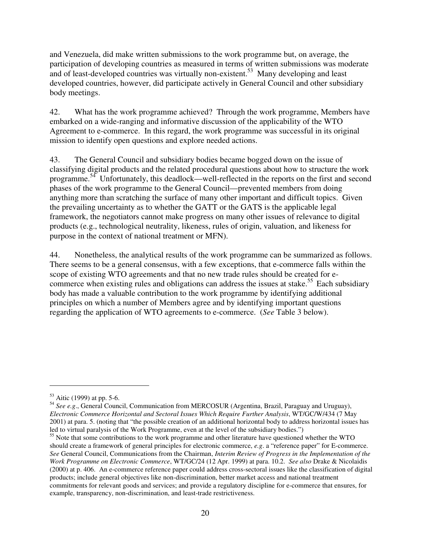and Venezuela, did make written submissions to the work programme but, on average, the participation of developing countries as measured in terms of written submissions was moderate and of least-developed countries was virtually non-existent.<sup>53</sup> Many developing and least developed countries, however, did participate actively in General Council and other subsidiary body meetings.

42. What has the work programme achieved? Through the work programme, Members have embarked on a wide-ranging and informative discussion of the applicability of the WTO Agreement to e-commerce. In this regard, the work programme was successful in its original mission to identify open questions and explore needed actions.

43. The General Council and subsidiary bodies became bogged down on the issue of classifying digital products and the related procedural questions about how to structure the work programme.<sup>54</sup> Unfortunately, this deadlock—well-reflected in the reports on the first and second phases of the work programme to the General Council—prevented members from doing anything more than scratching the surface of many other important and difficult topics. Given the prevailing uncertainty as to whether the GATT or the GATS is the applicable legal framework, the negotiators cannot make progress on many other issues of relevance to digital products (e.g., technological neutrality, likeness, rules of origin, valuation, and likeness for purpose in the context of national treatment or MFN).

44. Nonetheless, the analytical results of the work programme can be summarized as follows. There seems to be a general consensus, with a few exceptions, that e-commerce falls within the scope of existing WTO agreements and that no new trade rules should be created for ecommerce when existing rules and obligations can address the issues at stake.<sup>55</sup> Each subsidiary body has made a valuable contribution to the work programme by identifying additional principles on which a number of Members agree and by identifying important questions regarding the application of WTO agreements to e-commerce. (*See* Table 3 below).

54 *See e.g*., General Council, Communication from MERCOSUR (Argentina, Brazil, Paraguay and Uruguay), *Electronic Commerce Horizontal and Sectoral Issues Which Require Further Analysis*, WT/GC/W/434 (7 May 2001) at para. 5. (noting that "the possible creation of an additional horizontal body to address horizontal issues has led to virtual paralysis of the Work Programme, even at the level of the subsidiary bodies.")

<sup>53</sup> Aitic (1999) at pp. 5-6.

<sup>&</sup>lt;sup>55</sup> Note that some contributions to the work programme and other literature have questioned whether the WTO should create a framework of general principles for electronic commerce, *e.g*. a "reference paper" for E-commerce. *See* General Council, Communications from the Chairman, *Interim Review of Progress in the Implementation of the Work Programme on Electronic Commerce*, WT/GC/24 (12 Apr. 1999) at para. 10.2. *See also* Drake & Nicolaidis (2000) at p. 406. An e-commerce reference paper could address cross-sectoral issues like the classification of digital products; include general objectives like non-discrimination, better market access and national treatment commitments for relevant goods and services; and provide a regulatory discipline for e-commerce that ensures, for example, transparency, non-discrimination, and least-trade restrictiveness.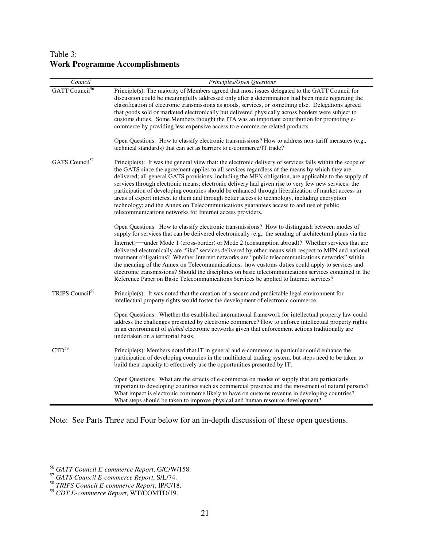#### Table 3: **Work Programme Accomplishments**

| Council                     | Principles/Open Questions                                                                                                                                                                                                                                                                                                                                                                                                                                                                                                                                                                                                                                                                                                                                                                                                         |
|-----------------------------|-----------------------------------------------------------------------------------------------------------------------------------------------------------------------------------------------------------------------------------------------------------------------------------------------------------------------------------------------------------------------------------------------------------------------------------------------------------------------------------------------------------------------------------------------------------------------------------------------------------------------------------------------------------------------------------------------------------------------------------------------------------------------------------------------------------------------------------|
| GATT Council <sup>56</sup>  | Principle(s): The majority of Members agreed that most issues delegated to the GATT Council for<br>discussion could be meaningfully addressed only after a determination had been made regarding the<br>classification of electronic transmissions as goods, services, or something else. Delegations agreed<br>that goods sold or marketed electronically but delivered physically across borders were subject to<br>customs duties. Some Members thought the ITA was an important contribution for promoting e-<br>commerce by providing less expensive access to e-commerce related products.                                                                                                                                                                                                                                  |
|                             | Open Questions: How to classify electronic transmissions? How to address non-tariff measures (e.g.,<br>technical standards) that can act as barriers to e-commerce/IT trade?                                                                                                                                                                                                                                                                                                                                                                                                                                                                                                                                                                                                                                                      |
| GATS Council <sup>57</sup>  | Principle(s): It was the general view that: the electronic delivery of services falls within the scope of<br>the GATS since the agreement applies to all services regardless of the means by which they are<br>delivered; all general GATS provisions, including the MFN obligation, are applicable to the supply of<br>services through electronic means; electronic delivery had given rise to very few new services; the<br>participation of developing countries should be enhanced through liberalization of market access in<br>areas of export interest to them and through better access to technology, including encryption<br>technology; and the Annex on Telecommunications guarantees access to and use of public<br>telecommunications networks for Internet access providers.                                      |
|                             | Open Questions: How to classify electronic transmissions? How to distinguish between modes of<br>supply for services that can be delivered electronically (e.g., the sending of architectural plans via the<br>Internet)—under Mode 1 (cross-border) or Mode 2 (consumption abroad)? Whether services that are<br>delivered electronically are "like" services delivered by other means with respect to MFN and national<br>treatment obligations? Whether Internet networks are "public telecommunications networks" within<br>the meaning of the Annex on Telecommunications; how customs duties could apply to services and<br>electronic transmissions? Should the disciplines on basic telecommunications services contained in the<br>Reference Paper on Basic Telecommunications Services be applied to Internet services? |
| TRIPS Council <sup>58</sup> | Principle(s): It was noted that the creation of a secure and predictable legal environment for<br>intellectual property rights would foster the development of electronic commerce.                                                                                                                                                                                                                                                                                                                                                                                                                                                                                                                                                                                                                                               |
|                             | Open Questions: Whether the established international framework for intellectual property law could<br>address the challenges presented by electronic commerce? How to enforce intellectual property rights<br>in an environment of <i>global</i> electronic networks given that enforcement actions traditionally are<br>undertaken on a territorial basis.                                                                                                                                                                                                                                                                                                                                                                                                                                                                      |
| CTD <sup>59</sup>           | Principle(s): Members noted that IT in general and e-commerce in particular could enhance the<br>participation of developing countries in the multilateral trading system, but steps need to be taken to<br>build their capacity to effectively use the opportunities presented by IT.                                                                                                                                                                                                                                                                                                                                                                                                                                                                                                                                            |
|                             | Open Questions: What are the effects of e-commerce on modes of supply that are particularly<br>important to developing countries such as commercial presence and the movement of natural persons?<br>What impact is electronic commerce likely to have on customs revenue in developing countries?<br>What steps should be taken to improve physical and human resource development?                                                                                                                                                                                                                                                                                                                                                                                                                                              |

Note: See Parts Three and Four below for an in-depth discussion of these open questions.

<sup>56</sup> *GATT Council E-commerce Report*, G/C/W/158.

<sup>57</sup> *GATS Council E-commerce Report*, S/L/74. 58 *TRIPS Council E-commerce Report*, IP/C/18.

<sup>59</sup> *CDT E-commerce Report*, WT/COMTD/19.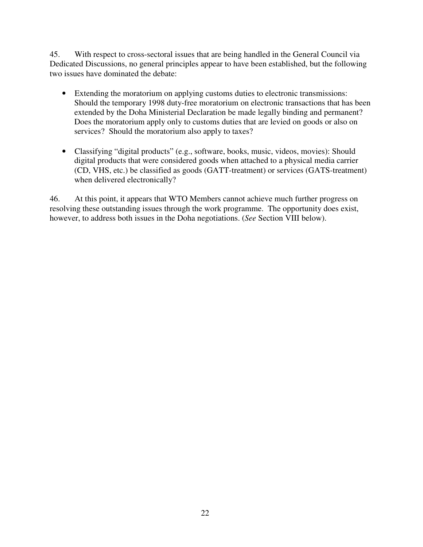45. With respect to cross-sectoral issues that are being handled in the General Council via Dedicated Discussions, no general principles appear to have been established, but the following two issues have dominated the debate:

- Extending the moratorium on applying customs duties to electronic transmissions: Should the temporary 1998 duty-free moratorium on electronic transactions that has been extended by the Doha Ministerial Declaration be made legally binding and permanent? Does the moratorium apply only to customs duties that are levied on goods or also on services? Should the moratorium also apply to taxes?
- Classifying "digital products" (e.g., software, books, music, videos, movies): Should digital products that were considered goods when attached to a physical media carrier (CD, VHS, etc.) be classified as goods (GATT-treatment) or services (GATS-treatment) when delivered electronically?

46. At this point, it appears that WTO Members cannot achieve much further progress on resolving these outstanding issues through the work programme. The opportunity does exist, however, to address both issues in the Doha negotiations. (*See* Section VIII below).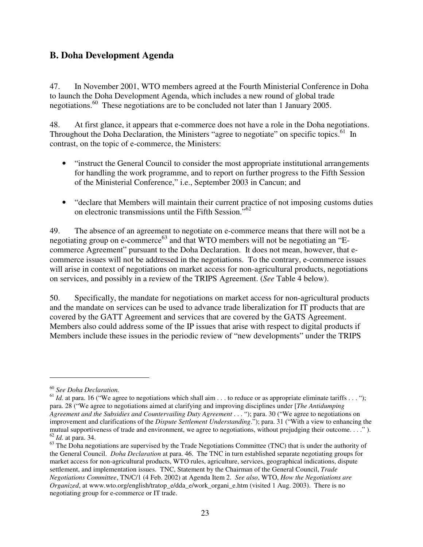## **B. Doha Development Agenda**

47. In November 2001, WTO members agreed at the Fourth Ministerial Conference in Doha to launch the Doha Development Agenda, which includes a new round of global trade negotiations.<sup>60</sup> These negotiations are to be concluded not later than 1 January 2005.

48. At first glance, it appears that e-commerce does not have a role in the Doha negotiations. Throughout the Doha Declaration, the Ministers "agree to negotiate" on specific topics.<sup>61</sup> In contrast, on the topic of e-commerce, the Ministers:

- "instruct the General Council to consider the most appropriate institutional arrangements for handling the work programme, and to report on further progress to the Fifth Session of the Ministerial Conference," i.e., September 2003 in Cancun; and
- "declare that Members will maintain their current practice of not imposing customs duties on electronic transmissions until the Fifth Session."<sup>62</sup>

49. The absence of an agreement to negotiate on e-commerce means that there will not be a negotiating group on e-commerce<sup>63</sup> and that WTO members will not be negotiating an "Ecommerce Agreement" pursuant to the Doha Declaration. It does not mean, however, that ecommerce issues will not be addressed in the negotiations. To the contrary, e-commerce issues will arise in context of negotiations on market access for non-agricultural products, negotiations on services, and possibly in a review of the TRIPS Agreement. (*See* Table 4 below).

50. Specifically, the mandate for negotiations on market access for non-agricultural products and the mandate on services can be used to advance trade liberalization for IT products that are covered by the GATT Agreement and services that are covered by the GATS Agreement. Members also could address some of the IP issues that arise with respect to digital products if Members include these issues in the periodic review of "new developments" under the TRIPS

<sup>60</sup> *See Doha Declaration.*

 $61$  *Id.* at para. 16 ("We agree to negotiations which shall aim . . . to reduce or as appropriate eliminate tariffs . . . "); para. 28 ("We agree to negotiations aimed at clarifying and improving disciplines under [*The Antidumping Agreement and the Subsidies and Countervailing Duty Agreement* . . . "); para. 30 ("We agree to negotiations on improvement and clarifications of the *Dispute Settlement Understanding*."); para. 31 ("With a view to enhancing the mutual supportiveness of trade and environment, we agree to negotiations, without prejudging their outcome. . . ."). 62 *Id.* at para. 34.

 $63$  The Doha negotiations are supervised by the Trade Negotiations Committee (TNC) that is under the authority of the General Council. *Doha Declaration* at para. 46. The TNC in turn established separate negotiating groups for market access for non-agricultural products, WTO rules, agriculture, services, geographical indications, dispute settlement, and implementation issues. TNC, Statement by the Chairman of the General Council, *Trade Negotiations Committee*, TN/C/1 (4 Feb. 2002) at Agenda Item 2. *See also*, WTO, *How the Negotiations are Organized*, at www.wto.org/english/tratop\_e/dda\_e/work\_organi\_e.htm (visited 1 Aug. 2003). There is no negotiating group for e-commerce or IT trade.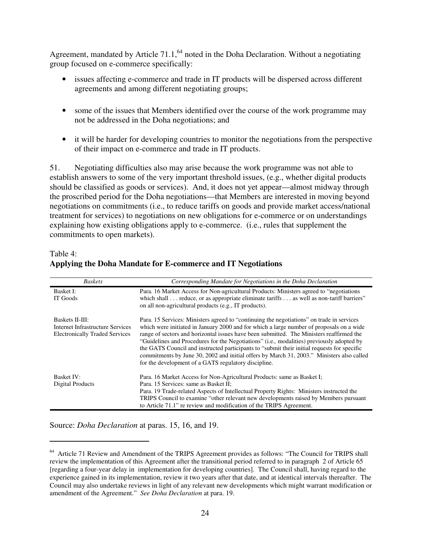Agreement, mandated by Article 71.1,<sup>64</sup> noted in the Doha Declaration. Without a negotiating group focused on e-commerce specifically:

- issues affecting e-commerce and trade in IT products will be dispersed across different agreements and among different negotiating groups;
- some of the issues that Members identified over the course of the work programme may not be addressed in the Doha negotiations; and
- it will be harder for developing countries to monitor the negotiations from the perspective of their impact on e-commerce and trade in IT products.

51. Negotiating difficulties also may arise because the work programme was not able to establish answers to some of the very important threshold issues, (e.g., whether digital products should be classified as goods or services). And, it does not yet appear—almost midway through the proscribed period for the Doha negotiations—that Members are interested in moving beyond negotiations on commitments (i.e., to reduce tariffs on goods and provide market access/national treatment for services) to negotiations on new obligations for e-commerce or on understandings explaining how existing obligations apply to e-commerce. (i.e., rules that supplement the commitments to open markets).

| <b>Baskets</b>                                                                               | Corresponding Mandate for Negotiations in the Doha Declaration                                                                                                                                                                                                                                                                                                                                                                                                                                                                                                                                                                              |
|----------------------------------------------------------------------------------------------|---------------------------------------------------------------------------------------------------------------------------------------------------------------------------------------------------------------------------------------------------------------------------------------------------------------------------------------------------------------------------------------------------------------------------------------------------------------------------------------------------------------------------------------------------------------------------------------------------------------------------------------------|
| Basket I:<br>IT Goods                                                                        | Para. 16 Market Access for Non-agricultural Products: Ministers agreed to "negotiations"<br>which shall reduce, or as appropriate eliminate tariffs as well as non-tariff barriers"<br>on all non-agricultural products (e.g., IT products).                                                                                                                                                                                                                                                                                                                                                                                                |
| Baskets II-III:<br>Internet Infrastructure Services<br><b>Electronically Traded Services</b> | Para. 15 Services: Ministers agreed to "continuing the negotiations" on trade in services<br>which were initiated in January 2000 and for which a large number of proposals on a wide<br>range of sectors and horizontal issues have been submitted. The Ministers reaffirmed the<br>"Guidelines and Procedures for the Negotiations" ( <i>i.e.</i> , modalities) previously adopted by<br>the GATS Council and instructed participants to "submit their initial requests for specific<br>commitments by June 30, 2002 and initial offers by March 31, 2003." Ministers also called<br>for the development of a GATS regulatory discipline. |
| <b>Basket IV:</b><br>Digital Products                                                        | Para. 16 Market Access for Non-Agricultural Products: same as Basket I;<br>Para. 15 Services: same as Basket II;<br>Para. 19 Trade-related Aspects of Intellectual Property Rights: Ministers instructed the<br>TRIPS Council to examine "other relevant new developments raised by Members pursuant<br>to Article 71.1" re review and modification of the TRIPS Agreement.                                                                                                                                                                                                                                                                 |

#### Table 4: **Applying the Doha Mandate for E-commerce and IT Negotiations**

Source: *Doha Declaration* at paras. 15, 16, and 19.

<sup>&</sup>lt;sup>64</sup> Article 71 Review and Amendment of the TRIPS Agreement provides as follows: "The Council for TRIPS shall review the implementation of this Agreement after the transitional period referred to in paragraph 2 of Article 65 [regarding a four-year delay in implementation for developing countries]. The Council shall, having regard to the experience gained in its implementation, review it two years after that date, and at identical intervals thereafter. The Council may also undertake reviews in light of any relevant new developments which might warrant modification or amendment of the Agreement." *See Doha Declaration* at para. 19.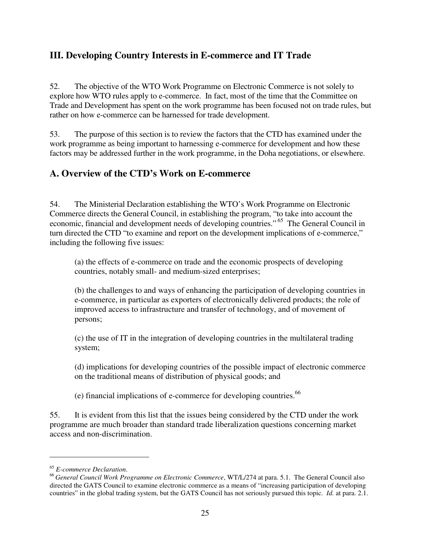# **III. Developing Country Interests in E-commerce and IT Trade**

52. The objective of the WTO Work Programme on Electronic Commerce is not solely to explore how WTO rules apply to e-commerce. In fact, most of the time that the Committee on Trade and Development has spent on the work programme has been focused not on trade rules, but rather on how e-commerce can be harnessed for trade development.

53. The purpose of this section is to review the factors that the CTD has examined under the work programme as being important to harnessing e-commerce for development and how these factors may be addressed further in the work programme, in the Doha negotiations, or elsewhere.

### **A. Overview of the CTD's Work on E-commerce**

54. The Ministerial Declaration establishing the WTO's Work Programme on Electronic Commerce directs the General Council, in establishing the program, "to take into account the economic, financial and development needs of developing countries."<sup>65</sup> The General Council in turn directed the CTD "to examine and report on the development implications of e-commerce," including the following five issues:

(a) the effects of e-commerce on trade and the economic prospects of developing countries, notably small- and medium-sized enterprises;

(b) the challenges to and ways of enhancing the participation of developing countries in e-commerce, in particular as exporters of electronically delivered products; the role of improved access to infrastructure and transfer of technology, and of movement of persons;

(c) the use of IT in the integration of developing countries in the multilateral trading system;

(d) implications for developing countries of the possible impact of electronic commerce on the traditional means of distribution of physical goods; and

(e) financial implications of e-commerce for developing countries. 66

55. It is evident from this list that the issues being considered by the CTD under the work programme are much broader than standard trade liberalization questions concerning market access and non-discrimination.

<sup>65</sup> *E-commerce Declaration*.

<sup>66</sup> *General Council Work Programme on Electronic Commerce*, WT/L/274 at para. 5.1. The General Council also directed the GATS Council to examine electronic commerce as a means of "increasing participation of developing countries" in the global trading system, but the GATS Council has not seriously pursued this topic. *Id.* at para. 2.1.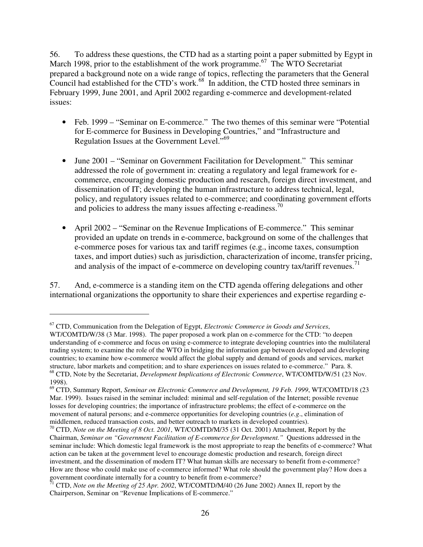56. To address these questions, the CTD had as a starting point a paper submitted by Egypt in March 1998, prior to the establishment of the work programme.<sup>67</sup> The WTO Secretariat prepared a background note on a wide range of topics, reflecting the parameters that the General Council had established for the CTD's work. 68 In addition, the CTD hosted three seminars in February 1999, June 2001, and April 2002 regarding e-commerce and development-related issues:

- Feb. 1999 "Seminar on E-commerce." The two themes of this seminar were "Potential" for E-commerce for Business in Developing Countries," and "Infrastructure and Regulation Issues at the Government Level."<sup>69</sup>
- June 2001 "Seminar on Government Facilitation for Development." This seminar addressed the role of government in: creating a regulatory and legal framework for ecommerce, encouraging domestic production and research, foreign direct investment, and dissemination of IT; developing the human infrastructure to address technical, legal, policy, and regulatory issues related to e-commerce; and coordinating government efforts and policies to address the many issues affecting e-readiness.<sup>70</sup>
- April 2002 "Seminar on the Revenue Implications of E-commerce." This seminar provided an update on trends in e-commerce, background on some of the challenges that e-commerce poses for various tax and tariff regimes (e.g., income taxes, consumption taxes, and import duties) such as jurisdiction, characterization of income, transfer pricing, and analysis of the impact of e-commerce on developing country tax/tariff revenues.<sup>71</sup>

57. And, e-commerce is a standing item on the CTD agenda offering delegations and other international organizations the opportunity to share their experiences and expertise regarding e-

<sup>67</sup> CTD, Communication from the Delegation of Egypt, *Electronic Commerce in Goods and Services*, WT/COMTD/W/38 (3 Mar. 1998). The paper proposed a work plan on e-commerce for the CTD: "to deepen understanding of e-commerce and focus on using e-commerce to integrate developing countries into the multilateral trading system; to examine the role of the WTO in bridging the information gap between developed and developing countries; to examine how e-commerce would affect the global supply and demand of goods and services, market structure, labor markets and competition; and to share experiences on issues related to e-commerce." Para. 8. <sup>68</sup> CTD, Note by the Secretariat, *Development Implications of Electronic Commerce*, WT/COMTD/W/51 (23 Nov. 1998).

<sup>69</sup> CTD, Summary Report, *Seminar on Electronic Commerce and Development, 19 Feb. 1999*, WT/COMTD/18 (23 Mar. 1999). Issues raised in the seminar included: minimal and self-regulation of the Internet; possible revenue losses for developing countries; the importance of infrastructure problems; the effect of e-commerce on the movement of natural persons; and e-commerce opportunities for developing countries (*e.g*., elimination of middlemen, reduced transaction costs, and better outreach to markets in developed countries).

<sup>70</sup> CTD, *Note on the Meeting of 8 Oct. 2001*, WT/COMTD/M/35 (31 Oct. 2001) Attachment, Report by the Chairman, *Seminar on "Government Facilitation of E-commerce for Development."* Questions addressed in the seminar include: Which domestic legal framework is the most appropriate to reap the benefits of e-commerce? What action can be taken at the government level to encourage domestic production and research, foreign direct investment, and the dissemination of modern IT? What human skills are necessary to benefit from e-commerce? How are those who could make use of e-commerce informed? What role should the government play? How does a government coordinate internally for a country to benefit from e-commerce?

<sup>71</sup> CTD, *Note on the Meeting of 25 Apr. 2002*, WT/COMTD/M/40 (26 June 2002) Annex II, report by the Chairperson, Seminar on "Revenue Implications of E-commerce."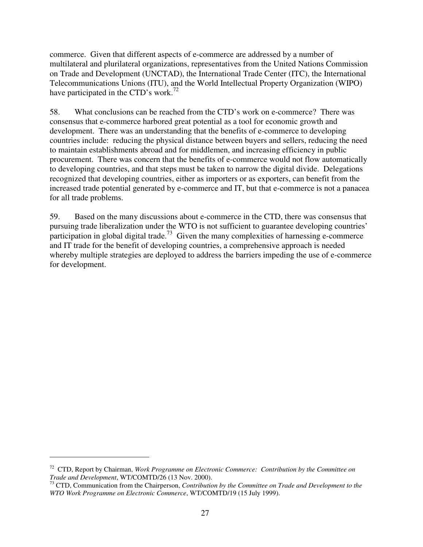commerce. Given that different aspects of e-commerce are addressed by a number of multilateral and plurilateral organizations, representatives from the United Nations Commission on Trade and Development (UNCTAD), the International Trade Center (ITC), the International Telecommunications Unions (ITU), and the World Intellectual Property Organization (WIPO) have participated in the CTD's work.<sup>72</sup>

58. What conclusions can be reached from the CTD's work on e-commerce? There was consensus that e-commerce harbored great potential as a tool for economic growth and development. There was an understanding that the benefits of e-commerce to developing countries include: reducing the physical distance between buyers and sellers, reducing the need to maintain establishments abroad and for middlemen, and increasing efficiency in public procurement. There was concern that the benefits of e-commerce would not flow automatically to developing countries, and that steps must be taken to narrow the digital divide. Delegations recognized that developing countries, either as importers or as exporters, can benefit from the increased trade potential generated by e-commerce and IT, but that e-commerce is not a panacea for all trade problems.

59. Based on the many discussions about e-commerce in the CTD, there was consensus that pursuing trade liberalization under the WTO is not sufficient to guarantee developing countries' participation in global digital trade.<sup>73</sup> Given the many complexities of harnessing e-commerce and IT trade for the benefit of developing countries, a comprehensive approach is needed whereby multiple strategies are deployed to address the barriers impeding the use of e-commerce for development.

<sup>72</sup> CTD, Report by Chairman, *Work Programme on Electronic Commerce: Contribution by the Committee on Trade and Development*, WT/COMTD/26 (13 Nov. 2000).

<sup>73</sup> CTD, Communication from the Chairperson, *Contribution by the Committee on Trade and Development to the WTO Work Programme on Electronic Commerce*, WT/COMTD/19 (15 July 1999).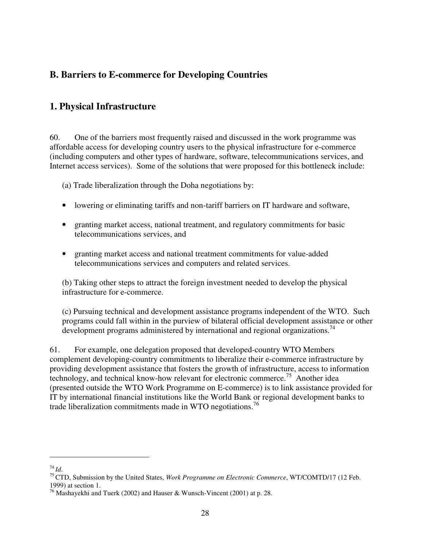# **B. Barriers to E-commerce for Developing Countries**

### **1. Physical Infrastructure**

60. One of the barriers most frequently raised and discussed in the work programme was affordable access for developing country users to the physical infrastructure for e-commerce (including computers and other types of hardware, software, telecommunications services, and Internet access services). Some of the solutions that were proposed for this bottleneck include:

(a) Trade liberalization through the Doha negotiations by:

- lowering or eliminating tariffs and non-tariff barriers on IT hardware and software,
- granting market access, national treatment, and regulatory commitments for basic telecommunications services, and
- granting market access and national treatment commitments for value-added telecommunications services and computers and related services.

(b) Taking other steps to attract the foreign investment needed to develop the physical infrastructure for e-commerce.

(c) Pursuing technical and development assistance programs independent of the WTO. Such programs could fall within in the purview of bilateral official development assistance or other development programs administered by international and regional organizations.<sup>74</sup>

61. For example, one delegation proposed that developed-country WTO Members complement developing-country commitments to liberalize their e-commerce infrastructure by providing development assistance that fosters the growth of infrastructure, access to information technology, and technical know-how relevant for electronic commerce. <sup>75</sup> Another idea (presented outside the WTO Work Programme on E-commerce) is to link assistance provided for IT by international financial institutions like the World Bank or regional development banks to trade liberalization commitments made in WTO negotiations.<sup>76</sup>

<sup>74</sup> *Id*.

<sup>75</sup> CTD, Submission by the United States, *Work Programme on Electronic Commerce*, WT/COMTD/17 (12 Feb. 1999) at section 1.

<sup>&</sup>lt;sup>76</sup> Mashayekhi and Tuerk (2002) and Hauser & Wunsch-Vincent (2001) at p. 28.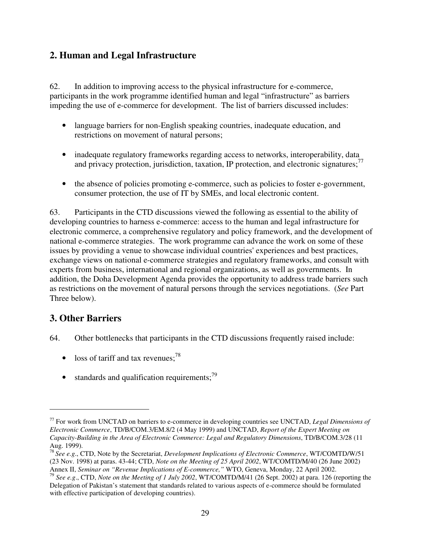## **2. Human and Legal Infrastructure**

62. In addition to improving access to the physical infrastructure for e-commerce, participants in the work programme identified human and legal "infrastructure" as barriers impeding the use of e-commerce for development. The list of barriers discussed includes:

- language barriers for non-English speaking countries, inadequate education, and restrictions on movement of natural persons;
- inadequate regulatory frameworks regarding access to networks, interoperability, data and privacy protection, jurisdiction, taxation, IP protection, and electronic signatures;<sup>77</sup>
- the absence of policies promoting e-commerce, such as policies to foster e-government, consumer protection, the use of IT by SMEs, and local electronic content.

63. Participants in the CTD discussions viewed the following as essential to the ability of developing countries to harness e-commerce: access to the human and legal infrastructure for electronic commerce, a comprehensive regulatory and policy framework, and the development of national e-commerce strategies. The work programme can advance the work on some of these issues by providing a venue to showcase individual countries' experiences and best practices, exchange views on national e-commerce strategies and regulatory frameworks, and consult with experts from business, international and regional organizations, as well as governments. In addition, the Doha Development Agenda provides the opportunity to address trade barriers such as restrictions on the movement of natural persons through the services negotiations. (*See* Part Three below).

# **3. Other Barriers**

- 64. Other bottlenecks that participants in the CTD discussions frequently raised include:
	- loss of tariff and tax revenues;<sup>78</sup>

• standards and qualification requirements; $^{79}$ 

<sup>77</sup> For work from UNCTAD on barriers to e-commerce in developing countries see UNCTAD, *Legal Dimensions of Electronic Commerce*, TD/B/COM.3/EM.8/2 (4 May 1999) and UNCTAD, *Report of the Expert Meeting on Capacity-Building in the Area of Electronic Commerce: Legal and Regulatory Dimensions*, TD/B/COM.3/28 (11 Aug. 1999).

<sup>78</sup> *See e.g*., CTD, Note by the Secretariat, *Development Implications of Electronic Commerce*, WT/COMTD/W/51 (23 Nov. 1998) at paras. 43-44; CTD, *Note on the Meeting of 25 April 2002*, WT/COMTD/M/40 (26 June 2002) Annex II, *Seminar on "Revenue Implications of E-commerce,"* WTO, Geneva, Monday, 22 April 2002.

<sup>79</sup> *See e.g*., CTD, *Note on the Meeting of 1 July 2002*, WT/COMTD/M/41 (26 Sept. 2002) at para. 126 (reporting the Delegation of Pakistan's statement that standards related to various aspects of e-commerce should be formulated with effective participation of developing countries).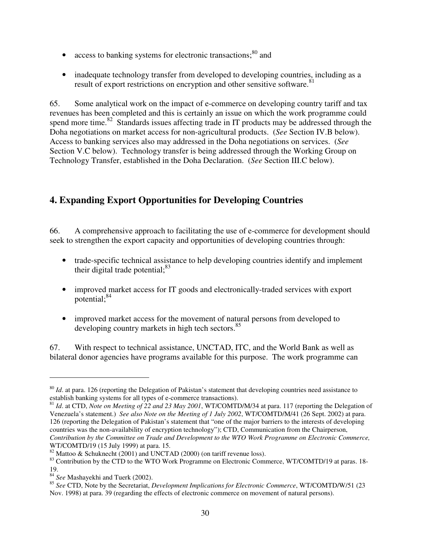- access to banking systems for electronic transactions;<sup>80</sup> and
- inadequate technology transfer from developed to developing countries, including as a result of export restrictions on encryption and other sensitive software.<sup>81</sup>

65. Some analytical work on the impact of e-commerce on developing country tariff and tax revenues has been completed and this is certainly an issue on which the work programme could spend more time.<sup>82</sup> Standards issues affecting trade in IT products may be addressed through the Doha negotiations on market access for non-agricultural products. (*See* Section IV.B below). Access to banking services also may addressed in the Doha negotiations on services. (*See* Section V.C below). Technology transfer is being addressed through the Working Group on Technology Transfer, established in the Doha Declaration. (*See* Section III.C below).

# **4. Expanding Export Opportunities for Developing Countries**

66. A comprehensive approach to facilitating the use of e-commerce for development should seek to strengthen the export capacity and opportunities of developing countries through:

- trade-specific technical assistance to help developing countries identify and implement their digital trade potential;<sup>83</sup>
- improved market access for IT goods and electronically-traded services with export potential; 84
- improved market access for the movement of natural persons from developed to developing country markets in high tech sectors.<sup>85</sup>

67. With respect to technical assistance, UNCTAD, ITC, and the World Bank as well as bilateral donor agencies have programs available for this purpose. The work programme can

<sup>&</sup>lt;sup>80</sup> *Id*. at para. 126 (reporting the Delegation of Pakistan's statement that developing countries need assistance to establish banking systems for all types of e-commerce transactions).

<sup>81</sup> *Id*. at CTD, *Note on Meeting of 22 and 23 May 2001*, WT/COMTD/M/34 at para. 117 (reporting the Delegation of Venezuela's statement.) *See also Note on the Meeting of 1 July 2002*, WT/COMTD/M/41 (26 Sept. 2002) at para. 126 (reporting the Delegation of Pakistan's statement that "one of the major barriers to the interests of developing countries was the non-availability of encryption technology"); CTD, Communication from the Chairperson, *Contribution by the Committee on Trade and Development to the WTO Work Programme on Electronic Commerce,* WT/COMTD/19 (15 July 1999) at para. 15.

 $82$  Mattoo & Schuknecht (2001) and UNCTAD (2000) (on tariff revenue loss).

<sup>&</sup>lt;sup>83</sup> Contribution by the CTD to the WTO Work Programme on Electronic Commerce, WT/COMTD/19 at paras. 18-19.

<sup>84</sup> *See* Mashayekhi and Tuerk (2002).

<sup>85</sup> *See* CTD, Note by the Secretariat, *Development Implications for Electronic Commerce*, WT/COMTD/W/51 (23 Nov. 1998) at para. 39 (regarding the effects of electronic commerce on movement of natural persons).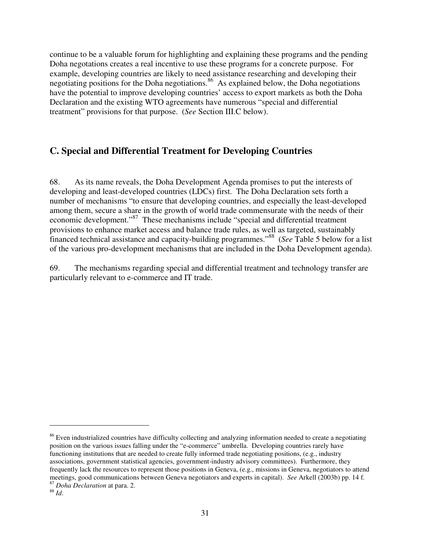continue to be a valuable forum for highlighting and explaining these programs and the pending Doha negotations creates a real incentive to use these programs for a concrete purpose. For example, developing countries are likely to need assistance researching and developing their negotiating positions for the Doha negotiations.<sup>86</sup> As explained below, the Doha negotiations have the potential to improve developing countries' access to export markets as both the Doha Declaration and the existing WTO agreements have numerous "special and differential treatment" provisions for that purpose. (*See* Section III.C below).

# **C. Special and Differential Treatment for Developing Countries**

68. As its name reveals, the Doha Development Agenda promises to put the interests of developing and least-developed countries (LDCs) first. The Doha Declaration sets forth a number of mechanisms "to ensure that developing countries, and especially the least-developed among them, secure a share in the growth of world trade commensurate with the needs of their economic development."<sup>87</sup> These mechanisms include "special and differential treatment provisions to enhance market access and balance trade rules, as well as targeted, sustainably financed technical assistance and capacity-building programmes." 88 (*See* Table 5 below for a list of the various pro-development mechanisms that are included in the Doha Development agenda).

69. The mechanisms regarding special and differential treatment and technology transfer are particularly relevant to e-commerce and IT trade.

<sup>&</sup>lt;sup>86</sup> Even industrialized countries have difficulty collecting and analyzing information needed to create a negotiating position on the various issues falling under the "e-commerce" umbrella. Developing countries rarely have functioning institutions that are needed to create fully informed trade negotiating positions, (e.g., industry associations, government statistical agencies, government-industry advisory committees). Furthermore, they frequently lack the resources to represent those positions in Geneva, (e.g., missions in Geneva, negotiators to attend meetings, good communications between Geneva negotiators and experts in capital). *See* Arkell (2003b) pp. 14 f. <sup>87</sup> *Doha Declaration* at para. 2.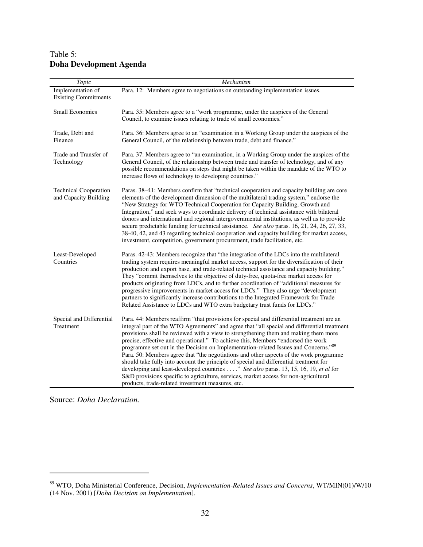### Table 5: **Doha Development Agenda**

| Topic                                                 | Mechanism                                                                                                                                                                                                                                                                                                                                                                                                                                                                                                                                                                                                                                                                                                                                                                                                                                                                          |  |
|-------------------------------------------------------|------------------------------------------------------------------------------------------------------------------------------------------------------------------------------------------------------------------------------------------------------------------------------------------------------------------------------------------------------------------------------------------------------------------------------------------------------------------------------------------------------------------------------------------------------------------------------------------------------------------------------------------------------------------------------------------------------------------------------------------------------------------------------------------------------------------------------------------------------------------------------------|--|
| Implementation of<br><b>Existing Commitments</b>      | Para. 12: Members agree to negotiations on outstanding implementation issues.                                                                                                                                                                                                                                                                                                                                                                                                                                                                                                                                                                                                                                                                                                                                                                                                      |  |
| <b>Small Economies</b>                                | Para. 35: Members agree to a "work programme, under the auspices of the General<br>Council, to examine issues relating to trade of small economies."                                                                                                                                                                                                                                                                                                                                                                                                                                                                                                                                                                                                                                                                                                                               |  |
| Trade, Debt and<br>Finance                            | Para. 36: Members agree to an "examination in a Working Group under the auspices of the<br>General Council, of the relationship between trade, debt and finance."                                                                                                                                                                                                                                                                                                                                                                                                                                                                                                                                                                                                                                                                                                                  |  |
| Trade and Transfer of<br>Technology                   | Para. 37: Members agree to "an examination, in a Working Group under the auspices of the<br>General Council, of the relationship between trade and transfer of technology, and of any<br>possible recommendations on steps that might be taken within the mandate of the WTO to<br>increase flows of technology to developing countries."                                                                                                                                                                                                                                                                                                                                                                                                                                                                                                                                          |  |
| <b>Technical Cooperation</b><br>and Capacity Building | Paras. 38–41: Members confirm that "technical cooperation and capacity building are core<br>elements of the development dimension of the multilateral trading system," endorse the<br>"New Strategy for WTO Technical Cooperation for Capacity Building, Growth and<br>Integration," and seek ways to coordinate delivery of technical assistance with bilateral<br>donors and international and regional intergovernmental institutions, as well as to provide<br>secure predictable funding for technical assistance. See also paras. 16, 21, 24, 26, 27, 33,<br>38-40, 42, and 43 regarding technical cooperation and capacity building for market access,<br>investment, competition, government procurement, trade facilitation, etc.                                                                                                                                         |  |
| Least-Developed<br>Countries                          | Paras. 42-43: Members recognize that "the integration of the LDCs into the multilateral<br>trading system requires meaningful market access, support for the diversification of their<br>production and export base, and trade-related technical assistance and capacity building."<br>They "commit themselves to the objective of duty-free, quota-free market access for<br>products originating from LDCs, and to further coordination of "additional measures for<br>progressive improvements in market access for LDCs." They also urge "development"<br>partners to significantly increase contributions to the Integrated Framework for Trade<br>Related Assistance to LDCs and WTO extra budgetary trust funds for LDCs."                                                                                                                                                  |  |
| Special and Differential<br>Treatment                 | Para. 44: Members reaffirm "that provisions for special and differential treatment are an<br>integral part of the WTO Agreements" and agree that "all special and differential treatment<br>provisions shall be reviewed with a view to strengthening them and making them more<br>precise, effective and operational." To achieve this, Members "endorsed the work<br>programme set out in the Decision on Implementation-related Issues and Concerns."89<br>Para. 50: Members agree that "the negotiations and other aspects of the work programme<br>should take fully into account the principle of special and differential treatment for<br>developing and least-developed countries" See also paras. 13, 15, 16, 19, et al for<br>S&D provisions specific to agriculture, services, market access for non-agricultural<br>products, trade-related investment measures, etc. |  |

Source: *Doha Declaration.*

<u> 1990 - Jan Barat, polit</u>ik

<sup>89</sup> WTO, Doha Ministerial Conference, Decision, *Implementation-Related Issues and Concerns*, WT/MIN(01)/W/10 (14 Nov. 2001) [*Doha Decision on Implementation*].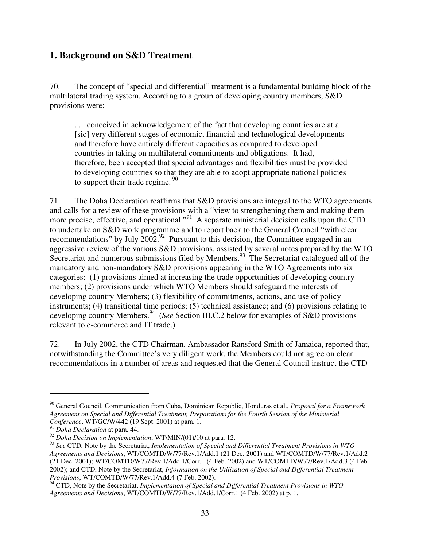### **1. Background on S&D Treatment**

70. The concept of "special and differential" treatment is a fundamental building block of the multilateral trading system. According to a group of developing country members, S&D provisions were:

. . . conceived in acknowledgement of the fact that developing countries are at a [sic] very different stages of economic, financial and technological developments and therefore have entirely different capacities as compared to developed countries in taking on multilateral commitments and obligations. It had, therefore, been accepted that special advantages and flexibilities must be provided to developing countries so that they are able to adopt appropriate national policies to support their trade regime.<sup>90</sup>

71. The Doha Declaration reaffirms that S&D provisions are integral to the WTO agreements and calls for a review of these provisions with a "view to strengthening them and making them more precise, effective, and operational."<sup>91</sup> A separate ministerial decision calls upon the CTD to undertake an S&D work programme and to report back to the General Council "with clear recommendations" by July  $2002<sup>92</sup>$  Pursuant to this decision, the Committee engaged in an aggressive review of the various S&D provisions, assisted by several notes prepared by the WTO Secretariat and numerous submissions filed by Members.<sup>93</sup> The Secretariat catalogued all of the mandatory and non-mandatory S&D provisions appearing in the WTO Agreements into six categories: (1) provisions aimed at increasing the trade opportunities of developing country members; (2) provisions under which WTO Members should safeguard the interests of developing country Members; (3) flexibility of commitments, actions, and use of policy instruments; (4) transitional time periods; (5) technical assistance; and (6) provisions relating to developing country Members. 94 (*See* Section III.C.2 below for examples of S&D provisions relevant to e-commerce and IT trade.)

72. In July 2002, the CTD Chairman, Ambassador Ransford Smith of Jamaica, reported that, notwithstanding the Committee's very diligent work, the Members could not agree on clear recommendations in a number of areas and requested that the General Council instruct the CTD

<sup>90</sup> General Council, Communication from Cuba, Dominican Republic, Honduras et al., *Proposal for a Framework Agreement on Special and Differential Treatment, Preparations for the Fourth Session of the Ministerial Conference*, WT/GC/W/442 (19 Sept. 2001) at para. 1.

<sup>91</sup> *Doha Declaration* at para. 44.

<sup>92</sup> *Doha Decision on Implementation*, WT/MIN/(01)/10 at para. 12.

<sup>93</sup> *See* CTD, Note by the Secretariat, *Implementation of Special and Differential Treatment Provisions in WTO Agreements and Decisions*, WT/COMTD/W/77/Rev.1/Add.1 (21 Dec. 2001) and WT/COMTD/W/77/Rev.1/Add.2 (21 Dec. 2001); WT/COMTD/W77/Rev.1/Add.1/Corr.1 (4 Feb. 2002) and WT/COMTD/W77/Rev.1/Add.3 (4 Feb. 2002); and CTD, Note by the Secretariat, *Information on the Utilization of Special and Differential Treatment Provisions*, WT/COMTD/W/77/Rev.1/Add.4 (7 Feb. 2002).

<sup>94</sup> CTD, Note by the Secretariat, *Implementation of Special and Differential Treatment Provisions in WTO Agreements and Decisions*, WT/COMTD/W/77/Rev.1/Add.1/Corr.1 (4 Feb. 2002) at p. 1.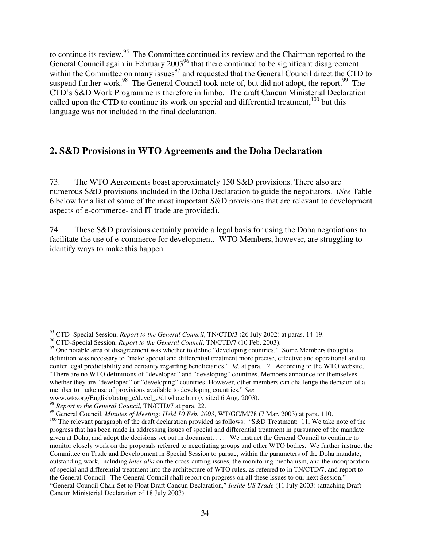to continue its review.<sup>95</sup> The Committee continued its review and the Chairman reported to the General Council again in February  $2003<sup>96</sup>$  that there continued to be significant disagreement within the Committee on many issues<sup>97</sup> and requested that the General Council direct the CTD to suspend further work.<sup>98</sup> The General Council took note of, but did not adopt, the report.<sup>99</sup> The CTD's S&D Work Programme is therefore in limbo. The draft Cancun Ministerial Declaration called upon the CTD to continue its work on special and differential treatment,  $100$  but this language was not included in the final declaration.

# **2. S&D Provisions in WTO Agreements and the Doha Declaration**

73. The WTO Agreements boast approximately 150 S&D provisions. There also are numerous S&D provisions included in the Doha Declaration to guide the negotiators. (*See* Table 6 below for a list of some of the most important S&D provisions that are relevant to development aspects of e-commerce- and IT trade are provided).

74. These S&D provisions certainly provide a legal basis for using the Doha negotiations to facilitate the use of e-commerce for development. WTO Members, however, are struggling to identify ways to make this happen.

<sup>95</sup> CTD–Special Session, *Report to the General Council*, TN/CTD/3 (26 July 2002) at paras. 14-19.

<sup>96</sup> CTD-Special Session, *Report to the General Council*, TN/CTD/7 (10 Feb. 2003).

<sup>&</sup>lt;sup>97</sup> One notable area of disagreement was whether to define "developing countries." Some Members thought a definition was necessary to "make special and differential treatment more precise, effective and operational and to confer legal predictability and certainty regarding beneficiaries." *Id*. at para. 12. According to the WTO website, "There are no WTO definitions of "developed" and "developing" countries. Members announce for themselves whether they are "developed" or "developing" countries. However, other members can challenge the decision of a member to make use of provisions available to developing countries." *See*

www.wto.org/English/tratop\_e/devel\_e/d1who.e.htm (visited 6 Aug. 2003).

<sup>98</sup> *Report to the General Council*, TN/CTD/7 at para. 22.

<sup>99</sup> General Council, *Minutes of Meeting: Held 10 Feb. 2003*, WT/GC/M/78 (7 Mar. 2003) at para. 110.

<sup>&</sup>lt;sup>100</sup> The relevant paragraph of the draft declaration provided as follows: "S&D Treatment: 11. We take note of the progress that has been made in addressing issues of special and differential treatment in pursuance of the mandate given at Doha, and adopt the decisions set out in document. . . . We instruct the General Council to continue to monitor closely work on the proposals referred to negotiating groups and other WTO bodies. We further instruct the Committee on Trade and Development in Special Session to pursue, within the parameters of the Doha mandate, outstanding work, including *inter alia* on the cross-cutting issues, the monitoring mechanism, and the incorporation of special and differential treatment into the architecture of WTO rules, as referred to in TN/CTD/7, and report to the General Council. The General Council shall report on progress on all these issues to our next Session." "General Council Chair Set to Float Draft Cancun Declaration," *Inside US Trade* (11 July 2003) (attaching Draft Cancun Ministerial Declaration of 18 July 2003).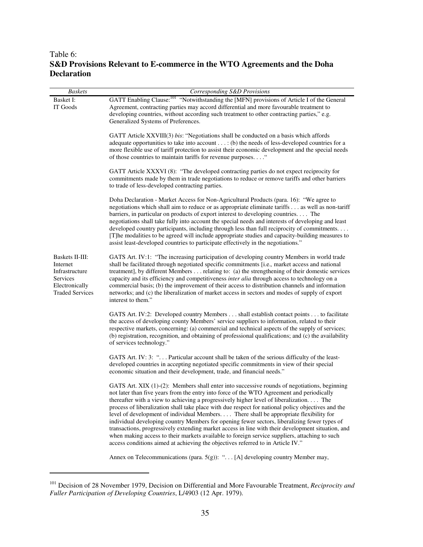### Table 6: **S&D Provisions Relevant to E-commerce in the WTO Agreements and the Doha Declaration**

| <b>Baskets</b>                                                                                               | Corresponding S&D Provisions                                                                                                                                                                                                                                                                                                                                                                                                                                                                                                                                                                                                                                                                                                                                                                                                                                                  |
|--------------------------------------------------------------------------------------------------------------|-------------------------------------------------------------------------------------------------------------------------------------------------------------------------------------------------------------------------------------------------------------------------------------------------------------------------------------------------------------------------------------------------------------------------------------------------------------------------------------------------------------------------------------------------------------------------------------------------------------------------------------------------------------------------------------------------------------------------------------------------------------------------------------------------------------------------------------------------------------------------------|
| Basket I:<br>IT Goods                                                                                        | GATT Enabling Clause: <sup>101</sup> "Notwithstanding the [MFN] provisions of Article I of the General<br>Agreement, contracting parties may accord differential and more favourable treatment to<br>developing countries, without according such treatment to other contracting parties," e.g.<br>Generalized Systems of Preferences.                                                                                                                                                                                                                                                                                                                                                                                                                                                                                                                                        |
|                                                                                                              | GATT Article $XXVIII(3)$ bis: "Negotiations shall be conducted on a basis which affords<br>adequate opportunities to take into account : (b) the needs of less-developed countries for a<br>more flexible use of tariff protection to assist their economic development and the special needs<br>of those countries to maintain tariffs for revenue purposes. "                                                                                                                                                                                                                                                                                                                                                                                                                                                                                                               |
|                                                                                                              | GATT Article XXXVI (8): "The developed contracting parties do not expect reciprocity for<br>commitments made by them in trade negotiations to reduce or remove tariffs and other barriers<br>to trade of less-developed contracting parties.                                                                                                                                                                                                                                                                                                                                                                                                                                                                                                                                                                                                                                  |
|                                                                                                              | Doha Declaration - Market Access for Non-Agricultural Products (para. 16): "We agree to<br>negotiations which shall aim to reduce or as appropriate eliminate tariffs as well as non-tariff<br>barriers, in particular on products of export interest to developing countries The<br>negotiations shall take fully into account the special needs and interests of developing and least<br>developed country participants, including through less than full reciprocity of commitments<br>[T]he modalities to be agreed will include appropriate studies and capacity-building measures to<br>assist least-developed countries to participate effectively in the negotiations."                                                                                                                                                                                               |
| <b>Baskets II-III:</b><br>Internet<br>Infrastructure<br>Services<br>Electronically<br><b>Traded Services</b> | GATS Art. IV:1: "The increasing participation of developing country Members in world trade<br>shall be facilitated through negotiated specific commitments [i.e., market access and national<br>treatment], by different Members relating to: (a) the strengthening of their domestic services<br>capacity and its efficiency and competitiveness <i>inter alia</i> through access to technology on a<br>commercial basis; (b) the improvement of their access to distribution channels and information<br>networks; and (c) the liberalization of market access in sectors and modes of supply of export<br>interest to them."                                                                                                                                                                                                                                               |
|                                                                                                              | GATS Art. IV:2: Developed country Members shall establish contact points to facilitate<br>the access of developing county Members' service suppliers to information, related to their<br>respective markets, concerning: (a) commercial and technical aspects of the supply of services;<br>(b) registration, recognition, and obtaining of professional qualifications; and (c) the availability<br>of services technology."                                                                                                                                                                                                                                                                                                                                                                                                                                                 |
|                                                                                                              | GATS Art. IV: 3: " Particular account shall be taken of the serious difficulty of the least-<br>developed countries in accepting negotiated specific commitments in view of their special<br>economic situation and their development, trade, and financial needs."                                                                                                                                                                                                                                                                                                                                                                                                                                                                                                                                                                                                           |
|                                                                                                              | GATS Art. XIX (1)-(2): Members shall enter into successive rounds of negotiations, beginning<br>not later than five years from the entry into force of the WTO Agreement and periodically<br>thereafter with a view to achieving a progressively higher level of liberalization. The<br>process of liberalization shall take place with due respect for national policy objectives and the<br>level of development of individual Members. There shall be appropriate flexibility for<br>individual developing country Members for opening fewer sectors, liberalizing fewer types of<br>transactions, progressively extending market access in line with their development situation, and<br>when making access to their markets available to foreign service suppliers, attaching to such<br>access conditions aimed at achieving the objectives referred to in Article IV." |

Annex on Telecommunications (para. 5(g)): ". . . [A] developing country Member may,

<sup>101</sup> Decision of 28 November 1979, Decision on Differential and More Favourable Treatment, *Reciprocity and Fuller Participation of Developing Countries*, L/4903 (12 Apr. 1979).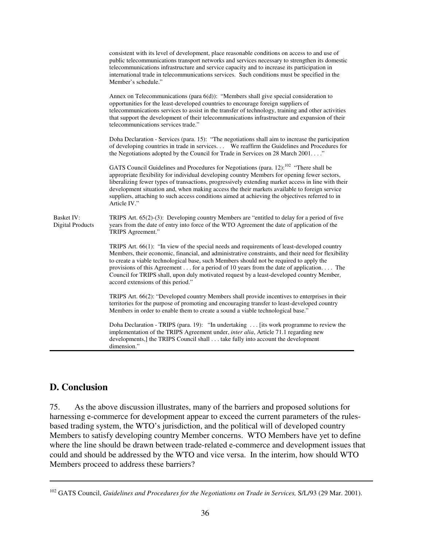|                                              | consistent with its level of development, place reasonable conditions on access to and use of<br>public telecommunications transport networks and services necessary to strengthen its domestic<br>telecommunications infrastructure and service capacity and to increase its participation in<br>international trade in telecommunications services. Such conditions must be specified in the<br>Member's schedule."                                                                                                         |
|----------------------------------------------|-------------------------------------------------------------------------------------------------------------------------------------------------------------------------------------------------------------------------------------------------------------------------------------------------------------------------------------------------------------------------------------------------------------------------------------------------------------------------------------------------------------------------------|
|                                              | Annex on Telecommunications (para $6(d)$ ): "Members shall give special consideration to<br>opportunities for the least-developed countries to encourage foreign suppliers of<br>telecommunications services to assist in the transfer of technology, training and other activities<br>that support the development of their telecommunications infrastructure and expansion of their<br>telecommunications services trade."                                                                                                  |
|                                              | Doha Declaration - Services (para. 15): "The negotiations shall aim to increase the participation<br>of developing countries in trade in services We reaffirm the Guidelines and Procedures for<br>the Negotiations adopted by the Council for Trade in Services on 28 March $2001$ "                                                                                                                                                                                                                                         |
|                                              | GATS Council Guidelines and Procedures for Negotiations (para. 12): <sup>102</sup> "There shall be<br>appropriate flexibility for individual developing country Members for opening fewer sectors,<br>liberalizing fewer types of transactions, progressively extending market access in line with their<br>development situation and, when making access the their markets available to foreign service<br>suppliers, attaching to such access conditions aimed at achieving the objectives referred to in<br>Article IV."   |
| <b>Basket IV:</b><br><b>Digital Products</b> | TRIPS Art. $65(2)$ - $(3)$ : Developing country Members are "entitled to delay for a period of five<br>years from the date of entry into force of the WTO Agreement the date of application of the<br>TRIPS Agreement."                                                                                                                                                                                                                                                                                                       |
|                                              | TRIPS Art. $66(1)$ : "In view of the special needs and requirements of least-developed country<br>Members, their economic, financial, and administrative constraints, and their need for flexibility<br>to create a viable technological base, such Members should not be required to apply the<br>provisions of this Agreement for a period of 10 years from the date of application. The<br>Council for TRIPS shall, upon duly motivated request by a least-developed country Member,<br>accord extensions of this period." |
|                                              | TRIPS Art. 66(2): "Developed country Members shall provide incentives to enterprises in their<br>territories for the purpose of promoting and encouraging transfer to least-developed country<br>Members in order to enable them to create a sound a viable technological base."                                                                                                                                                                                                                                              |
|                                              | Doha Declaration - TRIPS (para. 19): "In undertaking  [its work programme to review the<br>implementation of the TRIPS Agreement under, inter alia, Article 71.1 regarding new<br>developments,] the TRIPS Council shall take fully into account the development<br>dimension."                                                                                                                                                                                                                                               |

### **D. Conclusion**

75. As the above discussion illustrates, many of the barriers and proposed solutions for harnessing e-commerce for development appear to exceed the current parameters of the rulesbased trading system, the WTO's jurisdiction, and the political will of developed country Members to satisfy developing country Member concerns. WTO Members have yet to define where the line should be drawn between trade-related e-commerce and development issues that could and should be addressed by the WTO and vice versa. In the interim, how should WTO Members proceed to address these barriers?

<u> 2008 - Andrea Station Barbara, actor a component de la contrada de la contrada de la contrada de la contrada</u>

<sup>102</sup> GATS Council, *Guidelines and Procedures for the Negotiations on Trade in Services,* S/L/93 (29 Mar. 2001).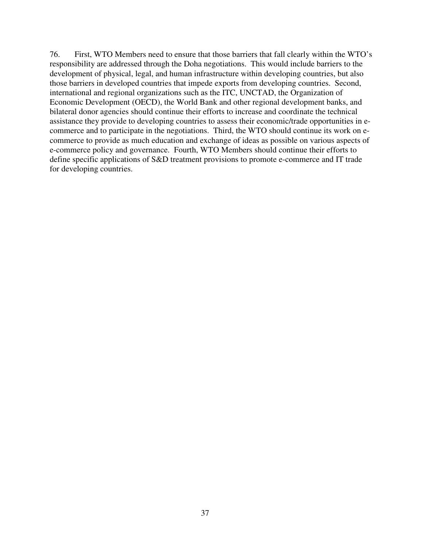76. First, WTO Members need to ensure that those barriers that fall clearly within the WTO's responsibility are addressed through the Doha negotiations. This would include barriers to the development of physical, legal, and human infrastructure within developing countries, but also those barriers in developed countries that impede exports from developing countries. Second, international and regional organizations such as the ITC, UNCTAD, the Organization of Economic Development (OECD), the World Bank and other regional development banks, and bilateral donor agencies should continue their efforts to increase and coordinate the technical assistance they provide to developing countries to assess their economic/trade opportunities in ecommerce and to participate in the negotiations. Third, the WTO should continue its work on ecommerce to provide as much education and exchange of ideas as possible on various aspects of e-commerce policy and governance. Fourth, WTO Members should continue their efforts to define specific applications of S&D treatment provisions to promote e-commerce and IT trade for developing countries.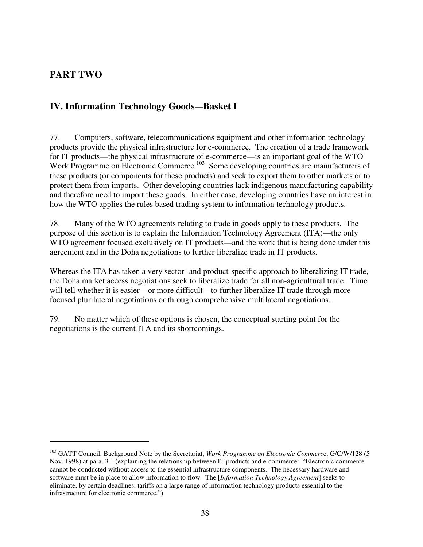# **PART TWO**

## **IV. Information Technology Goods**—**Basket I**

77. Computers, software, telecommunications equipment and other information technology products provide the physical infrastructure for e-commerce. The creation of a trade framework for IT products—the physical infrastructure of e-commerce—is an important goal of the WTO Work Programme on Electronic Commerce.<sup>103</sup> Some developing countries are manufacturers of these products (or components for these products) and seek to export them to other markets or to protect them from imports. Other developing countries lack indigenous manufacturing capability and therefore need to import these goods. In either case, developing countries have an interest in how the WTO applies the rules based trading system to information technology products.

78. Many of the WTO agreements relating to trade in goods apply to these products. The purpose of this section is to explain the Information Technology Agreement (ITA)—the only WTO agreement focused exclusively on IT products—and the work that is being done under this agreement and in the Doha negotiations to further liberalize trade in IT products.

Whereas the ITA has taken a very sector- and product-specific approach to liberalizing IT trade, the Doha market access negotiations seek to liberalize trade for all non-agricultural trade. Time will tell whether it is easier—or more difficult—to further liberalize IT trade through more focused plurilateral negotiations or through comprehensive multilateral negotiations.

79. No matter which of these options is chosen, the conceptual starting point for the negotiations is the current ITA and its shortcomings.

<sup>103</sup> GATT Council, Background Note by the Secretariat, *Work Programme on Electronic Commerc*e, G/C/W/128 (5 Nov. 1998) at para. 3.1 (explaining the relationship between IT products and e-commerce: "Electronic commerce cannot be conducted without access to the essential infrastructure components. The necessary hardware and software must be in place to allow information to flow. The [*Information Technology Agreement*] seeks to eliminate, by certain deadlines, tariffs on a large range of information technology products essential to the infrastructure for electronic commerce.")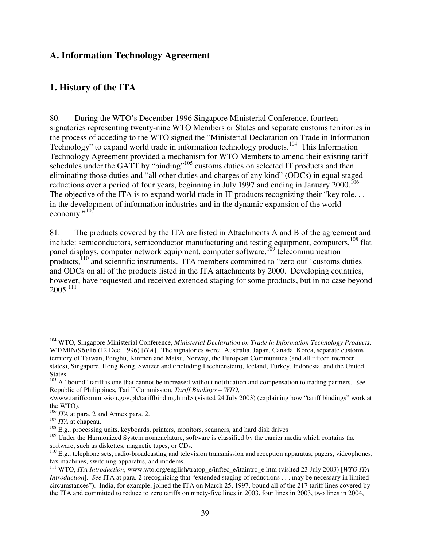### **A. Information Technology Agreement**

### **1. History of the ITA**

80. During the WTO's December 1996 Singapore Ministerial Conference, fourteen signatories representing twenty-nine WTO Members or States and separate customs territories in the process of acceding to the WTO signed the "Ministerial Declaration on Trade in Information Technology" to expand world trade in information technology products.<sup>104</sup> This Information Technology Agreement provided a mechanism for WTO Members to amend their existing tariff schedules under the GATT by "binding"<sup>105</sup> customs duties on selected IT products and then eliminating those duties and "all other duties and charges of any kind" (ODCs) in equal staged reductions over a period of four years, beginning in July 1997 and ending in January 2000.<sup>106</sup> The objective of the ITA is to expand world trade in IT products recognizing their "key role... in the development of information industries and in the dynamic expansion of the world economy."<sup>107</sup>

81. The products covered by the ITA are listed in Attachments A and B of the agreement and include: semiconductors, semiconductor manufacturing and testing equipment, computers, <sup>108</sup> flat panel displays, computer network equipment, computer software, <sup>109</sup> telecommunication products,<sup>110</sup> and scientific instruments. ITA members committed to "zero out" customs duties and ODCs on all of the products listed in the ITA attachments by 2000. Developing countries, however, have requested and received extended staging for some products, but in no case beyond  $2005.<sup>111</sup>$ 

<sup>104</sup> WTO, Singapore Ministerial Conference, *Ministerial Declaration on Trade in Information Technology Products*, WT/MIN(96)/16 (12 Dec. 1996) [*ITA*]. The signatories were: Australia, Japan, Canada, Korea, separate customs territory of Taiwan, Penghu, Kinmen and Matsu, Norway, the European Communities (and all fifteen member states), Singapore, Hong Kong, Switzerland (including Liechtenstein), Iceland, Turkey, Indonesia, and the United States.

<sup>105</sup> A "bound" tariff is one that cannot be increased without notification and compensation to trading partners. *Se*e Republic of Philippines, Tariff Commission, *Tariff Bindings – WTO*,

<sup>&</sup>lt;www.tariffcommission.gov.ph/tariffbinding.html> (visited 24 July 2003) (explaining how "tariff bindings" work at the WTO).

<sup>&</sup>lt;sup>106</sup> *ITA* at para. 2 and Annex para. 2.

<sup>107</sup> *ITA* at chapeau.

<sup>&</sup>lt;sup>108</sup> E.g., processing units, keyboards, printers, monitors, scanners, and hard disk drives

<sup>&</sup>lt;sup>109</sup> Under the Harmonized System nomenclature, software is classified by the carrier media which contains the software, such as diskettes, magnetic tapes, or CDs.

<sup>&</sup>lt;sup>110</sup> E.g., telephone sets, radio-broadcasting and television transmission and reception apparatus, pagers, videophones, fax machines, switching apparatus, and modems.

<sup>111</sup> WTO, *ITA Introduction*, www.wto.org/english/tratop\_e/inftec\_e/itaintro\_e.htm (visited 23 July 2003) [*WTO ITA Introduction*]. *See* ITA at para. 2 (recognizing that "extended staging of reductions . . . may be necessary in limited circumstances"). India, for example, joined the ITA on March 25, 1997, bound all of the 217 tariff lines covered by the ITA and committed to reduce to zero tariffs on ninety-five lines in 2003, four lines in 2003, two lines in 2004,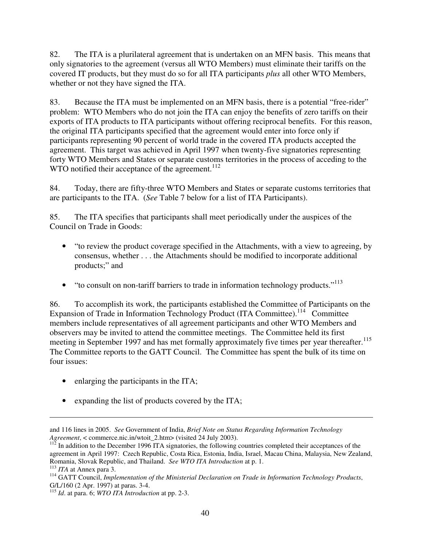82. The ITA is a plurilateral agreement that is undertaken on an MFN basis. This means that only signatories to the agreement (versus all WTO Members) must eliminate their tariffs on the covered IT products, but they must do so for all ITA participants *plus* all other WTO Members, whether or not they have signed the ITA.

83. Because the ITA must be implemented on an MFN basis, there is a potential "free-rider" problem: WTO Members who do not join the ITA can enjoy the benefits of zero tariffs on their exports of ITA products to ITA participants without offering reciprocal benefits. For this reason, the original ITA participants specified that the agreement would enter into force only if participants representing 90 percent of world trade in the covered ITA products accepted the agreement. This target was achieved in April 1997 when twenty-five signatories representing forty WTO Members and States or separate customs territories in the process of acceding to the WTO notified their acceptance of the agreement.<sup>112</sup>

84. Today, there are fifty-three WTO Members and States or separate customs territories that are participants to the ITA. (*See* Table 7 below for a list of ITA Participants).

85. The ITA specifies that participants shall meet periodically under the auspices of the Council on Trade in Goods:

- "to review the product coverage specified in the Attachments, with a view to agreeing, by consensus, whether . . . the Attachments should be modified to incorporate additional products;" and
- "to consult on non-tariff barriers to trade in information technology products."<sup>113</sup>

86. To accomplish its work, the participants established the Committee of Participants on the Expansion of Trade in Information Technology Product (ITA Committee).<sup>114</sup> Committee members include representatives of all agreement participants and other WTO Members and observers may be invited to attend the committee meetings. The Committee held its first meeting in September 1997 and has met formally approximately five times per year thereafter.<sup>115</sup> The Committee reports to the GATT Council. The Committee has spent the bulk of its time on four issues:

- enlarging the participants in the ITA;
- expanding the list of products covered by the ITA;

<u> 2008 - Andrea Station Barbara, actor a component de la contrada de la contrada de la contrada de la contrada</u>

and 116 lines in 2005. *See* Government of India, *Brief Note on Status Regarding Information Technology Agreement*, < commerce.nic.in/wtoit\_2.htm> (visited 24 July 2003).

 $112$  In addition to the December 1996 ITA signatories, the following countries completed their acceptances of the agreement in April 1997: Czech Republic, Costa Rica, Estonia, India, Israel, Macau China, Malaysia, New Zealand, Romania, Slovak Republic, and Thailand. *See WTO ITA Introduction* at p. 1.

<sup>113</sup> *ITA* at Annex para 3.

<sup>114</sup> GATT Council, *Implementation of the Ministerial Declaration on Trade in Information Technology Products*, G/L/160 (2 Apr. 1997) at paras. 3-4.

<sup>115</sup> *Id*. at para. 6; *WTO ITA Introduction* at pp. 2-3.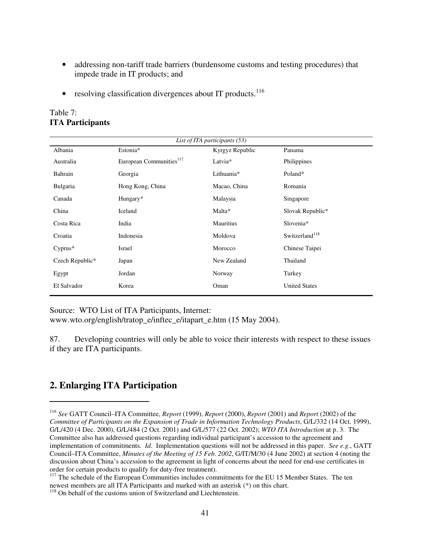- addressing non-tariff trade barriers (burdensome customs and testing procedures) that impede trade in IT products; and
- resolving classification divergences about IT products.<sup>116</sup>

### Table 7: **ITA Participants**

| List of ITA participants (53) |                                     |                 |                            |  |
|-------------------------------|-------------------------------------|-----------------|----------------------------|--|
| Albania                       | Estonia*                            | Kyrgyz Republic | Panama                     |  |
| Australia                     | European Communities <sup>117</sup> | Latvia*         | Philippines                |  |
| Bahrain                       | Georgia                             | Lithuania*      | Poland*                    |  |
| Bulgaria                      | Hong Kong, China                    | Macao, China    | Romania                    |  |
| Canada                        | Hungary*                            | Malaysia        | Singapore                  |  |
| China                         | Iceland                             | Malta*          | Slovak Republic*           |  |
| Costa Rica                    | India                               | Mauritius       | Slovenia*                  |  |
| Croatia                       | Indonesia                           | Moldova         | Switzerland <sup>118</sup> |  |
| Cyprus*                       | Israel                              | Morocco         | Chinese Taipei             |  |
| Czech Republic*               | Japan                               | New Zealand     | Thailand                   |  |
| Egypt                         | Jordan                              | Norway          | Turkey                     |  |
| El Salvador                   | Korea                               | Oman            | <b>United States</b>       |  |

Source: WTO List of ITA Participants, Internet: www.wto.org/english/tratop\_e/inftec\_e/itapart\_e.htm (15 May 2004).

87. Developing countries will only be able to voice their interests with respect to these issues if they are ITA participants.

# **2. Enlarging ITA Participation**

<sup>116</sup> *See* GATT Council–ITA Committee, *Report* (1999), *Report* (2000), *Report* (2001) and *Report* (2002) of the *Committee of Participants on the Expansion of Trade in Information Technology Products*, G/L/332 (14 Oct. 1999), G/L/420 (4 Dec. 2000), G/L/484 (2 Oct. 2001) and G/L/577 (22 Oct. 2002); *WTO ITA Introduction* at p. 3. The Committee also has addressed questions regarding individual participant's accession to the agreement and implementation of commitments*. Id*. Implementation questions will not be addressed in this paper. *See e.g*., GATT Council–ITA Committee, *Minutes of the Meeting of 15 Feb. 2002*, G/IT/M/30 (4 June 2002) at section 4 (noting the discussion about China's accession to the agreement in light of concerns about the need for end-use certificates in order for certain products to qualify for duty-free treatment).

<sup>&</sup>lt;sup>117</sup> The schedule of the European Communities includes commitments for the EU 15 Member States. The ten newest members are all ITA Participants and marked with an asterisk (\*) on this chart.

<sup>&</sup>lt;sup>118</sup> On behalf of the customs union of Switzerland and Liechtenstein.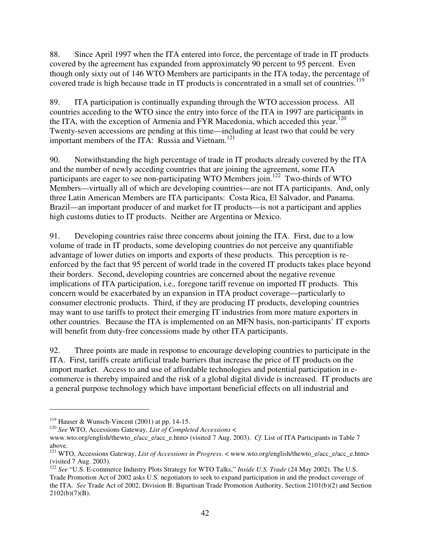88. Since April 1997 when the ITA entered into force, the percentage of trade in IT products covered by the agreement has expanded from approximately 90 percent to 95 percent. Even though only sixty out of 146 WTO Members are participants in the ITA today, the percentage of covered trade is high because trade in IT products is concentrated in a small set of countries.<sup>119</sup>

89. ITA participation is continually expanding through the WTO accession process. All countries acceding to the WTO since the entry into force of the ITA in 1997 are participants in the ITA, with the exception of Armenia and FYR Macedonia, which acceded this year.<sup>120</sup> Twenty-seven accessions are pending at this time—including at least two that could be very important members of the ITA: Russia and Vietnam.<sup>121</sup>

90. Notwithstanding the high percentage of trade in IT products already covered by the ITA and the number of newly acceding countries that are joining the agreement, some ITA participants are eager to see non-participating WTO Members join.<sup>122</sup> Two-thirds of WTO Members—virtually all of which are developing countries—are not ITA participants. And, only three Latin American Members are ITA participants: Costa Rica, El Salvador, and Panama. Brazil—an important producer of and market for IT products—is not a participant and applies high customs duties to IT products. Neither are Argentina or Mexico.

91. Developing countries raise three concerns about joining the ITA. First, due to a low volume of trade in IT products, some developing countries do not perceive any quantifiable advantage of lower duties on imports and exports of these products. This perception is reenforced by the fact that 95 percent of world trade in the covered IT products takes place beyond their borders. Second, developing countries are concerned about the negative revenue implications of ITA participation, i.e.*,* foregone tariff revenue on imported IT products. This concern would be exacerbated by an expansion in ITA product coverage—particularly to consumer electronic products. Third, if they are producing IT products, developing countries may want to use tariffs to protect their emerging IT industries from more mature exporters in other countries. Because the ITA is implemented on an MFN basis, non-participants' IT exports will benefit from duty-free concessions made by other ITA participants.

92. Three points are made in response to encourage developing countries to participate in the ITA. First, tariffs create artificial trade barriers that increase the price of IT products on the import market. Access to and use of affordable technologies and potential participation in ecommerce is thereby impaired and the risk of a global digital divide is increased. IT products are a general purpose technology which have important beneficial effects on all industrial and

 $119$  Hauser & Wunsch-Vincent (2001) at pp. 14-15.

<sup>120</sup> *See* WTO, Accessions Gateway, *List of Completed Accessions* <

www.wto.org/english/thewto\_e/acc\_e/acc\_e.htm> (visited 7 Aug. 2003). *Cf*. List of ITA Participants in Table 7 above.

<sup>121</sup> WTO, Accessions Gateway, *List of Accessions in Progress*. < www.wto.org/english/thewto\_e/acc\_e/acc\_e.htm> (visited 7 Aug. 2003).

<sup>122</sup> *See* "U.S. E-commerce Industry Plots Strategy for WTO Talks," *Inside U.S. Trade* (24 May 2002). The U.S. Trade Promotion Act of 2002 asks U.S. negotiators to seek to expand participation in and the product coverage of the ITA. *See* Trade Act of 2002, Division B: Bipartisan Trade Promotion Authority, Section 2101(b)(2) and Section 2102(b)(7)(B).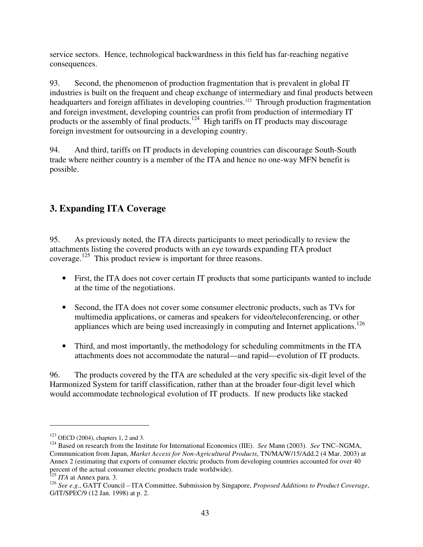service sectors. Hence, technological backwardness in this field has far-reaching negative consequences.

93. Second, the phenomenon of production fragmentation that is prevalent in global IT industries is built on the frequent and cheap exchange of intermediary and final products between headquarters and foreign affiliates in developing countries.<sup>123</sup> Through production fragmentation and foreign investment, developing countries can profit from production of intermediary IT products or the assembly of final products.<sup>124</sup> High tariffs on IT products may discourage foreign investment for outsourcing in a developing country.

94. And third, tariffs on IT products in developing countries can discourage South-South trade where neither country is a member of the ITA and hence no one-way MFN benefit is possible.

# **3. Expanding ITA Coverage**

95. As previously noted, the ITA directs participants to meet periodically to review the attachments listing the covered products with an eye towards expanding ITA product coverage. 125 This product review is important for three reasons.

- First, the ITA does not cover certain IT products that some participants wanted to include at the time of the negotiations.
- Second, the ITA does not cover some consumer electronic products, such as TVs for multimedia applications, or cameras and speakers for video/teleconferencing, or other appliances which are being used increasingly in computing and Internet applications. 126
- Third, and most importantly, the methodology for scheduling commitments in the ITA attachments does not accommodate the natural—and rapid—evolution of IT products.

96. The products covered by the ITA are scheduled at the very specific six-digit level of the Harmonized System for tariff classification, rather than at the broader four-digit level which would accommodate technological evolution of IT products. If new products like stacked

 $123$  OECD (2004), chapters 1, 2 and 3.

<sup>124</sup> Based on research from the Institute for International Economics (IIE). *See* Mann (2003). *See* TNC–NGMA, Communication from Japan, *Market Access for Non-Agricultural Products*, TN/MA/W/15/Add.2 (4 Mar. 2003) at Annex 2 (estimating that exports of consumer electric products from developing countries accounted for over 40 percent of the actual consumer electric products trade worldwide). 125 *ITA* at Annex para. 3.

<sup>126</sup> *See e.g*., GATT Council – ITA Committee, Submission by Singapore, *Proposed Additions to Product Coverage*, G/IT/SPEC/9 (12 Jan. 1998) at p. 2.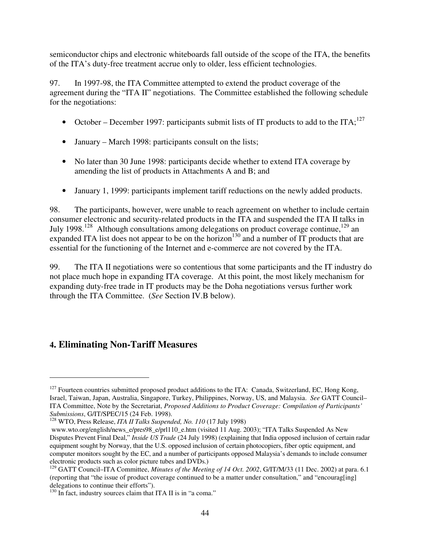semiconductor chips and electronic whiteboards fall outside of the scope of the ITA, the benefits of the ITA's duty-free treatment accrue only to older, less efficient technologies.

97. In 1997-98, the ITA Committee attempted to extend the product coverage of the agreement during the "ITA II" negotiations. The Committee established the following schedule for the negotiations:

- October December 1997: participants submit lists of IT products to add to the ITA;<sup>127</sup>
- January March 1998: participants consult on the lists;
- No later than 30 June 1998: participants decide whether to extend ITA coverage by amending the list of products in Attachments A and B; and
- January 1, 1999: participants implement tariff reductions on the newly added products.

98. The participants, however, were unable to reach agreement on whether to include certain consumer electronic and security-related products in the ITA and suspended the ITA II talks in July 1998.<sup>128</sup> Although consultations among delegations on product coverage continue,<sup>129</sup> an expanded ITA list does not appear to be on the horizon<sup>130</sup> and a number of IT products that are essential for the functioning of the Internet and e-commerce are not covered by the ITA.

99. The ITA II negotiations were so contentious that some participants and the IT industry do not place much hope in expanding ITA coverage. At this point, the most likely mechanism for expanding duty-free trade in IT products may be the Doha negotiations versus further work through the ITA Committee. (*See* Section IV.B below).

### **4. Eliminating Non-Tariff Measures**

 $127$  Fourteen countries submitted proposed product additions to the ITA: Canada, Switzerland, EC, Hong Kong, Israel, Taiwan, Japan, Australia, Singapore, Turkey, Philippines, Norway, US, and Malaysia. *See* GATT Council– ITA Committee, Note by the Secretariat, *Proposed Additions to Product Coverage: Compilation of Participants' Submissions*, G/IT/SPEC/15 (24 Feb. 1998).

<sup>128</sup> WTO, Press Release, *ITA II Talks Suspended, No. 110* (17 July 1998)

www.wto.org/english/news\_e/pres98\_e/prl110\_e.htm (visited 11 Aug. 2003); "ITA Talks Suspended As New Disputes Prevent Final Deal," *Inside US Trade* (24 July 1998) (explaining that India opposed inclusion of certain radar equipment sought by Norway, that the U.S. opposed inclusion of certain photocopiers, fiber optic equipment, and computer monitors sought by the EC, and a number of participants opposed Malaysia's demands to include consumer electronic products such as color picture tubes and DVDs.)

<sup>129</sup> GATT Council–ITA Committee, *Minutes of the Meeting of 14 Oct. 2002*, G/IT/M/33 (11 Dec. 2002) at para. 6.1 (reporting that "the issue of product coverage continued to be a matter under consultation," and "encourag[ing] delegations to continue their efforts").

<sup>&</sup>lt;sup>130</sup> In fact, industry sources claim that ITA II is in "a coma."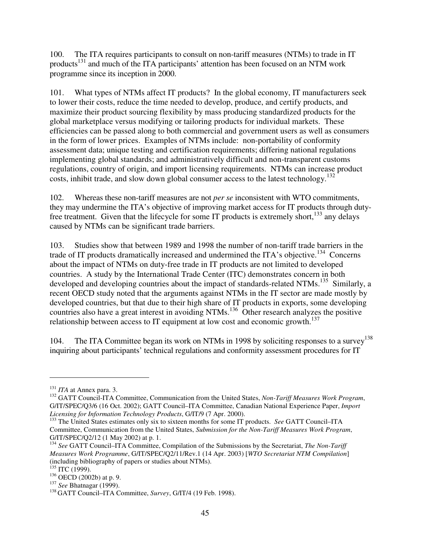100. The ITA requires participants to consult on non-tariff measures (NTMs) to trade in IT products<sup>131</sup> and much of the ITA participants' attention has been focused on an NTM work programme since its inception in 2000.

101. What types of NTMs affect IT products? In the global economy, IT manufacturers seek to lower their costs, reduce the time needed to develop, produce, and certify products, and maximize their product sourcing flexibility by mass producing standardized products for the global marketplace versus modifying or tailoring products for individual markets. These efficiencies can be passed along to both commercial and government users as well as consumers in the form of lower prices. Examples of NTMs include: non-portability of conformity assessment data; unique testing and certification requirements; differing national regulations implementing global standards; and administratively difficult and non-transparent customs regulations, country of origin, and import licensing requirements. NTMs can increase product costs, inhibit trade, and slow down global consumer access to the latest technology. 132

102. Whereas these non-tariff measures are not *per se* inconsistent with WTO commitments, they may undermine the ITA's objective of improving market access for IT products through dutyfree treatment. Given that the lifecycle for some IT products is extremely short,<sup>133</sup> any delays caused by NTMs can be significant trade barriers.

103. Studies show that between 1989 and 1998 the number of non-tariff trade barriers in the trade of IT products dramatically increased and undermined the ITA's objective.<sup>134</sup> Concerns about the impact of NTMs on duty-free trade in IT products are not limited to developed countries. A study by the International Trade Center (ITC) demonstrates concern in both developed and developing countries about the impact of standards-related NTMs.<sup>135</sup> Similarly, a recent OECD study noted that the arguments against NTMs in the IT sector are made mostly by developed countries, but that due to their high share of IT products in exports, some developing countries also have a great interest in avoiding NTMs.<sup>136</sup> Other research analyzes the positive relationship between access to IT equipment at low cost and economic growth.<sup>137</sup>

104. The ITA Committee began its work on NTMs in 1998 by soliciting responses to a survey<sup>138</sup> inquiring about participants' technical regulations and conformity assessment procedures for IT

<sup>&</sup>lt;sup>131</sup> ITA at Annex para. 3.

<sup>132</sup> GATT Council-ITA Committee, Communication from the United States, *Non-Tariff Measures Work Program*, G/IT/SPEC/Q3/6 (16 Oct. 2002); GATT Council–ITA Committee, Canadian National Experience Paper, *Import Licensing for Information Technology Products*, G/IT/9 (7 Apr. 2000).

<sup>&</sup>lt;sup>133</sup> The United States estimates only six to sixteen months for some IT products. *See* GATT Council–ITA Committee, Communication from the United States, *Submission for the Non-Tariff Measures Work Program*, G/IT/SPEC/Q2/12 (1 May 2002) at p. 1.

<sup>134</sup> *See* GATT Council–ITA Committee, Compilation of the Submissions by the Secretariat, *The Non-Tariff Measures Work Programme*, G/IT/SPEC/Q2/11/Rev.1 (14 Apr. 2003) [*WTO Secretariat NTM Compilation*] (including bibliography of papers or studies about NTMs).

<sup>&</sup>lt;sup>135</sup> ITC (1999).

 $136$  OECD (2002b) at p. 9.

<sup>137</sup> *See* Bhatnagar (1999).

<sup>138</sup> GATT Council–ITA Committee, *Survey*, G/IT/4 (19 Feb. 1998).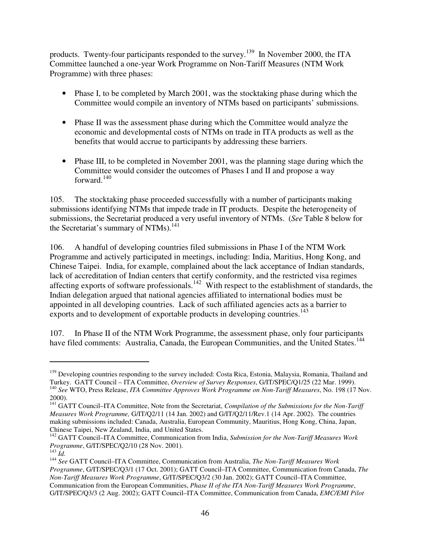products. Twenty-four participants responded to the survey.<sup>139</sup> In November 2000, the ITA Committee launched a one-year Work Programme on Non-Tariff Measures (NTM Work Programme) with three phases:

- Phase I, to be completed by March 2001, was the stocktaking phase during which the Committee would compile an inventory of NTMs based on participants' submissions.
- Phase II was the assessment phase during which the Committee would analyze the economic and developmental costs of NTMs on trade in ITA products as well as the benefits that would accrue to participants by addressing these barriers.
- Phase III, to be completed in November 2001, was the planning stage during which the Committee would consider the outcomes of Phases I and II and propose a way forward. 140

105. The stocktaking phase proceeded successfully with a number of participants making submissions identifying NTMs that impede trade in IT products. Despite the heterogeneity of submissions, the Secretariat produced a very useful inventory of NTMs. (*See* Table 8 below for the Secretariat's summary of NTMs).<sup>141</sup>

106. A handful of developing countries filed submissions in Phase I of the NTM Work Programme and actively participated in meetings, including: India, Maritius, Hong Kong, and Chinese Taipei. India, for example, complained about the lack acceptance of Indian standards, lack of accreditation of Indian centers that certify conformity, and the restricted visa regimes affecting exports of software professionals.<sup>142</sup> With respect to the establishment of standards, the Indian delegation argued that national agencies affiliated to international bodies must be appointed in all developing countries. Lack of such affiliated agencies acts as a barrier to exports and to development of exportable products in developing countries.<sup>143</sup>

107. In Phase II of the NTM Work Programme, the assessment phase, only four participants have filed comments: Australia, Canada, the European Communities, and the United States.<sup>144</sup>

<sup>&</sup>lt;sup>139</sup> Developing countries responding to the survey included: Costa Rica, Estonia, Malaysia, Romania, Thailand and Turkey. GATT Council – ITA Committee, *Overview of Survey Responses*, G/IT/SPEC/Q1/25 (22 Mar. 1999).

<sup>140</sup> *See* WTO, Press Release, *ITA Committee Approves Work Programme on Non-Tariff Measures*, No. 198 (17 Nov. 2000).

<sup>141</sup> GATT Council–ITA Committee, Note from the Secretariat, *Compilation of the Submissions for the Non-Tariff Measures Work Programme,* G/IT/Q2/11 (14 Jan. 2002) and G/IT/Q2/11/Rev.1 (14 Apr. 2002). The countries making submissions included: Canada, Australia, European Community, Mauritius, Hong Kong, China, Japan, Chinese Taipei, New Zealand, India, and United States.

<sup>142</sup> GATT Council–ITA Committee, Communication from India, *Submission for the Non-Tariff Measures Work Programme*, G/IT/SPEC/Q2/10 (28 Nov. 2001).

<sup>143</sup> *Id.*

<sup>144</sup> *See* GATT Council–ITA Committee, Communication from Australia, *The Non-Tariff Measures Work Programme*, G/IT/SPEC/Q3/1 (17 Oct. 2001); GATT Council–ITA Committee, Communication from Canada, *The Non-Tariff Measures Work Programme*, G/IT/SPEC/Q3/2 (30 Jan. 2002); GATT Council–ITA Committee, Communication from the European Communities, *Phase II of the ITA Non-Tariff Measures Work Programme*, G/IT/SPEC/Q3/3 (2 Aug. 2002); GATT Council–ITA Committee, Communication from Canada, *EMC/EMI Pilot*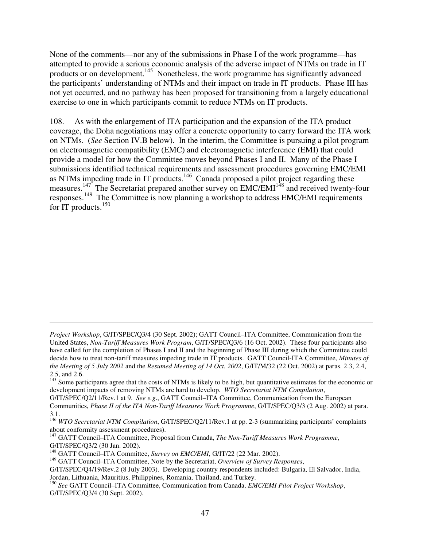None of the comments—nor any of the submissions in Phase I of the work programme—has attempted to provide a serious economic analysis of the adverse impact of NTMs on trade in IT products or on development.<sup>145</sup> Nonetheless, the work programme has significantly advanced the participants' understanding of NTMs and their impact on trade in IT products. Phase III has not yet occurred, and no pathway has been proposed for transitioning from a largely educational exercise to one in which participants commit to reduce NTMs on IT products.

108. As with the enlargement of ITA participation and the expansion of the ITA product coverage, the Doha negotiations may offer a concrete opportunity to carry forward the ITA work on NTMs. (*See* Section IV.B below). In the interim, the Committee is pursuing a pilot program on electromagnetic compatibility (EMC) and electromagnetic interference (EMI) that could provide a model for how the Committee moves beyond Phases I and II. Many of the Phase I submissions identified technical requirements and assessment procedures governing EMC/EMI as NTMs impeding trade in IT products.<sup>146</sup> Canada proposed a pilot project regarding these measures.<sup>147</sup> The Secretariat prepared another survey on EMC/EMI<sup>148</sup> and received twenty-four responses.<sup>149</sup> The Committee is now planning a workshop to address EMC/EMI requirements for IT products.<sup>150</sup>

<u> 2008 - Andrea Station Barbara, actor a component de la contrada de la contrada de la contrada de la contrada</u>

*Project Workshop*, G/IT/SPEC/Q3/4 (30 Sept. 2002); GATT Council–ITA Committee, Communication from the United States, *Non-Tariff Measures Work Program*, G/IT/SPEC/Q3/6 (16 Oct. 2002). These four participants also have called for the completion of Phases I and II and the beginning of Phase III during which the Committee could decide how to treat non-tariff measures impeding trade in IT products. GATT Council-ITA Committee, *Minutes of the Meeting of 5 July 2002* and the *Resumed Meeting of 14 Oct. 2002*, G/IT/M/32 (22 Oct. 2002) at paras. 2.3, 2.4, 2.5, and 2.6.

<sup>&</sup>lt;sup>145</sup> Some participants agree that the costs of NTMs is likely to be high, but quantitative estimates for the economic or development impacts of removing NTMs are hard to develop. *WTO Secretariat NTM Compilation*,

G/IT/SPEC/Q2/11/Rev.1 at 9. *See e.g*., GATT Council–ITA Committee, Communication from the European Communities, *Phase II of the ITA Non-Tariff Measures Work Programme*, G/IT/SPEC/Q3/3 (2 Aug. 2002) at para. 3.1.

<sup>146</sup> *WTO Secretariat NTM Compilation*, G/IT/SPEC/Q2/11/Rev.1 at pp. 2-3 (summarizing participants' complaints about conformity assessment procedures).

<sup>147</sup> GATT Council–ITA Committee, Proposal from Canada, *The Non-Tariff Measures Work Programme*, G/IT/SPEC/Q3/2 (30 Jan. 2002).

<sup>148</sup> GATT Council–ITA Committee, *Survey on EMC/EMI*, G/IT/22 (22 Mar. 2002).

<sup>149</sup> GATT Council–ITA Committee, Note by the Secretariat, *Overview of Survey Responses*,

G/IT/SPEC/Q4/19/Rev.2 (8 July 2003). Developing country respondents included: Bulgaria, El Salvador, India, Jordan, Lithuania, Mauritius, Philippines, Romania, Thailand, and Turkey.

<sup>150</sup> *See* GATT Council–ITA Committee, Communication from Canada, *EMC/EMI Pilot Project Workshop*, G/IT/SPEC/Q3/4 (30 Sept. 2002).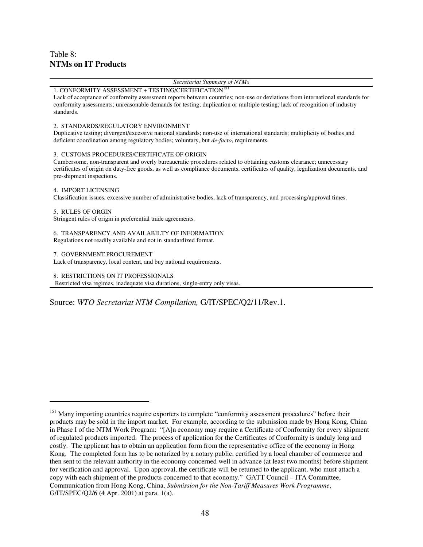#### *Secretariat Summary of NTMs*

### 1. CONFORMITY ASSESSMENT + TESTING/CERTIFICATION 151

Lack of acceptance of conformity assessment reports between countries; non-use or deviations from international standards for conformity assessments; unreasonable demands for testing; duplication or multiple testing; lack of recognition of industry standards.

### 2. STANDARDS/REGULATORY ENVIRONMENT

Duplicative testing; divergent/excessive national standards; non-use of international standards; multiplicity of bodies and deficient coordination among regulatory bodies; voluntary, but *de-facto*, requirements.

### 3. CUSTOMS PROCEDURES/CERTIFICATE OF ORIGIN

Cumbersome, non-transparent and overly bureaucratic procedures related to obtaining customs clearance; unnecessary certificates of origin on duty-free goods, as well as compliance documents, certificates of quality, legalization documents, and pre-shipment inspections.

### 4. IMPORT LICENSING

Classification issues, excessive number of administrative bodies, lack of transparency, and processing/approval times.

5. RULES OF ORGIN Stringent rules of origin in preferential trade agreements.

6. TRANSPARENCY AND AVAILABILTY OF INFORMATION Regulations not readily available and not in standardized format.

### 7. GOVERNMENT PROCUREMENT

Lack of transparency, local content, and buy national requirements.

### 8. RESTRICTIONS ON IT PROFESSIONALS

Restricted visa regimes, inadequate visa durations, single-entry only visas.

Source: *WTO Secretariat NTM Compilation,* G/IT/SPEC/Q2/11/Rev.1.

<sup>&</sup>lt;sup>151</sup> Many importing countries require exporters to complete "conformity assessment procedures" before their products may be sold in the import market. For example, according to the submission made by Hong Kong, China in Phase I of the NTM Work Program: "[A]n economy may require a Certificate of Conformity for every shipment of regulated products imported. The process of application for the Certificates of Conformity is unduly long and costly. The applicant has to obtain an application form from the representative office of the economy in Hong Kong. The completed form has to be notarized by a notary public, certified by a local chamber of commerce and then sent to the relevant authority in the economy concerned well in advance (at least two months) before shipment for verification and approval. Upon approval, the certificate will be returned to the applicant, who must attach a copy with each shipment of the products concerned to that economy." GATT Council – ITA Committee, Communication from Hong Kong, China, *Submission for the Non-Tariff Measures Work Programme*, G/IT/SPEC/Q2/6 (4 Apr. 2001) at para. 1(a).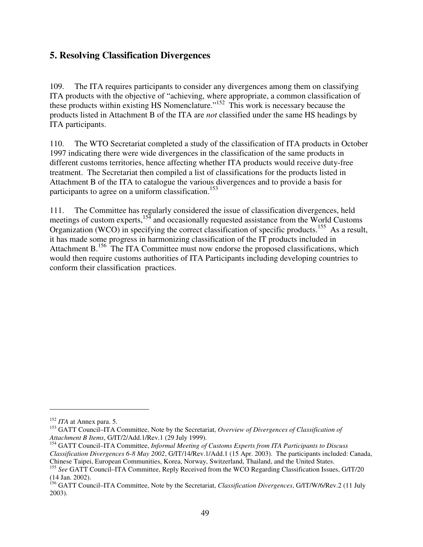## **5. Resolving Classification Divergences**

109. The ITA requires participants to consider any divergences among them on classifying ITA products with the objective of "achieving, where appropriate, a common classification of these products within existing HS Nomenclature."<sup>152</sup> This work is necessary because the products listed in Attachment B of the ITA are *not* classified under the same HS headings by ITA participants.

110. The WTO Secretariat completed a study of the classification of ITA products in October 1997 indicating there were wide divergences in the classification of the same products in different customs territories, hence affecting whether ITA products would receive duty-free treatment. The Secretariat then compiled a list of classifications for the products listed in Attachment B of the ITA to catalogue the various divergences and to provide a basis for participants to agree on a uniform classification. 153

111. The Committee has regularly considered the issue of classification divergences, held meetings of custom experts, <sup>154</sup> and occasionally requested assistance from the World Customs Organization (WCO) in specifying the correct classification of specific products.<sup>155</sup> As a result, it has made some progress in harmonizing classification of the IT products included in Attachment B.<sup>156</sup> The ITA Committee must now endorse the proposed classifications, which would then require customs authorities of ITA Participants including developing countries to conform their classification practices.

<sup>152</sup> *ITA* at Annex para. 5.

<sup>153</sup> GATT Council–ITA Committee, Note by the Secretariat, *Overview of Divergences of Classification of Attachment B Items*, G/IT/2/Add.1/Rev.1 (29 July 1999).

<sup>154</sup> GATT Council–ITA Committee, *Informal Meeting of Customs Experts from ITA Participants to Discuss Classification Divergences 6-8 May 2002*, G/IT/14/Rev.1/Add.1 (15 Apr. 2003). The participants included: Canada, Chinese Taipei, European Communities, Korea, Norway, Switzerland, Thailand, and the United States.

<sup>&</sup>lt;sup>155</sup> See GATT Council–ITA Committee, Reply Received from the WCO Regarding Classification Issues, G/IT/20 (14 Jan. 2002).

<sup>156</sup> GATT Council–ITA Committee, Note by the Secretariat, *Classification Divergences*, G/IT/W/6/Rev.2 (11 July 2003).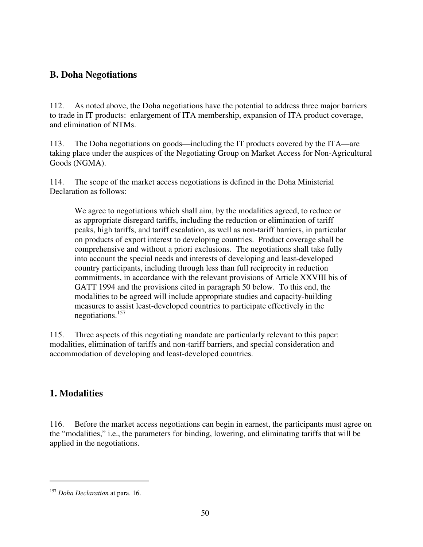### **B. Doha Negotiations**

112. As noted above, the Doha negotiations have the potential to address three major barriers to trade in IT products: enlargement of ITA membership, expansion of ITA product coverage, and elimination of NTMs.

113. The Doha negotiations on goods—including the IT products covered by the ITA—are taking place under the auspices of the Negotiating Group on Market Access for Non-Agricultural Goods (NGMA).

114. The scope of the market access negotiations is defined in the Doha Ministerial Declaration as follows:

We agree to negotiations which shall aim, by the modalities agreed, to reduce or as appropriate disregard tariffs, including the reduction or elimination of tariff peaks, high tariffs, and tariff escalation, as well as non-tariff barriers, in particular on products of export interest to developing countries. Product coverage shall be comprehensive and without a priori exclusions. The negotiations shall take fully into account the special needs and interests of developing and least-developed country participants, including through less than full reciprocity in reduction commitments, in accordance with the relevant provisions of Article XXVIII bis of GATT 1994 and the provisions cited in paragraph 50 below. To this end, the modalities to be agreed will include appropriate studies and capacity-building measures to assist least-developed countries to participate effectively in the negotiations. 157

115. Three aspects of this negotiating mandate are particularly relevant to this paper: modalities, elimination of tariffs and non-tariff barriers, and special consideration and accommodation of developing and least-developed countries.

### **1. Modalities**

116. Before the market access negotiations can begin in earnest, the participants must agree on the "modalities," i.e., the parameters for binding, lowering, and eliminating tariffs that will be applied in the negotiations.

<sup>157</sup> *Doha Declaration* at para. 16.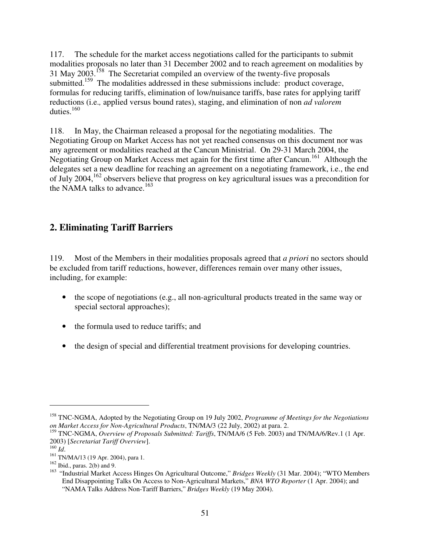117. The schedule for the market access negotiations called for the participants to submit modalities proposals no later than 31 December 2002 and to reach agreement on modalities by 31 May 2003.<sup>158</sup> The Secretariat compiled an overview of the twenty-five proposals submitted.<sup>159</sup> The modalities addressed in these submissions include: product coverage, formulas for reducing tariffs, elimination of low/nuisance tariffs, base rates for applying tariff reductions (i.e.*,* applied versus bound rates), staging, and elimination of non *ad valorem* duties. 160

118. In May, the Chairman released a proposal for the negotiating modalities. The Negotiating Group on Market Access has not yet reached consensus on this document nor was any agreement or modalities reached at the Cancun Ministrial. On 29-31 March 2004, the Negotiating Group on Market Access met again for the first time after Cancun.<sup>161</sup> Although the delegates set a new deadline for reaching an agreement on a negotiating framework, i.e., the end of July 2004,<sup>162</sup> observers believe that progress on key agricultural issues was a precondition for the NAMA talks to advance.<sup>163</sup>

# **2. Eliminating Tariff Barriers**

119. Most of the Members in their modalities proposals agreed that *a priori* no sectors should be excluded from tariff reductions, however, differences remain over many other issues, including, for example:

- the scope of negotiations (e.g., all non-agricultural products treated in the same way or special sectoral approaches);
- the formula used to reduce tariffs; and
- the design of special and differential treatment provisions for developing countries.

<sup>158</sup> TNC-NGMA, Adopted by the Negotiating Group on 19 July 2002, *Programme of Meetings for the Negotiations on Market Access for Non-Agricultural Products*, TN/MA/3 (22 July, 2002) at para. 2.

<sup>159</sup> TNC-NGMA, *Overview of Proposals Submitted: Tariffs*, TN/MA/6 (5 Feb. 2003) and TN/MA/6/Rev.1 (1 Apr. 2003) [*Secretariat Tariff Overview*]. 160 *Id*.

<sup>&</sup>lt;sup>161</sup> TN/MA/13 (19 Apr. 2004), para 1.

<sup>162</sup> Ibid., paras. 2(b) and 9.

<sup>163</sup> "Industrial Market Access Hinges On Agricultural Outcome," *Bridges Weekly* (31 Mar. 2004); "WTO Members End Disappointing Talks On Access to Non-Agricultural Markets," *BNA WTO Reporter* (1 Apr. 2004); and "NAMA Talks Address Non-Tariff Barriers," *Bridges Weekly* (19 May 2004).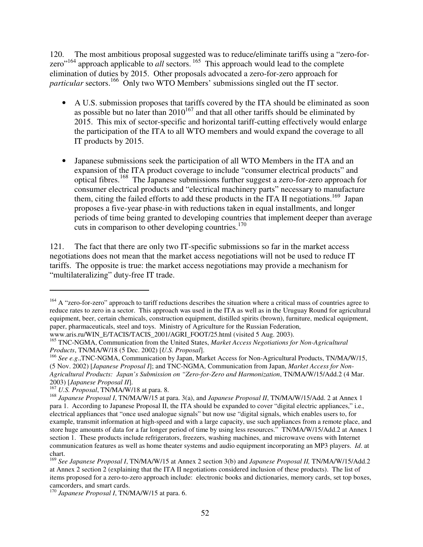120. The most ambitious proposal suggested was to reduce/eliminate tariffs using a "zero-forzero"<sup>164</sup> approach applicable to all sectors.<sup>165</sup> This approach would lead to the complete elimination of duties by 2015. Other proposals advocated a zero-for-zero approach for particular sectors.<sup>166</sup> Only two WTO Members' submissions singled out the IT sector.

- A U.S. submission proposes that tariffs covered by the ITA should be eliminated as soon as possible but no later than  $2010^{167}$  and that all other tariffs should be eliminated by 2015. This mix of sector-specific and horizontal tariff-cutting effectively would enlarge the participation of the ITA to all WTO members and would expand the coverage to all IT products by 2015.
- Japanese submissions seek the participation of all WTO Members in the ITA and an expansion of the ITA product coverage to include "consumer electrical products" and optical fibres. 168 The Japanese submissions further suggest a zero-for-zero approach for consumer electrical products and "electrical machinery parts" necessary to manufacture them, citing the failed efforts to add these products in the ITA II negotiations.<sup>169</sup> Japan proposes a five-year phase-in with reductions taken in equal installments, and longer periods of time being granted to developing countries that implement deeper than average cuts in comparison to other developing countries.<sup>170</sup>

121. The fact that there are only two IT-specific submissions so far in the market access negotiations does not mean that the market access negotiations will not be used to reduce IT tariffs. The opposite is true: the market access negotiations may provide a mechanism for "multilateralizing" duty-free IT trade.

<sup>&</sup>lt;sup>164</sup> A "zero-for-zero" approach to tariff reductions describes the situation where a critical mass of countries agree to reduce rates to zero in a sector. This approach was used in the ITA as well as in the Uruguay Round for agricultural equipment, beer, certain chemicals, construction equipment, distilled spirits (brown), furniture, medical equipment, paper, pharmaceuticals, steel and toys. Ministry of Agriculture for the Russian Federation, www.aris.ru/WIN\_E/TACIS/TACIS\_2001/AGRI\_FOOT/25.html (visited 5 Aug. 2003).

<sup>165</sup> TNC-NGMA, Communication from the United States, *Market Access Negotiations for Non-Agricultural Products*, TN/MA/W/18 (5 Dec. 2002) [*U.S. Proposal*].

<sup>&</sup>lt;sup>166</sup> See e.g.,TNC-NGMA, Communication by Japan, Market Access for Non-Agricultural Products, TN/MA/W/15, (5 Nov. 2002) [*Japanese Proposal I*]; and TNC-NGMA, Communication from Japan, *Market Access for Non-Agricultural Products: Japan's Submission on "Zero-for-Zero and Harmonization*, TN/MA/W/15/Add.2 (4 Mar. 2003) [*Japanese Proposal II*].

<sup>167</sup> *U.S. Proposal*, TN/MA/W/18 at para. 8.

<sup>168</sup> *Japanese Proposal I*, TN/MA/W/15 at para. 3(a), and *Japanese Proposal II*, TN/MA/W/15/Add. 2 at Annex 1 para 1. According to Japanese Proposal II, the ITA should be expanded to cover "digital electric appliances," i.e.*,* electrical appliances that "once used analogue signals" but now use "digital signals, which enables users to, for example, transmit information at high-speed and with a large capacity, use such appliances from a remote place, and store huge amounts of data for a far longer period of time by using less resources." TN/MA/W/15/Add.2 at Annex 1 section 1. These products include refrigerators, freezers, washing machines, and microwave ovens with Internet communication features as well as home theater systems and audio equipment incorporating an MP3 players. *Id*. at chart.

<sup>169</sup> *See Japanese Proposal I*, TN/MA/W/15 at Annex 2 section 3(b) and *Japanese Proposal II,* TN/MA/W/15/Add.2 at Annex 2 section 2 (explaining that the ITA II negotiations considered inclusion of these products). The list of items proposed for a zero-to-zero approach include: electronic books and dictionaries, memory cards, set top boxes, camcorders, and smart cards.

<sup>170</sup> *Japanese Proposal I*, TN/MA/W/15 at para. 6.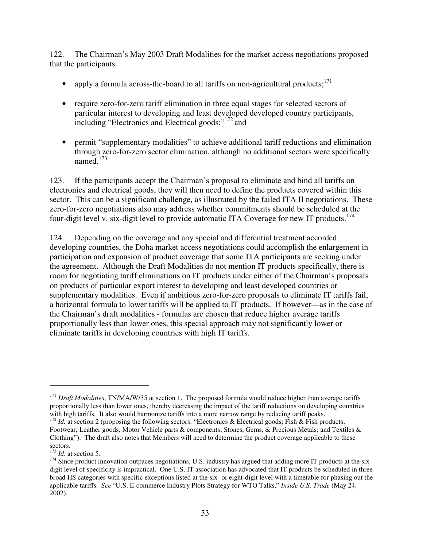122. The Chairman's May 2003 Draft Modalities for the market access negotiations proposed that the participants:

- apply a formula across-the-board to all tariffs on non-agricultural products; $^{171}$
- require zero-for-zero tariff elimination in three equal stages for selected sectors of particular interest to developing and least developed developed country participants, including "Electronics and Electrical goods;"<sup>172</sup> and
- permit "supplementary modalities" to achieve additional tariff reductions and elimination through zero-for-zero sector elimination, although no additional sectors were specifically named. 173

123. If the participants accept the Chairman's proposal to eliminate and bind all tariffs on electronics and electrical goods, they will then need to define the products covered within this sector. This can be a significant challenge, as illustrated by the failed ITA II negotiations. These zero-for-zero negotiations also may address whether commitments should be scheduled at the four-digit level v. six-digit level to provide automatic ITA Coverage for new IT products.<sup>174</sup>

124. Depending on the coverage and any special and differential treatment accorded developing countries, the Doha market access negotiations could accomplish the enlargement in participation and expansion of product coverage that some ITA participants are seeking under the agreement. Although the Draft Modalities do not mention IT products specifically, there is room for negotiating tariff eliminations on IT products under either of the Chairman's proposals on products of particular export interest to developing and least developed countries or supplementary modalities. Even if ambitious zero-for-zero proposals to eliminate IT tariffs fail, a horizontal formula to lower tariffs will be applied to IT products. If however—as in the case of the Chairman's draft modalities - formulas are chosen that reduce higher average tariffs proportionally less than lower ones, this special approach may not significantly lower or eliminate tariffs in developing countries with high IT tariffs.

<sup>&</sup>lt;sup>171</sup> *Draft Modalities*, TN/MA/W/35 at section 1. The proposed formula would reduce higher than average tariffs proportionally less than lower ones, thereby decreasing the impact of the tariff reductions on developing countries with high tariffs. It also would harmonize tariffs into a more narrow range by reducing tariff peaks.

<sup>&</sup>lt;sup>172</sup> *Id.* at section 2 (proposing the following sectors: "Electronics & Electrical goods; Fish & Fish products; Footwear; Leather goods; Motor Vehicle parts & components; Stones, Gems, & Precious Metals; and Textiles & Clothing"). The draft also notes that Members will need to determine the product coverage applicable to these

sectors.<br><sup>173</sup> *Id*. at section 5.

 $174$  Since product innovation outpaces negotiations, U.S. industry has argued that adding more IT products at the sixdigit level of specificity is impractical. One U.S. IT association has advocated that IT products be scheduled in three broad HS categories with specific exceptions listed at the six- or eight-digit level with a timetable for phasing out the applicable tariffs. *See* "U.S. E-commerce Industry Plots Strategy for WTO Talks," *Inside U.S. Trade* (May 24, 2002).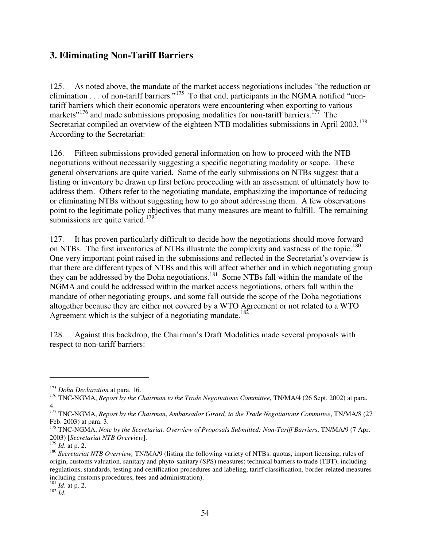## **3. Eliminating Non-Tariff Barriers**

125. As noted above, the mandate of the market access negotiations includes "the reduction or elimination . . . of non-tariff barriers."<sup>175</sup> To that end, participants in the NGMA notified "nontariff barriers which their economic operators were encountering when exporting to various markets"<sup>176</sup> and made submissions proposing modalities for non-tariff barriers.<sup>177</sup> The Secretariat compiled an overview of the eighteen NTB modalities submissions in April 2003.<sup>178</sup> According to the Secretariat:

126. Fifteen submissions provided general information on how to proceed with the NTB negotiations without necessarily suggesting a specific negotiating modality or scope. These general observations are quite varied. Some of the early submissions on NTBs suggest that a listing or inventory be drawn up first before proceeding with an assessment of ultimately how to address them. Others refer to the negotiating mandate, emphasizing the importance of reducing or eliminating NTBs without suggesting how to go about addressing them. A few observations point to the legitimate policy objectives that many measures are meant to fulfill. The remaining submissions are quite varied.<sup>179</sup>

127. It has proven particularly difficult to decide how the negotiations should move forward on NTBs. The first inventories of NTBs illustrate the complexity and vastness of the topic.<sup>180</sup> One very important point raised in the submissions and reflected in the Secretariat's overview is that there are different types of NTBs and this will affect whether and in which negotiating group they can be addressed by the Doha negotiations. 181 Some NTBs fall within the mandate of the NGMA and could be addressed within the market access negotiations, others fall within the mandate of other negotiating groups, and some fall outside the scope of the Doha negotiations altogether because they are either not covered by a WTO Agreement or not related to a WTO Agreement which is the subject of a negotiating mandate.<sup>182</sup>

128. Against this backdrop, the Chairman's Draft Modalities made several proposals with respect to non-tariff barriers:

<sup>175</sup> *Doha Declaration* at para. 16.

<sup>176</sup> TNC-NGMA, *Report by the Chairman to the Trade Negotiations Committee*, TN/MA/4 (26 Sept. 2002) at para. 4.

<sup>177</sup> TNC-NGMA, *Report by the Chairman, Ambassador Girard, to the Trade Negotiations Committee*, TN/MA/8 (27 Feb. 2003) at para. 3.

<sup>178</sup> TNC-NGMA, *Note by the Secretariat, Overview of Proposals Submitted: Non-Tariff Barriers*, TN/MA/9 (7 Apr. 2003) [*Secretariat NTB Overview*].

<sup>179</sup> *Id*. at p. 2.

<sup>180</sup> *Secretariat NTB Overview,* TN/MA/9 (listing the following variety of NTBs: quotas, import licensing, rules of origin, customs valuation, sanitary and phyto-sanitary (SPS) measures; technical barriers to trade (TBT), including regulations, standards, testing and certification procedures and labeling, tariff classification, border-related measures including customs procedures, fees and administration).

<sup>181</sup> *Id*. at p. 2.

<sup>182</sup> *Id*.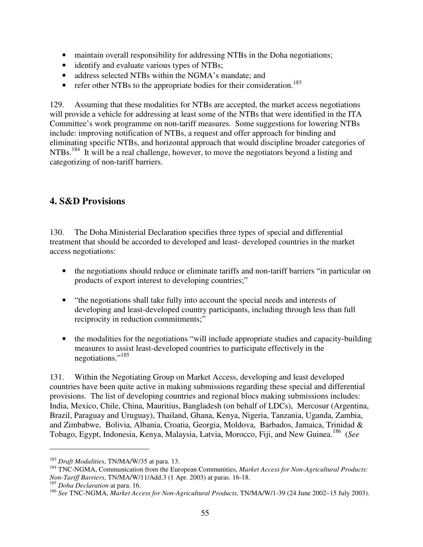- maintain overall responsibility for addressing NTBs in the Doha negotiations;
- identify and evaluate various types of NTBs;
- address selected NTBs within the NGMA's mandate; and
- refer other NTBs to the appropriate bodies for their consideration.<sup>183</sup>

129. Assuming that these modalities for NTBs are accepted, the market access negotiations will provide a vehicle for addressing at least some of the NTBs that were identified in the ITA Committee's work programme on non-tariff measures. Some suggestions for lowering NTBs include: improving notification of NTBs, a request and offer approach for binding and eliminating specific NTBs, and horizontal approach that would discipline broader categories of NTBs.<sup>184</sup> It will be a real challenge, however, to move the negotiators beyond a listing and categorizing of non-tariff barriers.

## **4. S&D Provisions**

130. The Doha Ministerial Declaration specifies three types of special and differential treatment that should be accorded to developed and least- developed countries in the market access negotiations:

- the negotiations should reduce or eliminate tariffs and non-tariff barriers "in particular on products of export interest to developing countries;"
- "the negotiations shall take fully into account the special needs and interests of developing and least-developed country participants, including through less than full reciprocity in reduction commitments;"
- the modalities for the negotiations "will include appropriate studies and capacity-building measures to assist least-developed countries to participate effectively in the negotiations."<sup>185</sup>

131. Within the Negotiating Group on Market Access, developing and least developed countries have been quite active in making submissions regarding these special and differential provisions. The list of developing countries and regional blocs making submissions includes: India, Mexico, Chile, China, Mauritius, Bangladesh (on behalf of LDCs), Mercosur (Argentina, Brazil, Paraguay and Uruguay), Thailand, Ghana, Kenya, Nigeria, Tanzania, Uganda, Zambia, and Zimbabwe, Bolivia, Albania, Croatia, Georgia, Moldova, Barbados, Jamaica, Trinidad & Tobago, Egypt, Indonesia, Kenya, Malaysia, Latvia, Morocco, Fiji, and New Guinea. 186 (*See*

<sup>183</sup> *Draft Modalities*, TN/MA/W/35 at para. 13.

<sup>184</sup> TNC-NGMA, Communication from the European Communities, *Market Access for Non-Agricultural Products: Non-Tariff Barriers*, TN/MA/W/11/Add.3 (1 Apr. 2003) at paras. 16-18.

<sup>185</sup> *Doha Declaration* at para. 16.

<sup>186</sup> *See* TNC-NGMA, *Market Access for Non-Agricultural Products*, TN/MA/W/1-39 (24 June 2002–15 July 2003).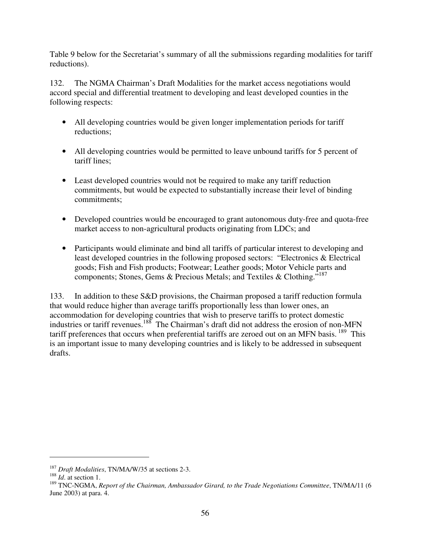Table 9 below for the Secretariat's summary of all the submissions regarding modalities for tariff reductions).

132. The NGMA Chairman's Draft Modalities for the market access negotiations would accord special and differential treatment to developing and least developed counties in the following respects:

- All developing countries would be given longer implementation periods for tariff reductions;
- All developing countries would be permitted to leave unbound tariffs for 5 percent of tariff lines;
- Least developed countries would not be required to make any tariff reduction commitments, but would be expected to substantially increase their level of binding commitments;
- Developed countries would be encouraged to grant autonomous duty-free and quota-free market access to non-agricultural products originating from LDCs; and
- Participants would eliminate and bind all tariffs of particular interest to developing and least developed countries in the following proposed sectors: "Electronics & Electrical goods; Fish and Fish products; Footwear; Leather goods; Motor Vehicle parts and components; Stones, Gems & Precious Metals; and Textiles & Clothing.<sup>5187</sup>

133. In addition to these S&D provisions, the Chairman proposed a tariff reduction formula that would reduce higher than average tariffs proportionally less than lower ones, an accommodation for developing countries that wish to preserve tariffs to protect domestic industries or tariff revenues.<sup>188</sup> The Chairman's draft did not address the erosion of non-MFN tariff preferences that occurs when preferential tariffs are zeroed out on an MFN basis.<sup>189</sup> This is an important issue to many developing countries and is likely to be addressed in subsequent drafts.

<sup>187</sup> *Draft Modalities*, TN/MA/W/35 at sections 2-3. 188 *Id*. at section 1.

<sup>189</sup> TNC-NGMA, *Report of the Chairman, Ambassador Girard, to the Trade Negotiations Committee*, TN/MA/11 (6 June 2003) at para. 4.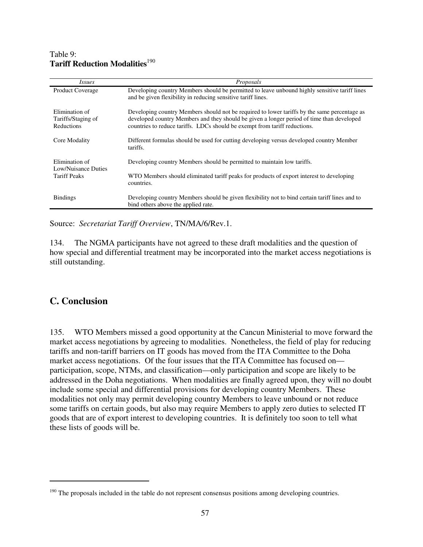### Table 9: **Tariff Reduction Modalities** 190

| <i>Issues</i>                                      | Proposals                                                                                                                                                                                                                                                               |
|----------------------------------------------------|-------------------------------------------------------------------------------------------------------------------------------------------------------------------------------------------------------------------------------------------------------------------------|
| <b>Product Coverage</b>                            | Developing country Members should be permitted to leave unbound highly sensitive tariff lines<br>and be given flexibility in reducing sensitive tariff lines.                                                                                                           |
| Elimination of<br>Tariffs/Staging of<br>Reductions | Developing country Members should not be required to lower tariffs by the same percentage as<br>developed country Members and they should be given a longer period of time than developed<br>countries to reduce tariffs. LDCs should be exempt from tariff reductions. |
| Core Modality                                      | Different formulas should be used for cutting developing versus developed country Member<br>tariffs.                                                                                                                                                                    |
| Elimination of<br><b>Low/Nuisance Duties</b>       | Developing country Members should be permitted to maintain low tariffs.                                                                                                                                                                                                 |
| <b>Tariff Peaks</b>                                | WTO Members should eliminated tariff peaks for products of export interest to developing<br>countries.                                                                                                                                                                  |
| <b>Bindings</b>                                    | Developing country Members should be given flexibility not to bind certain tariff lines and to<br>bind others above the applied rate.                                                                                                                                   |

Source: *Secretariat Tariff Overview*, TN/MA/6/Rev.1.

134. The NGMA participants have not agreed to these draft modalities and the question of how special and differential treatment may be incorporated into the market access negotiations is still outstanding.

# **C. Conclusion**

135. WTO Members missed a good opportunity at the Cancun Ministerial to move forward the market access negotiations by agreeing to modalities. Nonetheless, the field of play for reducing tariffs and non-tariff barriers on IT goods has moved from the ITA Committee to the Doha market access negotiations. Of the four issues that the ITA Committee has focused on participation, scope, NTMs, and classification—only participation and scope are likely to be addressed in the Doha negotiations. When modalities are finally agreed upon, they will no doubt include some special and differential provisions for developing country Members. These modalities not only may permit developing country Members to leave unbound or not reduce some tariffs on certain goods, but also may require Members to apply zero duties to selected IT goods that are of export interest to developing countries. It is definitely too soon to tell what these lists of goods will be.

 $190$  The proposals included in the table do not represent consensus positions among developing countries.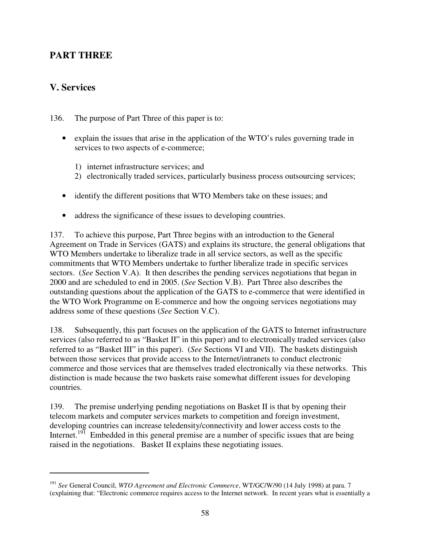## **PART THREE**

## **V. Services**

- 136. The purpose of Part Three of this paper is to:
	- explain the issues that arise in the application of the WTO's rules governing trade in services to two aspects of e-commerce;
		- 1) internet infrastructure services; and

- 2) electronically traded services, particularly business process outsourcing services;
- identify the different positions that WTO Members take on these issues; and
- address the significance of these issues to developing countries.

137. To achieve this purpose, Part Three begins with an introduction to the General Agreement on Trade in Services (GATS) and explains its structure, the general obligations that WTO Members undertake to liberalize trade in all service sectors, as well as the specific commitments that WTO Members undertake to further liberalize trade in specific services sectors. (*See* Section V.A). It then describes the pending services negotiations that began in 2000 and are scheduled to end in 2005. (*See* Section V.B). Part Three also describes the outstanding questions about the application of the GATS to e-commerce that were identified in the WTO Work Programme on E-commerce and how the ongoing services negotiations may address some of these questions (*See* Section V.C).

138. Subsequently, this part focuses on the application of the GATS to Internet infrastructure services (also referred to as "Basket II" in this paper) and to electronically traded services (also referred to as "Basket III" in this paper). (*See* Sections VI and VII). The baskets distinguish between those services that provide access to the Internet/intranets to conduct electronic commerce and those services that are themselves traded electronically via these networks. This distinction is made because the two baskets raise somewhat different issues for developing countries.

139. The premise underlying pending negotiations on Basket II is that by opening their telecom markets and computer services markets to competition and foreign investment, developing countries can increase teledensity/connectivity and lower access costs to the Internet.<sup>191</sup> Embedded in this general premise are a number of specific issues that are being raised in the negotiations. Basket II explains these negotiating issues.

<sup>191</sup> *See* General Council, *WTO Agreement and Electronic Commerce*, WT/GC/W/90 (14 July 1998) at para. 7 (explaining that: "Electronic commerce requires access to the Internet network. In recent years what is essentially a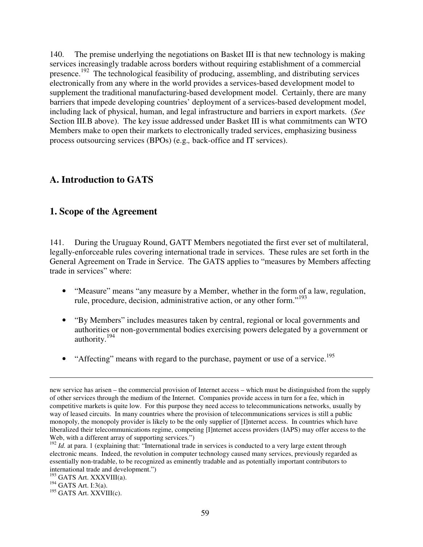140. The premise underlying the negotiations on Basket III is that new technology is making services increasingly tradable across borders without requiring establishment of a commercial presence.<sup>192</sup> The technological feasibility of producing, assembling, and distributing services electronically from any where in the world provides a services-based development model to supplement the traditional manufacturing-based development model. Certainly, there are many barriers that impede developing countries' deployment of a services-based development model, including lack of physical, human, and legal infrastructure and barriers in export markets. (*See* Section III.B above). The key issue addressed under Basket III is what commitments can WTO Members make to open their markets to electronically traded services, emphasizing business process outsourcing services (BPOs) (e.g.*,* back-office and IT services).

### **A. Introduction to GATS**

### **1. Scope of the Agreement**

141. During the Uruguay Round, GATT Members negotiated the first ever set of multilateral, legally-enforceable rules covering international trade in services. These rules are set forth in the General Agreement on Trade in Service. The GATS applies to "measures by Members affecting trade in services" where:

- "Measure" means "any measure by a Member, whether in the form of a law, regulation, rule, procedure, decision, administrative action, or any other form."<sup>193</sup>
- "By Members" includes measures taken by central, regional or local governments and authorities or non-governmental bodies exercising powers delegated by a government or authority. 194
- "Affecting" means with regard to the purchase, payment or use of a service.<sup>195</sup>

<u> 2008 - Andrea Station Barbara, actor a component de la contrada de la contrada de la contrada de la contrada</u>

new service has arisen – the commercial provision of Internet access – which must be distinguished from the supply of other services through the medium of the Internet. Companies provide access in turn for a fee, which in competitive markets is quite low. For this purpose they need access to telecommunications networks, usually by way of leased circuits. In many countries where the provision of telecommunications services is still a public monopoly, the monopoly provider is likely to be the only supplier of [I]nternet access. In countries which have liberalized their telecommunications regime, competing [I]nternet access providers (IAPS) may offer access to the Web, with a different array of supporting services.")

<sup>&</sup>lt;sup>192</sup> Id. at para. 1 (explaining that: "International trade in services is conducted to a very large extent through electronic means. Indeed, the revolution in computer technology caused many services, previously regarded as essentially non-tradable, to be recognized as eminently tradable and as potentially important contributors to international trade and development.")

<sup>&</sup>lt;sup>193</sup> GATS Art. XXXVIII(a).

<sup>&</sup>lt;sup>194</sup> GATS Art. I:3(a).

<sup>&</sup>lt;sup>195</sup> GATS Art. XXVIII(c).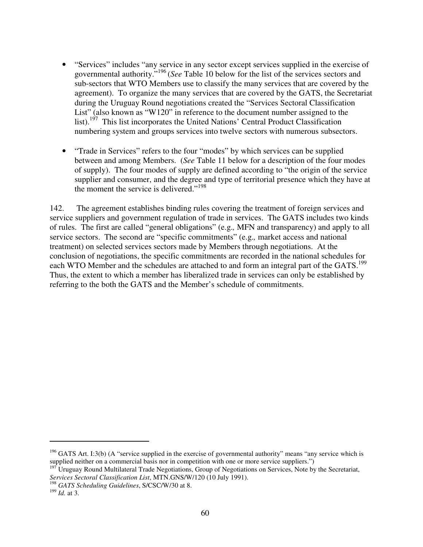- "Services" includes "any service in any sector except services supplied in the exercise of governmental authority." 196 (*See* Table 10 below for the list of the services sectors and sub-sectors that WTO Members use to classify the many services that are covered by the agreement). To organize the many services that are covered by the GATS, the Secretariat during the Uruguay Round negotiations created the "Services Sectoral Classification List" (also known as "W120" in reference to the document number assigned to the list).<sup>197</sup> This list incorporates the United Nations' Central Product Classification numbering system and groups services into twelve sectors with numerous subsectors.
- "Trade in Services" refers to the four "modes" by which services can be supplied between and among Members. (*See* Table 11 below for a description of the four modes of supply). The four modes of supply are defined according to "the origin of the service supplier and consumer, and the degree and type of territorial presence which they have at the moment the service is delivered."<sup>198</sup>

142. The agreement establishes binding rules covering the treatment of foreign services and service suppliers and government regulation of trade in services. The GATS includes two kinds of rules. The first are called "general obligations" (e.g.*,* MFN and transparency) and apply to all service sectors. The second are "specific commitments" (e.g.*,* market access and national treatment) on selected services sectors made by Members through negotiations. At the conclusion of negotiations, the specific commitments are recorded in the national schedules for each WTO Member and the schedules are attached to and form an integral part of the GATS.<sup>199</sup> Thus, the extent to which a member has liberalized trade in services can only be established by referring to the both the GATS and the Member's schedule of commitments.

 $196$  GATS Art. I:3(b) (A "service supplied in the exercise of governmental authority" means "any service which is supplied neither on a commercial basis nor in competition with one or more service suppliers.")

<sup>&</sup>lt;sup>197</sup> Uruguay Round Multilateral Trade Negotiations, Group of Negotiations on Services, Note by the Secretariat, *Services Sectoral Classification List*, MTN.GNS/W/120 (10 July 1991).

<sup>198</sup> *GATS Scheduling Guidelines*, S/CSC/W/30 at 8.

<sup>199</sup> *Id.* at 3.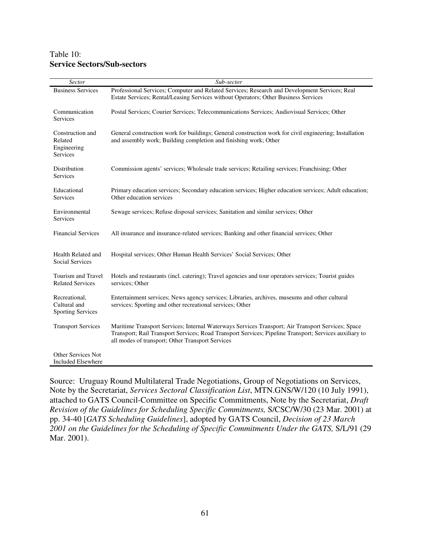#### Table 10: **Service Sectors/Sub-sectors**

| Sector                                                        | Sub-sector                                                                                                                                                                                                                                                      |
|---------------------------------------------------------------|-----------------------------------------------------------------------------------------------------------------------------------------------------------------------------------------------------------------------------------------------------------------|
| <b>Business Services</b>                                      | Professional Services; Computer and Related Services; Research and Development Services; Real<br>Estate Services; Rental/Leasing Services without Operators; Other Business Services                                                                            |
| Communication<br><b>Services</b>                              | Postal Services; Courier Services; Telecommunications Services; Audiovisual Services; Other                                                                                                                                                                     |
| Construction and<br>Related<br>Engineering<br><b>Services</b> | General construction work for buildings; General construction work for civil engineering; Installation<br>and assembly work; Building completion and finishing work; Other                                                                                      |
| Distribution<br>Services                                      | Commission agents' services; Wholesale trade services; Retailing services; Franchising; Other                                                                                                                                                                   |
| Educational<br>Services                                       | Primary education services; Secondary education services; Higher education services; Adult education;<br>Other education services                                                                                                                               |
| Environmental<br>Services                                     | Sewage services; Refuse disposal services; Sanitation and similar services; Other                                                                                                                                                                               |
| <b>Financial Services</b>                                     | All insurance and insurance-related services; Banking and other financial services; Other                                                                                                                                                                       |
| Health Related and<br><b>Social Services</b>                  | Hospital services; Other Human Health Services' Social Services; Other                                                                                                                                                                                          |
| Tourism and Travel<br><b>Related Services</b>                 | Hotels and restaurants (incl. catering); Travel agencies and tour operators services; Tourist guides<br>services; Other                                                                                                                                         |
| Recreational,<br>Cultural and<br><b>Sporting Services</b>     | Entertainment services; News agency services; Libraries, archives, museums and other cultural<br>services; Sporting and other recreational services; Other                                                                                                      |
| <b>Transport Services</b>                                     | Maritime Transport Services; Internal Waterways Services Transport; Air Transport Services; Space<br>Transport; Rail Transport Services; Road Transport Services; Pipeline Transport; Services auxiliary to<br>all modes of transport; Other Transport Services |
| <b>Other Services Not</b><br><b>Included Elsewhere</b>        |                                                                                                                                                                                                                                                                 |

Source: Uruguay Round Multilateral Trade Negotiations, Group of Negotiations on Services, Note by the Secretariat, *Services Sectoral Classification List*, MTN.GNS/W/120 (10 July 1991), attached to GATS Council-Committee on Specific Commitments, Note by the Secretariat, *Draft Revision of the Guidelines for Scheduling Specific Commitments,* S/CSC/W/30 (23 Mar. 2001) at pp. 34-40 [*GATS Scheduling Guidelines*], adopted by GATS Council, *Decision of 23 March 2001 on the Guidelines for the Scheduling of Specific Commitments Under the GATS,* S/L/91 (29 Mar. 2001).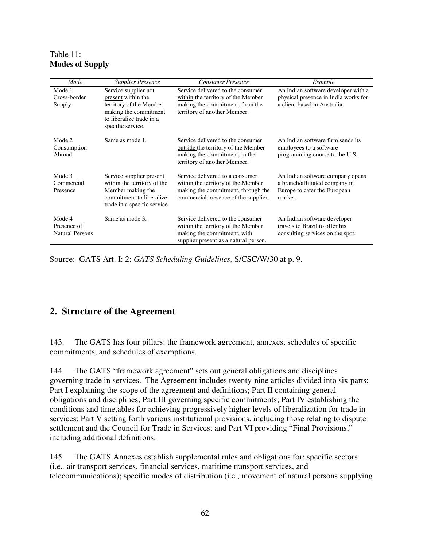#### Table 11: **Modes of Supply**

| Mode                                            | <b>Supplier Presence</b>                                                                                                                        | <b>Consumer Presence</b>                                                                                                                            | Example                                                                                                       |
|-------------------------------------------------|-------------------------------------------------------------------------------------------------------------------------------------------------|-----------------------------------------------------------------------------------------------------------------------------------------------------|---------------------------------------------------------------------------------------------------------------|
| Mode 1<br>Cross-border<br>Supply                | Service supplier not<br>present within the<br>territory of the Member<br>making the commitment<br>to liberalize trade in a<br>specific service. | Service delivered to the consumer<br>within the territory of the Member<br>making the commitment, from the<br>territory of another Member.          | An Indian software developer with a<br>physical presence in India works for<br>a client based in Australia.   |
| Mode 2<br>Consumption<br>Abroad                 | Same as mode 1.                                                                                                                                 | Service delivered to the consumer<br>outside the territory of the Member<br>making the commitment, in the<br>territory of another Member.           | An Indian software firm sends its<br>employees to a software<br>programming course to the U.S.                |
| Mode 3<br>Commercial<br>Presence                | Service supplier present<br>within the territory of the<br>Member making the<br>commitment to liberalize<br>trade in a specific service.        | Service delivered to a consumer<br>within the territory of the Member<br>making the commitment, through the<br>commercial presence of the supplier. | An Indian software company opens<br>a branch/affiliated company in<br>Europe to cater the European<br>market. |
| Mode 4<br>Presence of<br><b>Natural Persons</b> | Same as mode 3.                                                                                                                                 | Service delivered to the consumer<br>within the territory of the Member<br>making the commitment, with<br>supplier present as a natural person.     | An Indian software developer<br>travels to Brazil to offer his<br>consulting services on the spot.            |

Source: GATS Art. I: 2; *GATS Scheduling Guidelines,* S/CSC/W/30 at p. 9.

# **2. Structure of the Agreement**

143. The GATS has four pillars: the framework agreement, annexes, schedules of specific commitments, and schedules of exemptions.

144. The GATS "framework agreement" sets out general obligations and disciplines governing trade in services. The Agreement includes twenty-nine articles divided into six parts: Part I explaining the scope of the agreement and definitions; Part II containing general obligations and disciplines; Part III governing specific commitments; Part IV establishing the conditions and timetables for achieving progressively higher levels of liberalization for trade in services; Part V setting forth various institutional provisions, including those relating to dispute settlement and the Council for Trade in Services; and Part VI providing "Final Provisions," including additional definitions.

145. The GATS Annexes establish supplemental rules and obligations for: specific sectors (i.e.*,* air transport services, financial services, maritime transport services, and telecommunications); specific modes of distribution (i.e., movement of natural persons supplying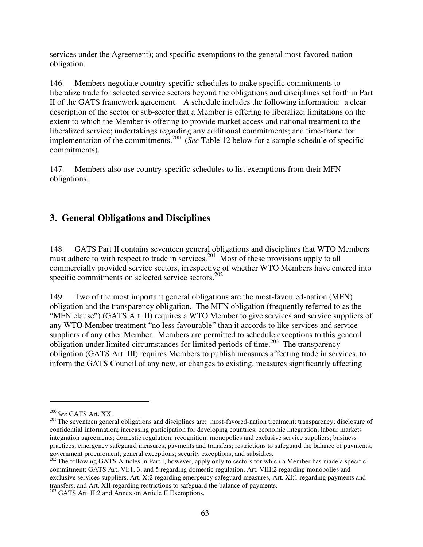services under the Agreement); and specific exemptions to the general most-favored-nation obligation.

146. Members negotiate country-specific schedules to make specific commitments to liberalize trade for selected service sectors beyond the obligations and disciplines set forth in Part II of the GATS framework agreement. A schedule includes the following information: a clear description of the sector or sub-sector that a Member is offering to liberalize; limitations on the extent to which the Member is offering to provide market access and national treatment to the liberalized service; undertakings regarding any additional commitments; and time-frame for implementation of the commitments. 200 (*See* Table 12 below for a sample schedule of specific commitments).

147. Members also use country-specific schedules to list exemptions from their MFN obligations.

# **3. General Obligations and Disciplines**

148. GATS Part II contains seventeen general obligations and disciplines that WTO Members must adhere to with respect to trade in services.<sup>201</sup> Most of these provisions apply to all commercially provided service sectors, irrespective of whether WTO Members have entered into specific commitments on selected service sectors.<sup>202</sup>

149. Two of the most important general obligations are the most-favoured-nation (MFN) obligation and the transparency obligation. The MFN obligation (frequently referred to as the "MFN clause") (GATS Art. II) requires a WTO Member to give services and service suppliers of any WTO Member treatment "no less favourable" than it accords to like services and service suppliers of any other Member. Members are permitted to schedule exceptions to this general obligation under limited circumstances for limited periods of time.<sup>203</sup> The transparency obligation (GATS Art. III) requires Members to publish measures affecting trade in services, to inform the GATS Council of any new, or changes to existing, measures significantly affecting

<sup>200</sup> *See* GATS Art. XX.

<sup>&</sup>lt;sup>201</sup> The seventeen general obligations and disciplines are: most-favored-nation treatment; transparency; disclosure of confidential information; increasing participation for developing countries; economic integration; labour markets integration agreements; domestic regulation; recognition; monopolies and exclusive service suppliers; business practices; emergency safeguard measures; payments and transfers; restrictions to safeguard the balance of payments; government procurement; general exceptions; security exceptions; and subsidies.

 $^{202}$  The following GATS Articles in Part I, however, apply only to sectors for which a Member has made a specific commitment: GATS Art. VI:1, 3, and 5 regarding domestic regulation, Art. VIII:2 regarding monopolies and exclusive services suppliers, Art. X:2 regarding emergency safeguard measures, Art. XI:1 regarding payments and transfers, and Art. XII regarding restrictions to safeguard the balance of payments.

<sup>&</sup>lt;sup>203</sup> GATS Art. II:2 and Annex on Article II Exemptions.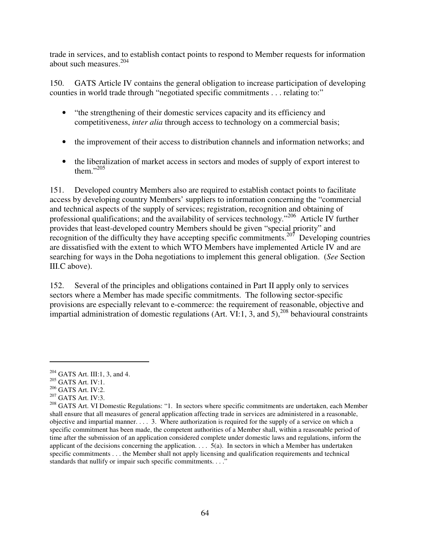trade in services, and to establish contact points to respond to Member requests for information about such measures. 204

150. GATS Article IV contains the general obligation to increase participation of developing counties in world trade through "negotiated specific commitments . . . relating to:"

- "the strengthening of their domestic services capacity and its efficiency and competitiveness, *inter alia* through access to technology on a commercial basis;
- the improvement of their access to distribution channels and information networks; and
- the liberalization of market access in sectors and modes of supply of export interest to them." 205

151. Developed country Members also are required to establish contact points to facilitate access by developing country Members' suppliers to information concerning the "commercial and technical aspects of the supply of services; registration, recognition and obtaining of professional qualifications; and the availability of services technology."<sup>206</sup> Article IV further provides that least-developed country Members should be given "special priority" and recognition of the difficulty they have accepting specific commitments.<sup>207</sup> Developing countries are dissatisfied with the extent to which WTO Members have implemented Article IV and are searching for ways in the Doha negotiations to implement this general obligation. (*See* Section III.C above).

152. Several of the principles and obligations contained in Part II apply only to services sectors where a Member has made specific commitments. The following sector-specific provisions are especially relevant to e-commerce: the requirement of reasonable, objective and impartial administration of domestic regulations (Art. VI:1, 3, and 5),  $^{208}$  behavioural constraints

<sup>207</sup> GATS Art. IV:3.

 $204$  GATS Art. III:1, 3, and 4.

<sup>205</sup> GATS Art. IV:1.

<sup>206</sup> GATS Art. IV:2.

<sup>&</sup>lt;sup>208</sup> GATS Art. VI Domestic Regulations: "1. In sectors where specific commitments are undertaken, each Member shall ensure that all measures of general application affecting trade in services are administered in a reasonable, objective and impartial manner. . . . 3. Where authorization is required for the supply of a service on which a specific commitment has been made, the competent authorities of a Member shall, within a reasonable period of time after the submission of an application considered complete under domestic laws and regulations, inform the applicant of the decisions concerning the application.  $\overline{S}(a)$ . In sectors in which a Member has undertaken specific commitments . . . the Member shall not apply licensing and qualification requirements and technical standards that nullify or impair such specific commitments. . . ."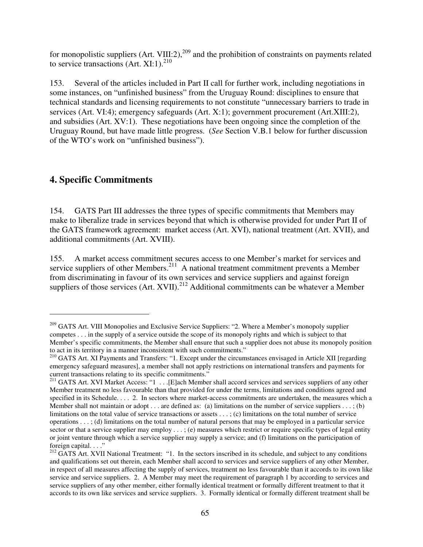for monopolistic suppliers (Art. VIII:2), $^{209}$  and the prohibition of constraints on payments related to service transactions  $(Art. XI:1).^{210}$ 

153. Several of the articles included in Part II call for further work, including negotiations in some instances, on "unfinished business" from the Uruguay Round: disciplines to ensure that technical standards and licensing requirements to not constitute "unnecessary barriers to trade in services (Art. VI:4); emergency safeguards (Art. X:1); government procurement (Art.XIII:2), and subsidies (Art. XV:1). These negotiations have been ongoing since the completion of the Uruguay Round, but have made little progress. (*See* Section V.B.1 below for further discussion of the WTO's work on "unfinished business").

## **4. Specific Commitments**

154. GATS Part III addresses the three types of specific commitments that Members may make to liberalize trade in services beyond that which is otherwise provided for under Part II of the GATS framework agreement: market access (Art. XVI), national treatment (Art. XVII), and additional commitments (Art. XVIII).

155. A market access commitment secures access to one Member's market for services and service suppliers of other Members. $^{211}$  A national treatment commitment prevents a Member from discriminating in favour of its own services and service suppliers and against foreign suppliers of those services (Art. XVII).<sup>212</sup> Additional commitments can be whatever a Member

<sup>&</sup>lt;sup>209</sup> GATS Art. VIII Monopolies and Exclusive Service Suppliers: "2. Where a Member's monopoly supplier competes . . . in the supply of a service outside the scope of its monopoly rights and which is subject to that Member's specific commitments, the Member shall ensure that such a supplier does not abuse its monopoly position to act in its territory in a manner inconsistent with such commitments."

<sup>&</sup>lt;sup>210</sup> GATS Art. XI Payments and Transfers: "1. Except under the circumstances envisaged in Article XII [regarding emergency safeguard measures], a member shall not apply restrictions on international transfers and payments for current transactions relating to its specific commitments."

<sup>&</sup>lt;sup>211</sup> GATS Art. XVI Market Access: "1 . . . [E]ach Member shall accord services and services suppliers of any other Member treatment no less favourable than that provided for under the terms, limitations and conditions agreed and specified in its Schedule. . . . 2. In sectors where market-access commitments are undertaken, the measures which a Member shall not maintain or adopt  $\dots$  are defined as: (a) limitations on the number of service suppliers  $\dots$ ; (b) limitations on the total value of service transactions or assets  $\dots$ ; (c) limitations on the total number of service operations . . . ; (d) limitations on the total number of natural persons that may be employed in a particular service sector or that a service supplier may employ . . . ; (e) measures which restrict or require specific types of legal entity or joint venture through which a service supplier may supply a service; and (f) limitations on the participation of foreign capital. . . ."

<sup>&</sup>lt;sup>212</sup> GATS Art. XVII National Treatment: "1. In the sectors inscribed in its schedule, and subject to any conditions and qualifications set out therein, each Member shall accord to services and service suppliers of any other Member, in respect of all measures affecting the supply of services, treatment no less favourable than it accords to its own like service and service suppliers. 2. A Member may meet the requirement of paragraph 1 by according to services and service suppliers of any other member, either formally identical treatment or formally different treatment to that it accords to its own like services and service suppliers. 3. Formally identical or formally different treatment shall be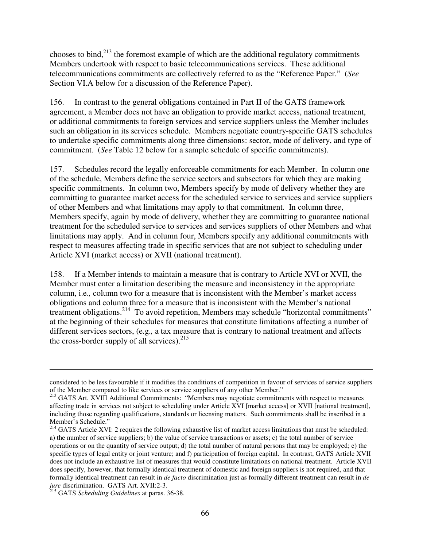chooses to bind, $^{213}$  the foremost example of which are the additional regulatory commitments Members undertook with respect to basic telecommunications services. These additional telecommunications commitments are collectively referred to as the "Reference Paper." (*See* Section VI.A below for a discussion of the Reference Paper).

156. In contrast to the general obligations contained in Part II of the GATS framework agreement, a Member does not have an obligation to provide market access, national treatment, or additional commitments to foreign services and service suppliers unless the Member includes such an obligation in its services schedule. Members negotiate country-specific GATS schedules to undertake specific commitments along three dimensions: sector, mode of delivery, and type of commitment. (*See* Table 12 below for a sample schedule of specific commitments).

157. Schedules record the legally enforceable commitments for each Member. In column one of the schedule, Members define the service sectors and subsectors for which they are making specific commitments. In column two, Members specify by mode of delivery whether they are committing to guarantee market access for the scheduled service to services and service suppliers of other Members and what limitations may apply to that commitment. In column three, Members specify, again by mode of delivery, whether they are committing to guarantee national treatment for the scheduled service to services and services suppliers of other Members and what limitations may apply. And in column four, Members specify any additional commitments with respect to measures affecting trade in specific services that are not subject to scheduling under Article XVI (market access) or XVII (national treatment).

158. If a Member intends to maintain a measure that is contrary to Article XVI or XVII, the Member must enter a limitation describing the measure and inconsistency in the appropriate column, i.e.*,* column two for a measure that is inconsistent with the Member's market access obligations and column three for a measure that is inconsistent with the Member's national treatment obligations.<sup>214</sup> To avoid repetition, Members may schedule "horizontal commitments" at the beginning of their schedules for measures that constitute limitations affecting a number of different services sectors, (e.g.*,* a tax measure that is contrary to national treatment and affects the cross-border supply of all services). 215

<u> 2008 - Andrea Station Barbara, actor a component de la contrada de la contrada de la contrada de la contrada</u>

considered to be less favourable if it modifies the conditions of competition in favour of services of service suppliers of the Member compared to like services or service suppliers of any other Member."

<sup>&</sup>lt;sup>213</sup> GATS Art. XVIII Additional Commitments: "Members may negotiate commitments with respect to measures affecting trade in services not subject to scheduling under Article XVI [market access] or XVII [national treatment], including those regarding qualifications, standards or licensing matters. Such commitments shall be inscribed in a Member's Schedule."

<sup>&</sup>lt;sup>214</sup> GATS Article XVI: 2 requires the following exhaustive list of market access limitations that must be scheduled: a) the number of service suppliers; b) the value of service transactions or assets; c) the total number of service operations or on the quantity of service output; d) the total number of natural persons that may be employed; e) the specific types of legal entity or joint venture; and f) participation of foreign capital. In contrast, GATS Article XVII does not include an exhaustive list of measures that would constitute limitations on national treatment. Article XVII does specify, however, that formally identical treatment of domestic and foreign suppliers is not required, and that formally identical treatment can result in *de facto* discrimination just as formally different treatment can result in *de jure* discrimination. GATS Art. XVII:2-3.

<sup>215</sup> GATS *Scheduling Guidelines* at paras. 36-38.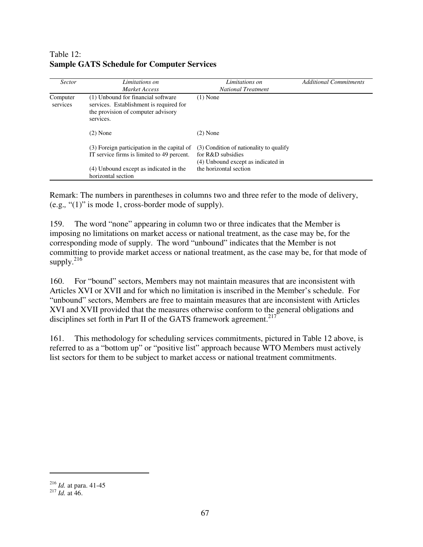Table 12: **Sample GATS Schedule for Computer Services**

| <b>Sector</b>        | Limitations on<br>Market Access                                                                                                  | Limitations on<br><b>National Treatment</b>                                                        | Additional Commitments |
|----------------------|----------------------------------------------------------------------------------------------------------------------------------|----------------------------------------------------------------------------------------------------|------------------------|
| Computer<br>services | (1) Unbound for financial software<br>services. Establishment is required for<br>the provision of computer advisory<br>services. | $(1)$ None                                                                                         |                        |
|                      | $(2)$ None                                                                                                                       | $(2)$ None                                                                                         |                        |
|                      | (3) Foreign participation in the capital of<br>IT service firms is limited to 49 percent.                                        | (3) Condition of nationality to qualify<br>for R&D subsidies<br>(4) Unbound except as indicated in |                        |
|                      | (4) Unbound except as indicated in the<br>horizontal section                                                                     | the horizontal section                                                                             |                        |

Remark: The numbers in parentheses in columns two and three refer to the mode of delivery, (e.g.*,* "(1)" is mode 1, cross-border mode of supply).

159. The word "none" appearing in column two or three indicates that the Member is imposing no limitations on market access or national treatment, as the case may be, for the corresponding mode of supply. The word "unbound" indicates that the Member is not committing to provide market access or national treatment, as the case may be, for that mode of supply. 216

160. For "bound" sectors, Members may not maintain measures that are inconsistent with Articles XVI or XVII and for which no limitation is inscribed in the Member's schedule. For "unbound" sectors, Members are free to maintain measures that are inconsistent with Articles XVI and XVII provided that the measures otherwise conform to the general obligations and disciplines set forth in Part II of the GATS framework agreement.<sup>217</sup>

161. This methodology for scheduling services commitments, pictured in Table 12 above, is referred to as a "bottom up" or "positive list" approach because WTO Members must actively list sectors for them to be subject to market access or national treatment commitments.

<sup>216</sup> *Id.* at para. 41-45

 $^{217}$  *Id.* at 46.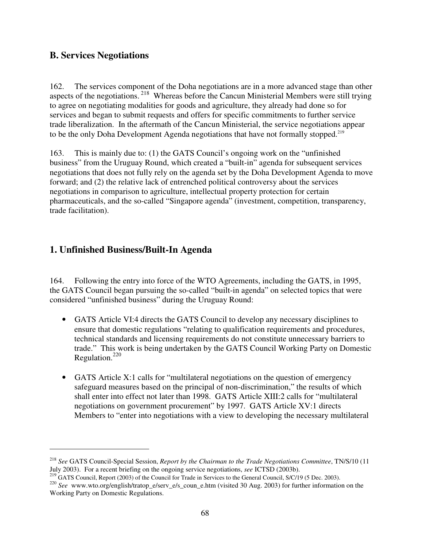### **B. Services Negotiations**

162. The services component of the Doha negotiations are in a more advanced stage than other aspects of the negotiations.<sup>218</sup> Whereas before the Cancun Ministerial Members were still trying to agree on negotiating modalities for goods and agriculture, they already had done so for services and began to submit requests and offers for specific commitments to further service trade liberalization. In the aftermath of the Cancun Ministerial, the service negotiations appear to be the only Doha Development Agenda negotiations that have not formally stopped.<sup>219</sup>

163. This is mainly due to: (1) the GATS Council's ongoing work on the "unfinished business" from the Uruguay Round, which created a "built-in" agenda for subsequent services negotiations that does not fully rely on the agenda set by the Doha Development Agenda to move forward; and (2) the relative lack of entrenched political controversy about the services negotiations in comparison to agriculture, intellectual property protection for certain pharmaceuticals, and the so-called "Singapore agenda" (investment, competition, transparency, trade facilitation).

## **1. Unfinished Business/Built-In Agenda**

164. Following the entry into force of the WTO Agreements, including the GATS, in 1995, the GATS Council began pursuing the so-called "built-in agenda" on selected topics that were considered "unfinished business" during the Uruguay Round:

- GATS Article VI:4 directs the GATS Council to develop any necessary disciplines to ensure that domestic regulations "relating to qualification requirements and procedures, technical standards and licensing requirements do not constitute unnecessary barriers to trade." This work is being undertaken by the GATS Council Working Party on Domestic Regulation.<sup>220</sup>
- GATS Article X:1 calls for "multilateral negotiations on the question of emergency safeguard measures based on the principal of non-discrimination," the results of which shall enter into effect not later than 1998. GATS Article XIII:2 calls for "multilateral negotiations on government procurement" by 1997. GATS Article XV:1 directs Members to "enter into negotiations with a view to developing the necessary multilateral

<sup>218</sup> *See* GATS Council-Special Session, *Report by the Chairman to the Trade Negotiations Committee*, TN/S/10 (11 July 2003). For a recent briefing on the ongoing service negotiations, *see* ICTSD (2003b).

<sup>&</sup>lt;sup>219</sup> GATS Council, Report (2003) of the Council for Trade in Services to the General Council, S/C/19 (5 Dec. 2003).

<sup>220</sup> *See* www.wto.org/english/tratop\_e/serv\_e/s\_coun\_e.htm (visited 30 Aug. 2003) for further information on the Working Party on Domestic Regulations.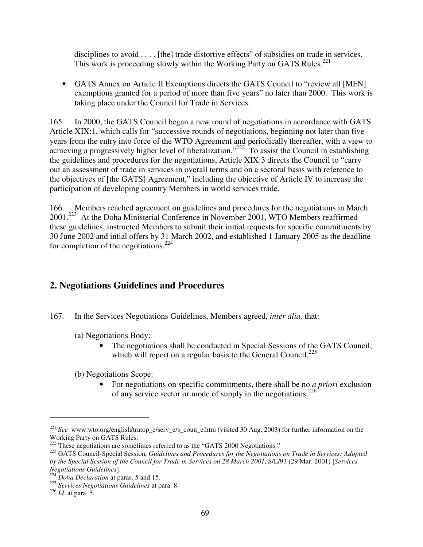disciplines to avoid . . . . [the] trade distortive effects" of subsidies on trade in services. This work is proceeding slowly within the Working Party on GATS Rules.<sup>221</sup>

• GATS Annex on Article II Exemptions directs the GATS Council to "review all [MFN] exemptions granted for a period of more than five years" no later than 2000. This work is taking place under the Council for Trade in Services.

165. In 2000, the GATS Council began a new round of negotiations in accordance with GATS Article XIX:1, which calls for "successive rounds of negotiations, beginning not later than five years from the entry into force of the WTO Agreement and periodically thereafter, with a view to achieving a progressively higher level of liberalization."<sup>222</sup> To assist the Council in establishing the guidelines and procedures for the negotiations, Article XIX:3 directs the Council to "carry out an assessment of trade in services in overall terms and on a sectoral basis with reference to the objectives of [the GATS] Agreement," including the objective of Article IV to increase the participation of developing country Members in world services trade.

166. Members reached agreement on guidelines and procedures for the negotiations in March 2001. <sup>223</sup> At the Doha Ministerial Conference in November 2001, WTO Members reaffirmed these guidelines, instructed Members to submit their initial requests for specific commitments by 30 June 2002 and intial offers by 31 March 2002, and established 1 January 2005 as the deadline for completion of the negotiations.<sup>224</sup>

## **2. Negotiations Guidelines and Procedures**

- 167. In the Services Negotiations Guidelines, Members agreed, *inter alia,* that:
	- (a) Negotiations Body:
		- The negotiations shall be conducted in Special Sessions of the GATS Council, which will report on a regular basis to the General Council.<sup>225</sup>
	- (b) Negotiations Scope:
		- For negotiations on specific commitments, there shall be no *a priori* exclusion of any service sector or mode of supply in the negotiations. 226

<sup>221</sup> *See* www.wto.org/english/tratop\_e/serv\_e/s\_coun\_e.htm (visited 30 Aug. 2003) for further information on the Working Party on GATS Rules.

 $222$  These negotiations are sometimes referred to as the "GATS 2000 Negotiations."

<sup>223</sup> GATS Council-Special Session, *Guidelines and Procedures for the Negotiations on Trade in Services: Adopted by the Special Session of the Council for Trade in Services on 28 March 2001*, S/L/93 (29 Mar. 2001) [*Services Negotiations Guidelines*].

<sup>224</sup> *Doha Declaration* at paras. 5 and 15.

<sup>225</sup> *Services Negotiations Guidelines* at para. 8.

<sup>226</sup> *Id*. at para. 5.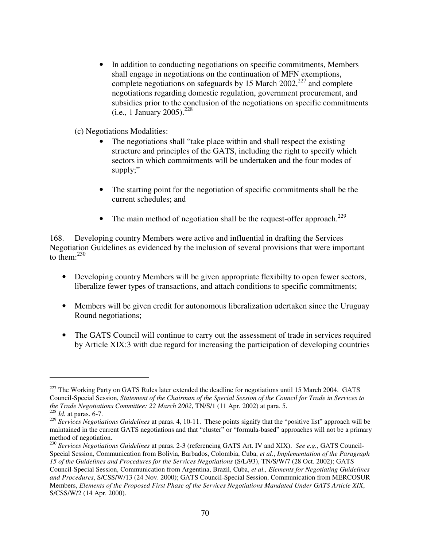- In addition to conducting negotiations on specific commitments, Members shall engage in negotiations on the continuation of MFN exemptions, complete negotiations on safeguards by 15 March 2002,<sup>227</sup> and complete negotiations regarding domestic regulation, government procurement, and subsidies prior to the conclusion of the negotiations on specific commitments (i.e.*,* 1 January 2005). 228
- (c) Negotiations Modalities:
	- The negotiations shall "take place within and shall respect the existing structure and principles of the GATS, including the right to specify which sectors in which commitments will be undertaken and the four modes of supply;"
	- The starting point for the negotiation of specific commitments shall be the current schedules; and
	- The main method of negotiation shall be the request-offer approach. $^{229}$

168. Developing country Members were active and influential in drafting the Services Negotiation Guidelines as evidenced by the inclusion of several provisions that were important to them: 230

- Developing country Members will be given appropriate flexibilty to open fewer sectors, liberalize fewer types of transactions, and attach conditions to specific commitments;
- Members will be given credit for autonomous liberalization udertaken since the Uruguay Round negotiations;
- The GATS Council will continue to carry out the assessment of trade in services required by Article XIX:3 with due regard for increasing the participation of developing countries

 $^{227}$  The Working Party on GATS Rules later extended the deadline for negotiations until 15 March 2004. GATS Council-Special Session, Statement of the Chairman of the Special Session of the Council for Trade in Services to *the Trade Negotiations Committee: 22 March 2002*, TN/S/1 (11 Apr. 2002) at para. 5. 228 *Id.* at paras. 6-7.

<sup>229</sup> *Services Negotiations Guidelines* at paras. 4, 10-11. These points signify that the "positive list" approach will be maintained in the current GATS negotiations and that "cluster" or "formula-based" approaches will not be a primary method of negotiation.

<sup>230</sup> *Services Negotiations Guidelines* at paras. 2-3 (referencing GATS Art. IV and XIX). *See e.g.,* GATS Council-Special Session, Communication from Bolivia, Barbados, Colombia, Cuba, *et al*., *Implementation of the Paragraph 15 of the Guidelines and Procedures for the Services Negotiations* (S/L/93), TN/S/W/7 (28 Oct. 2002); GATS

Council-Special Session, Communication from Argentina, Brazil, Cuba, *et al., Elements for Negotiating Guidelines and Procedures*, S/CSS/W/13 (24 Nov. 2000); GATS Council-Special Session, Communication from MERCOSUR Members, *Elements of the Proposed First Phase of the Services Negotiations Mandated Under GATS Article XIX*, S/CSS/W/2 (14 Apr. 2000).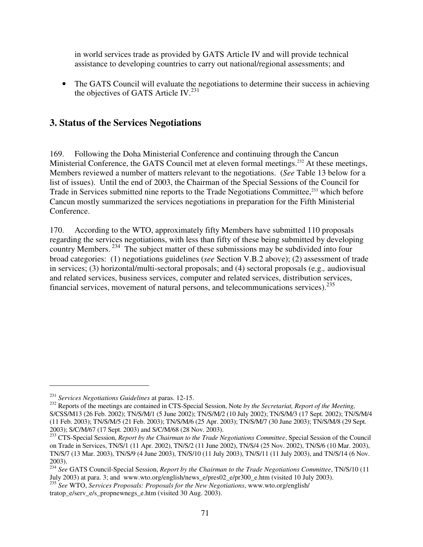in world services trade as provided by GATS Article IV and will provide technical assistance to developing countries to carry out national/regional assessments; and

• The GATS Council will evaluate the negotiations to determine their success in achieving the objectives of GATS Article IV. $^{231}$ 

## **3. Status of the Services Negotiations**

169. Following the Doha Ministerial Conference and continuing through the Cancun Ministerial Conference, the GATS Council met at eleven formal meetings.<sup>232</sup> At these meetings, Members reviewed a number of matters relevant to the negotiations. (*See* Table 13 below for a list of issues). Until the end of 2003, the Chairman of the Special Sessions of the Council for Trade in Services submitted nine reports to the Trade Negotiations Committee,<sup>233</sup> which before Cancun mostly summarized the services negotiations in preparation for the Fifth Ministerial Conference.

170. According to the WTO, approximately fifty Members have submitted 110 proposals regarding the services negotiations, with less than fifty of these being submitted by developing country Members.<sup>234</sup> The subject matter of these submissions may be subdivided into four broad categories: (1) negotiations guidelines (*see* Section V.B.2 above); (2) assessment of trade in services; (3) horizontal/multi-sectoral proposals; and (4) sectoral proposals (e.g.*,* audiovisual and related services, business services, computer and related services, distribution services, financial services, movement of natural persons, and telecommunications services).<sup>235</sup>

<sup>231</sup> *Services Negotiations Guidelines* at paras. 12-15.

<sup>232</sup> Reports of the meetings are contained in CTS-Special Session, Note *by the Secretariat, Report of the Meeting,* S/CSS/M13 (26 Feb. 2002); TN/S/M/1 (5 June 2002); TN/S/M/2 (10 July 2002); TN/S/M/3 (17 Sept. 2002); TN/S/M/4 (11 Feb. 2003); TN/S/M/5 (21 Feb. 2003); TN/S/M/6 (25 Apr. 2003); TN/S/M/7 (30 June 2003); TN/S/M/8 (29 Sept. 2003); S/C/M/67 (17 Sept. 2003) and S/C/M/68 (28 Nov. 2003).

<sup>233</sup> CTS-Special Session, *Report by the Chairman to the Trade Negotiations Committee*, Special Session of the Council on Trade in Services, TN/S/1 (11 Apr. 2002), TN/S/2 (11 June 2002), TN/S/4 (25 Nov. 2002), TN/S/6 (10 Mar. 2003), TN/S/7 (13 Mar. 2003), TN/S/9 (4 June 2003), TN/S/10 (11 July 2003), TN/S/11 (11 July 2003), and TN/S/14 (6 Nov. 2003).

<sup>234</sup> *See* GATS Council-Special Session, *Report by the Chairman to the Trade Negotiations Committee*, TN/S/10 (11 July 2003) at para. 3; and www.wto.org/english/news\_e/pres02\_e/pr300\_e.htm (visited 10 July 2003).<br><sup>235</sup> See WTO, Services Proposals: Proposals for the New Negotiations, www.wto.org/english/

tratop\_e/serv\_e/s\_propnewnegs\_e.htm (visited 30 Aug. 2003).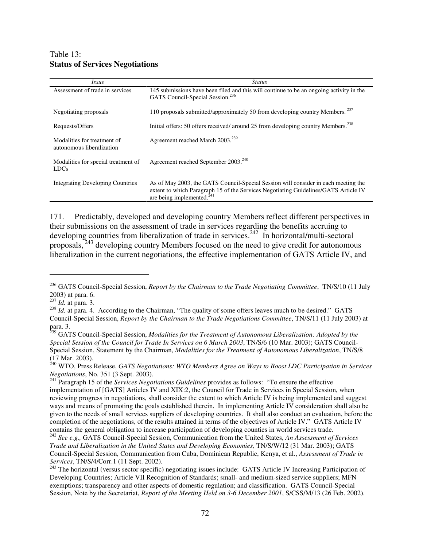#### Table 13: **Status of Services Negotiations**

| <i>Issue</i>                                             | <b>Status</b>                                                                                                                                                                                                |
|----------------------------------------------------------|--------------------------------------------------------------------------------------------------------------------------------------------------------------------------------------------------------------|
| Assessment of trade in services                          | 145 submissions have been filed and this will continue to be an ongoing activity in the<br>GATS Council-Special Session. <sup>236</sup>                                                                      |
| Negotiating proposals                                    | 110 proposals submitted/approximately 50 from developing country Members. <sup>237</sup>                                                                                                                     |
| Requests/Offers                                          | Initial offers: 50 offers received/ around 25 from developing country Members. <sup>238</sup>                                                                                                                |
| Modalities for treatment of<br>autonomous liberalization | Agreement reached March 2003. <sup>239</sup>                                                                                                                                                                 |
| Modalities for special treatment of<br>LDCs.             | Agreement reached September 2003. <sup>240</sup>                                                                                                                                                             |
| Integrating Developing Countries                         | As of May 2003, the GATS Council-Special Session will consider in each meeting the<br>extent to which Paragraph 15 of the Services Negotiating Guidelines/GATS Article IV<br>are being implemented. $^{241}$ |

171. Predictably, developed and developing country Members reflect different perspectives in their submissions on the assessment of trade in services regarding the benefits accruing to developing countries from liberalization of trade in services.<sup>242</sup> In horizontal/multi-sectoral proposals,<sup>243</sup> developing country Members focused on the need to give credit for autonomous liberalization in the current negotiations, the effective implementation of GATS Article IV, and

<sup>236</sup> GATS Council-Special Session, *Report by the Chairman to the Trade Negotiating Committee*, TN/S/10 (11 July 2003) at para. 6.

<sup>237</sup> *Id.* at para. 3.

<sup>&</sup>lt;sup>238</sup> Id. at para. 4. According to the Chairman, "The quality of some offers leaves much to be desired." GATS Council-Special Session, *Report by the Chairman to the Trade Negotiations Committee*, TN/S/11 (11 July 2003) at para. 3.

<sup>239</sup> GATS Council-Special Session, *Modalities for the Treatment of Autonomous Liberalization: Adopted by the Special Session of the Council for Trade In Services on 6 March 2003*, TN/S/6 (10 Mar. 2003); GATS Council-Special Session, Statement by the Chairman, *Modalities for the Treatment of Autonomous Liberalization*, TN/S/8 (17 Mar. 2003).

<sup>240</sup> WTO, Press Release, *GATS Negotiations: WTO Members Agree on Ways to Boost LDC Participation in Services*

*Negotiations*, No. 351 (3 Sept. 2003). 241 Paragraph 15 of the *Services Negotiations Guidelines* provides as follows: "To ensure the effective implementation of [GATS] Articles IV and XIX:2, the Council for Trade in Services in Special Session, when reviewing progress in negotiations, shall consider the extent to which Article IV is being implemented and suggest ways and means of promoting the goals established therein. In implementing Article IV consideration shall also be given to the needs of small services suppliers of developing countries. It shall also conduct an evaluation, before the completion of the negotiations, of the results attained in terms of the objectives of Article IV." GATS Article IV contains the general obligation to increase participation of developing counties in world services trade.

<sup>242</sup> *See e.g.,* GATS Council-Special Session, Communication from the United States, *An Assessment of Services Trade and Liberalization in the United States and Developing Economies,* TN/S/W/12 (31 Mar. 2003); GATS Council-Special Session, Communication from Cuba, Dominican Republic, Kenya, et al., *Assessment of Trade in Services*, TN/S/4/Corr.1 (11 Sept. 2002).

<sup>&</sup>lt;sup>243</sup> The horizontal (versus sector specific) negotiating issues include: GATS Article IV Increasing Participation of Developing Countries; Article VII Recognition of Standards; small- and medium-sized service suppliers; MFN exemptions; transparency and other aspects of domestic regulation; and classification. GATS Council-Special Session, Note by the Secretariat, *Report of the Meeting Held on 3-6 December 2001*, S/CSS/M/13 (26 Feb. 2002).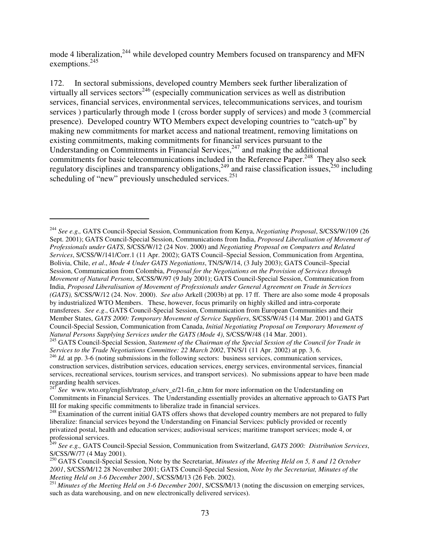mode 4 liberalization,<sup>244</sup> while developed country Members focused on transparency and MFN exemptions. 245

172. In sectoral submissions, developed country Members seek further liberalization of virtually all services sectors<sup>246</sup> (especially communication services as well as distribution services, financial services, environmental services, telecommunications services, and tourism services ) particularly through mode 1 (cross border supply of services) and mode 3 (commercial presence). Developed country WTO Members expect developing countries to "catch-up" by making new commitments for market access and national treatment, removing limitations on existing commitments, making commitments for financial services pursuant to the Understanding on Commitments in Financial Services,<sup>247</sup> and making the additional commitments for basic telecommunications included in the Reference Paper.<sup>248</sup> They also seek regulatory disciplines and transparency obligations,<sup>249</sup> and raise classification issues,<sup>250</sup> including scheduling of "new" previously unscheduled services.<sup>251</sup>

<sup>244</sup> *See e.g.,* GATS Council-Special Session, Communication from Kenya, *Negotiating Proposal*, S/CSS/W/109 (26 Sept. 2001); GATS Council-Special Session, Communications from India, *Proposed Liberalisation of Movement of Professionals under GATS*, S/CSS/W/12 (24 Nov. 2000) and *Negotiating Proposal on Computers and Related Services*, S/CSS/W/141/Corr.1 (11 Apr. 2002); GATS Council–Special Session, Communication from Argentina, Bolivia, Chile, *et al*., *Mode 4 Under GATS Negotiations*, TN/S/W/14, (3 July 2003); GATS Council–Special Session, Communication from Colombia, *Proposal for the Negotiations on the Provision of Services through Movement of Natural Persons*, S/CSS/W/97 (9 July 2001); GATS Council-Special Session, Communication from India, *Proposed Liberalisation of Movement of Professionals under General Agreement on Trade in Services (GATS),* S/CSS/W/12 (24. Nov. 2000). *See also* Arkell (2003b) at pp. 17 ff. There are also some mode 4 proposals by industrialized WTO Members. These, however, focus primarily on highly skilled and intra-corporate transferees. *See e.g*., GATS Council-Special Session, Communication from European Communities and their Member States, *GATS 2000: Temporary Movement of Service Suppliers*, S/CSS/W/45 (14 Mar. 2001) and GATS Council-Special Session, Communication from Canada, *Initial Negotiating Proposal on Temporary Movement of Natural Persons Supplying Services under the GATS (Mode 4)*, S/CSS/W/48 (14 Mar. 2001).

<sup>245</sup> GATS Council-Special Session, *Statement of the Chairman of the Special Session of the Council for Trade in Services to the Trade Negotiations Committee: 22 March 2002*, TN/S/1 (11 Apr. 2002) at pp. 3, 6.

<sup>&</sup>lt;sup>246</sup> *Id.* at pp. 3-6 (noting submissions in the following sectors: business services, communication services, construction services, distribution services, education services, energy services, environmental services, financial services, recreational services, tourism services, and transport services). No submissions appear to have been made

regarding health services. 247 *See* www.wto.org/english/tratop\_e/serv\_e/21-fin\_e.htm for more information on the Understanding on Commitments in Financial Services. The Understanding essentially provides an alternative approach to GATS Part III for making specific commitments to liberalize trade in financial services.

<sup>&</sup>lt;sup>248</sup> Examination of the current initial GATS offers shows that developed country members are not prepared to fully liberalize: financial services beyond the Understanding on Financial Services: publicly provided or recently privatized postal, health and education services; audiovisual services; maritime transport services; mode 4, or

professional services. 249 *See e.g.,* GATS Council-Special Session, Communication from Switzerland, *GATS 2000: Distribution Services*, S/CSS/W/77 (4 May 2001).

<sup>250</sup> GATS Council-Special Session, Note by the Secretariat, *Minutes of the Meeting Held on 5, 8 and 12 October 2001*, S/CSS/M/12 28 November 2001; GATS Council-Special Session, *Note by the Secretariat, Minutes of the Meeting Held on 3-6 December 2001*, S/CSS/M/13 (26 Feb. 2002).

<sup>251</sup> *Minutes of the Meeting Held on 3-6 December 2001*, S/CSS/M/13 (noting the discussion on emerging services, such as data warehousing, and on new electronically delivered services).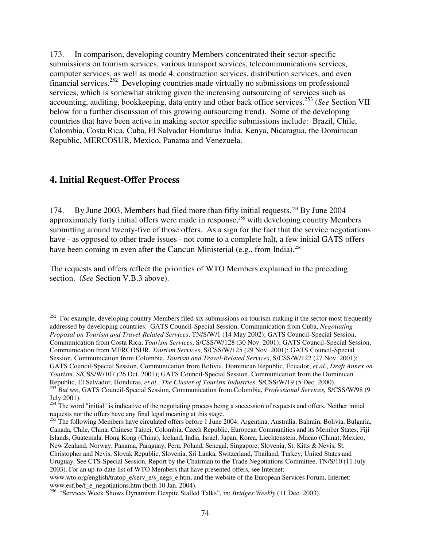173. In comparison, developing country Members concentrated their sector-specific submissions on tourism services, various transport services, telecommunications services, computer services, as well as mode 4, construction services, distribution services, and even financial services.<sup>252</sup> Developing countries made virtually no submissions on professional services, which is somewhat striking given the increasing outsourcing of services such as accounting, auditing, bookkeeping, data entry and other back office services. 253 (*See* Section VII below for a further discussion of this growing outsourcing trend). Some of the developing countries that have been active in making sector specific submissions include: Brazil, Chile, Colombia, Costa Rica, Cuba, El Salvador Honduras India, Kenya, Nicaragua, the Dominican Republic, MERCOSUR, Mexico, Panama and Venezuela.

### **4. Initial Request-Offer Process**

174. By June 2003, Members had filed more than fifty initial requests.<sup>254</sup> By June 2004 approximately forty initial offers were made in response, <sup>255</sup> with developing country Members submitting around twenty-five of those offers. As a sign for the fact that the service negotiations have - as opposed to other trade issues - not come to a complete halt, a few initial GATS offers have been coming in even after the Cancun Ministerial (e.g., from India).<sup>256</sup>

The requests and offers reflect the priorities of WTO Members explained in the preceding section. (*See* Section V.B.3 above).

<sup>255</sup> The following Members have circulated offers before 1 June 2004: Argentina, Australia, Bahrain, Bolivia, Bulgaria, Canada, Chile, China, Chinese Taipei, Colombia, Czech Republic, European Communities and its Member States, Fiji Islands, Guatemala, Hong Kong (China), Iceland, India, Israel, Japan, Korea, Liechtenstein, Macao (China), Mexico, New Zealand, Norway, Panama, Paraguay, Peru, Poland, Senegal, Singapore, Slovenia, St. Kitts & Nevis, St. Christopher and Nevis, Slovak Republic, Slovenia, Sri Lanka, Switzerland, Thailand, Turkey, United States and Uruguay. See CTS-Special Session, Report by the Chairman to the Trade Negotiations Committee, TN/S/10 (11 July 2003). For an up-to-date list of WTO Members that have presented offers, see Internet:

 $^{252}$  For example, developing country Members filed six submissions on tourism making it the sector most frequently addressed by developing countries. GATS Council-Special Session, Communication from Cuba, *Negotiating Proposal on Tourism and Travel-Related Services*, TN/S/W/1 (14 May 2002); GATS Council-Special Session, Communication from Costa Rica, *Tourism Services*, S/CSS/W/128 (30 Nov. 2001); GATS Council-Special Session, Communication from MERCOSUR, *Tourism Services*, S/CSS/W/125 (29 Nov. 2001); GATS Council-Special Session, Communication from Colombia, *Tourism and Travel-Related Services*, S/CSS/W/122 (27 Nov. 2001); GATS Council-Special Session, Communication from Bolivia, Dominican Republic, Ecuador, *et al.*, *Draft Annex on Tourism*, S/CSS/W/107 (26 Oct. 2001); GATS Council-Special Session, Communication from the Dominican Republic, El Salvador, Honduras, *et al.*, *The Cluster of Tourism Industries*, S/CSS/W/19 (5 Dec. 2000).

<sup>253</sup> *But see*, GATS Council-Special Session, Communication from Colombia, *Professional Services,* S/CSS/W/98 (9 July 2001).

 $254$  The word "initial" is indicative of the negotiating process being a succession of requests and offers. Neither initial requests nor the offers have any final legal meaning at this stage.

www.wto.org/english/tratop\_e/serv\_e/s\_negs\_e.htm, and the website of the European Services Forum, Internet: www.esf.be/f\_e\_negotiations.htm (both 10 Jan. 2004).

<sup>256</sup> "Services Week Shows Dynamism Despite Stalled Talks", in: *Bridges Weekly* (11 Dec. 2003).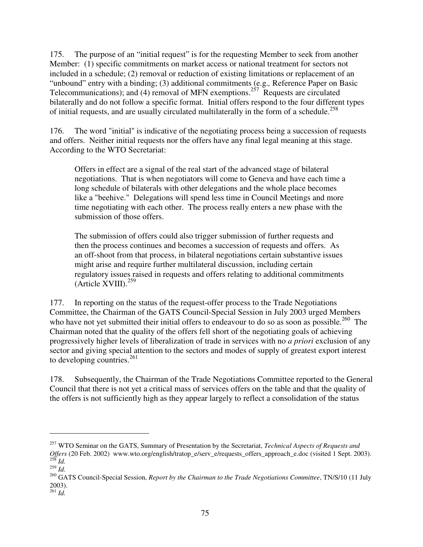175. The purpose of an "initial request" is for the requesting Member to seek from another Member: (1) specific commitments on market access or national treatment for sectors not included in a schedule; (2) removal or reduction of existing limitations or replacement of an "unbound" entry with a binding; (3) additional commitments (e.g.*,* Reference Paper on Basic Telecommunications); and (4) removal of MFN exemptions.<sup>257</sup> Requests are circulated bilaterally and do not follow a specific format. Initial offers respond to the four different types of initial requests, and are usually circulated multilaterally in the form of a schedule. 258

176. The word "initial" is indicative of the negotiating process being a succession of requests and offers. Neither initial requests nor the offers have any final legal meaning at this stage. According to the WTO Secretariat:

Offers in effect are a signal of the real start of the advanced stage of bilateral negotiations. That is when negotiators will come to Geneva and have each time a long schedule of bilaterals with other delegations and the whole place becomes like a "beehive." Delegations will spend less time in Council Meetings and more time negotiating with each other. The process really enters a new phase with the submission of those offers.

The submission of offers could also trigger submission of further requests and then the process continues and becomes a succession of requests and offers. As an off-shoot from that process, in bilateral negotiations certain substantive issues might arise and require further multilateral discussion, including certain regulatory issues raised in requests and offers relating to additional commitments (Article XVIII). 259

177. In reporting on the status of the request-offer process to the Trade Negotiations Committee, the Chairman of the GATS Council-Special Session in July 2003 urged Members who have not yet submitted their initial offers to endeavour to do so as soon as possible.<sup>260</sup> The Chairman noted that the quality of the offers fell short of the negotiating goals of achieving progressively higher levels of liberalization of trade in services with no *a priori* exclusion of any sector and giving special attention to the sectors and modes of supply of greatest export interest to developing countries. 261

178. Subsequently, the Chairman of the Trade Negotiations Committee reported to the General Council that there is not yet a critical mass of services offers on the table and that the quality of the offers is not sufficiently high as they appear largely to reflect a consolidation of the status

<sup>257</sup> WTO Seminar on the GATS, Summary of Presentation by the Secretariat, *Technical Aspects of Requests and Offers* (20 Feb. 2002) www.wto.org/english/tratop e/serv e/requests offers approach e.doc (visited 1 Sept. 2003). 258 *Id.*

<sup>259</sup> *Id.*

<sup>260</sup> GATS Council-Special Session, *Report by the Chairman to the Trade Negotiations Committee*, TN/S/10 (11 July 2003).

<sup>261</sup> *Id.*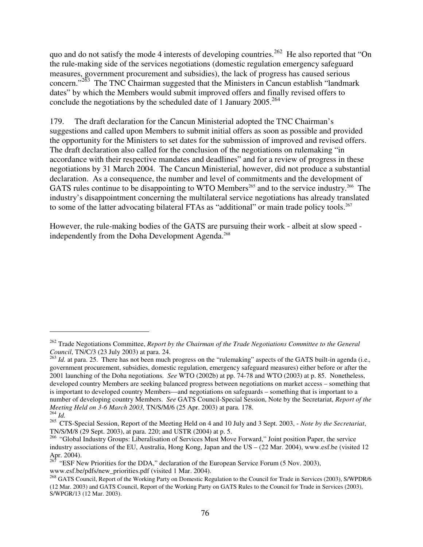quo and do not satisfy the mode 4 interests of developing countries.<sup>262</sup> He also reported that "On the rule-making side of the services negotiations (domestic regulation emergency safeguard measures, government procurement and subsidies), the lack of progress has caused serious concern."<sup>263</sup> The TNC Chairman suggested that the Ministers in Cancun establish "landmark dates" by which the Members would submit improved offers and finally revised offers to conclude the negotiations by the scheduled date of 1 January 2005.<sup>264</sup>

179. The draft declaration for the Cancun Ministerial adopted the TNC Chairman's suggestions and called upon Members to submit initial offers as soon as possible and provided the opportunity for the Ministers to set dates for the submission of improved and revised offers. The draft declaration also called for the conclusion of the negotiations on rulemaking "in accordance with their respective mandates and deadlines" and for a review of progress in these negotiations by 31 March 2004. The Cancun Ministerial, however, did not produce a substantial declaration. As a consequence, the number and level of commitments and the development of GATS rules continue to be disappointing to WTO Members<sup>265</sup> and to the service industry.<sup>266</sup> The industry's disappointment concerning the multilateral service negotiations has already translated to some of the latter advocating bilateral FTAs as "additional" or main trade policy tools.<sup>267</sup>

However, the rule-making bodies of the GATS are pursuing their work - albeit at slow speed independently from the Doha Development Agenda. 268

<sup>262</sup> Trade Negotiations Committee, *Report by the Chairman of the Trade Negotiations Committee to the General Council*, TN/C/3 (23 July 2003) at para. 24.

<sup>263</sup> *Id.* at para. 25. There has not been much progress on the "rulemaking" aspects of the GATS built-in agenda (i.e.*,* government procurement, subsidies, domestic regulation, emergency safeguard measures) either before or after the 2001 launching of the Doha negotiations. *See* WTO (2002b) at pp. 74-78 and WTO (2003) at p. 85. Nonetheless, developed country Members are seeking balanced progress between negotiations on market access – something that is important to developed country Members—and negotiations on safeguards – something that is important to a number of developing country Members. *See* GATS Council-Special Session, Note by the Secretariat, *Report of the Meeting Held on 3-6 March 2003,* TN/S/M/6 (25 Apr. 2003) at para. 178.

<sup>264</sup> *Id.*

<sup>265</sup> CTS-Special Session, Report of the Meeting Held on 4 and 10 July and 3 Sept. 2003, - *Note by the Secretariat*, TN/S/M/8 (29 Sept. 2003), at para. 220; and USTR (2004) at p. 5.

<sup>&</sup>lt;sup>266</sup> "Global Industry Groups: Liberalisation of Services Must Move Forward," Joint position Paper, the service industry associations of the EU, Australia, Hong Kong, Japan and the US – (22 Mar. 2004), www.esf.be (visited 12

Apr. 2004).<br><sup>267</sup> "ESF New Priorities for the DDA," declaration of the European Service Forum (5 Nov. 2003), www.esf.be/pdfs/new\_priorities.pdf (visited 1 Mar. 2004).

<sup>&</sup>lt;sup>268</sup> GATS Council, Report of the Working Party on Domestic Regulation to the Council for Trade in Services (2003), S/WPDR/6 (12 Mar. 2003) and GATS Council, Report of the Working Party on GATS Rules to the Council for Trade in Services (2003), S/WPGR/13 (12 Mar. 2003).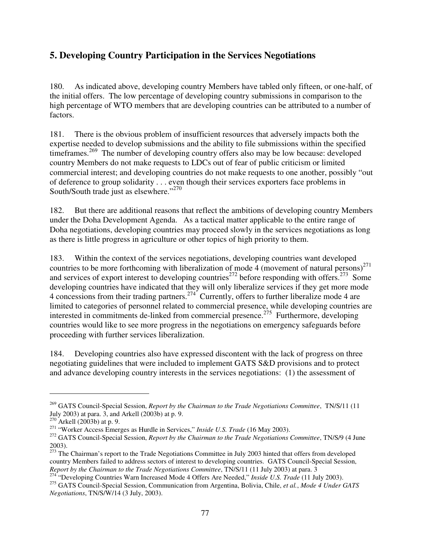## **5. Developing Country Participation in the Services Negotiations**

180. As indicated above, developing country Members have tabled only fifteen, or one-half, of the initial offers. The low percentage of developing country submissions in comparison to the high percentage of WTO members that are developing countries can be attributed to a number of factors.

181. There is the obvious problem of insufficient resources that adversely impacts both the expertise needed to develop submissions and the ability to file submissions within the specified timeframes.<sup>269</sup> The number of developing country offers also may be low because: developed country Members do not make requests to LDCs out of fear of public criticism or limited commercial interest; and developing countries do not make requests to one another, possibly "out of deference to group solidarity . . . even though their services exporters face problems in South/South trade just as elsewhere."<sup>270</sup>

182. But there are additional reasons that reflect the ambitions of developing country Members under the Doha Development Agenda. As a tactical matter applicable to the entire range of Doha negotiations, developing countries may proceed slowly in the services negotiations as long as there is little progress in agriculture or other topics of high priority to them.

183. Within the context of the services negotiations, developing countries want developed countries to be more forthcoming with liberalization of mode  $\frac{4}{3}$  (movement of natural persons)<sup>271</sup> and services of export interest to developing countries<sup>272</sup> before responding with offers.<sup>273</sup> Some developing countries have indicated that they will only liberalize services if they get more mode 4 concessions from their trading partners.<sup>274</sup> Currently, offers to further liberalize mode 4 are limited to categories of personnel related to commercial presence, while developing countries are interested in commitments de-linked from commercial presence. 275 Furthermore, developing countries would like to see more progress in the negotiations on emergency safeguards before proceeding with further services liberalization.

184. Developing countries also have expressed discontent with the lack of progress on three negotiating guidelines that were included to implement GATS S&D provisions and to protect and advance developing country interests in the services negotiations: (1) the assessment of

<sup>269</sup> GATS Council-Special Session, *Report by the Chairman to the Trade Negotiations Committee*, TN/S/11 (11 July 2003) at para. 3, and Arkell (2003b) at p. 9.

 $270$  Arkell (2003b) at p. 9.

<sup>271</sup> "Worker Access Emerges as Hurdle in Services," *Inside U.S. Trade* (16 May 2003).

<sup>272</sup> GATS Council-Special Session, *Report by the Chairman to the Trade Negotiations Committee*, TN/S/9 (4 June 2003).

<sup>&</sup>lt;sup>273</sup> The Chairman's report to the Trade Negotiations Committee in July 2003 hinted that offers from developed country Members failed to address sectors of interest to developing countries. GATS Council-Special Session, *Report by the Chairman to the Trade Negotiations Committee*, TN/S/11 (11 July 2003) at para. 3

<sup>274</sup> "Developing Countries Warn Increased Mode 4 Offers Are Needed," *Inside U.S. Trade* (11 July 2003).

<sup>275</sup> GATS Council-Special Session, Communication from Argentina, Bolivia, Chile, *et al.*, *Mode 4 Under GATS Negotiations*, TN/S/W/14 (3 July, 2003).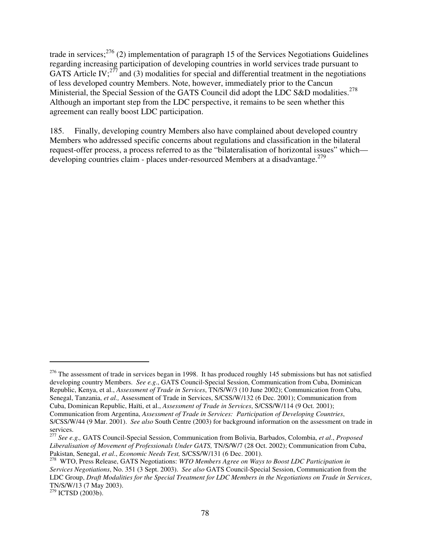trade in services;<sup>276</sup> (2) implementation of paragraph 15 of the Services Negotiations Guidelines regarding increasing participation of developing countries in world services trade pursuant to GATS Article IV;<sup>277</sup> and (3) modalities for special and differential treatment in the negotiations of less developed country Members. Note, however, immediately prior to the Cancun Ministerial, the Special Session of the GATS Council did adopt the LDC S&D modalities.<sup>278</sup> Although an important step from the LDC perspective, it remains to be seen whether this agreement can really boost LDC participation.

185. Finally, developing country Members also have complained about developed country Members who addressed specific concerns about regulations and classification in the bilateral request-offer process, a process referred to as the "bilateralisation of horizontal issues" which developing countries claim - places under-resourced Members at a disadvantage.<sup>279</sup>

<sup>279</sup> ICTSD (2003b).

 $276$  The assessment of trade in services began in 1998. It has produced roughly 145 submissions but has not satisfied developing country Members. *See e.g*., GATS Council-Special Session, Communication from Cuba, Dominican Republic, Kenya, et al., *Assessment of Trade in Services*, TN/S/W/3 (10 June 2002); Communication from Cuba, Senegal, Tanzania, *et al.,* Assessment of Trade in Services, S/CSS/W/132 (6 Dec. 2001); Communication from Cuba, Dominican Republic, Haïti, et al., *Assessment of Trade in Services*, S/CSS/W/114 (9 Oct. 2001); Communication from Argentina, *Assessment of Trade in Services: Participation of Developing Countries*,

S/CSS/W/44 (9 Mar. 2001). *See also* South Centre (2003) for background information on the assessment on trade in services.

<sup>277</sup> *See e.g.,* GATS Council-Special Session, Communication from Bolivia, Barbados, Colombia, *et al*., *Proposed Liberalisation of Movement of Professionals Under GATS,* TN/S/W/7 (28 Oct. 2002); Communication from Cuba, Pakistan, Senegal, *et al*., *Economic Needs Test,* S/CSS/W/131 (6 Dec. 2001).

<sup>278</sup> WTO, Press Release, GATS Negotiations: *WTO Members Agree on Ways to Boost LDC Participation in Services Negotiations*, No. 351 (3 Sept. 2003). *See also* GATS Council-Special Session, Communication from the LDC Group, *Draft Modalities for the Special Treatment for LDC Members in the Negotiations on Trade in Services*, TN/S/W/13 (7 May 2003).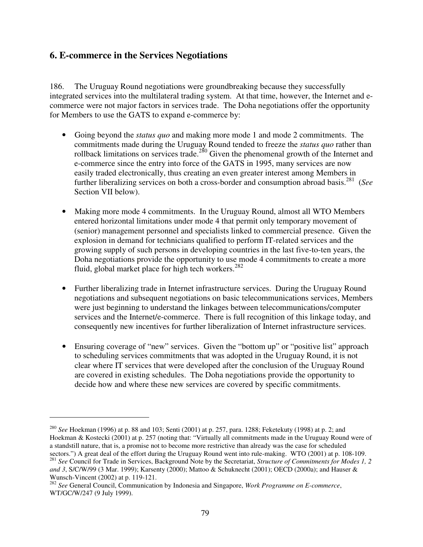### **6. E-commerce in the Services Negotiations**

186. The Uruguay Round negotiations were groundbreaking because they successfully integrated services into the multilateral trading system. At that time, however, the Internet and ecommerce were not major factors in services trade. The Doha negotiations offer the opportunity for Members to use the GATS to expand e-commerce by:

- Going beyond the *status quo* and making more mode 1 and mode 2 commitments. The commitments made during the Uruguay Round tended to freeze the *status quo* rather than rollback limitations on services trade.<sup>280</sup> Given the phenomenal growth of the Internet and e-commerce since the entry into force of the GATS in 1995, many services are now easily traded electronically, thus creating an even greater interest among Members in further liberalizing services on both a cross-border and consumption abroad basis. 281 (*See* Section VII below).
- Making more mode 4 commitments. In the Uruguay Round, almost all WTO Members entered horizontal limitations under mode 4 that permit only temporary movement of (senior) management personnel and specialists linked to commercial presence. Given the explosion in demand for technicians qualified to perform IT-related services and the growing supply of such persons in developing countries in the last five-to-ten years, the Doha negotiations provide the opportunity to use mode 4 commitments to create a more fluid, global market place for high tech workers.<sup>282</sup>
- Further liberalizing trade in Internet infrastructure services. During the Uruguay Round negotiations and subsequent negotiations on basic telecommunications services, Members were just beginning to understand the linkages between telecommunications/computer services and the Internet/e-commerce. There is full recognition of this linkage today, and consequently new incentives for further liberalization of Internet infrastructure services.
- Ensuring coverage of "new" services. Given the "bottom up" or "positive list" approach to scheduling services commitments that was adopted in the Uruguay Round, it is not clear where IT services that were developed after the conclusion of the Uruguay Round are covered in existing schedules. The Doha negotiations provide the opportunity to decide how and where these new services are covered by specific commitments.

<sup>280</sup> *See* Hoekman (1996) at p. 88 and 103; Senti (2001) at p. 257, para. 1288; Feketekuty (1998) at p. 2; and Hoekman & Kostecki (2001) at p. 257 (noting that: "Virtually all commitments made in the Uruguay Round were of a standstill nature, that is, a promise not to become more restrictive than already was the case for scheduled sectors.") A great deal of the effort during the Uruguay Round went into rule-making. WTO (2001) at p. 108-109.<br><sup>281</sup> See Council for Trade in Services, Background Note by the Secretariat, Structure of Commitments for Mode *and 3*, S/C/W/99 (3 Mar. 1999); Karsenty (2000); Mattoo & Schuknecht (2001); OECD (2000a); and Hauser &

Wunsch-Vincent (2002) at p. 119-121.

<sup>282</sup> *See* General Council, Communication by Indonesia and Singapore, *Work Programme on E-commerce*, WT/GC/W/247 (9 July 1999).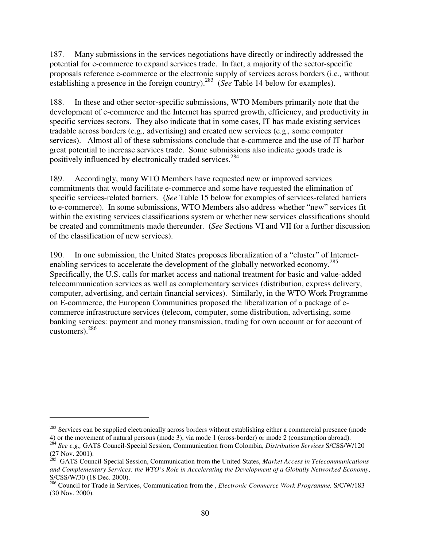187. Many submissions in the services negotiations have directly or indirectly addressed the potential for e-commerce to expand services trade. In fact, a majority of the sector-specific proposals reference e-commerce or the electronic supply of services across borders (i.e.*,* without establishing a presence in the foreign country).<sup>283</sup> (*See* Table 14 below for examples).

188. In these and other sector-specific submissions, WTO Members primarily note that the development of e-commerce and the Internet has spurred growth, efficiency, and productivity in specific services sectors. They also indicate that in some cases, IT has made existing services tradable across borders (e.g.*,* advertising) and created new services (e.g.*,* some computer services). Almost all of these submissions conclude that e-commerce and the use of IT harbor great potential to increase services trade. Some submissions also indicate goods trade is positively influenced by electronically traded services.<sup>284</sup>

189. Accordingly, many WTO Members have requested new or improved services commitments that would facilitate e-commerce and some have requested the elimination of specific services-related barriers. (*See* Table 15 below for examples of services-related barriers to e-commerce). In some submissions, WTO Members also address whether "new" services fit within the existing services classifications system or whether new services classifications should be created and commitments made thereunder. (*See* Sections VI and VII for a further discussion of the classification of new services).

190. In one submission, the United States proposes liberalization of a "cluster" of Internetenabling services to accelerate the development of the globally networked economy.<sup>285</sup> Specifically, the U.S. calls for market access and national treatment for basic and value-added telecommunication services as well as complementary services (distribution, express delivery, computer, advertising, and certain financial services). Similarly, in the WTO Work Programme on E-commerce, the European Communities proposed the liberalization of a package of ecommerce infrastructure services (telecom, computer, some distribution, advertising, some banking services: payment and money transmission, trading for own account or for account of customers). 286

<sup>&</sup>lt;sup>283</sup> Services can be supplied electronically across borders without establishing either a commercial presence (mode 4) or the movement of natural persons (mode 3), via mode 1 (cross-border) or mode 2 (consumption abroad).

<sup>284</sup> *See e.g.,* GATS Council-Special Session, Communication from Colombia, *Distribution Services* S/CSS/W/120 (27 Nov. 2001).

<sup>285</sup> GATS Council-Special Session, Communication from the United States, *Market Access in Telecommunications and Complementary Services: the WTO's Role in Accelerating the Development of a Globally Networked Economy*, S/CSS/W/30 (18 Dec. 2000).

<sup>286</sup> Council for Trade in Services, Communication from the , *Electronic Commerce Work Programme,* S/C/W/183 (30 Nov. 2000).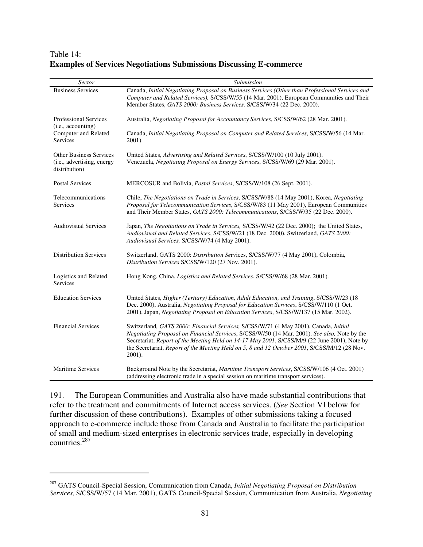| Table 14:                                                                  |  |
|----------------------------------------------------------------------------|--|
| <b>Examples of Services Negotiations Submissions Discussing E-commerce</b> |  |

| Sector                                                                        | Submission                                                                                                                                                                                                                                                                                                                                                                                     |
|-------------------------------------------------------------------------------|------------------------------------------------------------------------------------------------------------------------------------------------------------------------------------------------------------------------------------------------------------------------------------------------------------------------------------------------------------------------------------------------|
| <b>Business Services</b>                                                      | Canada, Initial Negotiating Proposal on Business Services (Other than Professional Services and<br>Computer and Related Services), S/CSS/W/55 (14 Mar. 2001), European Communities and Their<br>Member States, GATS 2000: Business Services, S/CSS/W/34 (22 Dec. 2000).                                                                                                                        |
| <b>Professional Services</b><br>(i.e., accounting)                            | Australia, Negotiating Proposal for Accountancy Services, S/CSS/W/62 (28 Mar. 2001).                                                                                                                                                                                                                                                                                                           |
| Computer and Related<br>Services                                              | Canada, Initial Negotiating Proposal on Computer and Related Services, S/CSS/W/56 (14 Mar.<br>2001).                                                                                                                                                                                                                                                                                           |
| <b>Other Business Services</b><br>(i.e., advertising, energy<br>distribution) | United States, Advertising and Related Services, S/CSS/W/100 (10 July 2001).<br>Venezuela, Negotiating Proposal on Energy Services, S/CSS/W/69 (29 Mar. 2001).                                                                                                                                                                                                                                 |
| <b>Postal Services</b>                                                        | MERCOSUR and Bolivia, Postal Services, S/CSS/W/108 (26 Sept. 2001).                                                                                                                                                                                                                                                                                                                            |
| Telecommunications<br>Services                                                | Chile, The Negotiations on Trade in Services, S/CSS/W/88 (14 May 2001), Korea, Negotiating<br>Proposal for Telecommunication Services, S/CSS/W/83 (11 May 2001), European Communities<br>and Their Member States, GATS 2000: Telecommunications, S/CSS/W/35 (22 Dec. 2000).                                                                                                                    |
| <b>Audiovisual Services</b>                                                   | Japan, The Negotiations on Trade in Services, S/CSS/W/42 (22 Dec. 2000); the United States,<br>Audiovisual and Related Services, S/CSS/W/21 (18 Dec. 2000), Switzerland, GATS 2000:<br>Audiovisual Services, S/CSS/W/74 (4 May 2001).                                                                                                                                                          |
| <b>Distribution Services</b>                                                  | Switzerland, GATS 2000: Distribution Services, S/CSS/W/77 (4 May 2001), Colombia,<br>Distribution Services S/CSS/W/120 (27 Nov. 2001).                                                                                                                                                                                                                                                         |
| Logistics and Related<br>Services                                             | Hong Kong, China, Logistics and Related Services, S/CSS/W/68 (28 Mar. 2001).                                                                                                                                                                                                                                                                                                                   |
| <b>Education Services</b>                                                     | United States, <i>Higher (Tertiary) Education, Adult Education, and Training, S/CSS/W/23</i> (18<br>Dec. 2000), Australia, Negotiating Proposal for Education Services, S/CSS/W/110 (1 Oct.<br>2001), Japan, Negotiating Proposal on Education Services, S/CSS/W/137 (15 Mar. 2002).                                                                                                           |
| <b>Financial Services</b>                                                     | Switzerland, GATS 2000: Financial Services, S/CSS/W/71 (4 May 2001), Canada, Initial<br>Negotiating Proposal on Financial Services, S/CSS/W/50 (14 Mar. 2001). See also, Note by the<br>Secretariat, Report of the Meeting Held on 14-17 May 2001, S/CSS/M/9 (22 June 2001), Note by<br>the Secretariat, Report of the Meeting Held on 5, 8 and 12 October 2001, S/CSS/M/12 (28 Nov.<br>2001). |
| Maritime Services                                                             | Background Note by the Secretariat, Maritime Transport Services, S/CSS/W/106 (4 Oct. 2001)<br>(addressing electronic trade in a special session on maritime transport services).                                                                                                                                                                                                               |

191. The European Communities and Australia also have made substantial contributions that refer to the treatment and commitments of Internet access services. (*See* Section VI below for further discussion of these contributions). Examples of other submissions taking a focused approach to e-commerce include those from Canada and Australia to facilitate the participation of small and medium-sized enterprises in electronic services trade, especially in developing countries. 287

l,

<sup>287</sup> GATS Council-Special Session, Communication from Canada, *Initial Negotiating Proposal on Distribution Services,* S/CSS/W/57 (14 Mar. 2001), GATS Council-Special Session, Communication from Australia, *Negotiating*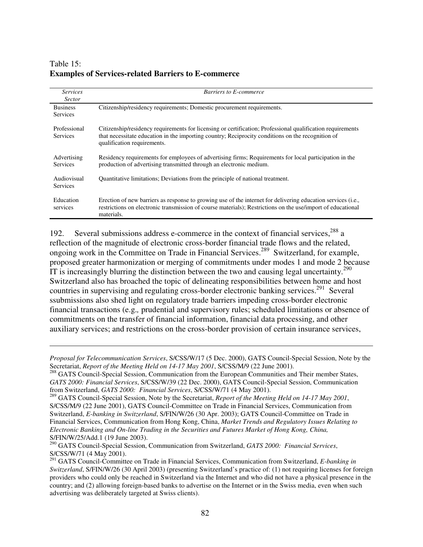#### Table 15: **Examples of Services-related Barriers to E-commerce**

| <i>Services</i><br><b>Sector</b>   | Barriers to E-commerce                                                                                                                                                                                                                         |
|------------------------------------|------------------------------------------------------------------------------------------------------------------------------------------------------------------------------------------------------------------------------------------------|
| <b>Business</b><br><b>Services</b> | Citizenship/residency requirements; Domestic procurement requirements.                                                                                                                                                                         |
| Professional<br><b>Services</b>    | Citizenship/residency requirements for licensing or certification; Professional qualification requirements<br>that necessitate education in the importing country; Reciprocity conditions on the recognition of<br>qualification requirements. |
| Advertising<br><b>Services</b>     | Residency requirements for employees of advertising firms; Requirements for local participation in the<br>production of advertising transmitted through an electronic medium.                                                                  |
| Audiovisual<br><b>Services</b>     | Quantitative limitations; Deviations from the principle of national treatment.                                                                                                                                                                 |
| Education<br>services              | Erection of new barriers as response to growing use of the internet for delivering education services (i.e.,<br>restrictions on electronic transmission of course materials); Restrictions on the use/import of educational<br>materials.      |

192. Several submissions address e-commerce in the context of financial services,<sup>288</sup> a reflection of the magnitude of electronic cross-border financial trade flows and the related, ongoing work in the Committee on Trade in Financial Services.<sup>289</sup> Switzerland, for example, proposed greater harmonization or merging of commitments under modes 1 and mode 2 because IT is increasingly blurring the distinction between the two and causing legal uncertainty.<sup>290</sup> Switzerland also has broached the topic of delineating responsibilities between home and host countries in supervising and regulating cross-border electronic banking services.<sup>291</sup> Several ssubmissions also shed light on regulatory trade barriers impeding cross-border electronic financial transactions (e.g.*,* prudential and supervisory rules; scheduled limitations or absence of commitments on the transfer of financial information, financial data processing, and other auxiliary services; and restrictions on the cross-border provision of certain insurance services,

<u> 2008 - Andrea Station Barbara, actor a component de la contrada de la contrada de la contrada de la contrada</u>

*Proposal for Telecommunication Services*, S/CSS/W/17 (5 Dec. 2000), GATS Council-Special Session, Note by the Secretariat, *Report of the Meeting Held on 14-17 May 2001*, S/CSS/M/9 (22 June 2001).

<sup>&</sup>lt;sup>288</sup> GATS Council-Special Session, Communication from the European Communities and Their member States, *GATS 2000: Financial Services*, S/CSS/W/39 (22 Dec. 2000), GATS Council-Special Session, Communication from Switzerland, *GATS 2000: Financial Services*, S/CSS/W/71 (4 May 2001).

<sup>289</sup> GATS Council-Special Session, Note by the Secretariat, *Report of the Meeting Held on 14-17 May 2001*, S/CSS/M/9 (22 June 2001), GATS Council-Committee on Trade in Financial Services, Communication from Switzerland, *E-banking in Switzerland*, S/FIN/W/26 (30 Apr. 2003); GATS Council-Committee on Trade in Financial Services, Communication from Hong Kong, China, *Market Trends and Regulatory Issues Relating to Electronic Banking and On-line Trading in the Securities and Futures Market of Hong Kong, China,* S/FIN/W/25/Add.1 (19 June 2003).

<sup>290</sup> GATS Council-Special Session, Communication from Switzerland, *GATS 2000: Financial Services*, S/CSS/W/71 (4 May 2001).

<sup>291</sup> GATS Council-Committee on Trade in Financial Services, Communication from Switzerland, *E-banking in Switzerland*, S/FIN/W/26 (30 April 2003) (presenting Switzerland's practice of: (1) not requiring licenses for foreign providers who could only be reached in Switzerland via the Internet and who did not have a physical presence in the country; and (2) allowing foreign-based banks to advertise on the Internet or in the Swiss media, even when such advertising was deliberately targeted at Swiss clients).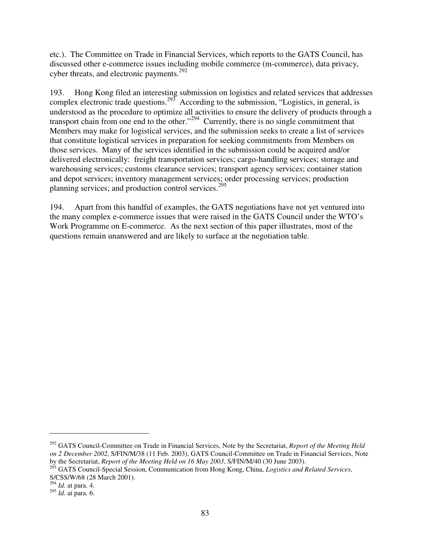etc.). The Committee on Trade in Financial Services, which reports to the GATS Council, has discussed other e-commerce issues including mobile commerce (m-commerce), data privacy, cyber threats, and electronic payments.<sup>292</sup>

193. Hong Kong filed an interesting submission on logistics and related services that addresses complex electronic trade questions.<sup>293</sup> According to the submission, "Logistics, in general, is understood as the procedure to optimize all activities to ensure the delivery of products through a transport chain from one end to the other."<sup>294</sup> Currently, there is no single commitment that Members may make for logistical services, and the submission seeks to create a list of services that constitute logistical services in preparation for seeking commitments from Members on those services. Many of the services identified in the submission could be acquired and/or delivered electronically: freight transportation services; cargo-handling services; storage and warehousing services; customs clearance services; transport agency services; container station and depot services; inventory management services; order processing services; production planning services; and production control services. 295

194. Apart from this handful of examples, the GATS negotiations have not yet ventured into the many complex e-commerce issues that were raised in the GATS Council under the WTO's Work Programme on E-commerce. As the next section of this paper illustrates, most of the questions remain unanswered and are likely to surface at the negotiation table.

<sup>292</sup> GATS Council-Committee on Trade in Financial Services, Note by the Secretariat, *Report of the Meeting Held on 2 December 2002*, S/FIN/M/38 (11 Feb. 2003), GATS Council-Committee on Trade in Financial Services, Note by the Secretariat, *Report of the Meeting Held on 16 May 2003*, S/FIN/M/40 (30 June 2003).

<sup>293</sup> GATS Council-Special Session, Communication from Hong Kong, China, *Logistics and Related Services*, S/CSS/W/68 (28 March 2001). 294 *Id.* at para. 4.

<sup>295</sup> *Id.* at para. 6.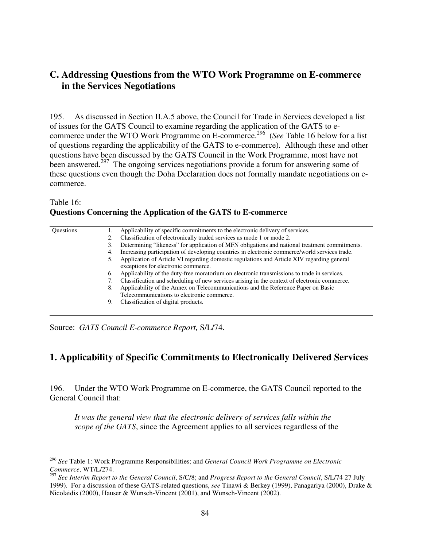## **C. Addressing Questions from the WTO Work Programme on E-commerce in the Services Negotiations**

195. As discussed in Section II.A.5 above, the Council for Trade in Services developed a list of issues for the GATS Council to examine regarding the application of the GATS to ecommerce under the WTO Work Programme on E-commerce. 296 (*See* Table 16 below for a list of questions regarding the applicability of the GATS to e-commerce). Although these and other questions have been discussed by the GATS Council in the Work Programme, most have not been answered.<sup>297</sup> The ongoing services negotiations provide a forum for answering some of these questions even though the Doha Declaration does not formally mandate negotiations on ecommerce.

#### Table 16: **Questions Concerning the Application of the GATS to E-commerce**

| <b>Ouestions</b> |    | Applicability of specific commitments to the electronic delivery of services.                                                     |
|------------------|----|-----------------------------------------------------------------------------------------------------------------------------------|
|                  |    | Classification of electronically traded services as mode 1 or mode 2.                                                             |
|                  | 3. | Determining "likeness" for application of MFN obligations and national treatment commitments.                                     |
|                  | 4. | Increasing participation of developing countries in electronic commerce/world services trade.                                     |
|                  | 5. | Application of Article VI regarding domestic regulations and Article XIV regarding general<br>exceptions for electronic commerce. |
|                  | 6. | Applicability of the duty-free moratorium on electronic transmissions to trade in services.                                       |
|                  |    | Classification and scheduling of new services arising in the context of electronic commerce.                                      |
|                  | 8. | Applicability of the Annex on Telecommunications and the Reference Paper on Basic<br>Telecommunications to electronic commerce.   |
|                  | 9. | Classification of digital products.                                                                                               |

Source: *GATS Council E-commerce Report,* S/L/74.

## **1. Applicability of Specific Commitments to Electronically Delivered Services**

196. Under the WTO Work Programme on E-commerce, the GATS Council reported to the General Council that:

*It was the general view that the electronic delivery of services falls within the scope of the GATS*, since the Agreement applies to all services regardless of the

<sup>296</sup> *See* Table 1: Work Programme Responsibilities; and *General Council Work Programme on Electronic Commerce*, WT/L/274.

<sup>297</sup> *See Interim Report to the General Council*, S/C/8; and *Progress Report to the General Council*, S/L/74 27 July 1999). For a discussion of these GATS-related questions, *see* Tinawi & Berkey (1999), Panagariya (2000), Drake & Nicolaidis (2000), Hauser & Wunsch-Vincent (2001), and Wunsch-Vincent (2002).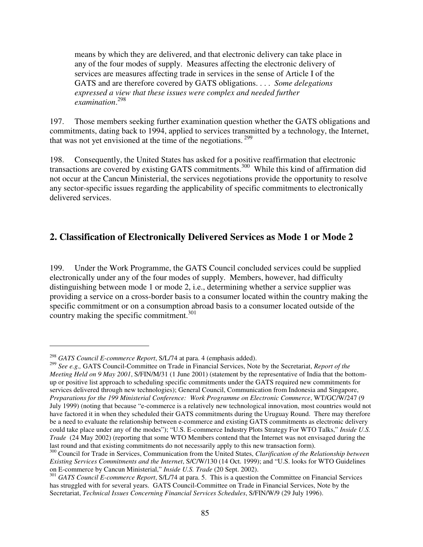means by which they are delivered, and that electronic delivery can take place in any of the four modes of supply. Measures affecting the electronic delivery of services are measures affecting trade in services in the sense of Article I of the GATS and are therefore covered by GATS obligations. . . . *Some delegations expressed a view that these issues were complex and needed further examination*. 298

197. Those members seeking further examination question whether the GATS obligations and commitments, dating back to 1994, applied to services transmitted by a technology, the Internet, that was not yet envisioned at the time of the negotiations.<sup>299</sup>

198. Consequently, the United States has asked for a positive reaffirmation that electronic transactions are covered by existing GATS commitments. <sup>300</sup> While this kind of affirmation did not occur at the Cancun Ministerial, the services negotiations provide the opportunity to resolve any sector-specific issues regarding the applicability of specific commitments to electronically delivered services.

## **2. Classification of Electronically Delivered Services as Mode 1 or Mode 2**

199. Under the Work Programme, the GATS Council concluded services could be supplied electronically under any of the four modes of supply. Members, however, had difficulty distinguishing between mode 1 or mode 2, i.e., determining whether a service supplier was providing a service on a cross-border basis to a consumer located within the country making the specific commitment or on a consumption abroad basis to a consumer located outside of the country making the specific commitment. 301

<sup>298</sup> *GATS Council E-commerce Report*, S/L/74 at para. 4 (emphasis added).

<sup>299</sup> *See e.g.,* GATS Council-Committee on Trade in Financial Services, Note by the Secretariat, *Report of the Meeting Held on 9 May 2001*, S/FIN/M/31 (1 June 2001) (statement by the representative of India that the bottomup or positive list approach to scheduling specific commitments under the GATS required new commitments for services delivered through new technologies); General Council, Communication from Indonesia and Singapore, *Preparations for the 199 Ministerial Conference: Work Programme on Electronic Commerce*, WT/GC/W/247 (9 July 1999) (noting that because "e-commerce is a relatively new technological innovation, most countries would not have factored it in when they scheduled their GATS commitments during the Uruguay Round. There may therefore be a need to evaluate the relationship between e-commerce and existing GATS commitments as electronic delivery could take place under any of the modes"); "U.S. E-commerce Industry Plots Strategy For WTO Talks," *Inside U.S. Trade* (24 May 2002) (reporting that some WTO Members contend that the Internet was not envisaged during the last round and that existing commitments do not necessarily apply to this new transaction form).

<sup>300</sup> Council for Trade in Services, Communication from the United States, *Clarification of the Relationship between Existing Services Commitments and the Internet*, S/C/W/130 (14 Oct. 1999); and "U.S. looks for WTO Guidelines on E-commerce by Cancun Ministerial," *Inside U.S. Trade* (20 Sept. 2002).

<sup>301</sup> *GATS Council E-commerce Report*, S/L/74 at para. 5. This is a question the Committee on Financial Services has struggled with for several years. GATS Council-Committee on Trade in Financial Services, Note by the Secretariat, *Technical Issues Concerning Financial Services Schedules*, S/FIN/W/9 (29 July 1996).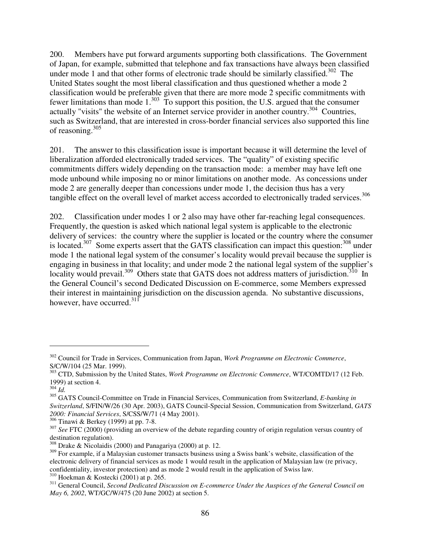200. Members have put forward arguments supporting both classifications. The Government of Japan, for example, submitted that telephone and fax transactions have always been classified under mode 1 and that other forms of electronic trade should be similarly classified.<sup>302</sup> The United States sought the most liberal classification and thus questioned whether a mode 2 classification would be preferable given that there are more mode 2 specific commitments with fewer limitations than mode  $1^{303}$  To support this position, the U.S. argued that the consumer actually "visits" the website of an Internet service provider in another country.<sup>304</sup> Countries, such as Switzerland, that are interested in cross-border financial services also supported this line of reasoning. 305

201. The answer to this classification issue is important because it will determine the level of liberalization afforded electronically traded services. The "quality" of existing specific commitments differs widely depending on the transaction mode: a member may have left one mode unbound while imposing no or minor limitations on another mode. As concessions under mode 2 are generally deeper than concessions under mode 1, the decision thus has a very tangible effect on the overall level of market access accorded to electronically traded services. 306

202. Classification under modes 1 or 2 also may have other far-reaching legal consequences. Frequently, the question is asked which national legal system is applicable to the electronic delivery of services: the country where the supplier is located or the country where the consumer is located.<sup>307</sup> Some experts assert that the GATS classification can impact this question:<sup>308</sup> under mode 1 the national legal system of the consumer's locality would prevail because the supplier is engaging in business in that locality; and under mode 2 the national legal system of the supplier's locality would prevail.<sup>309</sup> Others state that GATS does not address matters of jurisdiction.<sup>310</sup> In the General Council's second Dedicated Discussion on E-commerce, some Members expressed their interest in maintaining jurisdiction on the discussion agenda. No substantive discussions, however, have occurred.<sup>311</sup>

<sup>302</sup> Council for Trade in Services, Communication from Japan, *Work Programme on Electronic Commerce*, S/C/W/104 (25 Mar. 1999).

<sup>303</sup> CTD, Submission by the United States, *Work Programme on Electronic Commerce*, WT/COMTD/17 (12 Feb. 1999) at section 4.

<sup>304</sup> *Id.*

<sup>305</sup> GATS Council-Committee on Trade in Financial Services, Communication from Switzerland, *E-banking in Switzerland*, S/FIN/W/26 (30 Apr. 2003), GATS Council-Special Session, Communication from Switzerland, *GATS 2000: Financial Services*, S/CSS/W/71 (4 May 2001).

<sup>306</sup> Tinawi & Berkey (1999) at pp. 7-8.

<sup>307</sup> *See* FTC (2000) (providing an overview of the debate regarding country of origin regulation versus country of destination regulation).

 $308$  Drake & Nicolaidis (2000) and Panagariya (2000) at p. 12.

<sup>&</sup>lt;sup>309</sup> For example, if a Malaysian customer transacts business using a Swiss bank's website, classification of the electronic delivery of financial services as mode 1 would result in the application of Malaysian law (re privacy, confidentiality, investor protection) and as mode 2 would result in the application of Swiss law.  $310$  Hoekman & Kostecki (2001) at p. 265.

<sup>311</sup> General Council, *Second Dedicated Discussion on E-commerce Under the Auspices of the General Council on May 6, 2002*, WT/GC/W/475 (20 June 2002) at section 5.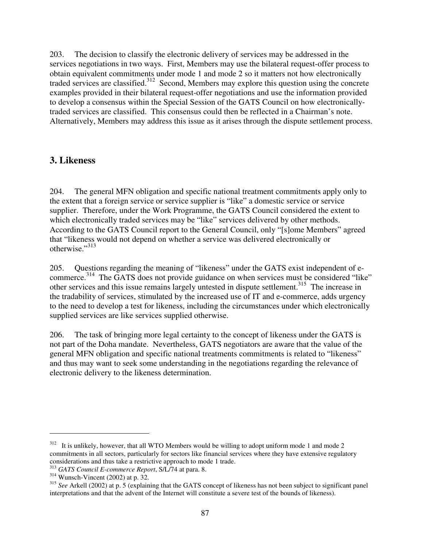203. The decision to classify the electronic delivery of services may be addressed in the services negotiations in two ways. First, Members may use the bilateral request-offer process to obtain equivalent commitments under mode 1 and mode 2 so it matters not how electronically traded services are classified.<sup>312</sup> Second, Members may explore this question using the concrete examples provided in their bilateral request-offer negotiations and use the information provided to develop a consensus within the Special Session of the GATS Council on how electronicallytraded services are classified. This consensus could then be reflected in a Chairman's note. Alternatively, Members may address this issue as it arises through the dispute settlement process.

### **3. Likeness**

204. The general MFN obligation and specific national treatment commitments apply only to the extent that a foreign service or service supplier is "like" a domestic service or service supplier. Therefore, under the Work Programme, the GATS Council considered the extent to which electronically traded services may be "like" services delivered by other methods. According to the GATS Council report to the General Council, only "[s]ome Members" agreed that "likeness would not depend on whether a service was delivered electronically or otherwise."<sup>313</sup>

205. Questions regarding the meaning of "likeness" under the GATS exist independent of ecommerce.<sup>314</sup> The GATS does not provide guidance on when services must be considered "like" other services and this issue remains largely untested in dispute settlement.<sup>315</sup> The increase in the tradability of services, stimulated by the increased use of IT and e-commerce, adds urgency to the need to develop a test for likeness, including the circumstances under which electronically supplied services are like services supplied otherwise.

206. The task of bringing more legal certainty to the concept of likeness under the GATS is not part of the Doha mandate. Nevertheless, GATS negotiators are aware that the value of the general MFN obligation and specific national treatments commitments is related to "likeness" and thus may want to seek some understanding in the negotiations regarding the relevance of electronic delivery to the likeness determination.

<sup>&</sup>lt;sup>312</sup> It is unlikely, however, that all WTO Members would be willing to adopt uniform mode 1 and mode 2 commitments in all sectors, particularly for sectors like financial services where they have extensive regulatory considerations and thus take a restrictive approach to mode 1 trade.

<sup>313</sup> *GATS Council E-commerce Report*, S/L/74 at para. 8.

 $314$  Wunsch-Vincent (2002) at p. 32.

<sup>315</sup> *See* Arkell (2002) at p. 5 (explaining that the GATS concept of likeness has not been subject to significant panel interpretations and that the advent of the Internet will constitute a severe test of the bounds of likeness).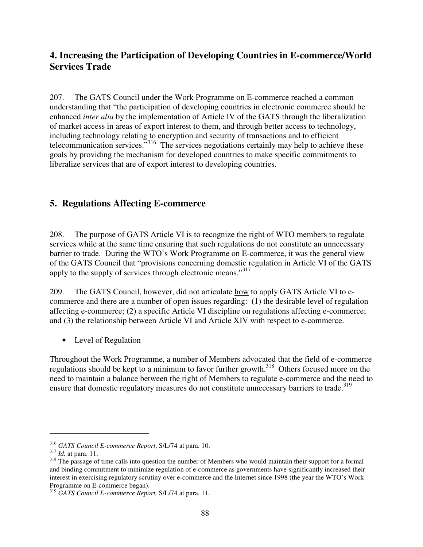## **4. Increasing the Participation of Developing Countries in E-commerce/World Services Trade**

207. The GATS Council under the Work Programme on E-commerce reached a common understanding that "the participation of developing countries in electronic commerce should be enhanced *inter alia* by the implementation of Article IV of the GATS through the liberalization of market access in areas of export interest to them, and through better access to technology, including technology relating to encryption and security of transactions and to efficient telecommunication services."<sup>316</sup> The services negotiations certainly may help to achieve these goals by providing the mechanism for developed countries to make specific commitments to liberalize services that are of export interest to developing countries.

# **5. Regulations Affecting E-commerce**

208. The purpose of GATS Article VI is to recognize the right of WTO members to regulate services while at the same time ensuring that such regulations do not constitute an unnecessary barrier to trade. During the WTO's Work Programme on E-commerce, it was the general view of the GATS Council that "provisions concerning domestic regulation in Article VI of the GATS apply to the supply of services through electronic means."317

209. The GATS Council, however, did not articulate how to apply GATS Article VI to ecommerce and there are a number of open issues regarding: (1) the desirable level of regulation affecting e-commerce; (2) a specific Article VI discipline on regulations affecting e-commerce; and (3) the relationship between Article VI and Article XIV with respect to e-commerce.

• Level of Regulation

Throughout the Work Programme, a number of Members advocated that the field of e-commerce regulations should be kept to a minimum to favor further growth.<sup>318</sup> Others focused more on the need to maintain a balance between the right of Members to regulate e-commerce and the need to ensure that domestic regulatory measures do not constitute unnecessary barriers to trade.<sup>319</sup>

<sup>316</sup> *GATS Council E-commerce Report*, S/L/74 at para. 10.

<sup>317</sup> *Id.* at para. 11.

<sup>&</sup>lt;sup>318</sup> The passage of time calls into question the number of Members who would maintain their support for a formal and binding commitment to minimize regulation of e-commerce as governments have significantly increased their interest in exercising regulatory scrutiny over e-commerce and the Internet since 1998 (the year the WTO's Work Programme on E-commerce began).

<sup>319</sup> *GATS Council E-commerce Report,* S/L/74 at para. 11.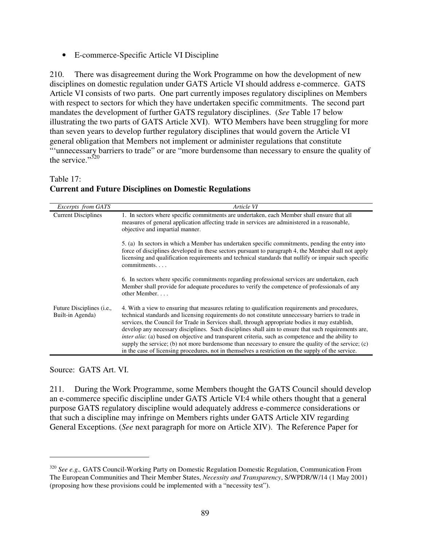• E-commerce-Specific Article VI Discipline

210. There was disagreement during the Work Programme on how the development of new disciplines on domestic regulation under GATS Article VI should address e-commerce. GATS Article VI consists of two parts. One part currently imposes regulatory disciplines on Members with respect to sectors for which they have undertaken specific commitments. The second part mandates the development of further GATS regulatory disciplines. (*See* Table 17 below illustrating the two parts of GATS Article XVI). WTO Members have been struggling for more than seven years to develop further regulatory disciplines that would govern the Article VI general obligation that Members not implement or administer regulations that constitute "'unnecessary barriers to trade" or are "more burdensome than necessary to ensure the quality of the service." $320$ 

#### Table 17: **Current and Future Disciplines on Domestic Regulations**

| Excerpts from GATS                                     | Article VI                                                                                                                                                                                                                                                                                                                                                                                                                                                                                                                                                                                                                                                                                                                                |
|--------------------------------------------------------|-------------------------------------------------------------------------------------------------------------------------------------------------------------------------------------------------------------------------------------------------------------------------------------------------------------------------------------------------------------------------------------------------------------------------------------------------------------------------------------------------------------------------------------------------------------------------------------------------------------------------------------------------------------------------------------------------------------------------------------------|
| <b>Current Disciplines</b>                             | 1. In sectors where specific commitments are undertaken, each Member shall ensure that all<br>measures of general application affecting trade in services are administered in a reasonable,<br>objective and impartial manner.                                                                                                                                                                                                                                                                                                                                                                                                                                                                                                            |
|                                                        | 5. (a) In sectors in which a Member has undertaken specific commitments, pending the entry into<br>force of disciplines developed in these sectors pursuant to paragraph 4, the Member shall not apply<br>licensing and qualification requirements and technical standards that nullify or impair such specific<br>commitments                                                                                                                                                                                                                                                                                                                                                                                                            |
|                                                        | 6. In sectors where specific commitments regarding professional services are undertaken, each<br>Member shall provide for adequate procedures to verify the competence of professionals of any<br>other Member                                                                                                                                                                                                                                                                                                                                                                                                                                                                                                                            |
| Future Disciplines ( <i>i.e.</i> ,<br>Built-in Agenda) | 4. With a view to ensuring that measures relating to qualification requirements and procedures,<br>technical standards and licensing requirements do not constitute unnecessary barriers to trade in<br>services, the Council for Trade in Services shall, through appropriate bodies it may establish,<br>develop any necessary disciplines. Such disciplines shall aim to ensure that such requirements are,<br><i>inter alia:</i> (a) based on objective and transparent criteria, such as competence and the ability to<br>supply the service; (b) not more burdensome than necessary to ensure the quality of the service; (c)<br>in the case of licensing procedures, not in themselves a restriction on the supply of the service. |

Source: GATS Art. VI.

211. During the Work Programme, some Members thought the GATS Council should develop an e-commerce specific discipline under GATS Article VI:4 while others thought that a general purpose GATS regulatory discipline would adequately address e-commerce considerations or that such a discipline may infringe on Members rights under GATS Article XIV regarding General Exceptions. (*See* next paragraph for more on Article XIV). The Reference Paper for

<sup>320</sup> *See e.g.,* GATS Council-Working Party on Domestic Regulation Domestic Regulation, Communication From The European Communities and Their Member States, *Necessity and Transparency*, S/WPDR/W/14 (1 May 2001) (proposing how these provisions could be implemented with a "necessity test").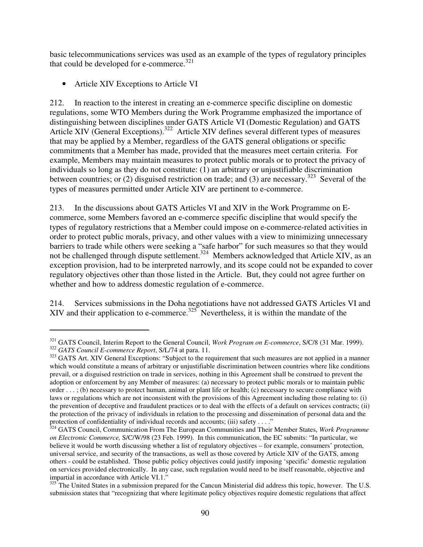basic telecommunications services was used as an example of the types of regulatory principles that could be developed for e-commerce.<sup>321</sup>

• Article XIV Exceptions to Article VI

212. In reaction to the interest in creating an e-commerce specific discipline on domestic regulations, some WTO Members during the Work Programme emphasized the importance of distinguishing between disciplines under GATS Article VI (Domestic Regulation) and GATS Article XIV (General Exceptions).<sup>322</sup> Article XIV defines several different types of measures that may be applied by a Member, regardless of the GATS general obligations or specific commitments that a Member has made, provided that the measures meet certain criteria. For example, Members may maintain measures to protect public morals or to protect the privacy of individuals so long as they do not constitute: (1) an arbitrary or unjustifiable discrimination between countries; or  $(2)$  disguised restriction on trade; and  $(3)$  are necessary.<sup>323</sup> Several of the types of measures permitted under Article XIV are pertinent to e-commerce.

213. In the discussions about GATS Articles VI and XIV in the Work Programme on Ecommerce, some Members favored an e-commerce specific discipline that would specify the types of regulatory restrictions that a Member could impose on e-commerce-related activities in order to protect public morals, privacy, and other values with a view to minimizing unnecessary barriers to trade while others were seeking a "safe harbor" for such measures so that they would not be challenged through dispute settlement.<sup>324</sup> Members acknowledged that Article XIV, as an exception provision, had to be interpreted narrowly, and its scope could not be expanded to cover regulatory objectives other than those listed in the Article. But, they could not agree further on whether and how to address domestic regulation of e-commerce.

214. Services submissions in the Doha negotiations have not addressed GATS Articles VI and XIV and their application to e-commerce.<sup>325</sup> Nevertheless, it is within the mandate of the

<sup>321</sup> GATS Council, Interim Report to the General Council, *Work Program on E-commerce*, S/C/8 (31 Mar. 1999). <sup>322</sup> *GATS Council E-commerce Report*, S/L/74 at para. 11.

<sup>&</sup>lt;sup>323</sup> GATS Art. XIV General Exceptions: "Subject to the requirement that such measures are not applied in a manner which would constitute a means of arbitrary or unjustifiable discrimination between countries where like conditions prevail, or a disguised restriction on trade in services, nothing in this Agreement shall be construed to prevent the adoption or enforcement by any Member of measures: (a) necessary to protect public morals or to maintain public order  $\dots$ ; (b) necessary to protect human, animal or plant life or health; (c) necessary to secure compliance with laws or regulations which are not inconsistent with the provisions of this Agreement including those relating to: (i) the prevention of deceptive and fraudulent practices or to deal with the effects of a default on services contracts; (ii) the protection of the privacy of individuals in relation to the processing and dissemination of personal data and the protection of confidentiality of individual records and accounts; (iii) safety . . . ."

<sup>324</sup> GATS Council, Communication From The European Communities and Their Member States, *Work Programme on Electronic Commerce,* S/C/W/98 (23 Feb. 1999). In this communication, the EC submits: "In particular, we believe it would be worth discussing whether a list of regulatory objectives – for example, consumers' protection, universal service, and security of the transactions, as well as those covered by Article XIV of the GATS, among others - could be established. Those public policy objectives could justify imposing 'specific' domestic regulation on services provided electronically. In any case, such regulation would need to be itself reasonable, objective and impartial in accordance with Article VI.1."

<sup>&</sup>lt;sup>325</sup> The United States in a submission prepared for the Cancun Ministerial did address this topic, however. The U.S. submission states that "recognizing that where legitimate policy objectives require domestic regulations that affect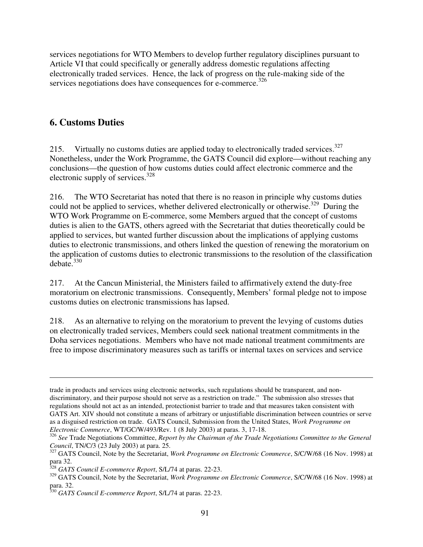services negotiations for WTO Members to develop further regulatory disciplines pursuant to Article VI that could specifically or generally address domestic regulations affecting electronically traded services. Hence, the lack of progress on the rule-making side of the services negotiations does have consequences for e-commerce.<sup>326</sup>

## **6. Customs Duties**

215. Virtually no customs duties are applied today to electronically traded services. $327$ Nonetheless, under the Work Programme, the GATS Council did explore—without reaching any conclusions—the question of how customs duties could affect electronic commerce and the electronic supply of services.<sup>328</sup>

216. The WTO Secretariat has noted that there is no reason in principle why customs duties could not be applied to services, whether delivered electronically or otherwise.<sup>329</sup> During the WTO Work Programme on E-commerce, some Members argued that the concept of customs duties is alien to the GATS, others agreed with the Secretariat that duties theoretically could be applied to services, but wanted further discussion about the implications of applying customs duties to electronic transmissions, and others linked the question of renewing the moratorium on the application of customs duties to electronic transmissions to the resolution of the classification debate. 330

217. At the Cancun Ministerial, the Ministers failed to affirmatively extend the duty-free moratorium on electronic transmissions. Consequently, Members' formal pledge not to impose customs duties on electronic transmissions has lapsed.

218. As an alternative to relying on the moratorium to prevent the levying of customs duties on electronically traded services, Members could seek national treatment commitments in the Doha services negotiations. Members who have not made national treatment commitments are free to impose discriminatory measures such as tariffs or internal taxes on services and service

<u> 2008 - Andrea Station Barbara, actor a component de la contrada de la contrada de la contrada de la contrada</u>

trade in products and services using electronic networks, such regulations should be transparent, and nondiscriminatory, and their purpose should not serve as a restriction on trade." The submission also stresses that regulations should not act as an intended, protectionist barrier to trade and that measures taken consistent with GATS Art. XIV should not constitute a means of arbitrary or unjustifiable discrimination between countries or serve as a disguised restriction on trade. GATS Council, Submission from the United States, *Work Programme on Electronic Commerce*, WT/GC/W/493/Rev. 1 (8 July 2003) at paras. 3, 17-18.

<sup>326</sup> *See* Trade Negotiations Committee, *Report by the Chairman of the Trade Negotiations Committee to the General Council*, TN/C/3 (23 July 2003) at para. 25.

<sup>327</sup> GATS Council, Note by the Secretariat, *Work Programme on Electronic Commerce*, S/C/W/68 (16 Nov. 1998) at para 32.

<sup>328</sup> *GATS Council E-commerce Report*, S/L/74 at paras. 22-23.

<sup>329</sup> GATS Council, Note by the Secretariat, *Work Programme on Electronic Commerce*, S/C/W/68 (16 Nov. 1998) at para. 32.

<sup>330</sup> *GATS Council E-commerce Report*, S/L/74 at paras. 22-23.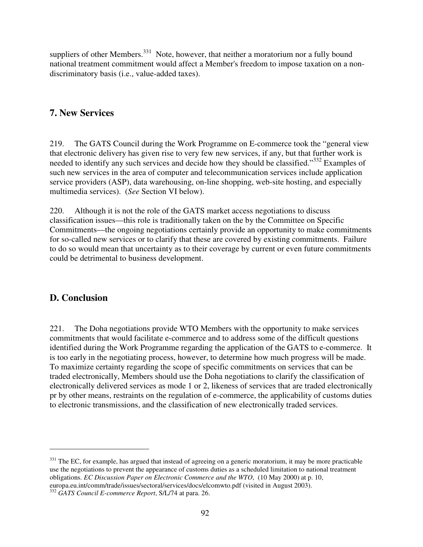suppliers of other Members.<sup>331</sup> Note, however, that neither a moratorium nor a fully bound national treatment commitment would affect a Member's freedom to impose taxation on a nondiscriminatory basis (i.e., value-added taxes).

## **7. New Services**

219. The GATS Council during the Work Programme on E-commerce took the "general view that electronic delivery has given rise to very few new services, if any, but that further work is needed to identify any such services and decide how they should be classified."<sup>332</sup> Examples of such new services in the area of computer and telecommunication services include application service providers (ASP), data warehousing, on-line shopping, web-site hosting, and especially multimedia services). (*See* Section VI below).

220. Although it is not the role of the GATS market access negotiations to discuss classification issues—this role is traditionally taken on the by the Committee on Specific Commitments—the ongoing negotiations certainly provide an opportunity to make commitments for so-called new services or to clarify that these are covered by existing commitments. Failure to do so would mean that uncertainty as to their coverage by current or even future commitments could be detrimental to business development.

# **D. Conclusion**

221. The Doha negotiations provide WTO Members with the opportunity to make services commitments that would facilitate e-commerce and to address some of the difficult questions identified during the Work Programme regarding the application of the GATS to e-commerce. It is too early in the negotiating process, however, to determine how much progress will be made. To maximize certainty regarding the scope of specific commitments on services that can be traded electronically, Members should use the Doha negotiations to clarify the classification of electronically delivered services as mode 1 or 2, likeness of services that are traded electronically pr by other means, restraints on the regulation of e-commerce, the applicability of customs duties to electronic transmissions, and the classification of new electronically traded services.

 $331$  The EC, for example, has argued that instead of agreeing on a generic moratorium, it may be more practicable use the negotiations to prevent the appearance of customs duties as a scheduled limitation to national treatment obligations. *EC Discussion Paper on Electronic Commerce and the WTO*, (10 May 2000) at p. 10, europa.eu.int/comm/trade/issues/sectoral/services/docs/elcomwto.pdf (visited in August 2003).

<sup>332</sup> *GATS Council E-commerce Report*, S/L/74 at para. 26.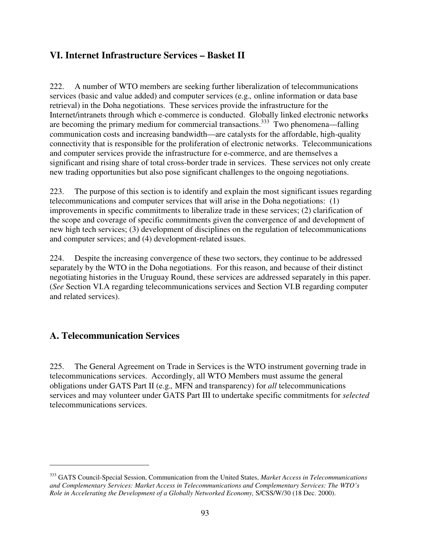## **VI. Internet Infrastructure Services – Basket II**

222. A number of WTO members are seeking further liberalization of telecommunications services (basic and value added) and computer services (e.g.*,* online information or data base retrieval) in the Doha negotiations. These services provide the infrastructure for the Internet/intranets through which e-commerce is conducted. Globally linked electronic networks are becoming the primary medium for commercial transactions.<sup>333</sup> Two phenomena—falling communication costs and increasing bandwidth—are catalysts for the affordable, high-quality connectivity that is responsible for the proliferation of electronic networks. Telecommunications and computer services provide the infrastructure for e-commerce, and are themselves a significant and rising share of total cross-border trade in services. These services not only create new trading opportunities but also pose significant challenges to the ongoing negotiations.

223. The purpose of this section is to identify and explain the most significant issues regarding telecommunications and computer services that will arise in the Doha negotiations: (1) improvements in specific commitments to liberalize trade in these services; (2) clarification of the scope and coverage of specific commitments given the convergence of and development of new high tech services; (3) development of disciplines on the regulation of telecommunications and computer services; and (4) development-related issues.

224. Despite the increasing convergence of these two sectors, they continue to be addressed separately by the WTO in the Doha negotiations. For this reason, and because of their distinct negotiating histories in the Uruguay Round, these services are addressed separately in this paper. (*See* Section VI.A regarding telecommunications services and Section VI.B regarding computer and related services).

# **A. Telecommunication Services**

225. The General Agreement on Trade in Services is the WTO instrument governing trade in telecommunications services. Accordingly, all WTO Members must assume the general obligations under GATS Part II (e.g.*,* MFN and transparency) for *all* telecommunications services and may volunteer under GATS Part III to undertake specific commitments for *selected* telecommunications services.

<sup>333</sup> GATS Council-Special Session, Communication from the United States, *Market Access in Telecommunications and Complementary Services: Market Access in Telecommunications and Complementary Services: The WTO's Role in Accelerating the Development of a Globally Networked Economy,* S/CSS/W/30 (18 Dec. 2000).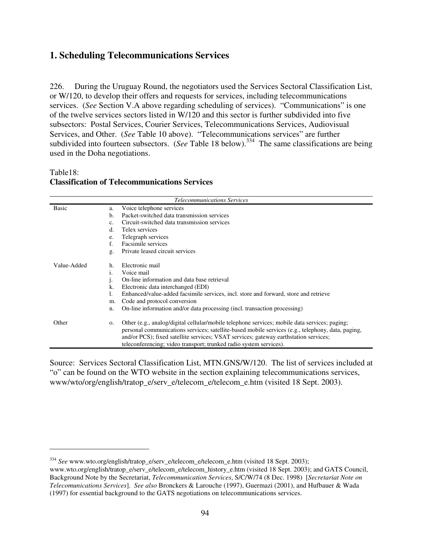#### **1. Scheduling Telecommunications Services**

226. During the Uruguay Round, the negotiators used the Services Sectoral Classification List, or W/120, to develop their offers and requests for services, including telecommunications services. (*See* Section V.A above regarding scheduling of services). "Communications" is one of the twelve services sectors listed in W/120 and this sector is further subdivided into five subsectors: Postal Services, Courier Services, Telecommunications Services, Audiovisual Services, and Other. (*See* Table 10 above). "Telecommunications services" are further subdivided into fourteen subsectors. (*See* Table 18 below). 334 The same classifications are being used in the Doha negotiations.

#### Table18: **Classification of Telecommunications Services**

| <b>Telecommunications Services</b> |    |                                                                                                                                                                                                                                                                                                                                                                  |
|------------------------------------|----|------------------------------------------------------------------------------------------------------------------------------------------------------------------------------------------------------------------------------------------------------------------------------------------------------------------------------------------------------------------|
| Basic                              | a. | Voice telephone services                                                                                                                                                                                                                                                                                                                                         |
|                                    | b. | Packet-switched data transmission services                                                                                                                                                                                                                                                                                                                       |
|                                    | c. | Circuit-switched data transmission services                                                                                                                                                                                                                                                                                                                      |
|                                    | d. | Telex services                                                                                                                                                                                                                                                                                                                                                   |
|                                    | e. | Telegraph services                                                                                                                                                                                                                                                                                                                                               |
|                                    | f. | Facsimile services                                                                                                                                                                                                                                                                                                                                               |
|                                    | g. | Private leased circuit services                                                                                                                                                                                                                                                                                                                                  |
| Value-Added                        | h. | Electronic mail                                                                                                                                                                                                                                                                                                                                                  |
|                                    | 1. | Voice mail                                                                                                                                                                                                                                                                                                                                                       |
|                                    | 1. | On-line information and data base retrieval                                                                                                                                                                                                                                                                                                                      |
|                                    | k. | Electronic data interchanged (EDI)                                                                                                                                                                                                                                                                                                                               |
|                                    | 1. | Enhanced/value-added facsimile services, incl. store and forward, store and retrieve                                                                                                                                                                                                                                                                             |
|                                    | m. | Code and protocol conversion                                                                                                                                                                                                                                                                                                                                     |
|                                    | n. | On-line information and/or data processing (incl. transaction processing)                                                                                                                                                                                                                                                                                        |
| Other                              | 0. | Other (e.g., analog/digital cellular/mobile telephone services; mobile data services; paging;<br>personal communications services; satellite-based mobile services (e.g., telephony, data, paging,<br>and/or PCS); fixed satellite services; VSAT services; gateway earthstation services;<br>teleconferencing; video transport; trunked radio system services). |

Source: Services Sectoral Classification List, MTN.GNS/W/120. The list of services included at "o" can be found on the WTO website in the section explaining telecommunications services, www/wto/org/english/tratop\_e/serv\_e/telecom\_e/telecom\_e.htm (visited 18 Sept. 2003).

<sup>334</sup> *See* www.wto.org/english/tratop\_e/serv\_e/telecom\_e/telecom\_e.htm (visited 18 Sept. 2003);

www.wto.org/english/tratop\_e/serv\_e/telecom\_e/telecom\_history\_e.htm (visited 18 Sept. 2003); and GATS Council, Background Note by the Secretariat, *Telecommunication Services*, S/C/W/74 (8 Dec. 1998) [*Secretariat Note on Telecomunications Services*]. *See also* Bronckers & Larouche (1997), Guermazi (2001), and Hufbauer & Wada (1997) for essential background to the GATS negotiations on telecommunications services.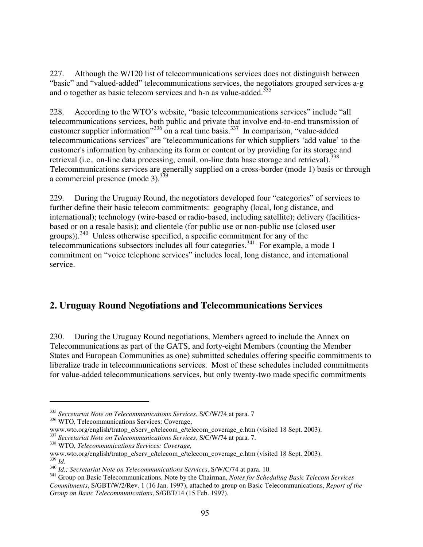227. Although the W/120 list of telecommunications services does not distinguish between "basic" and "valued-added" telecommunications services, the negotiators grouped services a-g and o together as basic telecom services and h-n as value-added.<sup>335</sup>

228. According to the WTO's website, "basic telecommunications services" include "all telecommunications services, both public and private that involve end-to-end transmission of customer supplier information<sup> $1336$ </sup> on a real time basis.<sup>337</sup> In comparison, "value-added" telecommunications services" are "telecommunications for which suppliers 'add value' to the customer's information by enhancing its form or content or by providing for its storage and retrieval (i.e., on-line data processing, email, on-line data base storage and retrieval).<sup>338</sup> Telecommunications services are generally supplied on a cross-border (mode 1) basis or through a commercial presence (mode 3).<sup>339</sup>

229. During the Uruguay Round, the negotiators developed four "categories" of services to further define their basic telecom commitments: geography (local, long distance, and international); technology (wire-based or radio-based, including satellite); delivery (facilitiesbased or on a resale basis); and clientele (for public use or non-public use (closed user groups)).<sup>340</sup> Unless otherwise specified, a specific commitment for any of the telecommunications subsectors includes all four categories.<sup>341</sup> For example, a mode 1 commitment on "voice telephone services" includes local, long distance, and international service.

# **2. Uruguay Round Negotiations and Telecommunications Services**

230. During the Uruguay Round negotiations, Members agreed to include the Annex on Telecommunications as part of the GATS, and forty-eight Members (counting the Member States and European Communities as one) submitted schedules offering specific commitments to liberalize trade in telecommunications services. Most of these schedules included commitments for value-added telecommunications services, but only twenty-two made specific commitments

<sup>335</sup> *Secretariat Note on Telecommunications Services*, S/C/W/74 at para. 7

<sup>336</sup> WTO, Telecommunications Services: Coverage,

www.wto.org/english/tratop\_e/serv\_e/telecom\_e/telecom\_coverage\_e.htm (visited 18 Sept. 2003).

<sup>337</sup> *Secretariat Note on Telecommunications Services*, S/C/W/74 at para. 7.

<sup>338</sup> WTO, *Telecommunications Services: Coverage,*

www.wto.org/english/tratop\_e/serv\_e/telecom\_e/telecom\_coverage\_e.htm (visited 18 Sept. 2003). 339 *Id.*

<sup>340</sup> *Id.; Secretariat Note on Telecommunications Services*, S/W/C/74 at para. 10.

<sup>341</sup> Group on Basic Telecommunications, Note by the Chairman, *Notes for Scheduling Basic Telecom Services Commitments*, S/GBT/W/2/Rev. 1 (16 Jan. 1997), attached to group on Basic Telecommunications, *Report of the Group on Basic Telecommunications*, S/GBT/14 (15 Feb. 1997).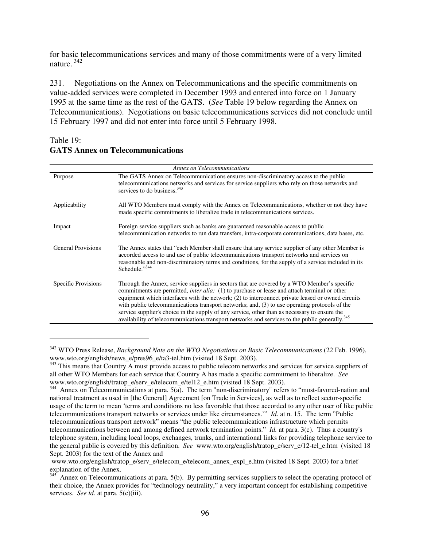for basic telecommunications services and many of those commitments were of a very limited nature. 342

231. Negotiations on the Annex on Telecommunications and the specific commitments on value-added services were completed in December 1993 and entered into force on 1 January 1995 at the same time as the rest of the GATS. (*See* Table 19 below regarding the Annex on Telecommunications). Negotiations on basic telecommunications services did not conclude until 15 February 1997 and did not enter into force until 5 February 1998.

#### Table 19: **GATS Annex on Telecommunications**

| <b>Annex on Telecommunications</b> |                                                                                                                                                                                                                                                                                                                                                                                                                                                                                                                                                                                                                          |  |
|------------------------------------|--------------------------------------------------------------------------------------------------------------------------------------------------------------------------------------------------------------------------------------------------------------------------------------------------------------------------------------------------------------------------------------------------------------------------------------------------------------------------------------------------------------------------------------------------------------------------------------------------------------------------|--|
| Purpose                            | The GATS Annex on Telecommunications ensures non-discriminatory access to the public<br>telecommunications networks and services for service suppliers who rely on those networks and<br>services to do business. <sup>343</sup>                                                                                                                                                                                                                                                                                                                                                                                         |  |
| Applicability                      | All WTO Members must comply with the Annex on Telecommunications, whether or not they have<br>made specific commitments to liberalize trade in telecommunications services.                                                                                                                                                                                                                                                                                                                                                                                                                                              |  |
| Impact                             | Foreign service suppliers such as banks are guaranteed reasonable access to public<br>telecommunication networks to run data transfers, intra-corporate communications, data bases, etc.                                                                                                                                                                                                                                                                                                                                                                                                                                 |  |
| <b>General Provisions</b>          | The Annex states that "each Member shall ensure that any service supplier of any other Member is<br>accorded access to and use of public telecommunications transport networks and services on<br>reasonable and non-discriminatory terms and conditions, for the supply of a service included in its<br>Schedule. $\frac{1}{344}$                                                                                                                                                                                                                                                                                       |  |
| Specific Provisions                | Through the Annex, service suppliers in sectors that are covered by a WTO Member's specific<br>commitments are permitted, <i>inter alia</i> : (1) to purchase or lease and attach terminal or other<br>equipment which interfaces with the network; (2) to interconnect private leased or owned circuits<br>with public telecommunications transport networks; and, (3) to use operating protocols of the<br>service supplier's choice in the supply of any service, other than as necessary to ensure the<br>availability of telecommunications transport networks and services to the public generally. <sup>345</sup> |  |

<sup>342</sup> WTO Press Release, *Background Note on the WTO Negotiations on Basic Telecommunications* (22 Feb. 1996), www.wto.org/english/news\_e/pres96\_e/ta3-tel.htm (visited 18 Sept. 2003).

<sup>&</sup>lt;sup>343</sup> This means that Country A must provide access to public telecom networks and services for service suppliers of all other WTO Members for each service that Country A has made a specific commitment to liberalize. *See* www.wto.org/english/tratop\_e/serv\_e/telecom\_e/tel12\_e.htm (visited 18 Sept. 2003).

<sup>&</sup>lt;sup>344</sup> Annex on Telecommunications at para. 5(a). The term "non-discriminatory" refers to "most-favored-nation and national treatment as used in [the General] Agreement [on Trade in Services], as well as to reflect sector-specific usage of the term to mean 'terms and conditions no less favorable that those accorded to any other user of like public telecommunications transport networks or services under like circumstances.'" *Id.* at n. 15. The term "Public telecommunications transport network" means "the public telecommunications infrastructure which permits telecommunications between and among defined network termination points." *Id.* at para. 3(c). Thus a country's telephone system, including local loops, exchanges, trunks, and international links for providing telephone service to the general public is covered by this definition. *See* www.wto.org/english/tratop\_e/serv\_e/12-tel\_e.htm (visited 18 Sept. 2003) for the text of the Annex and

www.wto.org/english/tratop\_e/serv\_e/telecom\_e/telecom\_annex\_expl\_e.htm (visited 18 Sept. 2003) for a brief explanation of the Annex.

 $345$  Annex on Telecommunications at para. 5(b). By permitting services suppliers to select the operating protocol of their choice, the Annex provides for "technology neutrality," a very important concept for establishing competitive services. *See id.* at para. 5(c)(iii).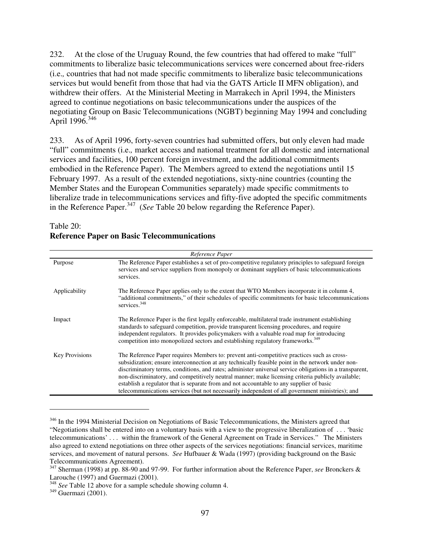232. At the close of the Uruguay Round, the few countries that had offered to make "full" commitments to liberalize basic telecommunications services were concerned about free-riders (i.e.*,* countries that had not made specific commitments to liberalize basic telecommunications services but would benefit from those that had via the GATS Article II MFN obligation), and withdrew their offers. At the Ministerial Meeting in Marrakech in April 1994, the Ministers agreed to continue negotiations on basic telecommunications under the auspices of the negotiating Group on Basic Telecommunications (NGBT) beginning May 1994 and concluding April 1996. 346

233. As of April 1996, forty-seven countries had submitted offers, but only eleven had made "full" commitments (i.e.*,* market access and national treatment for all domestic and international services and facilities, 100 percent foreign investment, and the additional commitments embodied in the Reference Paper). The Members agreed to extend the negotiations until 15 February 1997. As a result of the extended negotiations, sixty-nine countries (counting the Member States and the European Communities separately) made specific commitments to liberalize trade in telecommunications services and fifty-five adopted the specific commitments in the Reference Paper. 347 (*See* Table 20 below regarding the Reference Paper).

#### Table 20: **Reference Paper on Basic Telecommunications**

|                       | Reference Paper                                                                                                                                                                                                                                                                                                                                                                                                                                                                                                                                                                                                |  |  |  |  |
|-----------------------|----------------------------------------------------------------------------------------------------------------------------------------------------------------------------------------------------------------------------------------------------------------------------------------------------------------------------------------------------------------------------------------------------------------------------------------------------------------------------------------------------------------------------------------------------------------------------------------------------------------|--|--|--|--|
| Purpose               | The Reference Paper establishes a set of pro-competitive regulatory principles to safeguard foreign<br>services and service suppliers from monopoly or dominant suppliers of basic telecommunications<br>services.                                                                                                                                                                                                                                                                                                                                                                                             |  |  |  |  |
| Applicability         | The Reference Paper applies only to the extent that WTO Members incorporate it in column 4,<br>"additional commitments," of their schedules of specific commitments for basic telecommunications<br>services. $348$                                                                                                                                                                                                                                                                                                                                                                                            |  |  |  |  |
| Impact                | The Reference Paper is the first legally enforceable, multilateral trade instrument establishing<br>standards to safeguard competition, provide transparent licensing procedures, and require<br>independent regulators. It provides policymakers with a valuable road map for introducing<br>competition into monopolized sectors and establishing regulatory frameworks. <sup>349</sup>                                                                                                                                                                                                                      |  |  |  |  |
| <b>Key Provisions</b> | The Reference Paper requires Members to: prevent anti-competitive practices such as cross-<br>subsidization; ensure interconnection at any technically feasible point in the network under non-<br>discriminatory terms, conditions, and rates; administer universal service obligations in a transparent,<br>non-discriminatory, and competitively neutral manner; make licensing criteria publicly available;<br>establish a regulator that is separate from and not accountable to any supplier of basic<br>telecommunications services (but not necessarily independent of all government ministries); and |  |  |  |  |

<sup>&</sup>lt;sup>346</sup> In the 1994 Ministerial Decision on Negotiations of Basic Telecommunications, the Ministers agreed that "Negotiations shall be entered into on a voluntary basis with a view to the progressive liberalization of . . . 'basic telecommunications' . . . within the framework of the General Agreement on Trade in Services." The Ministers also agreed to extend negotiations on three other aspects of the services negotiations: financial services, maritime services, and movement of natural persons. *See* Hufbauer & Wada (1997) (providing background on the Basic Telecommunications Agreement).

<sup>347</sup> Sherman (1998) at pp. 88-90 and 97-99. For further information about the Reference Paper, *see* Bronckers &

Larouche (1997) and Guermazi (2001). 348 *See* Table 12 above for a sample schedule showing column 4.

<sup>349</sup> Guermazi (2001).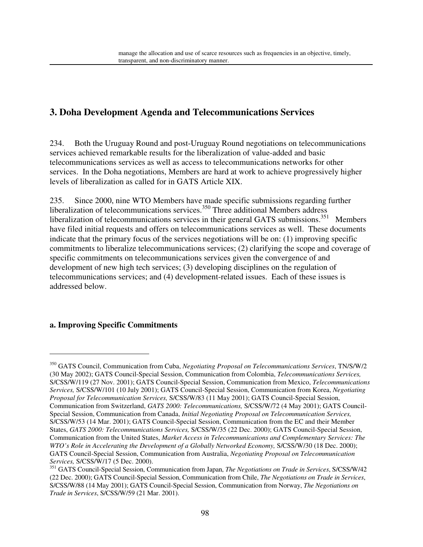# **3. Doha Development Agenda and Telecommunications Services**

234. Both the Uruguay Round and post-Uruguay Round negotiations on telecommunications services achieved remarkable results for the liberalization of value-added and basic telecommunications services as well as access to telecommunications networks for other services. In the Doha negotiations, Members are hard at work to achieve progressively higher levels of liberalization as called for in GATS Article XIX.

235. Since 2000, nine WTO Members have made specific submissions regarding further liberalization of telecommunications services.<sup>350</sup> Three additional Members address liberalization of telecommunications services in their general GATS submissions.<sup>351</sup> Members have filed initial requests and offers on telecommunications services as well. These documents indicate that the primary focus of the services negotiations will be on: (1) improving specific commitments to liberalize telecommunications services; (2) clarifying the scope and coverage of specific commitments on telecommunications services given the convergence of and development of new high tech services; (3) developing disciplines on the regulation of telecommunications services; and (4) development-related issues. Each of these issues is addressed below.

#### **a. Improving Specific Commitments**

<sup>350</sup> GATS Council, Communication from Cuba, *Negotiating Proposal on Telecommunications Services*, TN/S/W/2 (30 May 2002); GATS Council-Special Session, Communication from Colombia, *Telecommunications Services,* S/CSS/W/119 (27 Nov. 2001); GATS Council-Special Session, Communication from Mexico, *Telecommunications Services,* S/CSS/W/101 (10 July 2001); GATS Council-Special Session, Communication from Korea, *Negotiating Proposal for Telecommunication Services,* S/CSS/W/83 (11 May 2001); GATS Council-Special Session, Communication from Switzerland, *GATS 2000: Telecommunications,* S/CSS/W/72 (4 May 2001); GATS Council-Special Session, Communication from Canada, *Initial Negotiating Proposal on Telecommunication Services,* S/CSS/W/53 (14 Mar. 2001); GATS Council-Special Session, Communication from the EC and their Member States, *GATS 2000: Telecommunications Services,* S/CSS/W/35 (22 Dec. 2000); GATS Council-Special Session, Communication from the United States, *Market Access in Telecommunications and Complementary Services: The WTO's Role in Accelerating the Development of a Globally Networked Economy,* S/CSS/W/30 (18 Dec. 2000); GATS Council-Special Session, Communication from Australia, *Negotiating Proposal on Telecommunication Services,* S/CSS/W/17 (5 Dec. 2000).

<sup>351</sup> GATS Council-Special Session, Communication from Japan, *The Negotiations on Trade in Services*, S/CSS/W/42 (22 Dec. 2000); GATS Council-Special Session, Communication from Chile, *The Negotiations on Trade in Services*, S/CSS/W/88 (14 May 2001); GATS Council-Special Session, Communication from Norway, *The Negotiations on Trade in Services*, S/CSS/W/59 (21 Mar. 2001).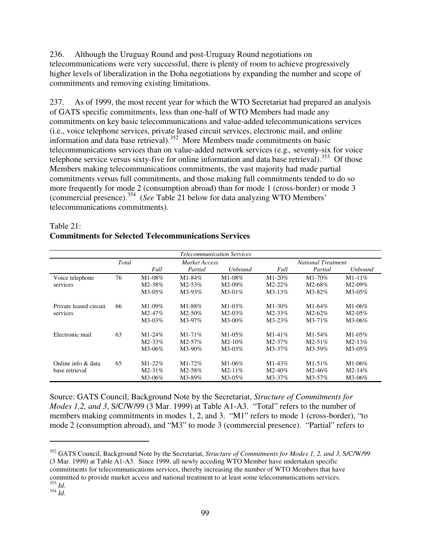236. Although the Uruguay Round and post-Uruguay Round negotiations on telecommunications were very successful, there is plenty of room to achieve progressively higher levels of liberalization in the Doha negotiations by expanding the number and scope of commitments and removing existing limitations.

237. As of 1999, the most recent year for which the WTO Secretariat had prepared an analysis of GATS specific commitments, less than one-half of WTO Members had made any commitments on key basic telecommunications and value-added telecommunications services (i.e.*,* voice telephone services, private leased circuit services, electronic mail, and online information and data base retrieval). <sup>352</sup> More Members made commitments on basic telecommunications services than on value-added network services (e.g.*,* seventy-six for voice telephone service versus sixty-five for online information and data base retrieval).<sup>353</sup> Of those Members making telecommunications commitments, the vast majority had made partial commitments versus full commitments, and those making full commitments tended to do so more frequently for mode 2 (consumption abroad) than for mode 1 (cross-border) or mode 3 (commercial presence). 354 (*See* Table 21 below for data analyzing WTO Members' telecommunications commitments).

| Table 21: |                                                             |
|-----------|-------------------------------------------------------------|
|           | <b>Commitments for Selected Telecommunications Services</b> |

| <b>Telecommunication Services</b> |       |             |               |            |                    |             |                |  |
|-----------------------------------|-------|-------------|---------------|------------|--------------------|-------------|----------------|--|
|                                   | Total |             | Market Access |            | National Treatment |             |                |  |
|                                   |       | Full        | Partial       | Unbound    | Full               | Partial     | <b>Unbound</b> |  |
| Voice telephone                   | 76    | $M1-08%$    | $M1 - 84\%$   | $M1-08%$   | $M1-20%$           | $M1-70%$    | $M1-11%$       |  |
| services                          |       | $M2 - 38\%$ | $M2 - 53\%$   | $M2-09\%$  | $M2-22%$           | $M2-68%$    | $M2-09\%$      |  |
|                                   |       | $M3-0.5\%$  | $M3-93%$      | $M3-01\%$  | $M3-13%$           | M3-82%      | $M3-0.5\%$     |  |
| Private leased circuit            | 66    | $M1-09\%$   | M1-88%        | $M1-0.3\%$ | $M1 - 30\%$        | $M1-64%$    | $M1-06%$       |  |
| services                          |       | M2-47%      | $M2 - 50\%$   | $M2-03%$   | $M2 - 33%$         | $M2 - 62\%$ | $M2-0.5\%$     |  |
|                                   |       | $M3-03%$    | M3-97%        | $M3-00\%$  | $M3-23%$           | $M3-71%$    | M3-06%         |  |
| Electronic mail                   | 63    | $M1-24%$    | $M1-71%$      | $M1-05%$   | $M1-41%$           | M1-54%      | $M1-05%$       |  |
|                                   |       | $M2 - 33\%$ | $M2 - 57\%$   | $M2-10%$   | M2-37%             | $M2 - 51\%$ | $M2-13%$       |  |
|                                   |       | $M3-06%$    | M3-90%        | $M3-03%$   | M3-37%             | M3-59%      | $M3-05%$       |  |
| Online info $\&$ data             | 65    | $M1-22%$    | $M1-72%$      | M1-06%     | $M1-43%$           | $M1-51%$    | $M1-06%$       |  |
| base retrieval                    |       | $M2-31%$    | M2-58%        | $M2-11%$   | $M2-40%$           | $M2-46%$    | $M2-14%$       |  |
|                                   |       | M3-06%      | M3-89%        | $M3-05%$   | M3-37%             | M3-57%      | $M3-06%$       |  |

Source: GATS Council, Background Note by the Secretariat, *Structure of Commitments for Modes 1,2, and 3*, S/C/W/99 (3 Mar. 1999) at Table A1-A3. "Total" refers to the number of members making commitments in modes 1, 2, and 3. "M1" refers to mode 1 (cross-border), "to mode 2 (consumption abroad), and "M3" to mode 3 (commercial presence). "Partial" refers to

<sup>352</sup> GATS Council, Background Note by the Secretariat, *Structure of Commitments for Modes 1, 2, and 3,* S/C/W/99 (3 Mar. 1999) at Table A1-A3. Since 1999, all newly acceding WTO Member have undertaken specific commitments for telecommunications services, thereby increasing the number of WTO Members that have committed to provide market access and national treatment to at least some telecommunications services. 353 *Id.*

<sup>354</sup> *Id.*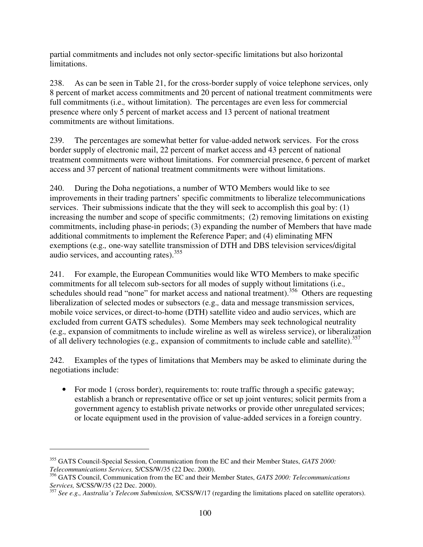partial commitments and includes not only sector-specific limitations but also horizontal limitations.

238. As can be seen in Table 21, for the cross-border supply of voice telephone services, only 8 percent of market access commitments and 20 percent of national treatment commitments were full commitments (i.e., without limitation). The percentages are even less for commercial presence where only 5 percent of market access and 13 percent of national treatment commitments are without limitations.

239. The percentages are somewhat better for value-added network services. For the cross border supply of electronic mail, 22 percent of market access and 43 percent of national treatment commitments were without limitations. For commercial presence, 6 percent of market access and 37 percent of national treatment commitments were without limitations.

240. During the Doha negotiations, a number of WTO Members would like to see improvements in their trading partners' specific commitments to liberalize telecommunications services. Their submissions indicate that the they will seek to accomplish this goal by: (1) increasing the number and scope of specific commitments; (2) removing limitations on existing commitments, including phase-in periods; (3) expanding the number of Members that have made additional commitments to implement the Reference Paper; and (4) eliminating MFN exemptions (e.g.*,* one-way satellite transmission of DTH and DBS television services/digital audio services, and accounting rates). 355

241. For example, the European Communities would like WTO Members to make specific commitments for all telecom sub-sectors for all modes of supply without limitations (i.e.*,* schedules should read "none" for market access and national treatment).<sup>356</sup> Others are requesting liberalization of selected modes or subsectors (e.g.*,* data and message transmission services, mobile voice services, or direct-to-home (DTH) satellite video and audio services, which are excluded from current GATS schedules). Some Members may seek technological neutrality (e.g.*,* expansion of commitments to include wireline as well as wireless service), or liberalization of all delivery technologies (e.g.*,* expansion of commitments to include cable and satellite). 357

242. Examples of the types of limitations that Members may be asked to eliminate during the negotiations include:

• For mode 1 (cross border), requirements to: route traffic through a specific gateway; establish a branch or representative office or set up joint ventures; solicit permits from a government agency to establish private networks or provide other unregulated services; or locate equipment used in the provision of value-added services in a foreign country.

<sup>355</sup> GATS Council-Special Session, Communication from the EC and their Member States, *GATS 2000: Telecommunications Services,* S/CSS/W/35 (22 Dec. 2000).

<sup>356</sup> GATS Council, Communication from the EC and their Member States, *GATS 2000: Telecommunications Services,* S/CSS/W/35 (22 Dec. 2000).

<sup>357</sup> *See e.g., Australia's Telecom Submission,* S/CSS/W/17 (regarding the limitations placed on satellite operators).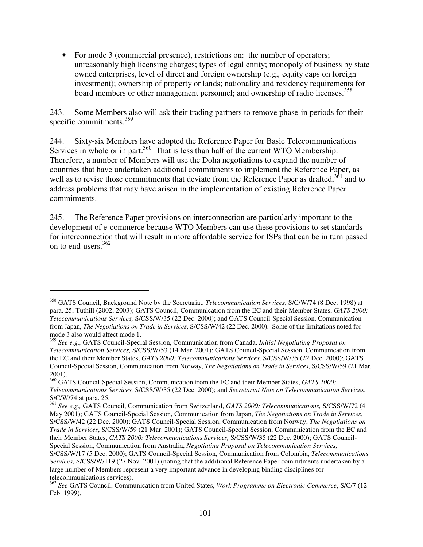• For mode 3 (commercial presence), restrictions on: the number of operators; unreasonably high licensing charges; types of legal entity; monopoly of business by state owned enterprises, level of direct and foreign ownership (e.g.*,* equity caps on foreign investment); ownership of property or lands; nationality and residency requirements for board members or other management personnel; and ownership of radio licenses. 358

243. Some Members also will ask their trading partners to remove phase-in periods for their specific commitments. 359

244. Sixty-six Members have adopted the Reference Paper for Basic Telecommunications Services in whole or in part.<sup>360</sup> That is less than half of the current WTO Membership. Therefore, a number of Members will use the Doha negotiations to expand the number of countries that have undertaken additional commitments to implement the Reference Paper, as well as to revise those commitments that deviate from the Reference Paper as drafted,<sup>361</sup> and to address problems that may have arisen in the implementation of existing Reference Paper commitments.

245. The Reference Paper provisions on interconnection are particularly important to the development of e-commerce because WTO Members can use these provisions to set standards for interconnection that will result in more affordable service for ISPs that can be in turn passed on to end-users. 362

<sup>358</sup> GATS Council, Background Note by the Secretariat, *Telecommunication Services*, S/C/W/74 (8 Dec. 1998) at para. 25; Tuthill (2002, 2003); GATS Council, Communication from the EC and their Member States, *GATS 2000: Telecommunications Services,* S/CSS/W/35 (22 Dec. 2000); and GATS Council-Special Session, Communication from Japan, *The Negotiations on Trade in Services*, S/CSS/W/42 (22 Dec. 2000). Some of the limitations noted for mode 3 also would affect mode 1.

<sup>359</sup> *See e.g.,* GATS Council-Special Session, Communication from Canada, *Initial Negotiating Proposal on Telecommunication Services,* S/CSS/W/53 (14 Mar. 2001); GATS Council-Special Session, Communication from the EC and their Member States, *GATS 2000: Telecommunications Services,* S/CSS/W/35 (22 Dec. 2000); GATS Council-Special Session, Communication from Norway, *The Negotiations on Trade in Services*, S/CSS/W/59 (21 Mar. 2001).

<sup>360</sup> GATS Council-Special Session, Communication from the EC and their Member States, *GATS 2000: Telecommunications Services,* S/CSS/W/35 (22 Dec. 2000); and *Secretariat Note on Telecommunication Services*,

S/C/W/74 at para. 25. 361 *See e.g.,* GATS Council, Communication from Switzerland, *GATS 2000: Telecommunications,* S/CSS/W/72 (4 May 2001); GATS Council-Special Session, Communication from Japan, *The Negotiations on Trade in Services*, S/CSS/W/42 (22 Dec. 2000); GATS Council-Special Session, Communication from Norway, *The Negotiations on Trade in Services*, S/CSS/W/59 (21 Mar. 2001); GATS Council-Special Session, Communication from the EC and their Member States, *GATS 2000: Telecommunications Services,* S/CSS/W/35 (22 Dec. 2000); GATS Council-Special Session, Communication from Australia, *Negotiating Proposal on Telecommunication Services,* S/CSS/W/17 (5 Dec. 2000); GATS Council-Special Session, Communication from Colombia, *Telecommunications*

*Services,* S/CSS/W/119 (27 Nov. 2001) (noting that the additional Reference Paper commitments undertaken by a large number of Members represent a very important advance in developing binding disciplines for telecommunications services).

<sup>362</sup> *See* GATS Council, Communication from United States, *Work Programme on Electronic Commerce*, S/C/7 (12 Feb. 1999).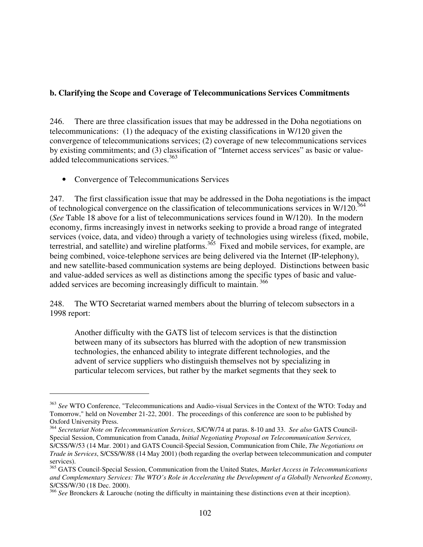#### **b. Clarifying the Scope and Coverage of Telecommunications Services Commitments**

246. There are three classification issues that may be addressed in the Doha negotiations on telecommunications: (1) the adequacy of the existing classifications in  $W/120$  given the convergence of telecommunications services; (2) coverage of new telecommunications services by existing commitments; and (3) classification of "Internet access services" as basic or valueadded telecommunications services.<sup>363</sup>

• Convergence of Telecommunications Services

247. The first classification issue that may be addressed in the Doha negotiations is the impact of technological convergence on the classification of telecommunications services in W/120.<sup>364</sup> (*See* Table 18 above for a list of telecommunications services found in W/120). In the modern economy, firms increasingly invest in networks seeking to provide a broad range of integrated services (voice, data, and video) through a variety of technologies using wireless (fixed, mobile, terrestrial, and satellite) and wireline platforms. 365 Fixed and mobile services, for example, are being combined, voice-telephone services are being delivered via the Internet (IP-telephony), and new satellite-based communication systems are being deployed. Distinctions between basic and value-added services as well as distinctions among the specific types of basic and valueadded services are becoming increasingly difficult to maintain.<sup>366</sup>

248. The WTO Secretariat warned members about the blurring of telecom subsectors in a 1998 report:

Another difficulty with the GATS list of telecom services is that the distinction between many of its subsectors has blurred with the adoption of new transmission technologies, the enhanced ability to integrate different technologies, and the advent of service suppliers who distinguish themselves not by specializing in particular telecom services, but rather by the market segments that they seek to

<sup>363</sup> *See* WTO Conference, "Telecommunications and Audio-visual Services in the Context of the WTO: Today and Tomorrow," held on November 21-22, 2001. The proceedings of this conference are soon to be published by Oxford University Press.

<sup>364</sup> *Secretariat Note on Telecommunication Services*, S/C/W/74 at paras. 8-10 and 33. *See also* GATS Council-Special Session, Communication from Canada, *Initial Negotiating Proposal on Telecommunication Services,* S/CSS/W/53 (14 Mar. 2001) and GATS Council-Special Session, Communication from Chile, *The Negotiations on Trade in Services*, S/CSS/W/88 (14 May 2001) (both regarding the overlap between telecommunication and computer services).

<sup>365</sup> GATS Council-Special Session, Communication from the United States, *Market Access in Telecommunications and Complementary Services: The WTO's Role in Accelerating the Development of a Globally Networked Economy*, S/CSS/W/30 (18 Dec. 2000).

<sup>366</sup> *See* Bronckers & Larouche (noting the difficulty in maintaining these distinctions even at their inception).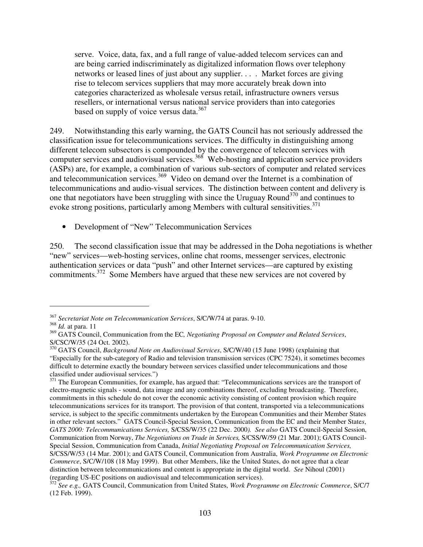serve. Voice, data, fax, and a full range of value-added telecom services can and are being carried indiscriminately as digitalized information flows over telephony networks or leased lines of just about any supplier. . . . Market forces are giving rise to telecom services suppliers that may more accurately break down into categories characterized as wholesale versus retail, infrastructure owners versus resellers, or international versus national service providers than into categories based on supply of voice versus data.<sup>367</sup>

249. Notwithstanding this early warning, the GATS Council has not seriously addressed the classification issue for telecommunications services. The difficulty in distinguishing among different telecom subsectors is compounded by the convergence of telecom services with computer services and audiovisual services.<sup>368</sup> Web-hosting and application service providers (ASPs) are, for example, a combination of various sub-sectors of computer and related services and telecommunication services.<sup>369</sup> Video on demand over the Internet is a combination of telecommunications and audio-visual services. The distinction between content and delivery is one that negotiators have been struggling with since the Uruguay Round<sup>370</sup> and continues to evoke strong positions, particularly among Members with cultural sensitivities. 371

• Development of "New" Telecommunication Services

250. The second classification issue that may be addressed in the Doha negotiations is whether "new" services—web-hosting services, online chat rooms, messenger services, electronic authentication services or data "push" and other Internet services—are captured by existing commitments.<sup>372</sup> Some Members have argued that these new services are not covered by

<sup>367</sup> *Secretariat Note on Telecommunication Services*, S/C/W/74 at paras. 9-10.

<sup>368</sup> *Id.* at para. 11

<sup>369</sup> GATS Council, Communication from the EC*, Negotiating Proposal on Computer and Related Services*, S/CSC/W/35 (24 Oct. 2002).

<sup>370</sup> GATS Council, *Background Note on Audiovisual Services*, S/C/W/40 (15 June 1998) (explaining that "Especially for the sub-category of Radio and television transmission services (CPC 7524), it sometimes becomes difficult to determine exactly the boundary between services classified under telecommunications and those classified under audiovisual services.")

<sup>&</sup>lt;sup>371</sup> The European Communities, for example, has argued that: "Telecommunications services are the transport of electro-magnetic signals - sound, data image and any combinations thereof, excluding broadcasting. Therefore, commitments in this schedule do not cover the economic activity consisting of content provision which require telecommunications services for its transport. The provision of that content, transported via a telecommunications service, is subject to the specific commitments undertaken by the European Communities and their Member States in other relevant sectors." GATS Council-Special Session, Communication from the EC and their Member State*s*, *GATS 2000: Telecommunications Services,* S/CSS/W/35 (22 Dec. 2000*). See also* GATS Council-Special Session, Communication from Norway, *The Negotiations on Trade in Services,* S/CSS/W/59 (21 Mar. 2001); GATS Council-Special Session, Communication from Canada, *Initial Negotiating Proposal on Telecommunication Services,* S/CSS/W/53 (14 Mar. 2001); and GATS Council, Communication from Australia, *Work Programme on Electronic Commerce*, S/C/W/108 (18 May 1999). But other Members, like the United States, do not agree that a clear distinction between telecommunications and content is appropriate in the digital world. *See* Nihoul (2001)

<sup>(</sup>regarding US-EC positions on audiovisual and telecommunication services).<br><sup>372</sup> See e.g., GATS Council, Communication from United States, Work Programme on Electronic Commerce, S/C/7 (12 Feb. 1999).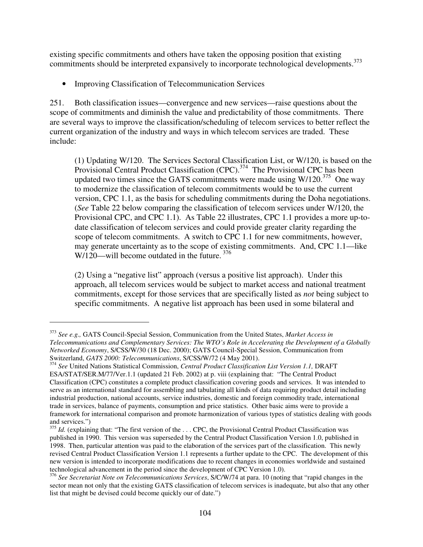existing specific commitments and others have taken the opposing position that existing commitments should be interpreted expansively to incorporate technological developments. 373

• Improving Classification of Telecommunication Services

251. Both classification issues—convergence and new services—raise questions about the scope of commitments and diminish the value and predictability of those commitments. There are several ways to improve the classification/scheduling of telecom services to better reflect the current organization of the industry and ways in which telecom services are traded. These include:

(1) Updating W/120. The Services Sectoral Classification List, or W/120, is based on the Provisional Central Product Classification (CPC).<sup>374</sup> The Provisional CPC has been updated two times since the GATS commitments were made using  $W/120$ .<sup>375</sup> One way to modernize the classification of telecom commitments would be to use the current version, CPC 1.1, as the basis for scheduling commitments during the Doha negotiations. (*See* Table 22 below comparing the classification of telecom services under W/120, the Provisional CPC, and CPC 1.1). As Table 22 illustrates, CPC 1.1 provides a more up-todate classification of telecom services and could provide greater clarity regarding the scope of telecom commitments. A switch to CPC 1.1 for new commitments, however, may generate uncertainty as to the scope of existing commitments. And, CPC 1.1—like W/120—will become outdated in the future. <sup>376</sup>

(2) Using a "negative list" approach (versus a positive list approach). Under this approach, all telecom services would be subject to market access and national treatment commitments, except for those services that are specifically listed as *not* being subject to specific commitments. A negative list approach has been used in some bilateral and

<sup>373</sup> *See e.g.,* GATS Council-Special Session, Communication from the United States, *Market Access in Telecommunications and Complementary Services: The WTO's Role in Accelerating the Development of a Globally Networked Economy*, S/CSS/W/30 (18 Dec. 2000); GATS Council-Special Session, Communication from Switzerland, *GATS 2000: Telecommunications*, S/CSS/W/72 (4 May 2001).

<sup>374</sup> *See* United Nations Statistical Commission, *Central Product Classification List Version 1.1,* DRAFT ESA/STAT/SER.M/77/Ver.1.1 (updated 21 Feb. 2002) at p. viii (explaining that: "The Central Product Classification (CPC) constitutes a complete product classification covering goods and services. It was intended to serve as an international standard for assembling and tabulating all kinds of data requiring product detail including industrial production, national accounts, service industries, domestic and foreign commodity trade, international trade in services, balance of payments, consumption and price statistics. Other basic aims were to provide a framework for international comparison and promote harmonization of various types of statistics dealing with goods and services.")

<sup>&</sup>lt;sup>375</sup> *Id.* (explaining that: "The first version of the ... CPC, the Provisional Central Product Classification was published in 1990. This version was superseded by the Central Product Classification Version 1.0, published in 1998. Then, particular attention was paid to the elaboration of the services part of the classification. This newly revised Central Product Classification Version 1.1 represents a further update to the CPC. The development of this new version is intended to incorporate modifications due to recent changes in economies worldwide and sustained technological advancement in the period since the development of CPC Version 1.0).

<sup>376</sup> *See Secretariat Note on Telecommunications Services*, S/C/W/74 at para. 10 (noting that "rapid changes in the sector mean not only that the existing GATS classification of telecom services is inadequate, but also that any other list that might be devised could become quickly our of date.")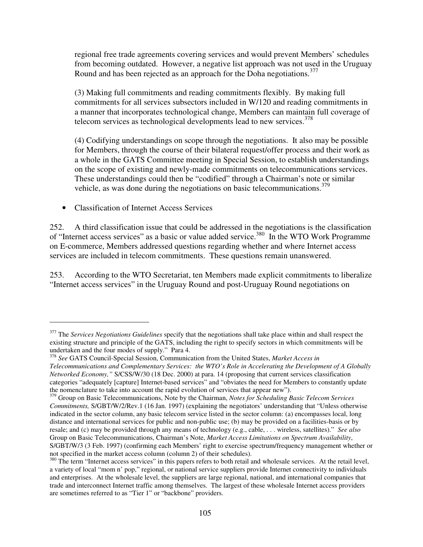regional free trade agreements covering services and would prevent Members' schedules from becoming outdated. However, a negative list approach was not used in the Uruguay Round and has been rejected as an approach for the Doha negotiations.<sup>377</sup>

(3) Making full commitments and reading commitments flexibly. By making full commitments for all services subsectors included in W/120 and reading commitments in a manner that incorporates technological change, Members can maintain full coverage of telecom services as technological developments lead to new services. 378

(4) Codifying understandings on scope through the negotiations. It also may be possible for Members, through the course of their bilateral request/offer process and their work as a whole in the GATS Committee meeting in Special Session, to establish understandings on the scope of existing and newly-made commitments on telecommunications services. These understandings could then be "codified" through a Chairman's note or similar vehicle, as was done during the negotiations on basic telecommunications. 379

• Classification of Internet Access Services

252. A third classification issue that could be addressed in the negotiations is the classification of "Internet access services" as a basic or value added service.<sup>380</sup> In the WTO Work Programme on E-commerce, Members addressed questions regarding whether and where Internet access services are included in telecom commitments. These questions remain unanswered.

253. According to the WTO Secretariat, ten Members made explicit commitments to liberalize "Internet access services" in the Uruguay Round and post-Uruguay Round negotiations on

<sup>377</sup> The *Services Negotiations Guidelines* specify that the negotiations shall take place within and shall respect the existing structure and principle of the GATS, including the right to specify sectors in which commitments will be undertaken and the four modes of supply." Para 4.

<sup>378</sup> *See* GATS Council-Special Session, Communication from the United States, *Market Access in Telecommunications and Complementary Services: the WTO's Role in Accelerating the Development of A Globally Networked Economy,"* S/CSS/W/30 (18 Dec. 2000) at para. 14 (proposing that current services classification categories "adequately [capture] Internet-based services" and "obviates the need for Members to constantly update the nomenclature to take into account the rapid evolution of services that appear new").

<sup>379</sup> Group on Basic Telecommunications, Note by the Chairman, *Notes for Scheduling Basic Telecom Services Commitments,* S/GBT/W/2/Rev.1 (16 Jan. 1997) (explaining the negotiators' understanding that "Unless otherwise indicated in the sector column, any basic telecom service listed in the sector column: (a) encompasses local, long distance and international services for public and non-public use; (b) may be provided on a facilities-basis or by resale; and (c) may be provided through any means of technology (e.g., cable, . . . wireless, satellites)." *See also* Group on Basic Telecommunications, Chairman's Note, *Market Access Limitations on Spectrum Availability*, S/GBT/W/3 (3 Feb. 1997) (confirming each Members' right to exercise spectrum/frequency management whether or not specified in the market access column (column 2) of their schedules).

<sup>&</sup>lt;sup>380</sup> The term "Internet access services" in this papers refers to both retail and wholesale services. At the retail level, a variety of local "mom n' pop," regional, or national service suppliers provide Internet connectivity to individuals and enterprises. At the wholesale level, the suppliers are large regional, national, and international companies that trade and interconnect Internet traffic among themselves. The largest of these wholesale Internet access providers are sometimes referred to as "Tier 1" or "backbone" providers.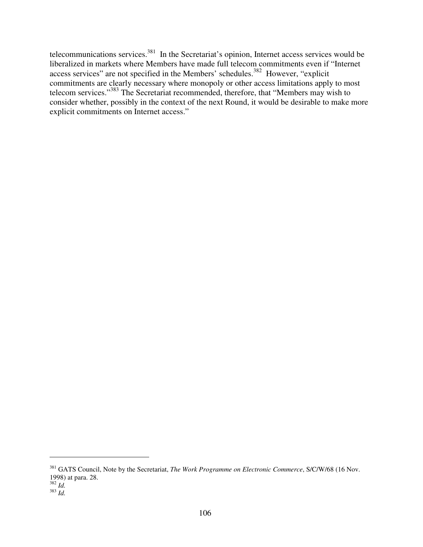telecommunications services.<sup>381</sup> In the Secretariat's opinion, Internet access services would be liberalized in markets where Members have made full telecom commitments even if "Internet access services" are not specified in the Members' schedules.<sup>382</sup> However, "explicit commitments are clearly necessary where monopoly or other access limitations apply to most telecom services." 383 The Secretariat recommended, therefore, that "Members may wish to consider whether, possibly in the context of the next Round, it would be desirable to make more explicit commitments on Internet access."

<sup>381</sup> GATS Council, Note by the Secretariat, *The Work Programme on Electronic Commerce*, S/C/W/68 (16 Nov. 1998) at para. 28. 382 *Id.*

<sup>383</sup> *Id.*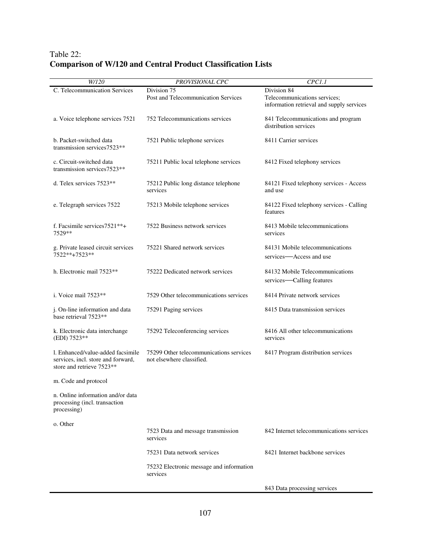| W/120                                                                                                | PROVISIONAL CPC                                                      | CPC1.1                                                                                   |  |  |
|------------------------------------------------------------------------------------------------------|----------------------------------------------------------------------|------------------------------------------------------------------------------------------|--|--|
| C. Telecommunication Services                                                                        | Division 75<br>Post and Telecommunication Services                   | Division 84<br>Telecommunications services;<br>information retrieval and supply services |  |  |
| a. Voice telephone services 7521                                                                     | 752 Telecommunications services                                      | 841 Telecommunications and program<br>distribution services                              |  |  |
| b. Packet-switched data<br>transmission services7523**                                               | 7521 Public telephone services                                       | 8411 Carrier services                                                                    |  |  |
| c. Circuit-switched data<br>transmission services7523**                                              | 75211 Public local telephone services                                | 8412 Fixed telephony services                                                            |  |  |
| d. Telex services 7523**                                                                             | 75212 Public long distance telephone<br>services                     | 84121 Fixed telephony services - Access<br>and use                                       |  |  |
| e. Telegraph services 7522                                                                           | 75213 Mobile telephone services                                      | 84122 Fixed telephony services - Calling<br>features                                     |  |  |
| f. Facsimile services7521**+<br>7529**                                                               | 7522 Business network services                                       | 8413 Mobile telecommunications<br>services                                               |  |  |
| g. Private leased circuit services<br>7522**+7523**                                                  | 75221 Shared network services                                        | 84131 Mobile telecommunications<br>services—Access and use                               |  |  |
| h. Electronic mail 7523**                                                                            | 75222 Dedicated network services                                     | 84132 Mobile Telecommunications<br>services-Calling features                             |  |  |
| i. Voice mail $7523**$                                                                               | 7529 Other telecommunications services                               | 8414 Private network services                                                            |  |  |
| j. On-line information and data<br>base retrieval 7523**                                             | 75291 Paging services                                                | 8415 Data transmission services                                                          |  |  |
| k. Electronic data interchange<br>(EDI) 7523**                                                       | 75292 Teleconferencing services                                      | 8416 All other telecommunications<br>services                                            |  |  |
| l. Enhanced/value-added facsimile<br>services, incl. store and forward,<br>store and retrieve 7523** | 75299 Other telecommunications services<br>not elsewhere classified. | 8417 Program distribution services                                                       |  |  |
| m. Code and protocol                                                                                 |                                                                      |                                                                                          |  |  |
| n. Online information and/or data<br>processing (incl. transaction<br>processing)                    |                                                                      |                                                                                          |  |  |
| o. Other                                                                                             | 7523 Data and message transmission<br>services                       | 842 Internet telecommunications services                                                 |  |  |
|                                                                                                      | 75231 Data network services                                          | 8421 Internet backbone services                                                          |  |  |
|                                                                                                      | 75232 Electronic message and information<br>services                 |                                                                                          |  |  |
|                                                                                                      |                                                                      | 843 Data processing services                                                             |  |  |

### Table 22: **Comparison of W/120 and Central Product Classification Lists**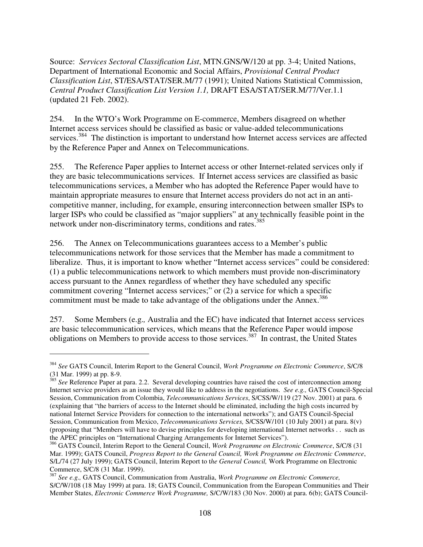Source: *Services Sectoral Classification List*, MTN.GNS/W/120 at pp. 3-4; United Nations, Department of International Economic and Social Affairs, *Provisional Central Product Classification List*, ST/ESA/STAT/SER.M/77 (1991); United Nations Statistical Commission, *Central Product Classification List Version 1.1,* DRAFT ESA/STAT/SER.M/77/Ver.1.1 (updated 21 Feb. 2002).

254. In the WTO's Work Programme on E-commerce, Members disagreed on whether Internet access services should be classified as basic or value-added telecommunications services.<sup>384</sup> The distinction is important to understand how Internet access services are affected by the Reference Paper and Annex on Telecommunications.

255. The Reference Paper applies to Internet access or other Internet-related services only if they are basic telecommunications services. If Internet access services are classified as basic telecommunications services, a Member who has adopted the Reference Paper would have to maintain appropriate measures to ensure that Internet access providers do not act in an anticompetitive manner, including, for example, ensuring interconnection between smaller ISPs to larger ISPs who could be classified as "major suppliers" at any technically feasible point in the network under non-discriminatory terms, conditions and rates. 385

256. The Annex on Telecommunications guarantees access to a Member's public telecommunications network for those services that the Member has made a commitment to liberalize. Thus, it is important to know whether "Internet access services" could be considered: (1) a public telecommunications network to which members must provide non-discriminatory access pursuant to the Annex regardless of whether they have scheduled any specific commitment covering "Internet access services;" or (2) a service for which a specific commitment must be made to take advantage of the obligations under the Annex.<sup>386</sup>

257. Some Members (e.g.*,* Australia and the EC) have indicated that Internet access services are basic telecommunication services, which means that the Reference Paper would impose obligations on Members to provide access to those services.<sup>387</sup> In contrast, the United States

<sup>384</sup> *See* GATS Council, Interim Report to the General Council, *Work Programme on Electronic Commerce*, S/C/8

<sup>(31</sup> Mar. 1999) at pp. 8-9. 385 *See* Reference Paper at para. 2.2. Several developing countries have raised the cost of interconnection among Internet service providers as an issue they would like to address in the negotiations. *See e.g.,* GATS Council-Special Session, Communication from Colombia, *Telecommunications Services*, S/CSS/W/119 (27 Nov. 2001) at para. 6 (explaining that "the barriers of access to the Internet should be eliminated, including the high costs incurred by national Internet Service Providers for connection to the international networks"); and GATS Council-Special Session, Communication from Mexico, *Telecommunications Services,* S/CSS/W/101 (10 July 2001) at para. 8(v) (proposing that "Members will have to devise principles for developing international Internet networks . . such as the APEC principles on "International Charging Arrangements for Internet Services").

<sup>386</sup> GATS Council, Interim Report to the General Council, *Work Programme on Electronic Commerce*, S/C/8 (31 Mar. 1999); GATS Council, *Progress Report to the General Council, Work Programme on Electronic Commerce*, S/L/74 (27 July 1999); GATS Council, Interim Report to t*he General Council,* Work Programme on Electronic Commerce, S/C/8 (31 Mar. 1999).

<sup>387</sup> *See e.g.,* GATS Council, Communication from Australia, *Work Programme on Electronic Commerce,* S/C/W/108 (18 May 1999) at para. 18; GATS Council, Communication from the European Communities and Their Member States, *Electronic Commerce Work Programme,* S/C/W/183 (30 Nov. 2000) at para. 6(b); GATS Council-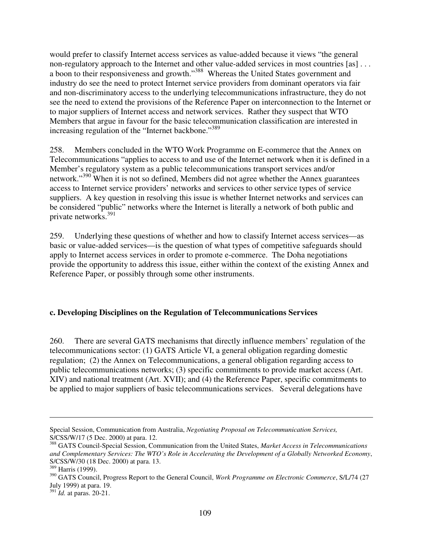would prefer to classify Internet access services as value-added because it views "the general non-regulatory approach to the Internet and other value-added services in most countries [as] ... a boon to their responsiveness and growth."<sup>388</sup> Whereas the United States government and industry do see the need to protect Internet service providers from dominant operators via fair and non-discriminatory access to the underlying telecommunications infrastructure, they do not see the need to extend the provisions of the Reference Paper on interconnection to the Internet or to major suppliers of Internet access and network services. Rather they suspect that WTO Members that argue in favour for the basic telecommunication classification are interested in increasing regulation of the "Internet backbone."<sup>389</sup>

258. Members concluded in the WTO Work Programme on E-commerce that the Annex on Telecommunications "applies to access to and use of the Internet network when it is defined in a Member's regulatory system as a public telecommunications transport services and/or network."<sup>390</sup> When it is not so defined, Members did not agree whether the Annex guarantees access to Internet service providers' networks and services to other service types of service suppliers. A key question in resolving this issue is whether Internet networks and services can be considered "public" networks where the Internet is literally a network of both public and private networks. 391

259. Underlying these questions of whether and how to classify Internet access services—as basic or value-added services—is the question of what types of competitive safeguards should apply to Internet access services in order to promote e-commerce. The Doha negotiations provide the opportunity to address this issue, either within the context of the existing Annex and Reference Paper, or possibly through some other instruments.

#### **c. Developing Disciplines on the Regulation of Telecommunications Services**

260. There are several GATS mechanisms that directly influence members' regulation of the telecommunications sector: (1) GATS Article VI, a general obligation regarding domestic regulation; (2) the Annex on Telecommunications, a general obligation regarding access to public telecommunications networks; (3) specific commitments to provide market access (Art. XIV) and national treatment (Art. XVII); and (4) the Reference Paper, specific commitments to be applied to major suppliers of basic telecommunications services. Several delegations have

<u> 2008 - Andrea Station Barbara, actor a component de la contrada de la contrada de la contrada de la contrada</u>

Special Session, Communication from Australia, *Negotiating Proposal on Telecommunication Services,* S/CSS/W/17 (5 Dec. 2000) at para. 12.

<sup>388</sup> GATS Council-Special Session, Communication from the United States, *Market Access in Telecommunications and Complementary Services: The WTO's Role in Accelerating the Development of a Globally Networked Economy*, S/CSS/W/30 (18 Dec. 2000) at para. 13.

<sup>&</sup>lt;sup>389</sup> Harris (1999).

<sup>390</sup> GATS Council, Progress Report to the General Council, *Work Programme on Electronic Commerce*, S/L/74 (27 July 1999) at para. 19.

<sup>391</sup> *Id.* at paras. 20-21.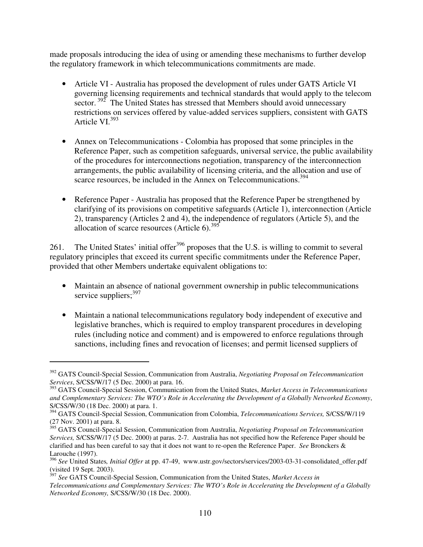made proposals introducing the idea of using or amending these mechanisms to further develop the regulatory framework in which telecommunications commitments are made.

- Article VI Australia has proposed the development of rules under GATS Article VI governing licensing requirements and technical standards that would apply to the telecom  $\frac{392}{2}$  The United States has stressed that Members should avoid unnecessary restrictions on services offered by value-added services suppliers, consistent with GATS Article VI. 393
- Annex on Telecommunications Colombia has proposed that some principles in the Reference Paper, such as competition safeguards, universal service, the public availability of the procedures for interconnections negotiation, transparency of the interconnection arrangements, the public availability of licensing criteria, and the allocation and use of scarce resources, be included in the Annex on Telecommunications.<sup>394</sup>
- Reference Paper Australia has proposed that the Reference Paper be strengthened by clarifying of its provisions on competitive safeguards (Article 1), interconnection (Article 2), transparency (Articles 2 and 4), the independence of regulators (Article 5), and the allocation of scarce resources (Article  $6$ ).<sup>395</sup>

261. The United States' initial offer<sup>396</sup> proposes that the U.S. is willing to commit to several regulatory principles that exceed its current specific commitments under the Reference Paper, provided that other Members undertake equivalent obligations to:

- Maintain an absence of national government ownership in public telecommunications service suppliers;<sup>397</sup>
- Maintain a national telecommunications regulatory body independent of executive and legislative branches, which is required to employ transparent procedures in developing rules (including notice and comment) and is empowered to enforce regulations through sanctions, including fines and revocation of licenses; and permit licensed suppliers of

<sup>392</sup> GATS Council-Special Session, Communication from Australia, *Negotiating Proposal on Telecommunication Services*, S/CSS/W/17 (5 Dec. 2000) at para. 16.

<sup>393</sup> GATS Council-Special Session, Communication from the United States, *Market Access in Telecommunications and Complementary Services: The WTO's Role in Accelerating the Development of a Globally Networked Economy*, S/CSS/W/30 (18 Dec. 2000) at para. 1.

<sup>394</sup> GATS Council-Special Session, Communication from Colombia, *Telecommunications Services,* S/CSS/W/119 (27 Nov. 2001) at para. 8.

<sup>395</sup> GATS Council-Special Session, Communication from Australia, *Negotiating Proposal on Telecommunication Services,* S/CSS/W/17 (5 Dec. 2000) at paras. 2-7. Australia has not specified how the Reference Paper should be clarified and has been careful to say that it does not want to re-open the Reference Paper. *See* Bronckers & Larouche (1997).

<sup>396</sup> *See* United States*, Initial Offer* at pp. 47-49, www.ustr.gov/sectors/services/2003-03-31-consolidated\_offer.pdf

<sup>(</sup>visited 19 Sept. 2003). 397 *See* GATS Council-Special Session, Communication from the United States, *Market Access in Telecommunications and Complementary Services: The WTO's Role in Accelerating the Development of a Globally Networked Economy,* S/CSS/W/30 (18 Dec. 2000).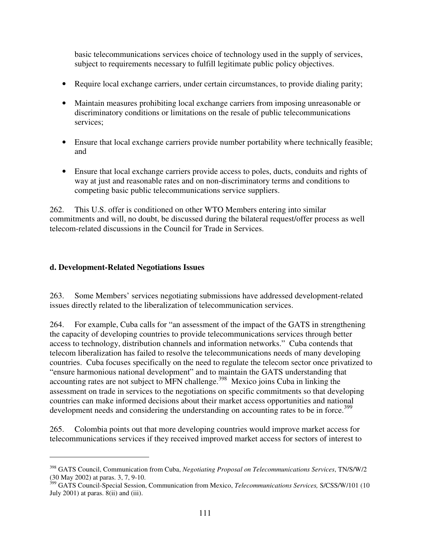basic telecommunications services choice of technology used in the supply of services, subject to requirements necessary to fulfill legitimate public policy objectives.

- Require local exchange carriers, under certain circumstances, to provide dialing parity;
- Maintain measures prohibiting local exchange carriers from imposing unreasonable or discriminatory conditions or limitations on the resale of public telecommunications services;
- Ensure that local exchange carriers provide number portability where technically feasible; and
- Ensure that local exchange carriers provide access to poles, ducts, conduits and rights of way at just and reasonable rates and on non-discriminatory terms and conditions to competing basic public telecommunications service suppliers.

262. This U.S. offer is conditioned on other WTO Members entering into similar commitments and will, no doubt, be discussed during the bilateral request/offer process as well telecom-related discussions in the Council for Trade in Services.

#### **d. Development-Related Negotiations Issues**

263. Some Members' services negotiating submissions have addressed development-related issues directly related to the liberalization of telecommunication services.

264. For example, Cuba calls for "an assessment of the impact of the GATS in strengthening the capacity of developing countries to provide telecommunications services through better access to technology, distribution channels and information networks." Cuba contends that telecom liberalization has failed to resolve the telecommunications needs of many developing countries. Cuba focuses specifically on the need to regulate the telecom sector once privatized to "ensure harmonious national development" and to maintain the GATS understanding that accounting rates are not subject to MFN challenge. <sup>398</sup> Mexico joins Cuba in linking the assessment on trade in services to the negotiations on specific commitments so that developing countries can make informed decisions about their market access opportunities and national development needs and considering the understanding on accounting rates to be in force.<sup>399</sup>

265. Colombia points out that more developing countries would improve market access for telecommunications services if they received improved market access for sectors of interest to

<sup>398</sup> GATS Council, Communication from Cuba, *Negotiating Proposal on Telecommunications Services*, TN/S/W/2 (30 May 2002) at paras. 3, 7, 9-10.

<sup>399</sup> GATS Council-Special Session, Communication from Mexico, *Telecommunications Services,* S/CSS/W/101 (10 July 2001) at paras. 8(ii) and (iii).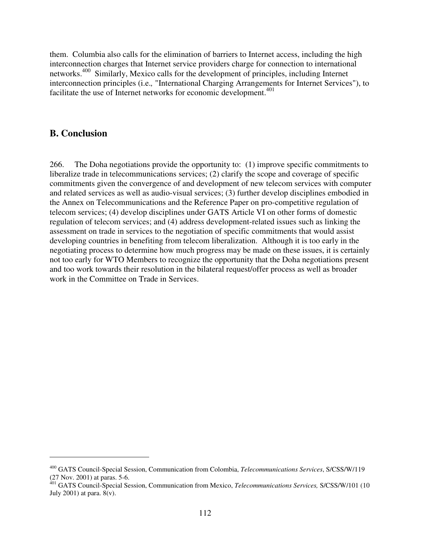them. Columbia also calls for the elimination of barriers to Internet access, including the high interconnection charges that Internet service providers charge for connection to international networks. 400 Similarly, Mexico calls for the development of principles, including Internet interconnection principles (i.e.*,* "International Charging Arrangements for Internet Services"), to facilitate the use of Internet networks for economic development. 401

### **B. Conclusion**

266. The Doha negotiations provide the opportunity to: (1) improve specific commitments to liberalize trade in telecommunications services; (2) clarify the scope and coverage of specific commitments given the convergence of and development of new telecom services with computer and related services as well as audio-visual services; (3) further develop disciplines embodied in the Annex on Telecommunications and the Reference Paper on pro-competitive regulation of telecom services; (4) develop disciplines under GATS Article VI on other forms of domestic regulation of telecom services; and (4) address development-related issues such as linking the assessment on trade in services to the negotiation of specific commitments that would assist developing countries in benefiting from telecom liberalization. Although it is too early in the negotiating process to determine how much progress may be made on these issues, it is certainly not too early for WTO Members to recognize the opportunity that the Doha negotiations present and too work towards their resolution in the bilateral request/offer process as well as broader work in the Committee on Trade in Services.

<sup>400</sup> GATS Council-Special Session, Communication from Colombia, *Telecommunications Services*, S/CSS/W/119 (27 Nov. 2001) at paras. 5-6.

<sup>401</sup> GATS Council-Special Session, Communication from Mexico, *Telecommunications Services,* S/CSS/W/101 (10 July 2001) at para.  $8(v)$ .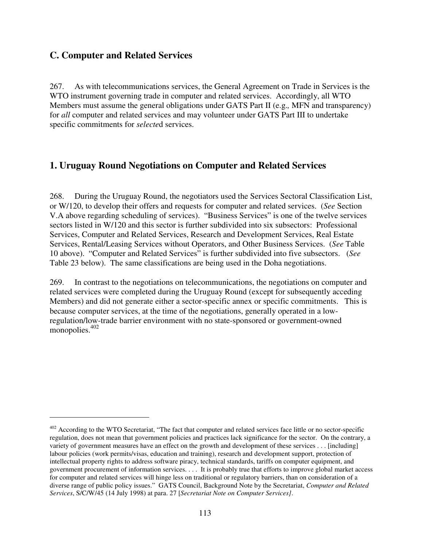# **C. Computer and Related Services**

267. As with telecommunications services, the General Agreement on Trade in Services is the WTO instrument governing trade in computer and related services. Accordingly, all WTO Members must assume the general obligations under GATS Part II (e.g.*,* MFN and transparency) for *all* computer and related services and may volunteer under GATS Part III to undertake specific commitments for *selecte*d services.

# **1. Uruguay Round Negotiations on Computer and Related Services**

268. During the Uruguay Round, the negotiators used the Services Sectoral Classification List, or W/120, to develop their offers and requests for computer and related services. (*See* Section V.A above regarding scheduling of services). "Business Services" is one of the twelve services sectors listed in W/120 and this sector is further subdivided into six subsectors: Professional Services, Computer and Related Services, Research and Development Services, Real Estate Services, Rental/Leasing Services without Operators, and Other Business Services. (*See* Table 10 above). "Computer and Related Services" is further subdivided into five subsectors. (*See* Table 23 below). The same classifications are being used in the Doha negotiations.

269. In contrast to the negotiations on telecommunications, the negotiations on computer and related services were completed during the Uruguay Round (except for subsequently acceding Members) and did not generate either a sector-specific annex or specific commitments. This is because computer services, at the time of the negotiations, generally operated in a lowregulation/low-trade barrier environment with no state-sponsored or government-owned monopolies. 402

<sup>&</sup>lt;sup>402</sup> According to the WTO Secretariat, "The fact that computer and related services face little or no sector-specific regulation, does not mean that government policies and practices lack significance for the sector. On the contrary, a variety of government measures have an effect on the growth and development of these services . . . [including] labour policies (work permits/visas, education and training), research and development support, protection of intellectual property rights to address software piracy, technical standards, tariffs on computer equipment, and government procurement of information services. . . . It is probably true that efforts to improve global market access for computer and related services will hinge less on traditional or regulatory barriers, than on consideration of a diverse range of public policy issues." GATS Council, Background Note by the Secretariat, *Computer and Related Services*, S/C/W/45 (14 July 1998) at para. 27 [*Secretariat Note on Computer Services]*.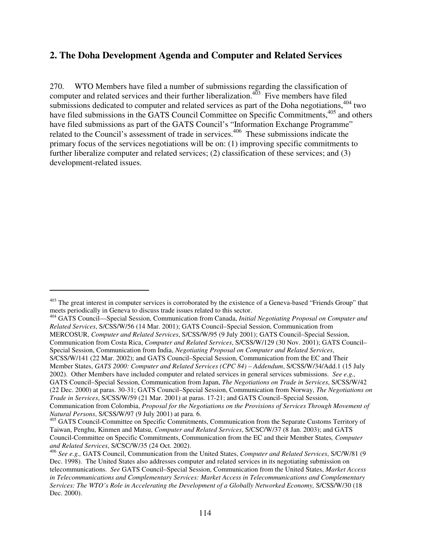# **2. The Doha Development Agenda and Computer and Related Services**

270. WTO Members have filed a number of submissions regarding the classification of computer and related services and their further liberalization.<sup>403</sup> Five members have filed submissions dedicated to computer and related services as part of the Doha negotiations, <sup>404</sup> two have filed submissions in the GATS Council Committee on Specific Commitments,<sup>405</sup> and others have filed submissions as part of the GATS Council's "Information Exchange Programme" related to the Council's assessment of trade in services.<sup>406</sup> These submissions indicate the primary focus of the services negotiations will be on: (1) improving specific commitments to further liberalize computer and related services; (2) classification of these services; and (3) development-related issues.

<sup>404</sup> GATS Council—Special Session, Communication from Canada, *Initial Negotiating Proposal on Computer and Related Services*, S/CSS/W/56 (14 Mar. 2001); GATS Council–Special Session, Communication from MERCOSUR, *Computer and Related Services*, S/CSS/W/95 (9 July 2001); GATS Council–Special Session, Communication from Costa Rica, *Computer and Related Services*, S/CSS/W/129 (30 Nov. 2001); GATS Council– Special Session, Communication from India, *Negotiating Proposal on Computer and Related Services*, S/CSS/W/141 (22 Mar. 2002); and GATS Council–Special Session, Communication from the EC and Their Member States, *GATS 2000: Computer and Related Services (CPC 84) – Addendum*, S/CSS/W/34/Add.1 (15 July 2002). Other Members have included computer and related services in general services submissions. *See e.g.,* GATS Council–Special Session, Communication from Japan, *The Negotiations on Trade in Services*, S/CSS/W/42 (22 Dec. 2000) at paras. 30-31; GATS Council–Special Session, Communication from Norway, *The Negotiations on Trade in Services*, S/CSS/W/59 (21 Mar. 2001) at paras. 17-21; and GATS Council–Special Session, Communication from Colombia, *Proposal for the Negotiations on the Provisions of Services Through Movement of*

<sup>&</sup>lt;sup>403</sup> The great interest in computer services is corroborated by the existence of a Geneva-based "Friends Group" that meets periodically in Geneva to discuss trade issues related to this sector.

*Natural Persons*, S/CSS/W/97 (9 July 2001) at para. 6.

<sup>405</sup> GATS Council-Committee on Specific Commitments, Communication from the Separate Customs Territory of Taiwan, Penghu, Kinmen and Matsu, *Computer and Related Services*, S/CSC/W/37 (8 Jan. 2003); and GATS Council-Committee on Specific Commitments, Communication from the EC and their Member States*, Computer and Related Services*, S/CSC/W/35 (24 Oct. 2002).

<sup>406</sup> *See e.g.,* GATS Council, Communication from the United States, *Computer and Related Services*, S/C/W/81 (9 Dec. 1998). The United States also addresses computer and related services in its negotiating submission on telecommunications. *See* GATS Council–Special Session, Communication from the United States, *Market Access in Telecommunications and Complementary Services: Market Access in Telecommunications and Complementary Services: The WTO's Role in Accelerating the Development of a Globally Networked Economy,* S/CSS/W/30 (18 Dec. 2000).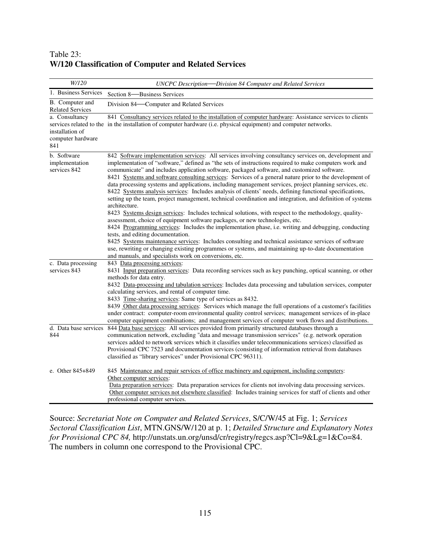### Table 23: **W/120 Classification of Computer and Related Services**

| W/120                                                         | <b>UNCPC</b> Description-Division 84 Computer and Related Services                                                                                                                                                                                                                                                                                                                                                                                                                                                                                                                                                                                                                                                                                                                                                                                                                                                                                                                                                                                                                                                                                                                                                                                                                                                                                                                              |
|---------------------------------------------------------------|-------------------------------------------------------------------------------------------------------------------------------------------------------------------------------------------------------------------------------------------------------------------------------------------------------------------------------------------------------------------------------------------------------------------------------------------------------------------------------------------------------------------------------------------------------------------------------------------------------------------------------------------------------------------------------------------------------------------------------------------------------------------------------------------------------------------------------------------------------------------------------------------------------------------------------------------------------------------------------------------------------------------------------------------------------------------------------------------------------------------------------------------------------------------------------------------------------------------------------------------------------------------------------------------------------------------------------------------------------------------------------------------------|
| 1. Business Services                                          | Section 8—Business Services                                                                                                                                                                                                                                                                                                                                                                                                                                                                                                                                                                                                                                                                                                                                                                                                                                                                                                                                                                                                                                                                                                                                                                                                                                                                                                                                                                     |
| B. Computer and<br><b>Related Services</b>                    | Division 84-Computer and Related Services                                                                                                                                                                                                                                                                                                                                                                                                                                                                                                                                                                                                                                                                                                                                                                                                                                                                                                                                                                                                                                                                                                                                                                                                                                                                                                                                                       |
| a. Consultancy<br>installation of<br>computer hardware<br>841 | 841 Consultancy services related to the installation of computer hardware: Assistance services to clients<br>services related to the in the installation of computer hardware (i.e. physical equipment) and computer networks.                                                                                                                                                                                                                                                                                                                                                                                                                                                                                                                                                                                                                                                                                                                                                                                                                                                                                                                                                                                                                                                                                                                                                                  |
| b. Software<br>implementation<br>services 842                 | 842 Software implementation services: All services involving consultancy services on, development and<br>implementation of "software," defined as "the sets of instructions required to make computers work and<br>communicate" and includes application software, packaged software, and customized software.<br>8421 Systems and software consulting services: Services of a general nature prior to the development of<br>data processing systems and applications, including management services, project planning services, etc.<br>8422 Systems analysis services: Includes analysis of clients' needs, defining functional specifications,<br>setting up the team, project management, technical coordination and integration, and definition of systems<br>architecture.<br>8423 Systems design services: Includes technical solutions, with respect to the methodology, quality-<br>assessment, choice of equipment software packages, or new technologies, etc.<br>8424 Programming services: Includes the implementation phase, i.e. writing and debugging, conducting<br>tests, and editing documentation.<br>8425 Systems maintenance services: Includes consulting and technical assistance services of software<br>use, rewriting or changing existing programmes or systems, and maintaining up-to-date documentation<br>and manuals, and specialists work on conversions, etc. |
| c. Data processing<br>services 843                            | 843 Data processing services:<br>8431 Input preparation services: Data recording services such as key punching, optical scanning, or other<br>methods for data entry.<br>8432 Data-processing and tabulation services: Includes data processing and tabulation services, computer<br>calculating services, and rental of computer time.<br>8433 Time-sharing services: Same type of services as 8432.<br>8439 Other data processing services: Services which manage the full operations of a customer's facilities<br>under contract: computer-room environmental quality control services; management services of in-place<br>computer equipment combinations; and management services of computer work flows and distributions.<br>d. Data base services 844 Data base services: All services provided from primarily structured databases through a                                                                                                                                                                                                                                                                                                                                                                                                                                                                                                                                          |
| 844                                                           | communication network, excluding "data and message transmission services" (e.g. network operation<br>services added to network services which it classifies under telecommunications services) classified as<br>Provisional CPC 7523 and documentation services (consisting of information retrieval from databases<br>classified as "library services" under Provisional CPC 96311).                                                                                                                                                                                                                                                                                                                                                                                                                                                                                                                                                                                                                                                                                                                                                                                                                                                                                                                                                                                                           |
| e. Other 845+849                                              | 845 Maintenance and repair services of office machinery and equipment, including computers:<br>Other computer services:<br>Data preparation services: Data preparation services for clients not involving data processing services.<br>Other computer services not elsewhere classified: Includes training services for staff of clients and other<br>professional computer services.                                                                                                                                                                                                                                                                                                                                                                                                                                                                                                                                                                                                                                                                                                                                                                                                                                                                                                                                                                                                           |

Source: *Secretariat Note on Computer and Related Services*, S/C/W/45 at Fig. 1; *Services Sectoral Classification List*, MTN.GNS/W/120 at p. 1; *Detailed Structure and Explanatory Notes for Provisional CPC 84,* http://unstats.un.org/unsd/cr/registry/regcs.asp?Cl=9&Lg=1&Co=84. The numbers in column one correspond to the Provisional CPC.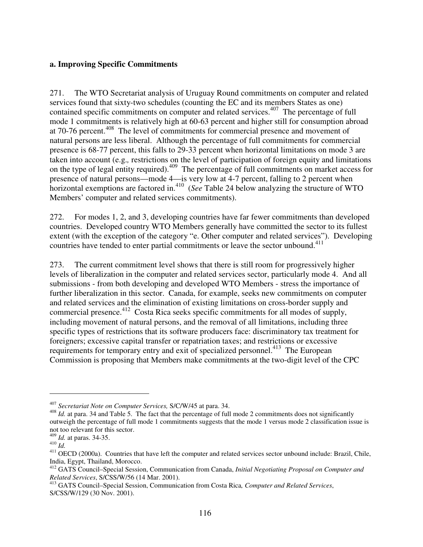#### **a. Improving Specific Commitments**

271. The WTO Secretariat analysis of Uruguay Round commitments on computer and related services found that sixty-two schedules (counting the EC and its members States as one) contained specific commitments on computer and related services.<sup>407</sup> The percentage of full mode 1 commitments is relatively high at 60-63 percent and higher still for consumption abroad at 70-76 percent.<sup>408</sup> The level of commitments for commercial presence and movement of natural persons are less liberal. Although the percentage of full commitments for commercial presence is 68-77 percent, this falls to 29-33 percent when horizontal limitations on mode 3 are taken into account (e.g.*,* restrictions on the level of participation of foreign equity and limitations on the type of legal entity required).<sup>409</sup> The percentage of full commitments on market access for presence of natural persons—mode 4—is very low at 4-7 percent, falling to 2 percent when horizontal exemptions are factored in. 410 (*See* Table 24 below analyzing the structure of WTO Members' computer and related services commitments).

272. For modes 1, 2, and 3, developing countries have far fewer commitments than developed countries. Developed country WTO Members generally have committed the sector to its fullest extent (with the exception of the category "e. Other computer and related services"). Developing countries have tended to enter partial commitments or leave the sector unbound. 411

273. The current commitment level shows that there is still room for progressively higher levels of liberalization in the computer and related services sector, particularly mode 4. And all submissions - from both developing and developed WTO Members - stress the importance of further liberalization in this sector. Canada, for example, seeks new commitments on computer and related services and the elimination of existing limitations on cross-border supply and commercial presence.<sup>412</sup> Costa Rica seeks specific commitments for all modes of supply, including movement of natural persons, and the removal of all limitations, including three specific types of restrictions that its software producers face: discriminatory tax treatment for foreigners; excessive capital transfer or repatriation taxes; and restrictions or excessive requirements for temporary entry and exit of specialized personnel.<sup>413</sup> The European Commission is proposing that Members make commitments at the two-digit level of the CPC

<sup>407</sup> *Secretariat Note on Computer Services,* S/C/W/45 at para. 34.

<sup>&</sup>lt;sup>408</sup> *Id.* at para. 34 and Table 5. The fact that the percentage of full mode 2 commitments does not significantly outweigh the percentage of full mode 1 commitments suggests that the mode 1 versus mode 2 classification issue is not too relevant for this sector.

<sup>409</sup> *Id.* at paras. 34-35.

<sup>410</sup> *Id.*

<sup>&</sup>lt;sup>411</sup> OECD (2000a). Countries that have left the computer and related services sector unbound include: Brazil, Chile, India, Egypt, Thailand, Morocco.

<sup>412</sup> GATS Council–Special Session, Communication from Canada, *Initial Negotiating Proposal on Computer and Related Services*, S/CSS/W/56 (14 Mar. 2001).

<sup>413</sup> GATS Council–Special Session, Communication from Costa Rica*, Computer and Related Services*, S/CSS/W/129 (30 Nov. 2001).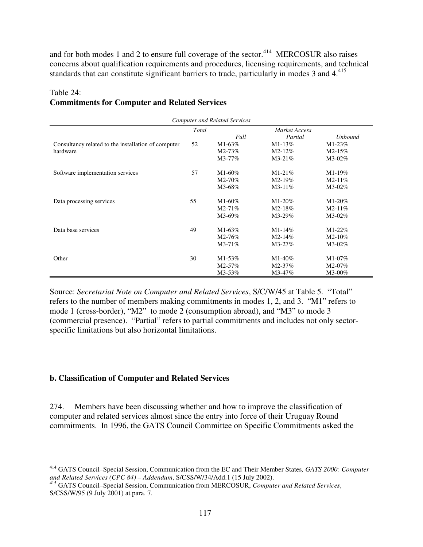and for both modes 1 and 2 to ensure full coverage of the sector.<sup>414</sup> MERCOSUR also raises concerns about qualification requirements and procedures, licensing requirements, and technical standards that can constitute significant barriers to trade, particularly in modes 3 and 4.<sup>415</sup>

|                                                     |       | <b>Computer and Related Services</b> |               |                |
|-----------------------------------------------------|-------|--------------------------------------|---------------|----------------|
|                                                     | Total |                                      | Market Access |                |
|                                                     |       | Full                                 | Partial       | <b>Unbound</b> |
| Consultancy related to the installation of computer | 52    | M1-63%                               | $M1-13%$      | $M1-23%$       |
| hardware                                            |       | M2-73%                               | $M2-12%$      | $M2-15%$       |
|                                                     |       | M3-77%                               | $M3-21%$      | $M3-02\%$      |
| Software implementation services                    | 57    | $M1-60%$                             | $M1-21%$      | $M1-19%$       |
|                                                     |       | M2-70%                               | $M2-19%$      | $M2-11%$       |
|                                                     |       | M3-68%                               | $M3-11%$      | $M3-02\%$      |
| Data processing services                            | 55    | $M1-60%$                             | $M1-20%$      | $M1-20%$       |
|                                                     |       | $M2-71%$                             | M2-18%        | $M2-11%$       |
|                                                     |       | $M3-69\%$                            | $M3-29%$      | $M3-02\%$      |
| Data base services                                  | 49    | $M1-63%$                             | $M1-14%$      | $M1-22%$       |
|                                                     |       | $M2-76%$                             | $M2-14%$      | $M2-10\%$      |
|                                                     |       | $M3-71%$                             | M3-27%        | $M3-02\%$      |
| Other                                               | 30    | $M1-53%$                             | $M1-40%$      | $M1-07\%$      |
|                                                     |       | $M2 - 57\%$                          | M2-37%        | $M2-07\%$      |
|                                                     |       | $M3-53%$                             | M3-47%        | $M3-00\%$      |

#### Table 24:

# **Commitments for Computer and Related Services**

Source: *Secretariat Note on Computer and Related Services*, S/C/W/45 at Table 5. "Total" refers to the number of members making commitments in modes 1, 2, and 3. "M1" refers to mode 1 (cross-border), "M2" to mode 2 (consumption abroad), and "M3" to mode 3 (commercial presence). "Partial" refers to partial commitments and includes not only sectorspecific limitations but also horizontal limitations.

#### **b. Classification of Computer and Related Services**

274. Members have been discussing whether and how to improve the classification of computer and related services almost since the entry into force of their Uruguay Round commitments. In 1996, the GATS Council Committee on Specific Commitments asked the

<sup>414</sup> GATS Council–Special Session, Communication from the EC and Their Member States*, GATS 2000: Computer and Related Services (CPC 84) – Addendum*, S/CSS/W/34/Add.1 (15 July 2002).

<sup>415</sup> GATS Council–Special Session, Communication from MERCOSUR, *Computer and Related Services*, S/CSS/W/95 (9 July 2001) at para. 7.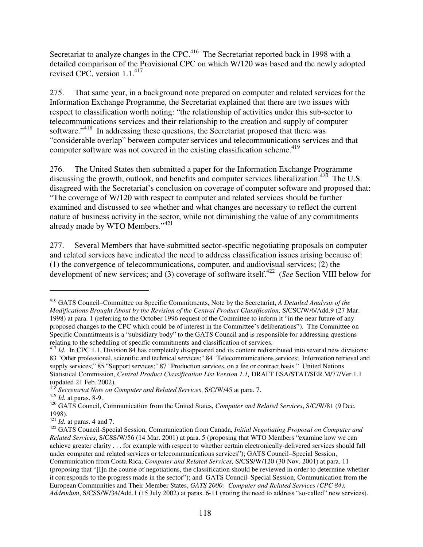Secretariat to analyze changes in the CPC.<sup>416</sup> The Secretariat reported back in 1998 with a detailed comparison of the Provisional CPC on which W/120 was based and the newly adopted revised CPC, version 1.1. 417

275. That same year, in a background note prepared on computer and related services for the Information Exchange Programme, the Secretariat explained that there are two issues with respect to classification worth noting: "the relationship of activities under this sub-sector to telecommunications services and their relationship to the creation and supply of computer software."<sup>418</sup> In addressing these questions, the Secretariat proposed that there was "considerable overlap" between computer services and telecommunications services and that computer software was not covered in the existing classification scheme.<sup>419</sup>

276. The United States then submitted a paper for the Information Exchange Programme discussing the growth, outlook, and benefits and computer services liberalization.<sup>420</sup> The U.S. disagreed with the Secretariat's conclusion on coverage of computer software and proposed that: "The coverage of W/120 with respect to computer and related services should be further examined and discussed to see whether and what changes are necessary to reflect the current nature of business activity in the sector, while not diminishing the value of any commitments already made by WTO Members."<sup>421</sup>

277. Several Members that have submitted sector-specific negotiating proposals on computer and related services have indicated the need to address classification issues arising because of: (1) the convergence of telecommunications, computer, and audiovisual services; (2) the development of new services; and (3) coverage of software itself. 422 (*See* Section VIII below for

<sup>416</sup> GATS Council–Committee on Specific Commitments, Note by the Secretariat, *A Detailed Analysis of the Modifications Brought About by the Revision of the Central Product Classification,* S/CSC/W/6/Add.9 (27 Mar. 1998) at para. 1 (referring to the October 1996 request of the Committee to inform it "in the near future of any proposed changes to the CPC which could be of interest in the Committee's deliberations"). The Committee on Specific Commitments is a "subsidiary body" to the GATS Council and is responsible for addressing questions relating to the scheduling of specific commitments and classification of services.

<sup>&</sup>lt;sup>417</sup> *Id.* In CPC 1.1, Division 84 has completely disappeared and its content redistributed into several new divisions: 83 "Other professional, scientific and technical services;" 84 "Telecommunications services; Information retrieval and supply services;" 85 "Support services;" 87 "Production services, on a fee or contract basis." United Nations Statistical Commission, *Central Product Classification List Version 1.1,* DRAFT ESA/STAT/SER.M/77/Ver.1.1

<sup>(</sup>updated 21 Feb. 2002). 418 *Secretariat Note on Computer and Related Services*, S/C/W/45 at para. 7.

<sup>419</sup> *Id.* at paras. 8-9.

<sup>420</sup> GATS Council, Communication from the United States, *Computer and Related Services*, S/C/W/81 (9 Dec. 1998).

 $421$  *Id.* at paras. 4 and 7.

<sup>422</sup> GATS Council-Special Session, Communication from Canada, *Initial Negotiating Proposal on Computer and Related Services*, S/CSS/W/56 (14 Mar. 2001) at para. 5 (proposing that WTO Members "examine how we can achieve greater clarity . . . for example with respect to whether certain electronically-delivered services should fall under computer and related services or telecommunications services"); GATS Council–Special Session, Communication from Costa Rica, *Computer and Related Services,* S/CSS/W/120 (30 Nov. 2001) at para. 11 (proposing that "[I]n the course of negotiations, the classification should be reviewed in order to determine whether it corresponds to the progress made in the sector"); and GATS Council–Special Session, Communication from the European Communities and Their Member States, *GATS 2000: Computer and Related Services (CPC 84): Addendum*, S/CSS/W/34/Add.1 (15 July 2002) at paras. 6-11 (noting the need to address "so-called" new services).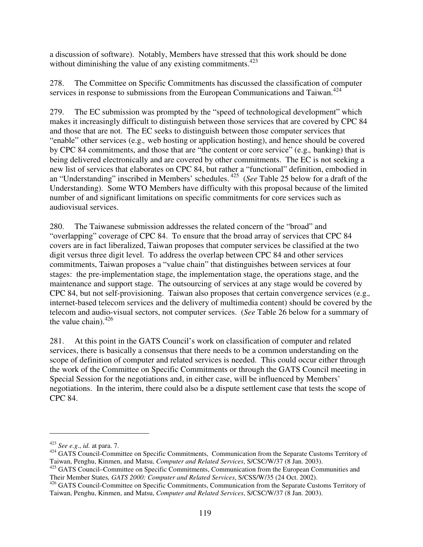a discussion of software). Notably, Members have stressed that this work should be done without diminishing the value of any existing commitments.<sup>423</sup>

278. The Committee on Specific Commitments has discussed the classification of computer services in response to submissions from the European Communications and Taiwan.<sup>424</sup>

279. The EC submission was prompted by the "speed of technological development" which makes it increasingly difficult to distinguish between those services that are covered by CPC 84 and those that are not. The EC seeks to distinguish between those computer services that "enable" other services (e.g.*,* web hosting or application hosting), and hence should be covered by CPC 84 commitments, and those that are "the content or core service" (e.g.*,* banking) that is being delivered electronically and are covered by other commitments. The EC is not seeking a new list of services that elaborates on CPC 84, but rather a "functional" definition, embodied in an "Understanding" inscribed in Members' schedules. 425 (*See* Table 25 below for a draft of the Understanding). Some WTO Members have difficulty with this proposal because of the limited number of and significant limitations on specific commitments for core services such as audiovisual services.

280. The Taiwanese submission addresses the related concern of the "broad" and "overlapping" coverage of CPC 84. To ensure that the broad array of services that CPC 84 covers are in fact liberalized, Taiwan proposes that computer services be classified at the two digit versus three digit level. To address the overlap between CPC 84 and other services commitments, Taiwan proposes a "value chain" that distinguishes between services at four stages: the pre-implementation stage, the implementation stage, the operations stage, and the maintenance and support stage. The outsourcing of services at any stage would be covered by CPC 84, but not self-provisioning. Taiwan also proposes that certain convergence services (e.g.*,* internet-based telecom services and the delivery of multimedia content) should be covered by the telecom and audio-visual sectors, not computer services. (*See* Table 26 below for a summary of the value chain). $426$ 

281. At this point in the GATS Council's work on classification of computer and related services, there is basically a consensus that there needs to be a common understanding on the scope of definition of computer and related services is needed. This could occur either through the work of the Committee on Specific Commitments or through the GATS Council meeting in Special Session for the negotiations and, in either case, will be influenced by Members' negotiations. In the interim, there could also be a dispute settlement case that tests the scope of CPC 84.

<sup>423</sup> *See e.g*., *id.* at para. 7.

<sup>&</sup>lt;sup>424</sup> GATS Council-Committee on Specific Commitments, Communication from the Separate Customs Territory of Taiwan, Penghu, Kinmen, and Matsu, *Computer and Related Services*, S/CSC/W/37 (8 Jan. 2003).

<sup>&</sup>lt;sup>425</sup> GATS Council–Committee on Specific Commitments, Communication from the European Communities and Their Member States*, GATS 2000: Computer and Related Services*, S/CSS/W/35 (24 Oct. 2002).

<sup>426</sup> GATS Council-Committee on Specific Commitments, Communication from the Separate Customs Territory of Taiwan, Penghu, Kinmen, and Matsu, *Computer and Related Services*, S/CSC/W/37 (8 Jan. 2003).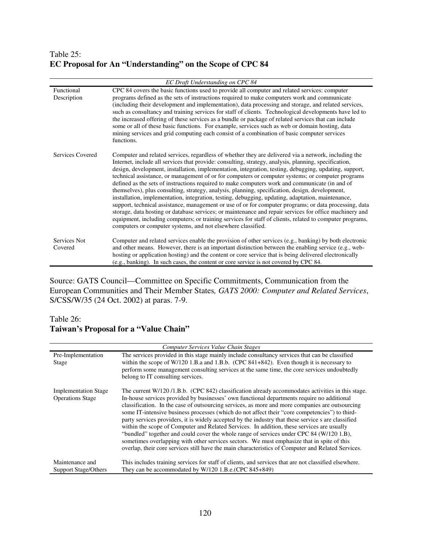#### Table 25: **EC Proposal for An "Understanding" on the Scope of CPC 84**

|                           | EC Draft Understanding on CPC 84                                                                                                                                                                                                                                                                                                                                                                                                                                                                                                                                                                                                                                                                                                                                                                                                                                                                                                                                                                                                                                                                                                        |
|---------------------------|-----------------------------------------------------------------------------------------------------------------------------------------------------------------------------------------------------------------------------------------------------------------------------------------------------------------------------------------------------------------------------------------------------------------------------------------------------------------------------------------------------------------------------------------------------------------------------------------------------------------------------------------------------------------------------------------------------------------------------------------------------------------------------------------------------------------------------------------------------------------------------------------------------------------------------------------------------------------------------------------------------------------------------------------------------------------------------------------------------------------------------------------|
| Functional<br>Description | CPC 84 covers the basic functions used to provide all computer and related services: computer<br>programs defined as the sets of instructions required to make computers work and communicate<br>(including their development and implementation), data processing and storage, and related services,<br>such as consultancy and training services for staff of clients. Technological developments have led to<br>the increased offering of these services as a bundle or package of related services that can include<br>some or all of these basic functions. For example, services such as web or domain hosting, data<br>mining services and grid computing each consist of a combination of basic computer services<br>functions.                                                                                                                                                                                                                                                                                                                                                                                                 |
| Services Covered          | Computer and related services, regardless of whether they are delivered via a network, including the<br>Internet, include all services that provide: consulting, strategy, analysis, planning, specification,<br>design, development, installation, implementation, integration, testing, debugging, updating, support,<br>technical assistance, or management of or for computers or computer systems; or computer programs<br>defined as the sets of instructions required to make computers work and communicate (in and of<br>themselves), plus consulting, strategy, analysis, planning, specification, design, development,<br>installation, implementation, integration, testing, debugging, updating, adaptation, maintenance,<br>support, technical assistance, management or use of or for computer programs; or data processing, data<br>storage, data hosting or database services; or maintenance and repair services for office machinery and<br>equipment, including computers; or training services for staff of clients, related to computer programs,<br>computers or computer systems, and not elsewhere classified. |
| Services Not<br>Covered   | Computer and related services enable the provision of other services (e.g., banking) by both electronic<br>and other means. However, there is an important distinction between the enabling service (e.g., web-<br>hosting or application hosting) and the content or core service that is being delivered electronically<br>(e.g., banking). In such cases, the content or core service is not covered by CPC 84.                                                                                                                                                                                                                                                                                                                                                                                                                                                                                                                                                                                                                                                                                                                      |

Source: GATS Council—Committee on Specific Commitments, Communication from the European Communities and Their Member States*, GATS 2000: Computer and Related Services*, S/CSS/W/35 (24 Oct. 2002) at paras. 7-9.

### Table 26: **Taiwan's Proposal for a "Value Chain"**

|                                                        | Computer Services Value Chain Stages                                                                                                                                                                                                                                                                                                                                                                                                                                                                                                                                                                                                                                                                                                                                                                                                                                                                     |  |  |  |  |
|--------------------------------------------------------|----------------------------------------------------------------------------------------------------------------------------------------------------------------------------------------------------------------------------------------------------------------------------------------------------------------------------------------------------------------------------------------------------------------------------------------------------------------------------------------------------------------------------------------------------------------------------------------------------------------------------------------------------------------------------------------------------------------------------------------------------------------------------------------------------------------------------------------------------------------------------------------------------------|--|--|--|--|
| Pre-Implementation<br>Stage                            | The services provided in this stage mainly include consultancy services that can be classified<br>within the scope of $W/120$ 1.B.a and 1.B.b. (CPC 841+842). Even though it is necessary to<br>perform some management consulting services at the same time, the core services undoubtedly<br>belong to IT consulting services.                                                                                                                                                                                                                                                                                                                                                                                                                                                                                                                                                                         |  |  |  |  |
| <b>Implementation Stage</b><br><b>Operations Stage</b> | The current W/120/1.B.b. (CPC 842) classification already accommodates activities in this stage.<br>In-house services provided by businesses' own functional departments require no additional<br>classification. In the case of outsourcing services, as more and more companies are outsourcing<br>some IT-intensive business processes (which do not affect their "core competencies") to third-<br>party services providers, it is widely accepted by the industry that these service s are classified<br>within the scope of Computer and Related Services. In addition, these services are usually<br>"bundled" together and could cover the whole range of services under CPC 84 (W/120 1.B),<br>sometimes overlapping with other services sectors. We must emphasize that in spite of this<br>overlap, their core services still have the main characteristics of Computer and Related Services. |  |  |  |  |
| Maintenance and<br>Support Stage/Others                | This includes training services for staff of clients, and services that are not classified elsewhere.<br>They can be accommodated by W/120 1.B.e.(CPC 845+849)                                                                                                                                                                                                                                                                                                                                                                                                                                                                                                                                                                                                                                                                                                                                           |  |  |  |  |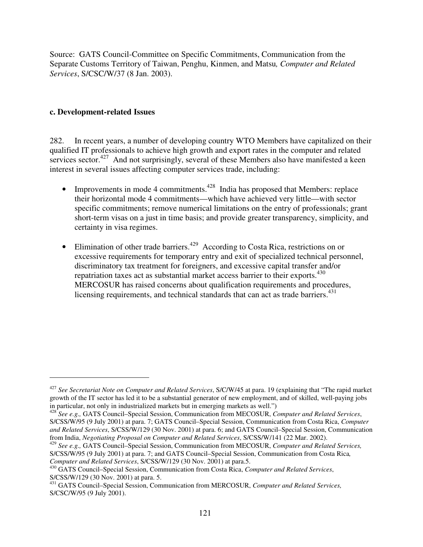Source: GATS Council-Committee on Specific Commitments, Communication from the Separate Customs Territory of Taiwan, Penghu, Kinmen, and Matsu*, Computer and Related Services*, S/CSC/W/37 (8 Jan. 2003).

#### **c. Development-related Issues**

282. In recent years, a number of developing country WTO Members have capitalized on their qualified IT professionals to achieve high growth and export rates in the computer and related services sector.<sup>427</sup> And not surprisingly, several of these Members also have manifested a keen interest in several issues affecting computer services trade, including:

- Improvements in mode 4 commitments.<sup>428</sup> India has proposed that Members: replace their horizontal mode 4 commitments—which have achieved very little—with sector specific commitments; remove numerical limitations on the entry of professionals; grant short-term visas on a just in time basis; and provide greater transparency, simplicity, and certainty in visa regimes.
- Elimination of other trade barriers.<sup>429</sup> According to Costa Rica, restrictions on or excessive requirements for temporary entry and exit of specialized technical personnel, discriminatory tax treatment for foreigners, and excessive capital transfer and/or repatriation taxes act as substantial market access barrier to their exports. 430 MERCOSUR has raised concerns about qualification requirements and procedures, licensing requirements, and technical standards that can act as trade barriers.<sup>431</sup>

<sup>427</sup> *See Secretariat Note on Computer and Related Services*, S/C/W/45 at para. 19 (explaining that "The rapid market growth of the IT sector has led it to be a substantial generator of new employment, and of skilled, well-paying jobs

in particular, not only in industrialized markets but in emerging markets as well.")<br><sup>428</sup> See e.g., GATS Council–Special Session, Communication from MECOSUR, Computer and Related Services, S/CSS/W/95 (9 July 2001) at para. 7; GATS Council–Special Session, Communication from Costa Rica, *Computer and Related Services*, S/CSS/W/129 (30 Nov. 2001) at para. 6; and GATS Council–Special Session, Communication from India, *Negotiating Proposal on Computer and Related Services*, S/CSS/W/141 (22 Mar. 2002).

<sup>429</sup> *See e.g.,* GATS Council–Special Session, Communication from MECOSUR, *Computer and Related Services,* S/CSS/W/95 (9 July 2001) at para. 7; and GATS Council–Special Session, Communication from Costa Rica*, Computer and Related Services*, S/CSS/W/129 (30 Nov. 2001) at para.5.

<sup>430</sup> GATS Council–Special Session, Communication from Costa Rica, *Computer and Related Services*, S/CSS/W/129 (30 Nov. 2001) at para. 5.

<sup>431</sup> GATS Council–Special Session, Communication from MERCOSUR, *Computer and Related Services,* S/CSC/W/95 (9 July 2001).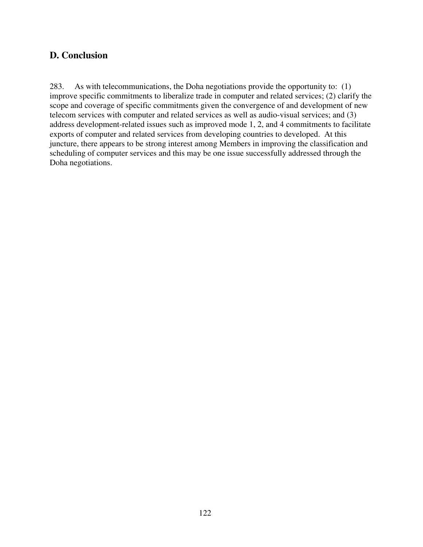# **D. Conclusion**

283. As with telecommunications, the Doha negotiations provide the opportunity to: (1) improve specific commitments to liberalize trade in computer and related services; (2) clarify the scope and coverage of specific commitments given the convergence of and development of new telecom services with computer and related services as well as audio-visual services; and (3) address development-related issues such as improved mode 1, 2, and 4 commitments to facilitate exports of computer and related services from developing countries to developed. At this juncture, there appears to be strong interest among Members in improving the classification and scheduling of computer services and this may be one issue successfully addressed through the Doha negotiations.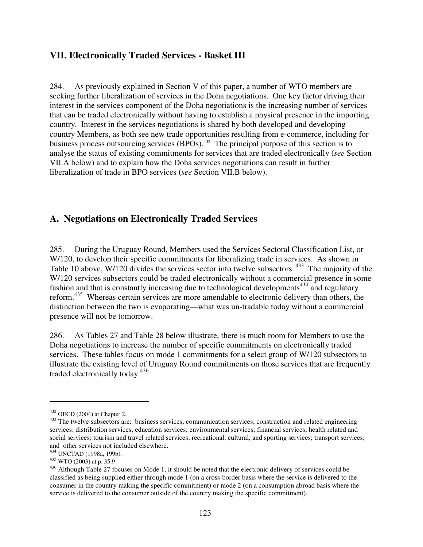### **VII. Electronically Traded Services - Basket III**

284. As previously explained in Section V of this paper, a number of WTO members are seeking further liberalization of services in the Doha negotiations. One key factor driving their interest in the services component of the Doha negotiations is the increasing number of services that can be traded electronically without having to establish a physical presence in the importing country. Interest in the services negotiations is shared by both developed and developing country Members, as both see new trade opportunities resulting from e-commerce, including for business process outsourcing services (BPOs). <sup>432</sup> The principal purpose of this section is to analyse the status of existing commitments for services that are traded electronically (*see* Section VII.A below) and to explain how the Doha services negotiations can result in further liberalization of trade in BPO services (*see* Section VII.B below).

### **A. Negotiations on Electronically Traded Services**

285. During the Uruguay Round, Members used the Services Sectoral Classification List, or W/120, to develop their specific commitments for liberalizing trade in services. As shown in Table 10 above, W/120 divides the services sector into twelve subsectors.<sup>433</sup> The majority of the W/120 services subsectors could be traded electronically without a commercial presence in some fashion and that is constantly increasing due to technological developments<sup>434</sup> and regulatory reform.<sup>435</sup> Whereas certain services are more amendable to electronic delivery than others, the distinction between the two is evaporating—what was un-tradable today without a commercial presence will not be tomorrow.

286. As Tables 27 and Table 28 below illustrate, there is much room for Members to use the Doha negotiations to increase the number of specific commitments on electronically traded services. These tables focus on mode 1 commitments for a select group of W/120 subsectors to illustrate the existing level of Uruguay Round commitments on those services that are frequently traded electronically today. 436

 $432$  OECD (2004) at Chapter 2.

<sup>&</sup>lt;sup>433</sup> The twelve subsectors are: business services; communication services; construction and related engineering services; distribution services; education services; environmental services; financial services; health related and social services; tourism and travel related services; recreational, cultural, and sporting services; transport services; and other services not included elsewhere.

<sup>434</sup> UNCTAD (1998a, 199b).

<sup>435</sup> WTO (2003) at p. 35.9

<sup>&</sup>lt;sup>436</sup> Although Table 27 focuses on Mode 1, it should be noted that the electronic delivery of services could be classified as being supplied either through mode 1 (on a cross-border basis where the service is delivered to the consumer in the country making the specific commitment) or mode 2 (on a consumption abroad basis where the service is delivered to the consumer outside of the country making the specific commitment).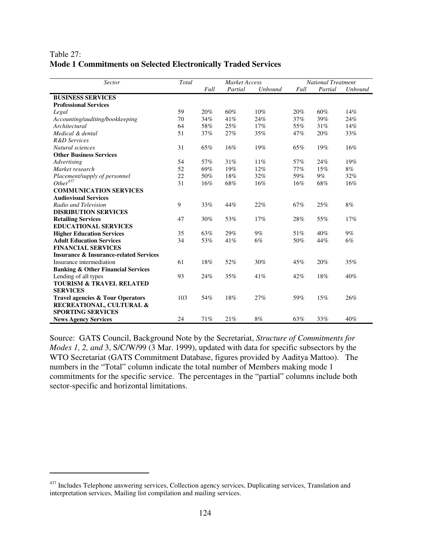## Table 27: **Mode 1 Commitments on Selected Electronically Traded Services**

| <b>Sector</b>                                     | Total |      | <b>Market Access</b> |         | <b>National Treatment</b> |         |                |
|---------------------------------------------------|-------|------|----------------------|---------|---------------------------|---------|----------------|
|                                                   |       | Full | Partial              | Unbound | Full                      | Partial | <b>Unbound</b> |
| <b>BUSINESS SERVICES</b>                          |       |      |                      |         |                           |         |                |
| <b>Professional Services</b>                      |       |      |                      |         |                           |         |                |
| Legal                                             | 59    | 20%  | 60%                  | 10%     | 20%                       | 60%     | 14%            |
| Accounting/auditing/bookkeeping                   | 70    | 34%  | 41%                  | 24%     | 37%                       | 39%     | 24%            |
| Architectural                                     | 64    | 58%  | 25%                  | 17%     | 55%                       | 31%     | 14%            |
| Medical & dental                                  | 51    | 37%  | 27%                  | 35%     | 47%                       | 20%     | 33%            |
| <b>R&amp;D</b> Services                           |       |      |                      |         |                           |         |                |
| Natural sciences                                  | 31    | 65%  | 16%                  | 19%     | 65%                       | 19%     | 16%            |
| <b>Other Business Services</b>                    |       |      |                      |         |                           |         |                |
| Advertising                                       | 54    | 57%  | 31%                  | 11%     | 57%                       | 24%     | 19%            |
| Market research                                   | 52    | 69%  | 19%                  | 12%     | 77%                       | 15%     | 8%             |
| Placement/supply of personnel                     | 22    | 50%  | 18%                  | 32%     | 59%                       | $9\%$   | 32%            |
| Other <sup>437</sup>                              | 31    | 16%  | 68%                  | 16%     | 16%                       | 68%     | 16%            |
| <b>COMMUNICATION SERVICES</b>                     |       |      |                      |         |                           |         |                |
| <b>Audiovisual Services</b>                       |       |      |                      |         |                           |         |                |
| Radio and Television                              | 9     | 33%  | 44%                  | 22%     | 67%                       | 25%     | 8%             |
| <b>DISRIBUTION SERVICES</b>                       |       |      |                      |         |                           |         |                |
| <b>Retailing Services</b>                         | 47    | 30%  | 53%                  | 17%     | 28%                       | 55%     | 17%            |
| <b>EDUCATIONAL SERVICES</b>                       |       |      |                      |         |                           |         |                |
| <b>Higher Education Services</b>                  | 35    | 63%  | 29%                  | $9\%$   | 51%                       | 40%     | 9%             |
| <b>Adult Education Services</b>                   | 34    | 53%  | 41%                  | 6%      | 50%                       | 44%     | 6%             |
| <b>FINANCIAL SERVICES</b>                         |       |      |                      |         |                           |         |                |
| <b>Insurance &amp; Insurance-related Services</b> |       |      |                      |         |                           |         |                |
| Insurance intermediation                          | 61    | 18%  | 52%                  | 30%     | 45%                       | 20%     | 35%            |
| <b>Banking &amp; Other Financial Services</b>     |       |      |                      |         |                           |         |                |
| Lending of all types                              | 93    | 24%  | 35%                  | 41%     | 42%                       | 18%     | 40%            |
| <b>TOURISM &amp; TRAVEL RELATED</b>               |       |      |                      |         |                           |         |                |
| <b>SERVICES</b>                                   |       |      |                      |         |                           |         |                |
| Travel agencies & Tour Operators                  | 103   | 54%  | 18%                  | 27%     | 59%                       | 15%     | 26%            |
| RECREATIONAL, CULTURAL &                          |       |      |                      |         |                           |         |                |
| <b>SPORTING SERVICES</b>                          |       |      |                      |         |                           |         |                |
| <b>News Agency Services</b>                       | 24    | 71%  | 21%                  | 8%      | 63%                       | 33%     | 40%            |

Source: GATS Council, Background Note by the Secretariat, *Structure of Commitments for Modes 1, 2, and* 3, S/C/W/99 (3 Mar. 1999), updated with data for specific subsectors by the WTO Secretariat (GATS Commitment Database, figures provided by Aaditya Mattoo). The numbers in the "Total" column indicate the total number of Members making mode 1 commitments for the specific service. The percentages in the "partial" columns include both sector-specific and horizontal limitations.

<sup>&</sup>lt;sup>437</sup> Includes Telephone answering services, Collection agency services, Duplicating services, Translation and interpretation services, Mailing list compilation and mailing services.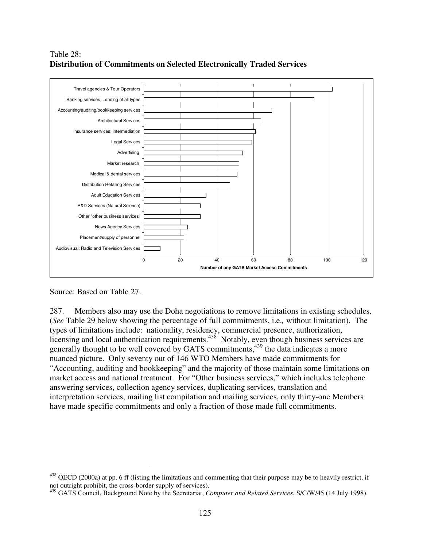# Table 28: **Distribution of Commitments on Selected Electronically Traded Services**



Source: Based on Table 27.

287. Members also may use the Doha negotiations to remove limitations in existing schedules. (*See* Table 29 below showing the percentage of full commitments, i.e.*,* without limitation). The types of limitations include: nationality, residency, commercial presence, authorization, licensing and local authentication requirements.<sup>438</sup> Notably, even though business services are generally thought to be well covered by GATS commitments,<sup>439</sup> the data indicates a more nuanced picture. Only seventy out of 146 WTO Members have made commitments for "Accounting, auditing and bookkeeping" and the majority of those maintain some limitations on market access and national treatment. For "Other business services," which includes telephone answering services, collection agency services, duplicating services, translation and interpretation services, mailing list compilation and mailing services, only thirty-one Members have made specific commitments and only a fraction of those made full commitments.

 $438$  OECD (2000a) at pp. 6 ff (listing the limitations and commenting that their purpose may be to heavily restrict, if not outright prohibit, the cross-border supply of services).

<sup>439</sup> GATS Council, Background Note by the Secretariat, *Computer and Related Services*, S/C/W/45 (14 July 1998).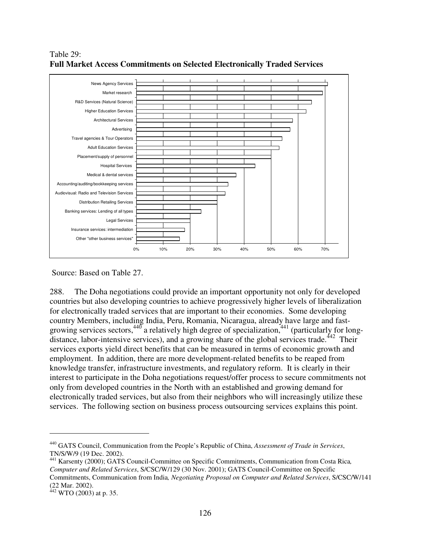

### Table 29: **Full Market Access Commitments on Selected Electronically Traded Services**

Source: Based on Table 27.

288. The Doha negotiations could provide an important opportunity not only for developed countries but also developing countries to achieve progressively higher levels of liberalization for electronically traded services that are important to their economies. Some developing country Members, including India, Peru, Romania, Nicaragua, already have large and fastgrowing services sectors,<sup>440</sup> a relatively high degree of specialization,<sup>441</sup> (particularly for longdistance, labor-intensive services), and a growing share of the global services trade.<sup>442</sup> Their services exports yield direct benefits that can be measured in terms of economic growth and employment. In addition, there are more development-related benefits to be reaped from knowledge transfer, infrastructure investments, and regulatory reform. It is clearly in their interest to participate in the Doha negotiations request/offer process to secure commitments not only from developed countries in the North with an established and growing demand for electronically traded services, but also from their neighbors who will increasingly utilize these services. The following section on business process outsourcing services explains this point.

<sup>440</sup> GATS Council, Communication from the People's Republic of China, *Assessment of Trade in Services*, TN/S/W/9 (19 Dec. 2002).

<sup>441</sup> Karsenty (2000); GATS Council-Committee on Specific Commitments, Communication from Costa Rica*, Computer and Related Services*, S/CSC/W/129 (30 Nov. 2001); GATS Council-Committee on Specific Commitments, Communication from India*, Negotiating Proposal on Computer and Related Services*, S/CSC/W/141 (22 Mar. 2002).

 $442$  WTO (2003) at p. 35.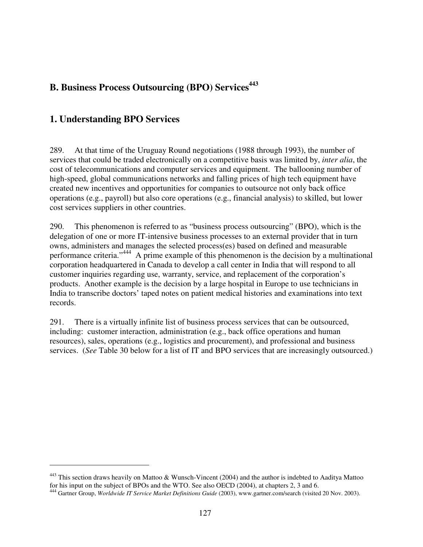# **B. Business Process Outsourcing (BPO) Services 443**

# **1. Understanding BPO Services**

289. At that time of the Uruguay Round negotiations (1988 through 1993), the number of services that could be traded electronically on a competitive basis was limited by, *inter alia*, the cost of telecommunications and computer services and equipment. The ballooning number of high-speed, global communications networks and falling prices of high tech equipment have created new incentives and opportunities for companies to outsource not only back office operations (e.g., payroll) but also core operations (e.g., financial analysis) to skilled, but lower cost services suppliers in other countries.

290. This phenomenon is referred to as "business process outsourcing" (BPO), which is the delegation of one or more IT-intensive business processes to an external provider that in turn owns, administers and manages the selected process(es) based on defined and measurable performance criteria."<sup>444</sup> A prime example of this phenomenon is the decision by a multinational corporation headquartered in Canada to develop a call center in India that will respond to all customer inquiries regarding use, warranty, service, and replacement of the corporation's products. Another example is the decision by a large hospital in Europe to use technicians in India to transcribe doctors' taped notes on patient medical histories and examinations into text records.

291. There is a virtually infinite list of business process services that can be outsourced, including: customer interaction, administration (e.g., back office operations and human resources), sales, operations (e.g., logistics and procurement), and professional and business services. (*See* Table 30 below for a list of IT and BPO services that are increasingly outsourced.)

<sup>&</sup>lt;sup>443</sup> This section draws heavily on Mattoo & Wunsch-Vincent (2004) and the author is indebted to Aaditya Mattoo for his input on the subject of BPOs and the WTO. See also OECD (2004), at chapters 2, 3 and 6.

<sup>444</sup> Gartner Group, *Worldwide IT Service Market Definitions Guide* (2003), www.gartner.com/search (visited 20 Nov. 2003).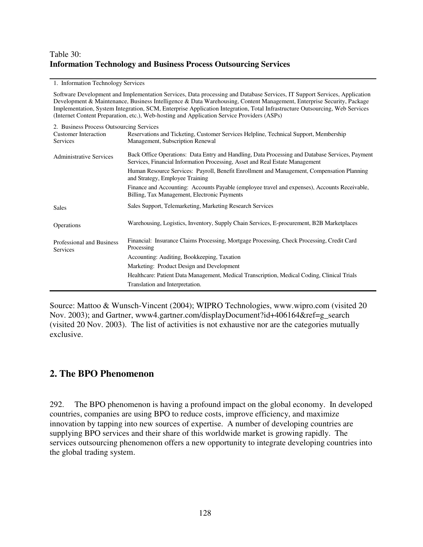#### Table 30: **Information Technology and Business Process Outsourcing Services**

#### 1. Information Technology Services

Software Development and Implementation Services, Data processing and Database Services, IT Support Services, Application Development & Maintenance, Business Intelligence & Data Warehousing, Content Management, Enterprise Security, Package Implementation, System Integration, SCM, Enterprise Application Integration, Total Infrastructure Outsourcing, Web Services (Internet Content Preparation, etc.), Web-hosting and Application Service Providers (ASPs)

#### 2. Business Process Outsourcing Services

| <b>Customer Interaction</b><br><b>Services</b> | Reservations and Ticketing, Customer Services Helpline, Technical Support, Membership<br>Management, Subscription Renewal                                                       |
|------------------------------------------------|---------------------------------------------------------------------------------------------------------------------------------------------------------------------------------|
| <b>Administrative Services</b>                 | Back Office Operations: Data Entry and Handling, Data Processing and Database Services, Payment<br>Services, Financial Information Processing, Asset and Real Estate Management |
|                                                | Human Resource Services: Payroll, Benefit Enrollment and Management, Compensation Planning<br>and Strategy, Employee Training                                                   |
|                                                | Finance and Accounting: Accounts Payable (employee travel and expenses), Accounts Receivable,<br>Billing, Tax Management, Electronic Payments                                   |
| Sales                                          | Sales Support, Telemarketing, Marketing Research Services                                                                                                                       |
| Operations                                     | Warehousing, Logistics, Inventory, Supply Chain Services, E-procurement, B2B Marketplaces                                                                                       |
| Professional and Business<br><b>Services</b>   | Financial: Insurance Claims Processing, Mortgage Processing, Check Processing, Credit Card<br>Processing                                                                        |
|                                                | Accounting: Auditing, Bookkeeping, Taxation                                                                                                                                     |
|                                                | Marketing: Product Design and Development                                                                                                                                       |
|                                                | Healthcare: Patient Data Management, Medical Transcription, Medical Coding, Clinical Trials                                                                                     |
|                                                | Translation and Interpretation.                                                                                                                                                 |

Source: Mattoo & Wunsch-Vincent (2004); WIPRO Technologies, www.wipro.com (visited 20 Nov. 2003); and Gartner, www4.gartner.com/displayDocument?id+406164&ref=g\_search (visited 20 Nov. 2003). The list of activities is not exhaustive nor are the categories mutually exclusive.

# **2. The BPO Phenomenon**

292. The BPO phenomenon is having a profound impact on the global economy. In developed countries, companies are using BPO to reduce costs, improve efficiency, and maximize innovation by tapping into new sources of expertise. A number of developing countries are supplying BPO services and their share of this worldwide market is growing rapidly. The services outsourcing phenomenon offers a new opportunity to integrate developing countries into the global trading system.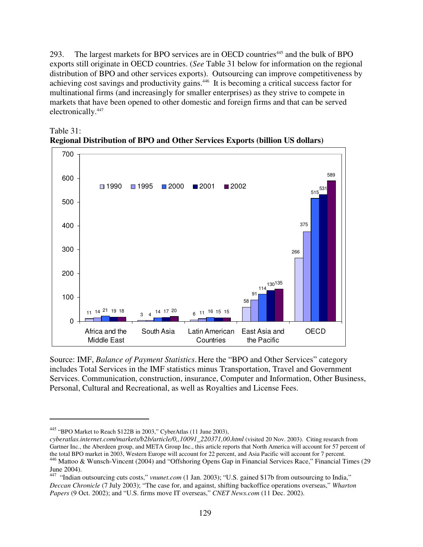293. The largest markets for BPO services are in OECD countries<sup>445</sup> and the bulk of BPO exports still originate in OECD countries. (*See* Table 31 below for information on the regional distribution of BPO and other services exports). Outsourcing can improve competitiveness by achieving cost savings and productivity gains.<sup>446</sup> It is becoming a critical success factor for multinational firms (and increasingly for smaller enterprises) as they strive to compete in markets that have been opened to other domestic and foreign firms and that can be served electronically. 447





Source: IMF, *Balance of Payment Statistics*.Here the "BPO and Other Services" category includes Total Services in the IMF statistics minus Transportation, Travel and Government Services. Communication, construction, insurance, Computer and Information, Other Business, Personal, Cultural and Recreational, as well as Royalties and License Fees.

<sup>&</sup>lt;sup>445</sup> "BPO Market to Reach \$122B in 2003," CyberAtlas (11 June 2003),

*cyberatlas.internet.com/markets/b2b/article/0,,10091\_220371,00.html* (visited 20 Nov. 2003). Citing research from Gartner Inc., the Aberdeen group, and META Group Inc., this article reports that North America will account for 57 percent of the total BPO market in 2003, Western Europe will account for 22 percent, and Asia Pacific will account for 7 percent. <sup>446</sup> Mattoo & Wunsch-Vincent (2004) and "Offshoring Opens Gap in Financial Services Race," Financial Times (29 June 2004).

<sup>&</sup>lt;sup>447</sup> "Indian outsourcing cuts costs," *vnunet.com* (1 Jan. 2003); "U.S. gained \$17b from outsourcing to India," *Deccan Chronicle* (7 July 2003); "The case for, and against, shifting backoffice operations overseas," *Wharton Papers* (9 Oct. 2002); and "U.S. firms move IT overseas," *CNET News.com* (11 Dec. 2002).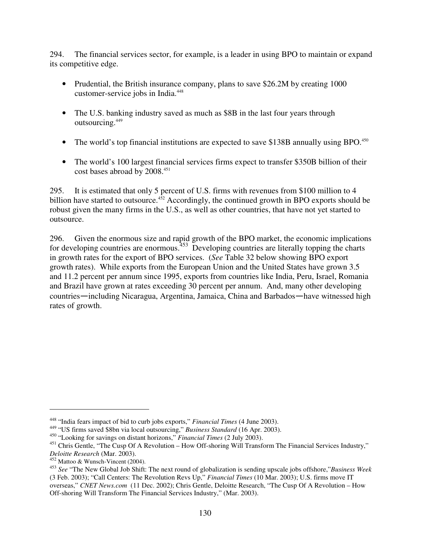294. The financial services sector, for example, is a leader in using BPO to maintain or expand its competitive edge.

- Prudential, the British insurance company, plans to save \$26.2M by creating 1000 customer-service jobs in India. 448
- The U.S. banking industry saved as much as \$8B in the last four years through outsourcing. 449
- The world's top financial institutions are expected to save \$138B annually using BPO.<sup>450</sup>
- The world's 100 largest financial services firms expect to transfer \$350B billion of their cost bases abroad by 2008. 451

295. It is estimated that only 5 percent of U.S. firms with revenues from \$100 million to 4 billion have started to outsource.<sup>452</sup> Accordingly, the continued growth in BPO exports should be robust given the many firms in the U.S., as well as other countries, that have not yet started to outsource.

296. Given the enormous size and rapid growth of the BPO market, the economic implications for developing countries are enormous.<sup>453</sup> Developing countries are literally topping the charts in growth rates for the export of BPO services. (*See* Table 32 below showing BPO export growth rates). While exports from the European Union and the United States have grown 3.5 and 11.2 percent per annum since 1995, exports from countries like India, Peru, Israel, Romania and Brazil have grown at rates exceeding 30 percent per annum. And, many other developing countries—including Nicaragua, Argentina, Jamaica, China and Barbados—have witnessed high rates of growth.

<sup>448</sup> "India fears impact of bid to curb jobs exports," *Financial Times* (4 June 2003).

<sup>449</sup> "US firms saved \$8bn via local outsourcing," *Business Standard* (16 Apr. 2003).

<sup>450</sup> "Looking for savings on distant horizons," *Financial Times* (2 July 2003).

<sup>&</sup>lt;sup>451</sup> Chris Gentle, "The Cusp Of A Revolution – How Off-shoring Will Transform The Financial Services Industry," *Deloitte Research* (Mar. 2003).

 $452$  Mattoo & Wunsch-Vincent (2004).

<sup>453</sup> *See* "The New Global Job Shift: The next round of globalization is sending upscale jobs offshore,"*Business Week* (3 Feb. 2003); "Call Centers: The Revolution Revs Up," *Financial Times* (10 Mar. 2003); U.S. firms move IT overseas," *CNET News.com* (11 Dec. 2002); Chris Gentle, Deloitte Research, "The Cusp Of A Revolution – How Off-shoring Will Transform The Financial Services Industry," (Mar. 2003).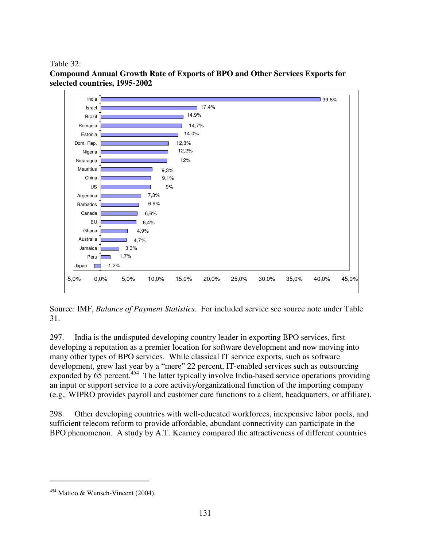Table 32:





Source: IMF, *Balance of Payment Statistics.* For included service see source note under Table 31.

297. India is the undisputed developing country leader in exporting BPO services, first developing a reputation as a premier location for software development and now moving into many other types of BPO services. While classical IT service exports, such as software development, grew last year by a "mere" 22 percent, IT-enabled services such as outsourcing expanded by 65 percent.<sup>454</sup> The latter typically involve India-based service operations providing an input or support service to a core activity/organizational function of the importing company (e.g.*,* WIPRO provides payroll and customer care functions to a client, headquarters, or affiliate).

298. Other developing countries with well-educated workforces, inexpensive labor pools, and sufficient telecom reform to provide affordable, abundant connectivity can participate in the BPO phenomenon. A study by A.T. Kearney compared the attractiveness of different countries

 $454$  Mattoo & Wunsch-Vincent (2004).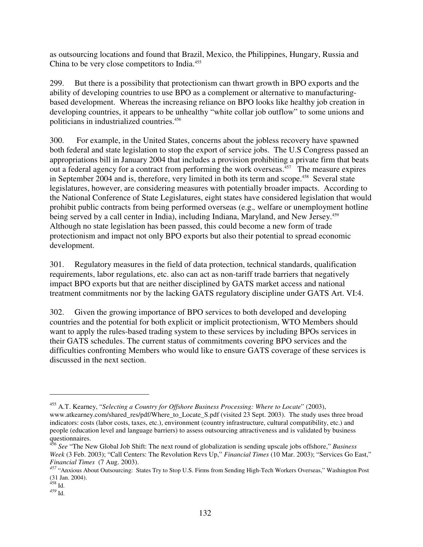as outsourcing locations and found that Brazil, Mexico, the Philippines, Hungary, Russia and China to be very close competitors to India. 455

299. But there is a possibility that protectionism can thwart growth in BPO exports and the ability of developing countries to use BPO as a complement or alternative to manufacturingbased development. Whereas the increasing reliance on BPO looks like healthy job creation in developing countries, it appears to be unhealthy "white collar job outflow" to some unions and politicians in industrialized countries. 456

300. For example, in the United States, concerns about the jobless recovery have spawned both federal and state legislation to stop the export of service jobs. The U.S Congress passed an appropriations bill in January 2004 that includes a provision prohibiting a private firm that beats out a federal agency for a contract from performing the work overseas.<sup>457</sup> The measure expires in September 2004 and is, therefore, very limited in both its term and scope. <sup>458</sup> Several state legislatures, however, are considering measures with potentially broader impacts. According to the National Conference of State Legislatures, eight states have considered legislation that would prohibit public contracts from being performed overseas (e.g.*,* welfare or unemployment hotline being served by a call center in India), including Indiana, Maryland, and New Jersey.<sup>459</sup> Although no state legislation has been passed, this could become a new form of trade protectionism and impact not only BPO exports but also their potential to spread economic development.

301. Regulatory measures in the field of data protection, technical standards, qualification requirements, labor regulations, etc. also can act as non-tariff trade barriers that negatively impact BPO exports but that are neither disciplined by GATS market access and national treatment commitments nor by the lacking GATS regulatory discipline under GATS Art. VI:4.

302. Given the growing importance of BPO services to both developed and developing countries and the potential for both explicit or implicit protectionism, WTO Members should want to apply the rules-based trading system to these services by including BPOs services in their GATS schedules. The current status of commitments covering BPO services and the difficulties confronting Members who would like to ensure GATS coverage of these services is discussed in the next section.

<sup>455</sup> A.T. Kearney, "*Selecting a Country for Offshore Business Processing: Where to Locate*" (2003), www.atkearney.com/shared\_res/pdf/Where\_to\_Locate\_S.pdf (visited 23 Sept. 2003). The study uses three broad indicators: costs (labor costs, taxes, etc.), environment (country infrastructure, cultural compatibility, etc.) and people (education level and language barriers) to assess outsourcing attractiveness and is validated by business

questionnaires. 456 *See* "The New Global Job Shift: The next round of globalization is sending upscale jobs offshore," *Business Week* (3 Feb. 2003); "Call Centers: The Revolution Revs Up," *Financial Times* (10 Mar. 2003); "Services Go East," *Financial Times* (7 Aug. 2003). *457* "Anxious About Outsourcing: States Try to Stop U.S. Firms from Sending High-Tech Workers Overseas," Washington Post

<sup>(31</sup> Jan. 2004). 458 Id.

*<sup>459</sup>* Id.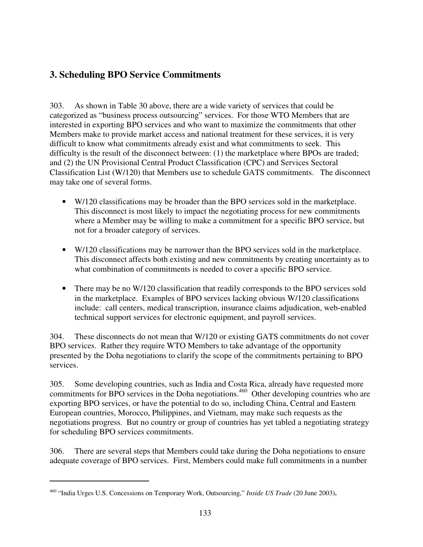# **3. Scheduling BPO Service Commitments**

303. As shown in Table 30 above, there are a wide variety of services that could be categorized as "business process outsourcing" services. For those WTO Members that are interested in exporting BPO services and who want to maximize the commitments that other Members make to provide market access and national treatment for these services, it is very difficult to know what commitments already exist and what commitments to seek. This difficulty is the result of the disconnect between: (1) the marketplace where BPOs are traded; and (2) the UN Provisional Central Product Classification (CPC) and Services Sectoral Classification List (W/120) that Members use to schedule GATS commitments. The disconnect may take one of several forms.

- W/120 classifications may be broader than the BPO services sold in the marketplace. This disconnect is most likely to impact the negotiating process for new commitments where a Member may be willing to make a commitment for a specific BPO service, but not for a broader category of services.
- W/120 classifications may be narrower than the BPO services sold in the marketplace. This disconnect affects both existing and new commitments by creating uncertainty as to what combination of commitments is needed to cover a specific BPO service.
- There may be no W/120 classification that readily corresponds to the BPO services sold in the marketplace. Examples of BPO services lacking obvious W/120 classifications include: call centers, medical transcription, insurance claims adjudication, web-enabled technical support services for electronic equipment, and payroll services.

304. These disconnects do not mean that W/120 or existing GATS commitments do not cover BPO services. Rather they require WTO Members to take advantage of the opportunity presented by the Doha negotiations to clarify the scope of the commitments pertaining to BPO services.

305. Some developing countries, such as India and Costa Rica, already have requested more commitments for BPO services in the Doha negotiations.<sup>460</sup> Other developing countries who are exporting BPO services, or have the potential to do so, including China, Central and Eastern European countries, Morocco, Philippines, and Vietnam, may make such requests as the negotiations progress. But no country or group of countries has yet tabled a negotiating strategy for scheduling BPO services commitments.

306. There are several steps that Members could take during the Doha negotiations to ensure adequate coverage of BPO services. First, Members could make full commitments in a number

<sup>460</sup> "India Urges U.S. Concessions on Temporary Work, Outsourcing," *Inside US Trade* (20 June 2003)**.**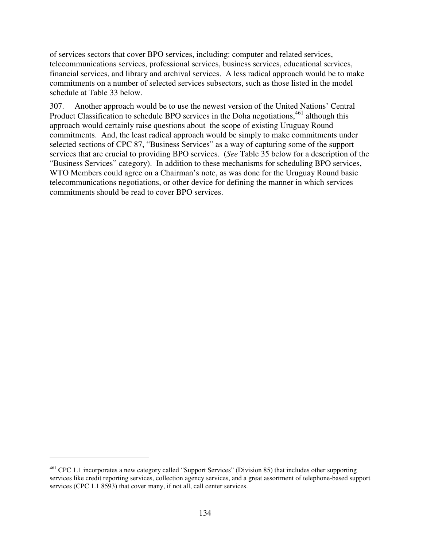of services sectors that cover BPO services, including: computer and related services, telecommunications services, professional services, business services, educational services, financial services, and library and archival services. A less radical approach would be to make commitments on a number of selected services subsectors, such as those listed in the model schedule at Table 33 below.

307. Another approach would be to use the newest version of the United Nations' Central Product Classification to schedule BPO services in the Doha negotiations,<sup>461</sup> although this approach would certainly raise questions about the scope of existing Uruguay Round commitments. And, the least radical approach would be simply to make commitments under selected sections of CPC 87, "Business Services" as a way of capturing some of the support services that are crucial to providing BPO services. (*See* Table 35 below for a description of the "Business Services" category). In addition to these mechanisms for scheduling BPO services, WTO Members could agree on a Chairman's note, as was done for the Uruguay Round basic telecommunications negotiations, or other device for defining the manner in which services commitments should be read to cover BPO services.

<sup>&</sup>lt;sup>461</sup> CPC 1.1 incorporates a new category called "Support Services" (Division 85) that includes other supporting services like credit reporting services, collection agency services, and a great assortment of telephone-based support services (CPC 1.1 8593) that cover many, if not all, call center services.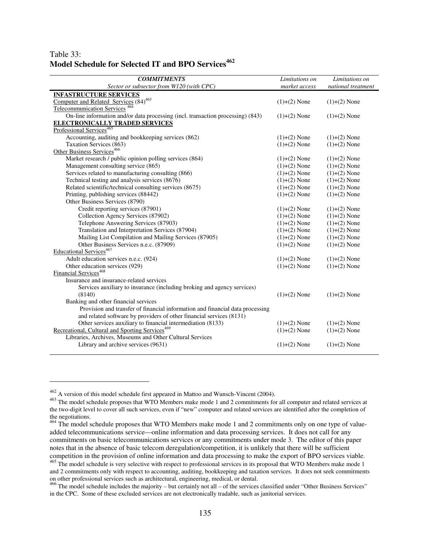#### Table 33: **Model Schedule for Selected IT and BPO Services 462**

| <b>COMMITMENTS</b>                                                              | Limitations on | Limitations on     |
|---------------------------------------------------------------------------------|----------------|--------------------|
| Sector or subsector from W120 (with CPC)                                        | market access  | national treatment |
| <b>INFASTRUCTURE SERVICES</b>                                                   |                |                    |
| Computer and Related Services (84) <sup>463</sup>                               | $(1)+(2)$ None | $(1)+(2)$ None     |
| Telecommunication Services <sup>464</sup>                                       |                |                    |
| On-line information and/or data processing (incl. transaction processing) (843) | $(1)+(2)$ None | $(1)+(2)$ None     |
| <b>ELECTRONICALLY TRADED SERVICES</b>                                           |                |                    |
| Professional Services <sup>465</sup>                                            |                |                    |
| Accounting, auditing and bookkeeping services (862)                             | $(1)+(2)$ None | $(1)+(2)$ None     |
| Taxation Services (863)                                                         | $(1)+(2)$ None | $(1)+(2)$ None     |
| Other Business Services <sup>466</sup>                                          |                |                    |
| Market research / public opinion polling services (864)                         | $(1)+(2)$ None | $(1)+(2)$ None     |
| Management consulting service (865)                                             | $(1)+(2)$ None | $(1)+(2)$ None     |
| Services related to manufacturing consulting (866)                              | $(1)+(2)$ None | $(1)+(2)$ None     |
| Technical testing and analysis services (8676)                                  | $(1)+(2)$ None | $(1)+(2)$ None     |
| Related scientific/technical consulting services (8675)                         | $(1)+(2)$ None | $(1)+(2)$ None     |
| Printing, publishing services (88442)                                           | $(1)+(2)$ None | $(1)+(2)$ None     |
| Other Business Services (8790)                                                  |                |                    |
| Credit reporting services (87901)                                               | $(1)+(2)$ None | $(1)+(2)$ None     |
| Collection Agency Services (87902)                                              | $(1)+(2)$ None | $(1)+(2)$ None     |
| Telephone Answering Services (87903)                                            | $(1)+(2)$ None | $(1)+(2)$ None     |
| Translation and Interpretation Services (87904)                                 | $(1)+(2)$ None | $(1)+(2)$ None     |
| Mailing List Compilation and Mailing Services (87905)                           | $(1)+(2)$ None | $(1)+(2)$ None     |
| Other Business Services n.e.c. (87909)                                          | $(1)+(2)$ None | $(1)+(2)$ None     |
| Educational Services <sup>467</sup>                                             |                |                    |
| Adult education services n.e.c. (924)                                           | $(1)+(2)$ None | $(1)+(2)$ None     |
| Other education services (929)                                                  | $(1)+(2)$ None | $(1)+(2)$ None     |
| Financial Services <sup>468</sup>                                               |                |                    |
| Insurance and insurance-related services                                        |                |                    |
| Services auxiliary to insurance (including broking and agency services)         |                |                    |
| (8140)                                                                          | $(1)+(2)$ None | $(1)+(2)$ None     |
| Banking and other financial services                                            |                |                    |
| Provision and transfer of financial information and financial data processing   |                |                    |
| and related software by providers of other financial services (8131)            |                |                    |
| Other services auxiliary to financial intermediation (8133)                     | $(1)+(2)$ None | $(1)+(2)$ None     |
| Recreational, Cultural and Sporting Services <sup>469</sup>                     | $(1)+(2)$ None | $(1)+(2)$ None     |
| Libraries, Archives, Museums and Other Cultural Services                        |                |                    |
| Library and archive services (9631)                                             | $(1)+(2)$ None | $(1)+(2)$ None     |

<sup>462</sup> A version of this model schedule first appeared in Mattoo and Wunsch-Vincent (2004).

<sup>&</sup>lt;sup>463</sup> The model schedule proposes that WTO Members make mode 1 and 2 commitments for all computer and related services at the two-digit level to cover all such services, even if "new" computer and related services are identified after the completion of the negotiations.

<sup>&</sup>lt;sup>464</sup> The model schedule proposes that WTO Members make mode 1 and 2 commitments only on one type of valueadded telecommunications service—online information and data processing services. It does not call for any commitments on basic telecommunications services or any commitments under mode 3. The editor of this paper notes that in the absence of basic telecom deregulation/competition, it is unlikely that there will be sufficient

competition in the provision of online information and data processing to make the export of BPO services viable.<br><sup>465</sup> The model schedule is very selective with respect to professional services in its proposal that WTO Me and 2 commitments only with respect to accounting, auditing, bookkeeping and taxation services. It does not seek commitments

on other professional services such as architectural, engineering, medical, or dental.<br><sup>466</sup> The model schedule includes the majority – but certainly not all – of the services classified under "Other Business Services" in the CPC. Some of these excluded services are not electronically tradable, such as janitorial services.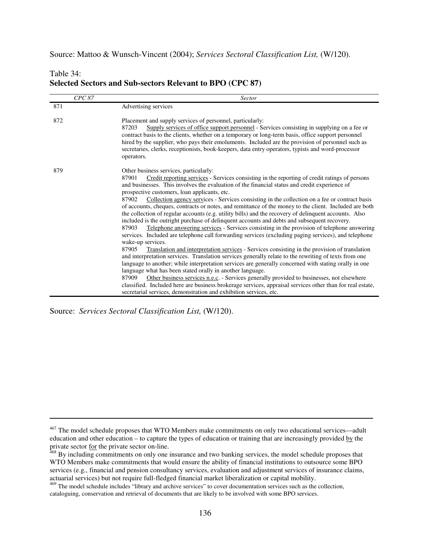Source: Mattoo & Wunsch-Vincent (2004); *Services Sectoral Classification List,* (W/120).

| Table 34:                                                 |  |
|-----------------------------------------------------------|--|
| Selected Sectors and Sub-sectors Relevant to BPO (CPC 87) |  |

|     | <b>Sector</b>                                                                                                                                                                                                                                                                                                                                                                                                                                                                                                                                                                                                                                                                                                                                                                                                                                                                                                                                                                                                                                                                                                                                                                                                                                                                                                                                                                                                                                                                                                                                                                                                                                      |  |  |
|-----|----------------------------------------------------------------------------------------------------------------------------------------------------------------------------------------------------------------------------------------------------------------------------------------------------------------------------------------------------------------------------------------------------------------------------------------------------------------------------------------------------------------------------------------------------------------------------------------------------------------------------------------------------------------------------------------------------------------------------------------------------------------------------------------------------------------------------------------------------------------------------------------------------------------------------------------------------------------------------------------------------------------------------------------------------------------------------------------------------------------------------------------------------------------------------------------------------------------------------------------------------------------------------------------------------------------------------------------------------------------------------------------------------------------------------------------------------------------------------------------------------------------------------------------------------------------------------------------------------------------------------------------------------|--|--|
| 871 | Advertising services                                                                                                                                                                                                                                                                                                                                                                                                                                                                                                                                                                                                                                                                                                                                                                                                                                                                                                                                                                                                                                                                                                                                                                                                                                                                                                                                                                                                                                                                                                                                                                                                                               |  |  |
| 872 | Placement and supply services of personnel, particularly:<br>Supply services of office support personnel - Services consisting in supplying on a fee or<br>87203<br>contract basis to the clients, whether on a temporary or long-term basis, office support personnel<br>hired by the supplier, who pays their emoluments. Included are the provision of personnel such as<br>secretaries, clerks, receptionists, book-keepers, data entry operators, typists and word-processor<br>operators.                                                                                                                                                                                                                                                                                                                                                                                                                                                                                                                                                                                                                                                                                                                                                                                                                                                                                                                                                                                                                                                                                                                                                    |  |  |
| 879 | Other business services, particularly:<br>Credit reporting services - Services consisting in the reporting of credit ratings of persons<br>87901<br>and businesses. This involves the evaluation of the financial status and credit experience of<br>prospective customers, loan applicants, etc.<br>Collection agency services - Services consisting in the collection on a fee or contract basis<br>87902<br>of accounts, cheques, contracts or notes, and remittance of the money to the client. Included are both<br>the collection of regular accounts (e.g. utility bills) and the recovery of delinquent accounts. Also<br>included is the outright purchase of delinquent accounts and debts and subsequent recovery.<br>Telephone answering services - Services consisting in the provision of telephone answering<br>87903<br>services. Included are telephone call forwarding services (excluding paging services), and telephone<br>wake-up services.<br>Translation and interpretation services - Services consisting in the provision of translation<br>87905<br>and interpretation services. Translation services generally relate to the rewriting of texts from one<br>language to another; while interpretation services are generally concerned with stating orally in one<br>language what has been stated orally in another language.<br>87909<br>Other business services n.e.c. - Services generally provided to businesses, not elsewhere<br>classified. Included here are business brokerage services, appraisal services other than for real estate,<br>secretarial services, demonstration and exhibition services, etc. |  |  |

Source: *Services Sectoral Classification List,* (W/120).

<u> 2008 - Andrea Station Barbara, actor a component de la contrada de la contrada de la contrada de la contrada</u>

<sup>&</sup>lt;sup>467</sup> The model schedule proposes that WTO Members make commitments on only two educational services—adult education and other education – to capture the types of education or training that are increasingly provided  $\underline{b}y$  the private sector for the private sector on-line.

<sup>&</sup>lt;sup>468</sup> By including commitments on only one insurance and two banking services, the model schedule proposes that WTO Members make commitments that would ensure the ability of financial institutions to outsource some BPO services (e.g., financial and pension consultancy services, evaluation and adjustment services of insurance claims,

actuarial services) but not require full-fledged financial market liberalization or capital mobility.<br><sup>469</sup> The model schedule includes "library and archive services" to cover documentation services such as the collection, cataloguing, conservation and retrieval of documents that are likely to be involved with some BPO services.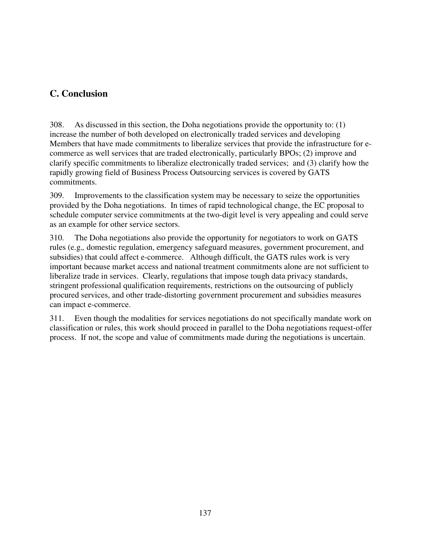# **C. Conclusion**

308. As discussed in this section, the Doha negotiations provide the opportunity to: (1) increase the number of both developed on electronically traded services and developing Members that have made commitments to liberalize services that provide the infrastructure for ecommerce as well services that are traded electronically, particularly BPOs; (2) improve and clarify specific commitments to liberalize electronically traded services; and (3) clarify how the rapidly growing field of Business Process Outsourcing services is covered by GATS commitments.

309. Improvements to the classification system may be necessary to seize the opportunities provided by the Doha negotiations. In times of rapid technological change, the EC proposal to schedule computer service commitments at the two-digit level is very appealing and could serve as an example for other service sectors.

310. The Doha negotiations also provide the opportunity for negotiators to work on GATS rules (e.g.*,* domestic regulation, emergency safeguard measures, government procurement, and subsidies) that could affect e-commerce. Although difficult, the GATS rules work is very important because market access and national treatment commitments alone are not sufficient to liberalize trade in services. Clearly, regulations that impose tough data privacy standards, stringent professional qualification requirements, restrictions on the outsourcing of publicly procured services, and other trade-distorting government procurement and subsidies measures can impact e-commerce.

311. Even though the modalities for services negotiations do not specifically mandate work on classification or rules, this work should proceed in parallel to the Doha negotiations request-offer process. If not, the scope and value of commitments made during the negotiations is uncertain.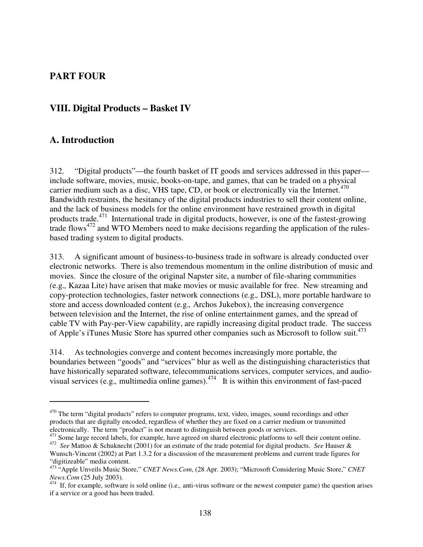### **PART FOUR**

### **VIII. Digital Products – Basket IV**

### **A. Introduction**

312. "Digital products"—the fourth basket of IT goods and services addressed in this paper include software, movies, music, books-on-tape, and games, that can be traded on a physical carrier medium such as a disc, VHS tape, CD, or book or electronically via the Internet.<sup>470</sup> Bandwidth restraints, the hesitancy of the digital products industries to sell their content online, and the lack of business models for the online environment have restrained growth in digital products trade.<sup>471</sup> International trade in digital products, however, is one of the fastest-growing trade flows<sup>472</sup> and WTO Members need to make decisions regarding the application of the rulesbased trading system to digital products.

313. A significant amount of business-to-business trade in software is already conducted over electronic networks. There is also tremendous momentum in the online distribution of music and movies. Since the closure of the original Napster site, a number of file-sharing communities *(*e.g.*,* Kazaa Lite) have arisen that make movies or music available for free. New streaming and copy-protection technologies, faster network connections (e.g.*,* DSL), more portable hardware to store and access downloaded content (e.g.*,* Archos Jukebox), the increasing convergence between television and the Internet, the rise of online entertainment games, and the spread of cable TV with Pay-per-View capability, are rapidly increasing digital product trade. The success of Apple's iTunes Music Store has spurred other companies such as Microsoft to follow suit. 473

314. As technologies converge and content becomes increasingly more portable, the boundaries between "goods" and "services" blur as well as the distinguishing characteristics that have historically separated software, telecommunications services, computer services, and audiovisual services (e.g.*,* multimedia online games). 474 It is within this environment of fast-paced

 $470$  The term "digital products" refers to computer programs, text, video, images, sound recordings and other products that are digitally encoded, regardless of whether they are fixed on a carrier medium or transmitted electronically. The term "product" is not meant to distinguish between goods or services.<br><sup>471</sup> Some large record labels, for example, have agreed on shared electronic platforms to sell their content online.

<sup>472</sup> *See* Mattoo & Schuknecht (2001) for an estimate of the trade potential for digital products. *See* Hauser &

Wunsch-Vincent (2002) at Part 1.3.2 for a discussion of the measurement problems and current trade figures for "digitizeable" media content.

<sup>473</sup> "Apple Unveils Music Store," *CNET News.Com*, (28 Apr. 2003); "Microsoft Considering Music Store," *CNET*

*News.Com* (25 July 2003). 474 If, for example, software is sold online (i.e.*,* anti-virus software or the newest computer game) the question arises if a service or a good has been traded.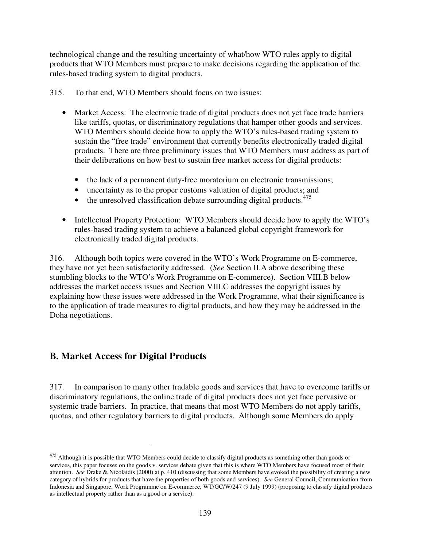technological change and the resulting uncertainty of what/how WTO rules apply to digital products that WTO Members must prepare to make decisions regarding the application of the rules-based trading system to digital products.

- 315. To that end, WTO Members should focus on two issues:
	- Market Access: The electronic trade of digital products does not yet face trade barriers like tariffs, quotas, or discriminatory regulations that hamper other goods and services. WTO Members should decide how to apply the WTO's rules-based trading system to sustain the "free trade" environment that currently benefits electronically traded digital products. There are three preliminary issues that WTO Members must address as part of their deliberations on how best to sustain free market access for digital products:
		- the lack of a permanent duty-free moratorium on electronic transmissions;
		- uncertainty as to the proper customs valuation of digital products; and
		- the unresolved classification debate surrounding digital products.<sup>475</sup>
	- Intellectual Property Protection: WTO Members should decide how to apply the WTO's rules-based trading system to achieve a balanced global copyright framework for electronically traded digital products.

316. Although both topics were covered in the WTO's Work Programme on E-commerce, they have not yet been satisfactorily addressed. (*See* Section II.A above describing these stumbling blocks to the WTO's Work Programme on E-commerce). Section VIII.B below addresses the market access issues and Section VIII.C addresses the copyright issues by explaining how these issues were addressed in the Work Programme, what their significance is to the application of trade measures to digital products, and how they may be addressed in the Doha negotiations.

### **B. Market Access for Digital Products**

317. In comparison to many other tradable goods and services that have to overcome tariffs or discriminatory regulations, the online trade of digital products does not yet face pervasive or systemic trade barriers. In practice, that means that most WTO Members do not apply tariffs, quotas, and other regulatory barriers to digital products. Although some Members do apply

<sup>&</sup>lt;sup>475</sup> Although it is possible that WTO Members could decide to classify digital products as something other than goods or services, this paper focuses on the goods v. services debate given that this is where WTO Members have focused most of their attention. *See* Drake & Nicolaidis (2000) at p. 410 (discussing that some Members have evoked the possibility of creating a new category of hybrids for products that have the properties of both goods and services). *See* General Council, Communication from Indonesia and Singapore, Work Programme on E-commerce, WT/GC/W/247 (9 July 1999) (proposing to classify digital products as intellectual property rather than as a good or a service).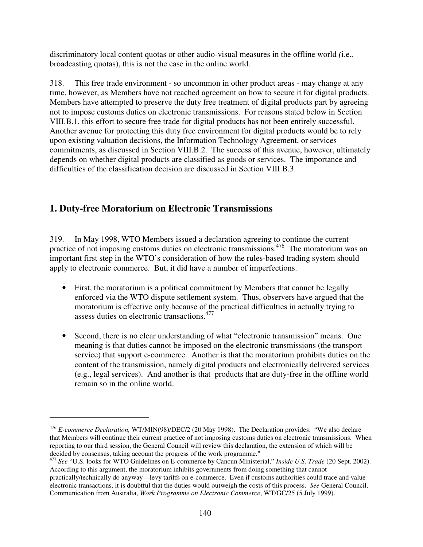discriminatory local content quotas or other audio-visual measures in the offline world *(*i.e.*,* broadcasting quotas), this is not the case in the online world.

318. This free trade environment - so uncommon in other product areas - may change at any time, however, as Members have not reached agreement on how to secure it for digital products. Members have attempted to preserve the duty free treatment of digital products part by agreeing not to impose customs duties on electronic transmissions. For reasons stated below in Section VIII.B.1, this effort to secure free trade for digital products has not been entirely successful. Another avenue for protecting this duty free environment for digital products would be to rely upon existing valuation decisions, the Information Technology Agreement, or services commitments, as discussed in Section VIII.B.2. The success of this avenue, however, ultimately depends on whether digital products are classified as goods or services. The importance and difficulties of the classification decision are discussed in Section VIII.B.3.

# **1. Duty-free Moratorium on Electronic Transmissions**

319. In May 1998, WTO Members issued a declaration agreeing to continue the current practice of not imposing customs duties on electronic transmissions.<sup>476</sup> The moratorium was an important first step in the WTO's consideration of how the rules-based trading system should apply to electronic commerce. But, it did have a number of imperfections.

- First, the moratorium is a political commitment by Members that cannot be legally enforced via the WTO dispute settlement system. Thus, observers have argued that the moratorium is effective only because of the practical difficulties in actually trying to assess duties on electronic transactions.<sup>477</sup>
- Second, there is no clear understanding of what "electronic transmission" means. One meaning is that duties cannot be imposed on the electronic transmissions (the transport service) that support e-commerce. Another is that the moratorium prohibits duties on the content of the transmission, namely digital products and electronically delivered services (e.g., legal services). And another is that products that are duty-free in the offline world remain so in the online world.

<sup>476</sup> *E-commerce Declaration,* WT/MIN(98)/DEC/2 (20 May 1998). The Declaration provides: "We also declare that Members will continue their current practice of not imposing customs duties on electronic transmissions. When reporting to our third session, the General Council will review this declaration, the extension of which will be

decided by consensus, taking account the progress of the work programme." 477 *See* "U.S. looks for WTO Guidelines on E-commerce by Cancun Ministerial," *Inside U.S. Trade* (20 Sept. 2002). According to this argument, the moratorium inhibits governments from doing something that cannot practically/technically do anyway—levy tariffs on e-commerce. Even if customs authorities could trace and value electronic transactions, it is doubtful that the duties would outweigh the costs of this process. *See* General Council, Communication from Australia, *Work Programme on Electronic Commerce*, WT/GC/25 (5 July 1999).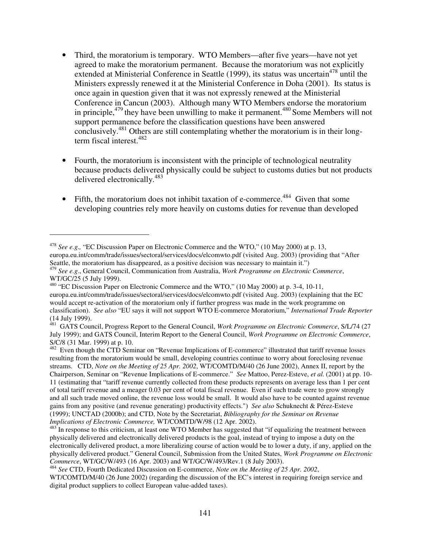- Third, the moratorium is temporary. WTO Members—after five years—have not yet agreed to make the moratorium permanent. Because the moratorium was not explicitly extended at Ministerial Conference in Seattle (1999), its status was uncertain<sup>478</sup> until the Ministers expressly renewed it at the Ministerial Conference in Doha (2001). Its status is once again in question given that it was not expressly renewed at the Ministerial Conference in Cancun (2003). Although many WTO Members endorse the moratorium in principle,<sup>479</sup> they have been unwilling to make it permanent.<sup>480</sup> Some Members will not support permanence before the classification questions have been answered conclusively.<sup>481</sup> Others are still contemplating whether the moratorium is in their longterm fiscal interest. 482
- Fourth, the moratorium is inconsistent with the principle of technological neutrality because products delivered physically could be subject to customs duties but not products delivered electronically. 483
- Fifth, the moratorium does not inhibit taxation of e-commerce.<sup>484</sup> Given that some developing countries rely more heavily on customs duties for revenue than developed

<sup>478</sup> *See e.g.,* "EC Discussion Paper on Electronic Commerce and the WTO," (10 May 2000) at p. 13, europa.eu.int/comm/trade/issues/sectoral/services/docs/elcomwto.pdf (visited Aug. 2003) (providing that "After Seattle, the moratorium has disappeared, as a positive decision was necessary to maintain it.")<br><sup>479</sup> See e.g., General Council, Communication from Australia, *Work Programme on Electronic Commerce*,

WT/GC/25 (5 July 1999).

<sup>&</sup>lt;sup>480</sup> "EC Discussion Paper on Electronic Commerce and the WTO," (10 May 2000) at p. 3-4, 10-11, europa.eu.int/comm/trade/issues/sectoral/services/docs/elcomwto.pdf (visited Aug. 2003) (explaining that the EC would accept re-activation of the moratorium only if further progress was made in the work programme on classification). *See also* "EU says it will not support WTO E-commerce Moratorium," *International Trade Reporter* (14 July 1999).

<sup>481</sup> GATS Council, Progress Report to the General Council, *Work Programme on Electronic Commerce*, S/L/74 (27 July 1999); and GATS Council, Interim Report to the General Council, *Work Programme on Electronic Commerce*, S/C/8 (31 Mar. 1999) at p. 10.

<sup>&</sup>lt;sup>482</sup> Even though the CTD Seminar on "Revenue Implications of E-commerce" illustrated that tariff revenue losses resulting from the moratorium would be small, developing countries continue to worry about foreclosing revenue streams. CTD, *Note on the Meeting of 25 Apr. 2002*, WT/COMTD/M/40 (26 June 2002), Annex II, report by the Chairperson, Seminar on "Revenue Implications of E-commerce." *See* Mattoo, Perez-Esteve, *et al.* (2001) at pp. 10- 11 (estimating that "tariff revenue currently collected from these products represents on average less than 1 per cent of total tariff revenue and a meager 0.03 per cent of total fiscal revenue. Even if such trade were to grow strongly and all such trade moved online, the revenue loss would be small. It would also have to be counted against revenue gains from any positive (and revenue generating) productivity effects.") *See also* Schuknecht & Pérez-Esteve (1999); UNCTAD (2000b); and CTD, Note by the Secretariat, *Bibliography for the Seminar on Revenue Implications of Electronic Commerce,* WT/COMTD/W/98 (12 Apr. 2002).

 $483$  In response to this criticism, at least one WTO Member has suggested that "if equalizing the treatment between physically delivered and electronically delivered products is the goal, instead of trying to impose a duty on the electronically delivered product, a more liberalizing course of action would be to lower a duty, if any, applied on the physically delivered product." General Council, Submission from the United States, *Work Programme on Electronic Commerce*, WT/GC/W/493 (16 Apr. 2003) and WT/GC/W/493/Rev.1 (8 July 2003).

<sup>484</sup> *See* CTD, Fourth Dedicated Discussion on E-commerce, *Note on the Meeting of 25 Apr. 2002*,

WT/COMTD/M/40 (26 June 2002) (regarding the discussion of the EC's interest in requiring foreign service and digital product suppliers to collect European value-added taxes).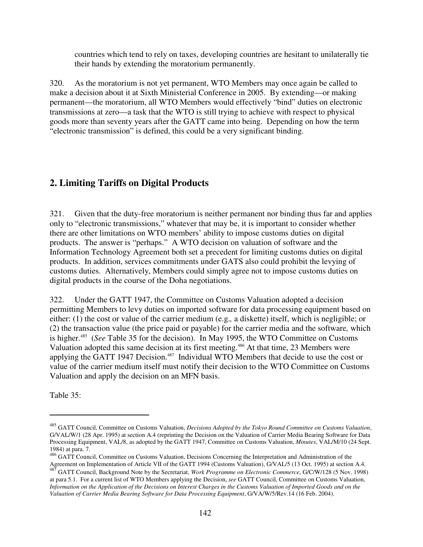countries which tend to rely on taxes, developing countries are hesitant to unilaterally tie their hands by extending the moratorium permanently.

320. As the moratorium is not yet permanent, WTO Members may once again be called to make a decision about it at Sixth Ministerial Conference in 2005. By extending—or making permanent—the moratorium, all WTO Members would effectively "bind" duties on electronic transmissions at zero—a task that the WTO is still trying to achieve with respect to physical goods more than seventy years after the GATT came into being. Depending on how the term "electronic transmission" is defined, this could be a very significant binding.

# **2. Limiting Tariffs on Digital Products**

321. Given that the duty-free moratorium is neither permanent nor binding thus far and applies only to "electronic transmissions," whatever that may be, it is important to consider whether there are other limitations on WTO members' ability to impose customs duties on digital products. The answer is "perhaps." A WTO decision on valuation of software and the Information Technology Agreement both set a precedent for limiting customs duties on digital products. In addition, services commitments under GATS also could prohibit the levying of customs duties. Alternatively, Members could simply agree not to impose customs duties on digital products in the course of the Doha negotiations.

322. Under the GATT 1947, the Committee on Customs Valuation adopted a decision permitting Members to levy duties on imported software for data processing equipment based on either: (1) the cost or value of the carrier medium (e.g.*,* a diskette) itself, which is negligible; or (2) the transaction value (the price paid or payable) for the carrier media and the software*,* which is higher. 485 (*See* Table 35 for the decision). In May 1995, the WTO Committee on Customs Valuation adopted this same decision at its first meeting.<sup>486</sup> At that time, 23 Members were applying the GATT 1947 Decision.<sup>487</sup> Individual WTO Members that decide to use the cost or value of the carrier medium itself must notify their decision to the WTO Committee on Customs Valuation and apply the decision on an MFN basis.

Table 35:

<sup>485</sup> GATT Council, Committee on Customs Valuation, *Decisions Adopted by the Tokyo Round Committee on Customs Valuation*, G/VAL/W/1 (28 Apr. 1995) at section A.4 (reprinting the Decision on the Valuation of Carrier Media Bearing Software for Data Processing Equipment, VAL/8, as adopted by the GATT 1947, Committee on Customs Valuation, *Minutes*, VAL/M/10 (24 Sept. 1984) at para. 7.

<sup>1964)</sup> at paia. T.<br><sup>486</sup> GATT Council, Committee on Customs Valuation, Decisions Concerning the Interpretation and Administration of the Agreement on Implementation of Article VII of the GATT 1994 (Customs Valuation), G/VAL/5 (13 Oct. 1995) at section A.4.

<sup>487</sup> GATT Council, Background Note by the Secretariat, *Work Programme on Electronic Commerce*, G/C/W/128 (5 Nov. 1998) at para 5.1. For a current list of WTO Members applying the Decision, *see* GATT Council, Committee on Customs Valuation, Information on the Application of the Decisions on Interest Charges in the Customs Valuation of Imported Goods and on the *Valuation of Carrier Media Bearing Software for Data Processing Equipment*, G/VA/W/5/Rev.14 (16 Feb. 2004).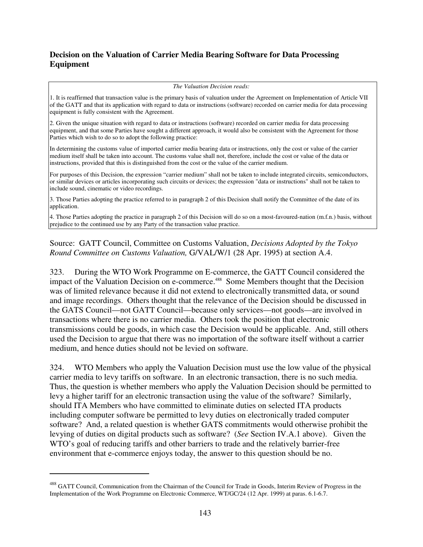#### **Decision on the Valuation of Carrier Media Bearing Software for Data Processing Equipment**

#### *The Valuation Decision reads:*

1. It is reaffirmed that transaction value is the primary basis of valuation under the Agreement on Implementation of Article VII of the GATT and that its application with regard to data or instructions (software) recorded on carrier media for data processing equipment is fully consistent with the Agreement.

2. Given the unique situation with regard to data or instructions (software) recorded on carrier media for data processing equipment, and that some Parties have sought a different approach, it would also be consistent with the Agreement for those Parties which wish to do so to adopt the following practice:

In determining the customs value of imported carrier media bearing data or instructions, only the cost or value of the carrier medium itself shall be taken into account. The customs value shall not, therefore, include the cost or value of the data or instructions, provided that this is distinguished from the cost or the value of the carrier medium.

For purposes of this Decision, the expression "carrier medium" shall not be taken to include integrated circuits, semiconductors, or similar devices or articles incorporating such circuits or devices; the expression "data or instructions" shall not be taken to include sound, cinematic or video recordings.

3. Those Parties adopting the practice referred to in paragraph 2 of this Decision shall notify the Committee of the date of its application.

4. Those Parties adopting the practice in paragraph 2 of this Decision will do so on a most-favoured-nation (m.f.n.) basis, without prejudice to the continued use by any Party of the transaction value practice.

#### Source: GATT Council, Committee on Customs Valuation, *Decisions Adopted by the Tokyo Round Committee on Customs Valuation,* G/VAL/W/1 (28 Apr. 1995) at section A.4.

323. During the WTO Work Programme on E-commerce, the GATT Council considered the impact of the Valuation Decision on e-commerce. <sup>488</sup> Some Members thought that the Decision was of limited relevance because it did not extend to electronically transmitted data, or sound and image recordings. Others thought that the relevance of the Decision should be discussed in the GATS Council—not GATT Council—because only services—not goods—are involved in transactions where there is no carrier media. Others took the position that electronic transmissions could be goods, in which case the Decision would be applicable. And, still others used the Decision to argue that there was no importation of the software itself without a carrier medium, and hence duties should not be levied on software.

324. WTO Members who apply the Valuation Decision must use the low value of the physical carrier media to levy tariffs on software. In an electronic transaction, there is no such media. Thus, the question is whether members who apply the Valuation Decision should be permitted to levy a higher tariff for an electronic transaction using the value of the software? Similarly, should ITA Members who have committed to eliminate duties on selected ITA products including computer software be permitted to levy duties on electronically traded computer software? And, a related question is whether GATS commitments would otherwise prohibit the levying of duties on digital products such as software? (*See* Section IV.A.1 above). Given the WTO's goal of reducing tariffs and other barriers to trade and the relatively barrier-free environment that e-commerce enjoys today, the answer to this question should be no.

<sup>&</sup>lt;sup>488</sup> GATT Council, Communication from the Chairman of the Council for Trade in Goods, Interim Review of Progress in the Implementation of the Work Programme on Electronic Commerce, WT/GC/24 (12 Apr. 1999) at paras. 6.1-6.7.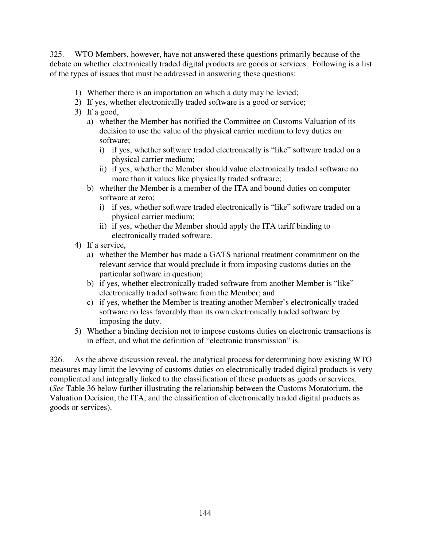325. WTO Members, however, have not answered these questions primarily because of the debate on whether electronically traded digital products are goods or services. Following is a list of the types of issues that must be addressed in answering these questions:

- 1) Whether there is an importation on which a duty may be levied;
- 2) If yes, whether electronically traded software is a good or service;
- 3) If a good,
	- a) whether the Member has notified the Committee on Customs Valuation of its decision to use the value of the physical carrier medium to levy duties on software;
		- i) if yes, whether software traded electronically is "like" software traded on a physical carrier medium;
		- ii) if yes, whether the Member should value electronically traded software no more than it values like physically traded software;
	- b) whether the Member is a member of the ITA and bound duties on computer software at zero;
		- i) if yes, whether software traded electronically is "like" software traded on a physical carrier medium;
		- ii) if yes, whether the Member should apply the ITA tariff binding to electronically traded software.
- 4) If a service,
	- a) whether the Member has made a GATS national treatment commitment on the relevant service that would preclude it from imposing customs duties on the particular software in question;
	- b) if yes, whether electronically traded software from another Member is "like" electronically traded software from the Member; and
	- c) if yes, whether the Member is treating another Member's electronically traded software no less favorably than its own electronically traded software by imposing the duty.
- 5) Whether a binding decision not to impose customs duties on electronic transactions is in effect, and what the definition of "electronic transmission" is.

326. As the above discussion reveal, the analytical process for determining how existing WTO measures may limit the levying of customs duties on electronically traded digital products is very complicated and integrally linked to the classification of these products as goods or services. (*See* Table 36 below further illustrating the relationship between the Customs Moratorium, the Valuation Decision, the ITA, and the classification of electronically traded digital products as goods or services).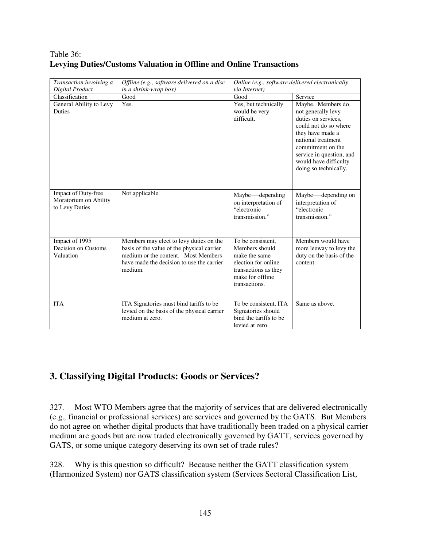### Table 36: **Levying Duties/Customs Valuation in Offline and Online Transactions**

| Transaction involving a                                        | Offline (e.g., software delivered on a disc                                                                                                                                          | Online (e.g., software delivered electronically                                                                                          |                                                                                                                                                                                                                                      |
|----------------------------------------------------------------|--------------------------------------------------------------------------------------------------------------------------------------------------------------------------------------|------------------------------------------------------------------------------------------------------------------------------------------|--------------------------------------------------------------------------------------------------------------------------------------------------------------------------------------------------------------------------------------|
| Digital Product                                                | in a shrink-wrap box)                                                                                                                                                                | via Internet)                                                                                                                            |                                                                                                                                                                                                                                      |
| Classification                                                 | Good                                                                                                                                                                                 | Good                                                                                                                                     | Service                                                                                                                                                                                                                              |
| General Ability to Levy<br>Duties                              | Yes.                                                                                                                                                                                 | Yes, but technically<br>would be very<br>difficult.                                                                                      | Maybe. Members do<br>not generally levy<br>duties on services,<br>could not do so where<br>they have made a<br>national treatment<br>commitment on the<br>service in question, and<br>would have difficulty<br>doing so technically. |
| Impact of Duty-free<br>Moratorium on Ability<br>to Levy Duties | Not applicable.                                                                                                                                                                      | Maybe—depending<br>on interpretation of<br>"electronic<br>transmission."                                                                 | Maybe—depending on<br>interpretation of<br>"electronic<br>transmission."                                                                                                                                                             |
| Impact of 1995<br>Decision on Customs<br>Valuation             | Members may elect to levy duties on the<br>basis of the value of the physical carrier<br>medium or the content. Most Members<br>have made the decision to use the carrier<br>medium. | To be consistent.<br>Members should<br>make the same<br>election for online<br>transactions as they<br>make for offline<br>transactions. | Members would have<br>more leeway to levy the<br>duty on the basis of the<br>content.                                                                                                                                                |
| <b>ITA</b>                                                     | ITA Signatories must bind tariffs to be<br>levied on the basis of the physical carrier<br>medium at zero.                                                                            | To be consistent, ITA<br>Signatories should<br>bind the tariffs to be<br>levied at zero.                                                 | Same as above.                                                                                                                                                                                                                       |

# **3. Classifying Digital Products: Goods or Services?**

327. Most WTO Members agree that the majority of services that are delivered electronically (e.g.*,* financial or professional services) are services and governed by the GATS. But Members do not agree on whether digital products that have traditionally been traded on a physical carrier medium are goods but are now traded electronically governed by GATT, services governed by GATS, or some unique category deserving its own set of trade rules?

328. Why is this question so difficult? Because neither the GATT classification system (Harmonized System) nor GATS classification system (Services Sectoral Classification List,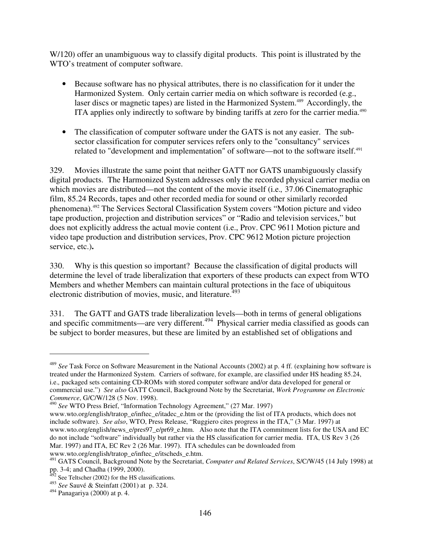W/120) offer an unambiguous way to classify digital products. This point is illustrated by the WTO's treatment of computer software.

- Because software has no physical attributes, there is no classification for it under the Harmonized System. Only certain carrier media on which software is recorded (e.g., laser discs or magnetic tapes) are listed in the Harmonized System. <sup>489</sup> Accordingly, the ITA applies only indirectly to software by binding tariffs at zero for the carrier media.<sup>490</sup>
- The classification of computer software under the GATS is not any easier. The subsector classification for computer services refers only to the "consultancy" services related to "development and implementation" of software—not to the software itself.<sup>491</sup>

329. Movies illustrate the same point that neither GATT nor GATS unambiguously classify digital products. The Harmonized System addresses only the recorded physical carrier media on which movies are distributed—not the content of the movie itself (i.e.*,* 37.06 Cinematographic film, 85.24 Records, tapes and other recorded media for sound or other similarly recorded phenomena). <sup>492</sup> The Services Sectoral Classification System covers "Motion picture and video tape production, projection and distribution services" or "Radio and television services," but does not explicitly address the actual movie content (i.e., Prov. CPC 9611 Motion picture and video tape production and distribution services, Prov. CPC 9612 Motion picture projection service, etc.)**.**

330. Why is this question so important? Because the classification of digital products will determine the level of trade liberalization that exporters of these products can expect from WTO Members and whether Members can maintain cultural protections in the face of ubiquitous electronic distribution of movies, music, and literature.<sup>493</sup>

331. The GATT and GATS trade liberalization levels—both in terms of general obligations and specific commitments—are very different.<sup>494</sup> Physical carrier media classified as goods can be subject to border measures, but these are limited by an established set of obligations and

<sup>489</sup> *See* Task Force on Software Measurement in the National Accounts (2002) at p. 4 ff. (explaining how software is treated under the Harmonized System. Carriers of software, for example, are classified under HS heading 85.24, i.e.*,* packaged sets containing CD-ROMs with stored computer software and/or data developed for general or commercial use.") *See also* GATT Council, Background Note by the Secretariat, *Work Programme on Electronic*

*Commerce*, G/C/W/128 (5 Nov. 1998). 490 *See* WTO Press Brief, "Information Technology Agreement," (27 Mar. 1997)

www.wto.org/english/tratop\_e/inftec\_e/itadec\_e.htm or the (providing the list of ITA products, which does not include software). *See also*, WTO, Press Release, "Ruggiero cites progress in the ITA," (3 Mar. 1997) at www.wto.org/english/news\_e/pres97\_e/pr69\_e.htm. Also note that the ITA commitment lists for the USA and EC do not include "software" individually but rather via the HS classification for carrier media. ITA, US Rev 3 (26 Mar. 1997) and ITA, EC Rev 2 (26 Mar. 1997). ITA schedules can be downloaded from www.wto.org/english/tratop\_e/inftec\_e/itscheds\_e.htm.

<sup>491</sup> GATS Council, Background Note by the Secretariat, *Computer and Related Services*, S/C/W/45 (14 July 1998) at pp. 3-4; and Chadha (1999, 2000).<br><sup>492</sup> See Taltsaber (2002) for the HS also

See Teltscher (2002) for the HS classifications.

<sup>493</sup> *See* Sauvé & Steinfatt (2001) at p. 324.

<sup>494</sup> Panagariya (2000) at p. 4.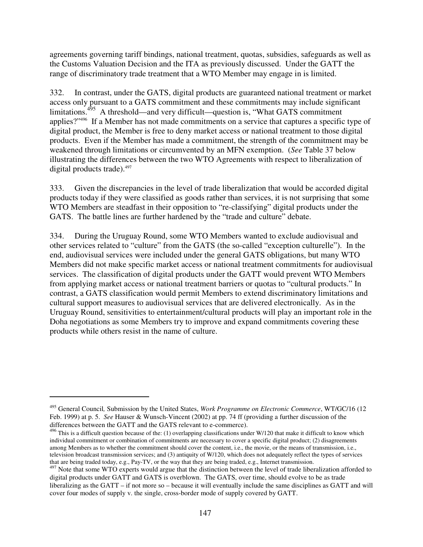agreements governing tariff bindings, national treatment, quotas, subsidies, safeguards as well as the Customs Valuation Decision and the ITA as previously discussed. Under the GATT the range of discriminatory trade treatment that a WTO Member may engage in is limited.

332. In contrast, under the GATS, digital products are guaranteed national treatment or market access only pursuant to a GATS commitment and these commitments may include significant limitations.<sup>495</sup> A threshold—and very difficult—question is, "What GATS commitment applies?"<sup>496</sup> If a Member has not made commitments on a service that captures a specific type of digital product, the Member is free to deny market access or national treatment to those digital products. Even if the Member has made a commitment, the strength of the commitment may be weakened through limitations or circumvented by an MFN exemption. (*See* Table 37 below illustrating the differences between the two WTO Agreements with respect to liberalization of digital products trade). 497

333. Given the discrepancies in the level of trade liberalization that would be accorded digital products today if they were classified as goods rather than services, it is not surprising that some WTO Members are steadfast in their opposition to "re-classifying" digital products under the GATS. The battle lines are further hardened by the "trade and culture" debate.

334. During the Uruguay Round, some WTO Members wanted to exclude audiovisual and other services related to "culture" from the GATS (the so-called "exception culturelle"). In the end, audiovisual services were included under the general GATS obligations, but many WTO Members did not make specific market access or national treatment commitments for audiovisual services. The classification of digital products under the GATT would prevent WTO Members from applying market access or national treatment barriers or quotas to "cultural products." In contrast, a GATS classification would permit Members to extend discriminatory limitations and cultural support measures to audiovisual services that are delivered electronically. As in the Uruguay Round, sensitivities to entertainment/cultural products will play an important role in the Doha negotiations as some Members try to improve and expand commitments covering these products while others resist in the name of culture.

<sup>495</sup> General Council*,* Submission by the United States, *Work Programme on Electronic Commerce*, WT/GC/16 (12 Feb. 1999) at p. 5. *See* Hauser & Wunsch-Vincent (2002) at pp. 74 ff (providing a further discussion of the differences between the GATT and the GATS relevant to e-commerce).

 $496$  This is a difficult question because of the: (1) overlapping classifications under W/120 that make it difficult to know which individual commitment or combination of commitments are necessary to cover a specific digital product; (2) disagreements among Members as to whether the commitment should cover the content, i.e., the movie, or the means of transmission, i.e., television broadcast transmission services; and (3) antiquity of W/120, which does not adequately reflect the types of services that are being traded today, e.g., Pay-TV, or the way that they are being traded, e.g., Internet transmission.

 $497$  Note that some WTO experts would argue that the distinction between the level of trade liberalization afforded to digital products under GATT and GATS is overblown. The GATS, over time, should evolve to be as trade liberalizing as the GATT – if not more so – because it will eventually include the same disciplines as GATT and will cover four modes of supply v. the single, cross-border mode of supply covered by GATT.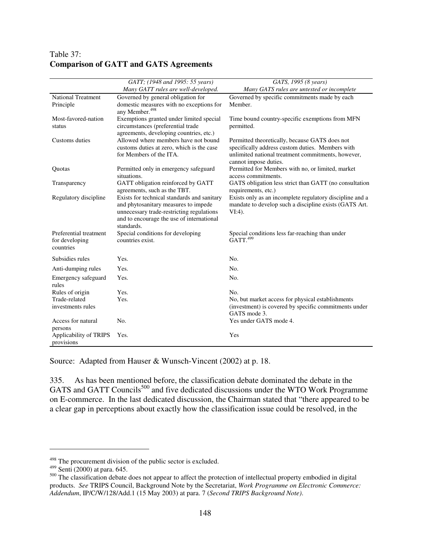#### Table 37: **Comparison of GATT and GATS Agreements**

|                                                       | GATT; (1948 and 1995: 55 years)                                                                                                                                                             | GATS, 1995 (8 years)                                                                                                                                                              |
|-------------------------------------------------------|---------------------------------------------------------------------------------------------------------------------------------------------------------------------------------------------|-----------------------------------------------------------------------------------------------------------------------------------------------------------------------------------|
|                                                       | Many GATT rules are well-developed.                                                                                                                                                         | Many GATS rules are untested or incomplete                                                                                                                                        |
| <b>National Treatment</b>                             | Governed by general obligation for                                                                                                                                                          | Governed by specific commitments made by each                                                                                                                                     |
| Principle                                             | domestic measures with no exceptions for<br>any Member. <sup>498</sup>                                                                                                                      | Member.                                                                                                                                                                           |
| Most-favored-nation<br>status                         | Exemptions granted under limited special<br>circumstances (preferential trade<br>agreements, developing countries, etc.)                                                                    | Time bound country-specific exemptions from MFN<br>permitted.                                                                                                                     |
| Customs duties                                        | Allowed where members have not bound<br>customs duties at zero, which is the case<br>for Members of the ITA.                                                                                | Permitted theoretically, because GATS does not<br>specifically address custom duties. Members with<br>unlimited national treatment commitments, however,<br>cannot impose duties. |
| Quotas                                                | Permitted only in emergency safeguard<br>situations.                                                                                                                                        | Permitted for Members with no, or limited, market<br>access commitments.                                                                                                          |
| Transparency                                          | GATT obligation reinforced by GATT<br>agreements, such as the TBT.                                                                                                                          | GATS obligation less strict than GATT (no consultation<br>requirements, etc.)                                                                                                     |
| Regulatory discipline                                 | Exists for technical standards and sanitary<br>and phytosanitary measures to impede<br>unnecessary trade-restricting regulations<br>and to encourage the use of international<br>standards. | Exists only as an incomplete regulatory discipline and a<br>mandate to develop such a discipline exists (GATS Art.<br>$VI:4$ ).                                                   |
| Preferential treatment<br>for developing<br>countries | Special conditions for developing<br>countries exist.                                                                                                                                       | Special conditions less far-reaching than under<br>GATT. <sup>499</sup>                                                                                                           |
| Subsidies rules                                       | Yes.                                                                                                                                                                                        | No.                                                                                                                                                                               |
| Anti-dumping rules                                    | Yes.                                                                                                                                                                                        | No.                                                                                                                                                                               |
| Emergency safeguard<br>rules                          | Yes.                                                                                                                                                                                        | No.                                                                                                                                                                               |
| Rules of origin                                       | Yes.                                                                                                                                                                                        | No.                                                                                                                                                                               |
| Trade-related<br>investments rules                    | Yes.                                                                                                                                                                                        | No, but market access for physical establishments<br>(investment) is covered by specific commitments under<br>GATS mode 3.                                                        |
| Access for natural<br>persons                         | No.                                                                                                                                                                                         | Yes under GATS mode 4.                                                                                                                                                            |
| Applicability of TRIPS<br>provisions                  | Yes.                                                                                                                                                                                        | Yes                                                                                                                                                                               |

Source: Adapted from Hauser & Wunsch-Vincent (2002) at p. 18.

335. As has been mentioned before, the classification debate dominated the debate in the GATS and GATT Councils<sup>500</sup> and five dedicated discussions under the WTO Work Programme on E-commerce. In the last dedicated discussion, the Chairman stated that "there appeared to be a clear gap in perceptions about exactly how the classification issue could be resolved, in the

<sup>&</sup>lt;sup>498</sup> The procurement division of the public sector is excluded.

<sup>&</sup>lt;sup>499</sup> Senti (2000) at para. 645.

<sup>&</sup>lt;sup>500</sup> The classification debate does not appear to affect the protection of intellectual property embodied in digital products. *See* TRIPS Council, Background Note by the Secretariat, *Work Programme on Electronic Commerce: Addendum*, IP/C/W/128/Add.1 (15 May 2003) at para. 7 (*Second TRIPS Background Note)*.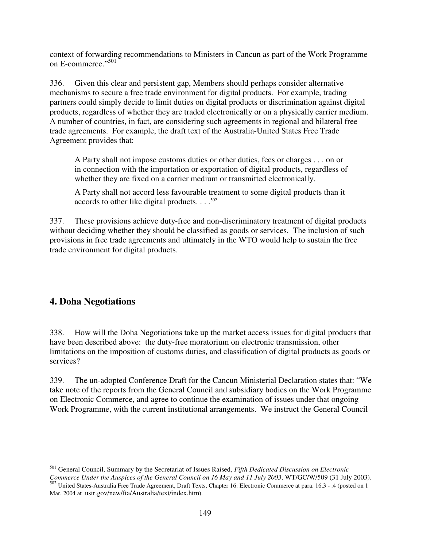context of forwarding recommendations to Ministers in Cancun as part of the Work Programme on E-commerce."<sup>501</sup>

336. Given this clear and persistent gap, Members should perhaps consider alternative mechanisms to secure a free trade environment for digital products. For example, trading partners could simply decide to limit duties on digital products or discrimination against digital products, regardless of whether they are traded electronically or on a physically carrier medium. A number of countries, in fact, are considering such agreements in regional and bilateral free trade agreements. For example, the draft text of the Australia-United States Free Trade Agreement provides that:

A Party shall not impose customs duties or other duties, fees or charges . . . on or in connection with the importation or exportation of digital products, regardless of whether they are fixed on a carrier medium or transmitted electronically.

A Party shall not accord less favourable treatment to some digital products than it accords to other like digital products. . . . 502

337. These provisions achieve duty-free and non-discriminatory treatment of digital products without deciding whether they should be classified as goods or services. The inclusion of such provisions in free trade agreements and ultimately in the WTO would help to sustain the free trade environment for digital products.

# **4. Doha Negotiations**

338. How will the Doha Negotiations take up the market access issues for digital products that have been described above: the duty-free moratorium on electronic transmission, other limitations on the imposition of customs duties, and classification of digital products as goods or services?

339. The un-adopted Conference Draft for the Cancun Ministerial Declaration states that: "We take note of the reports from the General Council and subsidiary bodies on the Work Programme on Electronic Commerce, and agree to continue the examination of issues under that ongoing Work Programme, with the current institutional arrangements. We instruct the General Council

<sup>501</sup> General Council, Summary by the Secretariat of Issues Raised, *Fifth Dedicated Discussion on Electronic Commerce Under the Auspices of the General Council on 16 May and 11 July 2003*, WT/GC/W/509 (31 July 2003).

<sup>502</sup> United States-Australia Free Trade Agreement, Draft Texts, Chapter 16: Electronic Commerce at para. 16.3 - .4 (posted on 1 Mar. 2004 at ustr.gov/new/fta/Australia/text/index.htm).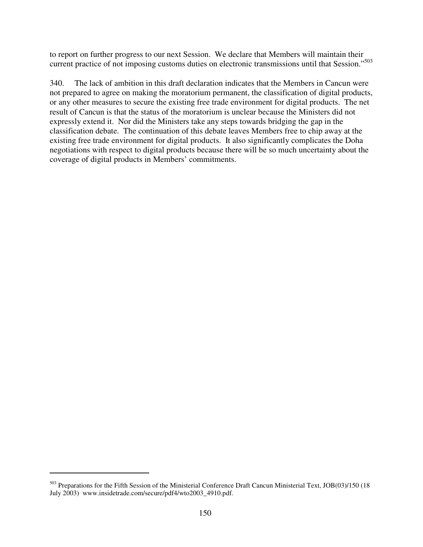to report on further progress to our next Session. We declare that Members will maintain their current practice of not imposing customs duties on electronic transmissions until that Session." 503

340. The lack of ambition in this draft declaration indicates that the Members in Cancun were not prepared to agree on making the moratorium permanent, the classification of digital products, or any other measures to secure the existing free trade environment for digital products. The net result of Cancun is that the status of the moratorium is unclear because the Ministers did not expressly extend it. Nor did the Ministers take any steps towards bridging the gap in the classification debate. The continuation of this debate leaves Members free to chip away at the existing free trade environment for digital products. It also significantly complicates the Doha negotiations with respect to digital products because there will be so much uncertainty about the coverage of digital products in Members' commitments.

<sup>&</sup>lt;sup>503</sup> Preparations for the Fifth Session of the Ministerial Conference Draft Cancun Ministerial Text, JOB(03)/150 (18 July 2003) www.insidetrade.com/secure/pdf4/wto2003\_4910.pdf.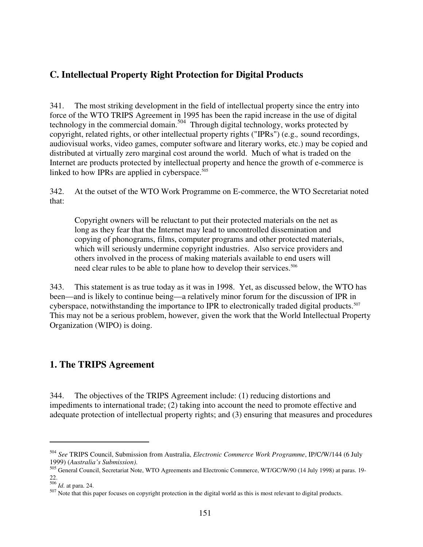### **C. Intellectual Property Right Protection for Digital Products**

341. The most striking development in the field of intellectual property since the entry into force of the WTO TRIPS Agreement in 1995 has been the rapid increase in the use of digital technology in the commercial domain.<sup>504</sup> Through digital technology, works protected by copyright, related rights, or other intellectual property rights ("IPRs") (e.g.*,* sound recordings, audiovisual works, video games, computer software and literary works, etc.) may be copied and distributed at virtually zero marginal cost around the world. Much of what is traded on the Internet are products protected by intellectual property and hence the growth of e-commerce is linked to how IPRs are applied in cyberspace. 505

342. At the outset of the WTO Work Programme on E-commerce, the WTO Secretariat noted that:

Copyright owners will be reluctant to put their protected materials on the net as long as they fear that the Internet may lead to uncontrolled dissemination and copying of phonograms, films, computer programs and other protected materials, which will seriously undermine copyright industries. Also service providers and others involved in the process of making materials available to end users will need clear rules to be able to plane how to develop their services. 506

343. This statement is as true today as it was in 1998. Yet, as discussed below, the WTO has been—and is likely to continue being—a relatively minor forum for the discussion of IPR in cyberspace, notwithstanding the importance to IPR to electronically traded digital products.<sup>507</sup> This may not be a serious problem, however, given the work that the World Intellectual Property Organization (WIPO) is doing.

# **1. The TRIPS Agreement**

344. The objectives of the TRIPS Agreement include: (1) reducing distortions and impediments to international trade; (2) taking into account the need to promote effective and adequate protection of intellectual property rights; and (3) ensuring that measures and procedures

<sup>504</sup> *See* TRIPS Council, Submission from Australia, *Electronic Commerce Work Programme*, IP/C/W/144 (6 July 1999) (*Australia's Submission)*.

<sup>505</sup> General Council, Secretariat Note, WTO Agreements and Electronic Commerce, WT/GC/W/90 (14 July 1998) at paras. 19-

<sup>22.</sup> 506 *Id*. at para. 24.

<sup>&</sup>lt;sup>507</sup> Note that this paper focuses on copyright protection in the digital world as this is most relevant to digital products.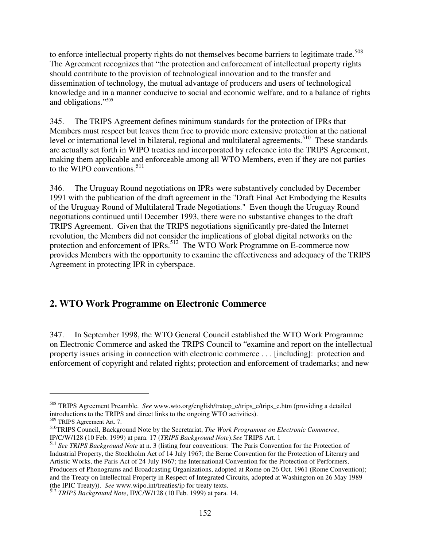to enforce intellectual property rights do not themselves become barriers to legitimate trade.<sup>508</sup> The Agreement recognizes that "the protection and enforcement of intellectual property rights should contribute to the provision of technological innovation and to the transfer and dissemination of technology, the mutual advantage of producers and users of technological knowledge and in a manner conducive to social and economic welfare, and to a balance of rights and obligations." 509

345. The TRIPS Agreement defines minimum standards for the protection of IPRs that Members must respect but leaves them free to provide more extensive protection at the national level or international level in bilateral, regional and multilateral agreements.<sup>510</sup> These standards are actually set forth in WIPO treaties and incorporated by reference into the TRIPS Agreement, making them applicable and enforceable among all WTO Members, even if they are not parties to the WIPO conventions. 511

346. The Uruguay Round negotiations on IPRs were substantively concluded by December 1991 with the publication of the draft agreement in the "Draft Final Act Embodying the Results of the Uruguay Round of Multilateral Trade Negotiations." Even though the Uruguay Round negotiations continued until December 1993, there were no substantive changes to the draft TRIPS Agreement. Given that the TRIPS negotiations significantly pre-dated the Internet revolution, the Members did not consider the implications of global digital networks on the protection and enforcement of IPRs.<sup>512</sup> The WTO Work Programme on E-commerce now provides Members with the opportunity to examine the effectiveness and adequacy of the TRIPS Agreement in protecting IPR in cyberspace.

### **2. WTO Work Programme on Electronic Commerce**

347. In September 1998, the WTO General Council established the WTO Work Programme on Electronic Commerce and asked the TRIPS Council to "examine and report on the intellectual property issues arising in connection with electronic commerce . . . [including]: protection and enforcement of copyright and related rights; protection and enforcement of trademarks; and new

<sup>508</sup> TRIPS Agreement Preamble. *See* www.wto.org/english/tratop\_e/trips\_e/trips\_e.htm (providing a detailed introductions to the TRIPS and direct links to the ongoing WTO activities).

<sup>509</sup> TRIPS Agreement Art. 7.

<sup>510</sup>TRIPS Council, Background Note by the Secretariat, *The Work Programme on Electronic Commerce*, IP/C/W/128 (10 Feb. 1999) at para. 17 (*TRIPS Background Note*).*See* TRIPS Art. 1

<sup>511</sup> *See TRIPS Background Note* at n. 3 (listing four conventions: The Paris Convention for the Protection of Industrial Property, the Stockholm Act of 14 July 1967; the Berne Convention for the Protection of Literary and Artistic Works, the Paris Act of 24 July 1967; the International Convention for the Protection of Performers, Producers of Phonograms and Broadcasting Organizations, adopted at Rome on 26 Oct. 1961 (Rome Convention); and the Treaty on Intellectual Property in Respect of Integrated Circuits, adopted at Washington on 26 May 1989 (the IPIC Treaty)). *See* www.wipo.int/treaties/ip for treaty texts.

<sup>512</sup> *TRIPS Background Note*, IP/C/W/128 (10 Feb. 1999) at para. 14.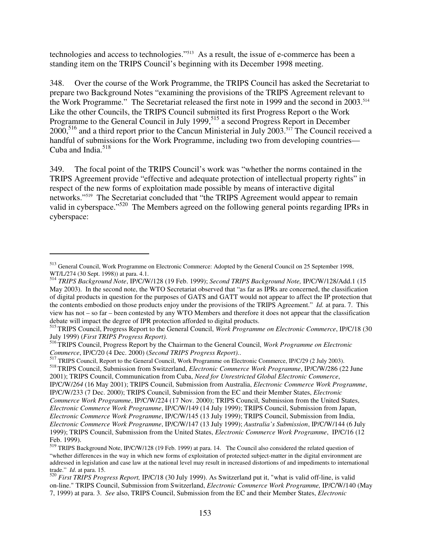technologies and access to technologies." <sup>513</sup> As a result, the issue of e-commerce has been a standing item on the TRIPS Council's beginning with its December 1998 meeting.

348. Over the course of the Work Programme, the TRIPS Council has asked the Secretariat to prepare two Background Notes "examining the provisions of the TRIPS Agreement relevant to the Work Programme." The Secretariat released the first note in 1999 and the second in 2003. 514 Like the other Councils, the TRIPS Council submitted its first Progress Report o the Work Programme to the General Council in July 1999,<sup>515</sup> a second Progress Report in December 2000,<sup>516</sup> and a third report prior to the Cancun Ministerial in July 2003.<sup>517</sup> The Council received a handful of submissions for the Work Programme, including two from developing countries— Cuba and India. 518

349. The focal point of the TRIPS Council's work was "whether the norms contained in the TRIPS Agreement provide "effective and adequate protection of intellectual property rights" in respect of the new forms of exploitation made possible by means of interactive digital networks."<sup>519</sup> The Secretariat concluded that "the TRIPS Agreement would appear to remain valid in cyberspace."<sup>520</sup> The Members agreed on the following general points regarding IPRs in cyberspace:

<sup>517</sup> TRIPS Council, Report to the General Council, Work Programme on Electronic Commerce, IP/C/29 (2 July 2003). <sup>518</sup> TRIPS Council, Submission from Switzerland, *Electronic Commerce Work Programme*, IP/C/W/286 (22 June 2001); TRIPS Council, Communication from Cuba, *Need for Unrestricted Global Electronic Commerce*, IP/C/W/*264* (16 May 2001); TRIPS Council, Submission from Australia, *Electronic Commerce Work Programme*, IP/C/W/233 (7 Dec. 2000); TRIPS Council, Submission from the EC and their Member States, *Electronic Commerce Work Programme*, IP/C/W/224 (17 Nov. 2000); TRIPS Council, Submission from the United States, *Electronic Commerce Work Programme*, IP/C/W/149 (14 July 1999); TRIPS Council, Submission from Japan, *Electronic Commerce Work Programme*, IP/C/W/145 (13 July 1999); TRIPS Council, Submission from India, *Electronic Commerce Work Programme*, IP/C/W/147 (13 July 1999); *Australia's Submission*, IP/C/W/144 (6 July 1999); TRIPS Council, Submission from the United States, *Electronic Commerce Work Programme*, IP/C/16 (12 Feb. 1999).

<sup>&</sup>lt;sup>513</sup> General Council, Work Programme on Electronic Commerce: Adopted by the General Council on 25 September 1998, WT/L/274 (30 Sept. 1998)) at para. 4.1.

<sup>514</sup> *TRIPS Background Note*, IP/C/W/128 (19 Feb. 1999); *Second TRIPS Background Note,* IP/C/W/128/Add.1 (15 May 2003). In the second note, the WTO Secretariat observed that "as far as IPRs are concerned, the classification of digital products in question for the purposes of GATS and GATT would not appear to affect the IP protection that the contents embodied on those products enjoy under the provisions of the TRIPS Agreement." *Id.* at para. 7. This view has not – so far – been contested by any WTO Members and therefore it does not appear that the classification debate will impact the degree of IPR protection afforded to digital products.

<sup>515</sup> TRIPS Council, Progress Report to the General Council, *Work Programme on Electronic Commerce*, IP/C/18 (30 July 1999) (*First TRIPS Progress Report).*

<sup>516</sup> TRIPS Council, Progress Report by the Chairman to the General Council, *Work Programme on Electronic Commerce*, IP/C/20 (4 Dec. 2000) (*Second TRIPS Progress Report).*.

<sup>&</sup>lt;sup>519</sup> TRIPS Background Note, IP/C/W/128 (19 Feb. 1999) at para. 14. The Council also considered the related question of "whether differences in the way in which new forms of exploitation of protected subject-matter in the digital environment are addressed in legislation and case law at the national level may result in increased distortions of and impediments to international trade." *Id*. at para. 15.

<sup>520</sup> *First TRIPS Progress Report,* IP/C/18 (30 July 1999). As Switzerland put it, "what is valid off-line, is valid on-line." TRIPS Council, Submission from Switzerland, *Electronic Commerce Work Programme,* IP/C/W/140 (May 7, 1999) at para. 3. *See* also, TRIPS Council, Submission from the EC and their Member States, *Electronic*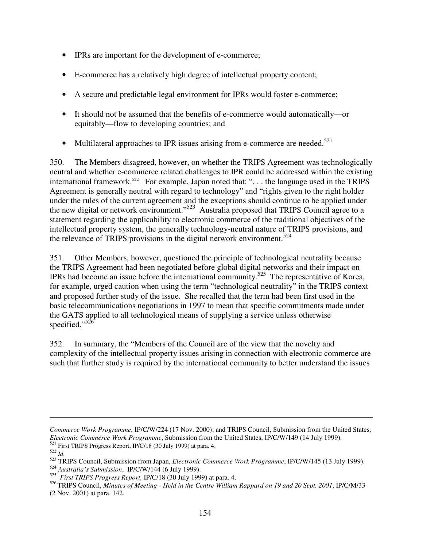- IPRs are important for the development of e-commerce;
- E-commerce has a relatively high degree of intellectual property content;
- A secure and predictable legal environment for IPRs would foster e-commerce;
- It should not be assumed that the benefits of e-commerce would automatically—or equitably—flow to developing countries; and
- Multilateral approaches to IPR issues arising from e-commerce are needed.<sup>521</sup>

350. The Members disagreed, however, on whether the TRIPS Agreement was technologically neutral and whether e-commerce related challenges to IPR could be addressed within the existing international framework.<sup>522</sup> For example, Japan noted that: ". . . the language used in the TRIPS Agreement is generally neutral with regard to technology" and "rights given to the right holder under the rules of the current agreement and the exceptions should continue to be applied under the new digital or network environment."<sup>523</sup> Australia proposed that TRIPS Council agree to a statement regarding the applicability to electronic commerce of the traditional objectives of the intellectual property system, the generally technology-neutral nature of TRIPS provisions, and the relevance of TRIPS provisions in the digital network environment.<sup>524</sup>

351. Other Members, however, questioned the principle of technological neutrality because the TRIPS Agreement had been negotiated before global digital networks and their impact on IPRs had become an issue before the international community. 525 The representative of Korea, for example, urged caution when using the term "technological neutrality" in the TRIPS context and proposed further study of the issue. She recalled that the term had been first used in the basic telecommunications negotiations in 1997 to mean that specific commitments made under the GATS applied to all technological means of supplying a service unless otherwise specified."<sup>526</sup>

352. In summary, the "Members of the Council are of the view that the novelty and complexity of the intellectual property issues arising in connection with electronic commerce are such that further study is required by the international community to better understand the issues

<u> 2008 - Andrea Station Barbara, actor a component de la contrada de la contrada de la contrada de la contrada</u>

*Commerce Work Programme*, IP/C/W/224 (17 Nov. 2000); and TRIPS Council, Submission from the United States, *Electronic Commerce Work Programme*, Submission from the United States, IP/C/W/149 (14 July 1999).

<sup>&</sup>lt;sup>521</sup> First TRIPS Progress Report, IP/C/18 (30 July 1999) at para. 4.

<sup>522</sup> *Id*.

<sup>523</sup> TRIPS Council, Submission from Japan, *Electronic Commerce Work Programme*, IP/C/W/145 (13 July 1999).

<sup>524</sup> *Australia's Submission*, IP/C/W/144 (6 July 1999).

<sup>525</sup> *First TRIPS Progress Report,* IP/C/18 (30 July 1999) at para. 4.

<sup>526</sup> TRIPS Council, *Minutes of Meeting - Held in the Centre William Rappard on 19 and 20 Sept. 2001*, IP/C/M/33 (2 Nov. 2001) at para. 142.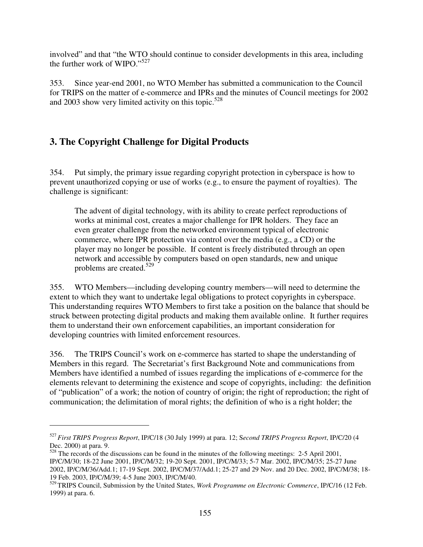involved" and that "the WTO should continue to consider developments in this area, including the further work of WIPO."<sup>527</sup>

353. Since year-end 2001, no WTO Member has submitted a communication to the Council for TRIPS on the matter of e-commerce and IPRs and the minutes of Council meetings for 2002 and 2003 show very limited activity on this topic.<sup>528</sup>

# **3. The Copyright Challenge for Digital Products**

354. Put simply, the primary issue regarding copyright protection in cyberspace is how to prevent unauthorized copying or use of works (e.g., to ensure the payment of royalties). The challenge is significant:

The advent of digital technology, with its ability to create perfect reproductions of works at minimal cost, creates a major challenge for IPR holders. They face an even greater challenge from the networked environment typical of electronic commerce, where IPR protection via control over the media (e.g., a CD) or the player may no longer be possible. If content is freely distributed through an open network and accessible by computers based on open standards, new and unique problems are created. 529

355. WTO Members—including developing country members—will need to determine the extent to which they want to undertake legal obligations to protect copyrights in cyberspace. This understanding requires WTO Members to first take a position on the balance that should be struck between protecting digital products and making them available online. It further requires them to understand their own enforcement capabilities, an important consideration for developing countries with limited enforcement resources.

356. The TRIPS Council's work on e-commerce has started to shape the understanding of Members in this regard. The Secretariat's first Background Note and communications from Members have identified a numbed of issues regarding the implications of e-commerce for the elements relevant to determining the existence and scope of copyrights, including: the definition of "publication" of a work; the notion of country of origin; the right of reproduction; the right of communication; the delimitation of moral rights; the definition of who is a right holder; the

<sup>527</sup> *First TRIPS Progress Report*, IP/C/18 (30 July 1999) at para. 12; S*econd TRIPS Progress Report*, IP/C/20 (4 Dec. 2000) at para. 9.

<sup>528</sup> The records of the discussions can be found in the minutes of the following meetings: 2-5 April 2001, IP/C/M/30; 18-22 June 2001, IP/C/M/32; 19-20 Sept. 2001, IP/C/M/33; 5-7 Mar. 2002, IP/C/M/35; 25-27 June 2002, IP/C/M/36/Add.1; 17-19 Sept. 2002, IP/C/M/37/Add.1; 25-27 and 29 Nov. and 20 Dec. 2002, IP/C/M/38; 18- 19 Feb. 2003, IP/C/M/39; 4-5 June 2003, IP/C/M/40.

<sup>529</sup> TRIPS Council, Submission by the United States, *Work Programme on Electronic Commerce*, IP/C/16 (12 Feb. 1999) at para. 6.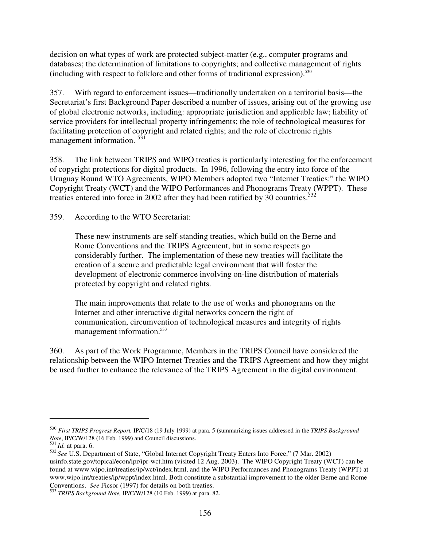decision on what types of work are protected subject-matter (e.g., computer programs and databases; the determination of limitations to copyrights; and collective management of rights (including with respect to folklore and other forms of traditional expression). 530

357. With regard to enforcement issues—traditionally undertaken on a territorial basis—the Secretariat's first Background Paper described a number of issues, arising out of the growing use of global electronic networks, including: appropriate jurisdiction and applicable law; liability of service providers for intellectual property infringements; the role of technological measures for facilitating protection of copyright and related rights; and the role of electronic rights management information.<sup>531</sup>

358. The link between TRIPS and WIPO treaties is particularly interesting for the enforcement of copyright protections for digital products. In 1996, following the entry into force of the Uruguay Round WTO Agreements, WIPO Members adopted two "Internet Treaties:" the WIPO Copyright Treaty (WCT) and the WIPO Performances and Phonograms Treaty (WPPT). These treaties entered into force in 2002 after they had been ratified by 30 countries. 532

359. According to the WTO Secretariat:

These new instruments are self-standing treaties, which build on the Berne and Rome Conventions and the TRIPS Agreement, but in some respects go considerably further. The implementation of these new treaties will facilitate the creation of a secure and predictable legal environment that will foster the development of electronic commerce involving on-line distribution of materials protected by copyright and related rights.

The main improvements that relate to the use of works and phonograms on the Internet and other interactive digital networks concern the right of communication, circumvention of technological measures and integrity of rights management information. 533

360. As part of the Work Programme, Members in the TRIPS Council have considered the relationship between the WIPO Internet Treaties and the TRIPS Agreement and how they might be used further to enhance the relevance of the TRIPS Agreement in the digital environment.

<sup>530</sup> *First TRIPS Progress Report,* IP/C/18 (19 July 1999) at para. 5 (summarizing issues addressed in the *TRIPS Background Note*, IP/C/W/128 (16 Feb. 1999) and Council discussions. 531 *Id.* at para. 6.

<sup>532</sup> *See* U.S. Department of State, "Global Internet Copyright Treaty Enters Into Force," (7 Mar. 2002) usinfo.state.gov/topical/econ/ipr/ipr-wct.htm (visited 12 Aug. 2003). The WIPO Copyright Treaty (WCT) can be found at www.wipo.int/treaties/ip/wct/index.html, and the WIPO Performances and Phonograms Treaty (WPPT) at www.wipo.int/treaties/ip/wppt/index.html. Both constitute a substantial improvement to the older Berne and Rome Conventions. *See* Ficsor (1997) for details on both treaties.

<sup>533</sup> *TRIPS Background Note,* IP/C/W/128 (10 Feb. 1999) at para. 82.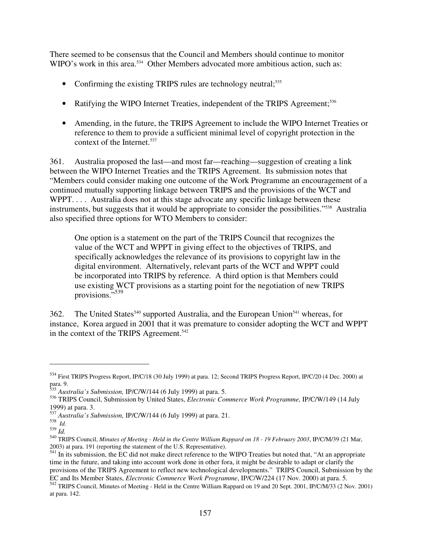There seemed to be consensus that the Council and Members should continue to monitor WIPO's work in this area.<sup>534</sup> Other Members advocated more ambitious action, such as:

- Confirming the existing TRIPS rules are technology neutral;<sup>535</sup>
- Ratifying the WIPO Internet Treaties, independent of the TRIPS Agreement;<sup>536</sup>
- Amending, in the future, the TRIPS Agreement to include the WIPO Internet Treaties or reference to them to provide a sufficient minimal level of copyright protection in the context of the Internet. 537

361. Australia proposed the last—and most far—reaching—suggestion of creating a link between the WIPO Internet Treaties and the TRIPS Agreement. Its submission notes that "Members could consider making one outcome of the Work Programme an encouragement of a continued mutually supporting linkage between TRIPS and the provisions of the WCT and WPPT.... Australia does not at this stage advocate any specific linkage between these instruments, but suggests that it would be appropriate to consider the possibilities." <sup>538</sup> Australia also specified three options for WTO Members to consider:

One option is a statement on the part of the TRIPS Council that recognizes the value of the WCT and WPPT in giving effect to the objectives of TRIPS, and specifically acknowledges the relevance of its provisions to copyright law in the digital environment. Alternatively, relevant parts of the WCT and WPPT could be incorporated into TRIPS by reference. A third option is that Members could use existing WCT provisions as a starting point for the negotiation of new TRIPS provisions." 539

362. The United States<sup>540</sup> supported Australia, and the European Union<sup>541</sup> whereas, for instance, Korea argued in 2001 that it was premature to consider adopting the WCT and WPPT in the context of the TRIPS Agreement.<sup>542</sup>

<sup>534</sup> First TRIPS Progress Report, IP/C/18 (30 July 1999) at para. 12; Second TRIPS Progress Report, IP/C/20 (4 Dec. 2000) at para. 9.

<sup>535</sup> *Australia's Submission,* IP/C/W/144 (6 July 1999) at para. 5.

<sup>536</sup> TRIPS Council, Submission by United States, *Electronic Commerce Work Programme,* IP/C/W/149 (14 July 1999) at para. 3.

<sup>537</sup> *Australia's Submission,* IP/C/W/144 (6 July 1999) at para. 21.

<sup>538</sup> *Id.*

<sup>539</sup> *Id.*

<sup>&</sup>lt;sup>540</sup> TRIPS Council, Minutes of Meeting - Held in the Centre William Rappard on 18 - 19 February 2003, IP/C/M/39 (21 Mar, 2003) at para. 191 (reporting the statement of the U.S. Representative).

<sup>&</sup>lt;sup>541</sup> In its submission, the EC did not make direct reference to the WIPO Treaties but noted that, "At an appropriate time in the future, and taking into account work done in other fora, it might be desirable to adapt or clarify the provisions of the TRIPS Agreement to reflect new technological developments." TRIPS Council, Submission by the EC and Its Member States, *Electronic Commerce Work Programme*, IP/C/W/224 (17 Nov. 2000) at para. 5.

<sup>&</sup>lt;sup>542</sup> TRIPS Council, Minutes of Meeting - Held in the Centre William Rappard on 19 and 20 Sept. 2001, IP/C/M/33 (2 Nov. 2001) at para. 142.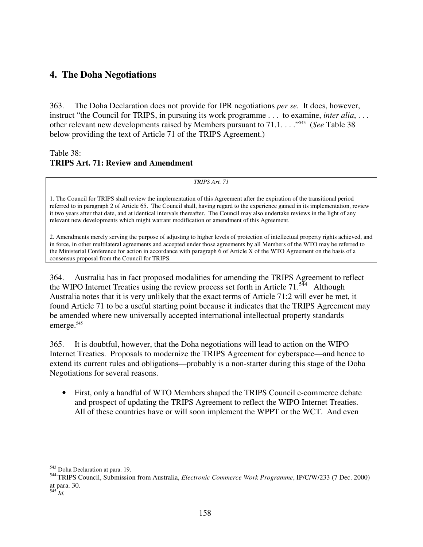### **4. The Doha Negotiations**

363. The Doha Declaration does not provide for IPR negotiations *per se.* It does, however, instruct "the Council for TRIPS, in pursuing its work programme . . . to examine, *inter alia*, . . . other relevant new developments raised by Members pursuant to 71.1. . . ." 543 (*See* Table 38 below providing the text of Article 71 of the TRIPS Agreement.)

### Table 38: **TRIPS Art. 71: Review and Amendment**

*TRIPS Art. 71*

1. The Council for TRIPS shall review the implementation of this Agreement after the expiration of the transitional period referred to in paragraph 2 of Article 65. The Council shall, having regard to the experience gained in its implementation, review it two years after that date, and at identical intervals thereafter. The Council may also undertake reviews in the light of any relevant new developments which might warrant modification or amendment of this Agreement.

2. Amendments merely serving the purpose of adjusting to higher levels of protection of intellectual property rights achieved, and in force, in other multilateral agreements and accepted under those agreements by all Members of the WTO may be referred to the Ministerial Conference for action in accordance with paragraph 6 of Article X of the WTO Agreement on the basis of a consensus proposal from the Council for TRIPS.

364. Australia has in fact proposed modalities for amending the TRIPS Agreement to reflect the WIPO Internet Treaties using the review process set forth in Article  $71.544$  Although Australia notes that it is very unlikely that the exact terms of Article 71:2 will ever be met, it found Article 71 to be a useful starting point because it indicates that the TRIPS Agreement may be amended where new universally accepted international intellectual property standards emerge. 545

365. It is doubtful, however, that the Doha negotiations will lead to action on the WIPO Internet Treaties. Proposals to modernize the TRIPS Agreement for cyberspace—and hence to extend its current rules and obligations—probably is a non-starter during this stage of the Doha Negotiations for several reasons.

• First, only a handful of WTO Members shaped the TRIPS Council e-commerce debate and prospect of updating the TRIPS Agreement to reflect the WIPO Internet Treaties. All of these countries have or will soon implement the WPPT or the WCT. And even

<sup>543</sup> Doha Declaration at para. 19.

<sup>544</sup> TRIPS Council, Submission from Australia, *Electronic Commerce Work Programme*, IP/C/W/233 (7 Dec. 2000) at para. 30.

<sup>545</sup> *Id.*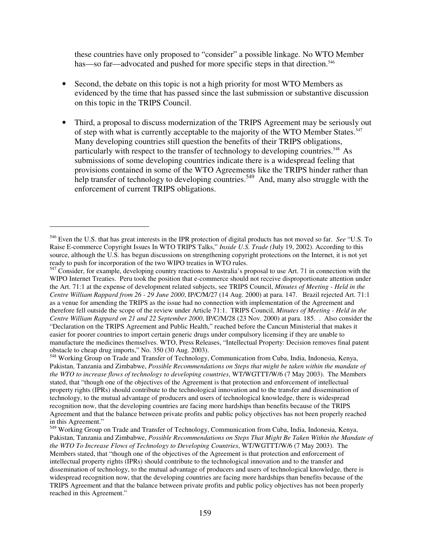these countries have only proposed to "consider" a possible linkage. No WTO Member has—so far—advocated and pushed for more specific steps in that direction.<sup>546</sup>

- Second, the debate on this topic is not a high priority for most WTO Members as evidenced by the time that has passed since the last submission or substantive discussion on this topic in the TRIPS Council.
- Third, a proposal to discuss modernization of the TRIPS Agreement may be seriously out of step with what is currently acceptable to the majority of the WTO Member States.<sup>547</sup> Many developing countries still question the benefits of their TRIPS obligations, particularly with respect to the transfer of technology to developing countries.<sup>548</sup> As submissions of some developing countries indicate there is a widespread feeling that provisions contained in some of the WTO Agreements like the TRIPS hinder rather than help transfer of technology to developing countries.<sup>549</sup> And, many also struggle with the enforcement of current TRIPS obligations.

<sup>546</sup> Even the U.S. that has great interests in the IPR protection of digital products has not moved so far. *See* "U.S. To Raise E-commerce Copyright Issues In WTO TRIPS Talks," *Inside U.S. Trade (*July 19, 2002). According to this source, although the U.S. has begun discussions on strengthening copyright protections on the Internet, it is not yet ready to push for incorporation of the two WIPO treaties in WTO rules.

 $547$  Consider, for example, developing country reactions to Australia's proposal to use Art. 71 in connection with the WIPO Internet Treaties. Peru took the position that e-commerce should not receive disproportionate attention under the Art. 71:1 at the expense of development related subjects, see TRIPS Council, *Minutes of Meeting - Held in the Centre William Rappard from 26 - 29 June 2000*, IP/C/M/27 (14 Aug. 2000) at para. 147. Brazil rejected Art. 71:1 as a venue for amending the TRIPS as the issue had no connection with implementation of the Agreement and therefore fell outside the scope of the review under Article 71:1. TRIPS Council, *Minutes of Meeting - Held in the Centre William Rappard on 21 and 22 September 2000*, IP/C/M/28 (23 Nov. 2000) at para. 185. . Also consider the "Declaration on the TRIPS Agreement and Public Health," reached before the Cancun Ministerial that makes it easier for poorer countries to import certain generic drugs under compulsory licensing if they are unable to manufacture the medicines themselves. WTO, Press Releases, "Intellectual Property: Decision removes final patent obstacle to cheap drug imports," No. 350 (30 Aug. 2003).

<sup>548</sup> Working Group on Trade and Transfer of Technology, Communication from Cuba, India, Indonesia, Kenya, Pakistan, Tanzania and Zimbabwe, *Possible Recommendations on Steps that might be taken within the mandate of the WTO to increase flows of technology to developing countries*, WT/WGTTT/W/6 (7 May 2003). The Members stated, that "though one of the objectives of the Agreement is that protection and enforcement of intellectual property rights (IPRs) should contribute to the technological innovation and to the transfer and dissemination of technology, to the mutual advantage of producers and users of technological knowledge, there is widespread recognition now, that the developing countries are facing more hardships than benefits because of the TRIPS Agreement and that the balance between private profits and public policy objectives has not been properly reached in this Agreement."

<sup>549</sup> Working Group on Trade and Transfer of Technology, Communication from Cuba, India, Indonesia, Kenya, Pakistan, Tanzania and Zimbabwe, *Possible Recommendations on Steps That Might Be Taken Within the Mandate of the WTO To Increase Flows of Technology to Developing Countries*, WT/WGTTT/W/6 (7 May 2003). The Members stated, that "though one of the objectives of the Agreement is that protection and enforcement of intellectual property rights (IPRs) should contribute to the technological innovation and to the transfer and dissemination of technology, to the mutual advantage of producers and users of technological knowledge, there is widespread recognition now, that the developing countries are facing more hardships than benefits because of the TRIPS Agreement and that the balance between private profits and public policy objectives has not been properly reached in this Agreement."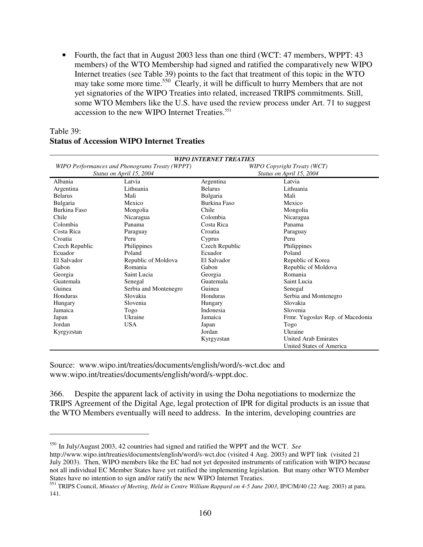• Fourth, the fact that in August 2003 less than one third (WCT: 47 members, WPPT: 43 members) of the WTO Membership had signed and ratified the comparatively new WIPO Internet treaties (see Table 39) points to the fact that treatment of this topic in the WTO may take some more time.<sup>550</sup> Clearly, it will be difficult to hurry Members that are not yet signatories of the WIPO Treaties into related, increased TRIPS commitments. Still, some WTO Members like the U.S. have used the review process under Art. 71 to suggest accession to the new WIPO Internet Treaties. 551

| <b>WIPO INTERNET TREATIES</b>                  |                          |                |                                  |  |
|------------------------------------------------|--------------------------|----------------|----------------------------------|--|
| WIPO Performances and Phonograms Treaty (WPPT) |                          |                | WIPO Copyright Treaty (WCT)      |  |
|                                                | Status on April 15, 2004 |                | Status on April 15, 2004         |  |
| Albania                                        | Latvia                   | Argentina      | Latvia                           |  |
| Argentina                                      | Lithuania                | <b>Belarus</b> | Lithuania                        |  |
| <b>Belarus</b>                                 | Mali                     | Bulgaria       | Mali                             |  |
| Bulgaria                                       | Mexico                   | Burkina Faso   | Mexico                           |  |
| Burkina Faso                                   | Mongolia                 | Chile          | Mongolia                         |  |
| Chile                                          | Nicaragua                | Colombia       | Nicaragua                        |  |
| Colombia                                       | Panama                   | Costa Rica     | Panama                           |  |
| Costa Rica                                     | Paraguay                 | Croatia        | Paraguay                         |  |
| Croatia                                        | Peru                     | Cyprus         | Peru                             |  |
| Czech Republic                                 | Philippines              | Czech Republic | Philippines                      |  |
| Ecuador                                        | Poland                   | Ecuador        | Poland                           |  |
| El Salvador                                    | Republic of Moldova      | El Salvador    | Republic of Korea                |  |
| Gabon                                          | Romania                  | Gabon          | Republic of Moldova              |  |
| Georgia                                        | Saint Lucia              | Georgia        | Romania                          |  |
| Guatemala                                      | Senegal                  | Guatemala      | Saint Lucia                      |  |
| Guinea                                         | Serbia and Montenegro    | Guinea         | Senegal                          |  |
| Honduras                                       | Slovakia                 | Honduras       | Serbia and Montenegro            |  |
| Hungary                                        | Slovenia                 | Hungary        | Slovakia                         |  |
| Jamaica                                        | Togo                     | Indonesia      | Slovenia                         |  |
| Japan                                          | Ukraine                  | Jamaica        | Frmr. Yugoslav Rep. of Macedonia |  |
| Jordan                                         | <b>USA</b>               | Japan          | Togo                             |  |
| Kyrgyzstan                                     |                          | Jordan         | Ukraine                          |  |
|                                                |                          | Kyrgyzstan     | <b>United Arab Emirates</b>      |  |
|                                                |                          |                | United States of America         |  |

#### Table 39: **Status of Accession WIPO Internet Treaties**

Source: www.wipo.int/treaties/documents/english/word/s-wct.doc and www.wipo.int/treaties/documents/english/word/s-wppt.doc.

366. Despite the apparent lack of activity in using the Doha negotiations to modernize the TRIPS Agreement of the Digital Age, legal protection of IPR for digital products is an issue that the WTO Members eventually will need to address. In the interim, developing countries are

<sup>550</sup> In July/August 2003, 42 countries had signed and ratified the WPPT and the WCT. *See*

http://www.wipo.int/treaties/documents/english/word/s-wct.doc (visited 4 Aug. 2003) and WPT link (visited 21 July 2003). Then, WIPO members like the EC had not yet deposited instruments of ratification with WIPO because not all individual EC Member States have yet ratified the implementing legislation. But many other WTO Member

States have no intention to sign and/or ratify the new WIPO Internet Treaties.<br><sup>551</sup> TRIPS Council, *Minutes of Meeting, Held in Centre William Rappard on 4-5 June 2003*, IP/C/M/40 (22 Aug. 2003) at para. 141.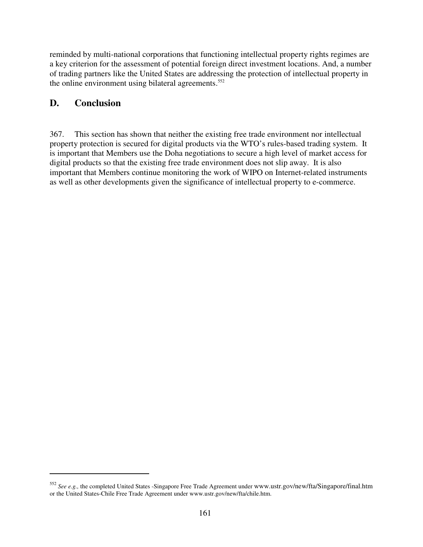reminded by multi-national corporations that functioning intellectual property rights regimes are a key criterion for the assessment of potential foreign direct investment locations. And, a number of trading partners like the United States are addressing the protection of intellectual property in the online environment using bilateral agreements. 552

### **D. Conclusion**

367. This section has shown that neither the existing free trade environment nor intellectual property protection is secured for digital products via the WTO's rules-based trading system. It is important that Members use the Doha negotiations to secure a high level of market access for digital products so that the existing free trade environment does not slip away. It is also important that Members continue monitoring the work of WIPO on Internet-related instruments as well as other developments given the significance of intellectual property to e-commerce.

<sup>552</sup> *See e.g.,* the completed United States -Singapore Free Trade Agreement under www.ustr.gov/new/fta/Singapore/final.htm or the United States-Chile Free Trade Agreement under www.ustr.gov/new/fta/chile.htm.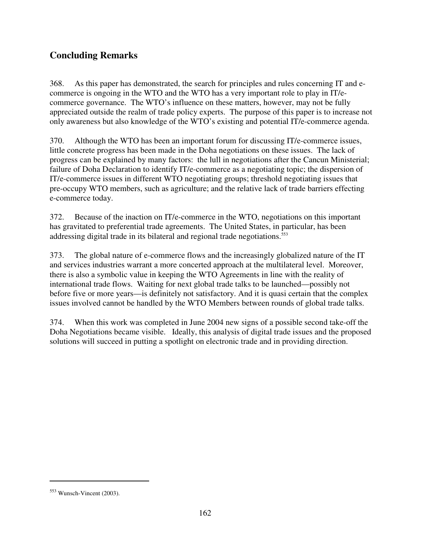# **Concluding Remarks**

368. As this paper has demonstrated, the search for principles and rules concerning IT and ecommerce is ongoing in the WTO and the WTO has a very important role to play in IT/ecommerce governance. The WTO's influence on these matters, however, may not be fully appreciated outside the realm of trade policy experts. The purpose of this paper is to increase not only awareness but also knowledge of the WTO's existing and potential IT/e-commerce agenda.

370. Although the WTO has been an important forum for discussing IT/e-commerce issues, little concrete progress has been made in the Doha negotiations on these issues. The lack of progress can be explained by many factors: the lull in negotiations after the Cancun Ministerial; failure of Doha Declaration to identify IT/e-commerce as a negotiating topic; the dispersion of IT/e-commerce issues in different WTO negotiating groups; threshold negotiating issues that pre-occupy WTO members, such as agriculture; and the relative lack of trade barriers effecting e-commerce today.

372. Because of the inaction on IT/e-commerce in the WTO, negotiations on this important has gravitated to preferential trade agreements. The United States, in particular, has been addressing digital trade in its bilateral and regional trade negotiations. 553

373. The global nature of e-commerce flows and the increasingly globalized nature of the IT and services industries warrant a more concerted approach at the multilateral level. Moreover, there is also a symbolic value in keeping the WTO Agreements in line with the reality of international trade flows. Waiting for next global trade talks to be launched—possibly not before five or more years—is definitely not satisfactory. And it is quasi certain that the complex issues involved cannot be handled by the WTO Members between rounds of global trade talks.

374. When this work was completed in June 2004 new signs of a possible second take-off the Doha Negotiations became visible. Ideally, this analysis of digital trade issues and the proposed solutions will succeed in putting a spotlight on electronic trade and in providing direction.

<sup>553</sup> Wunsch-Vincent (2003).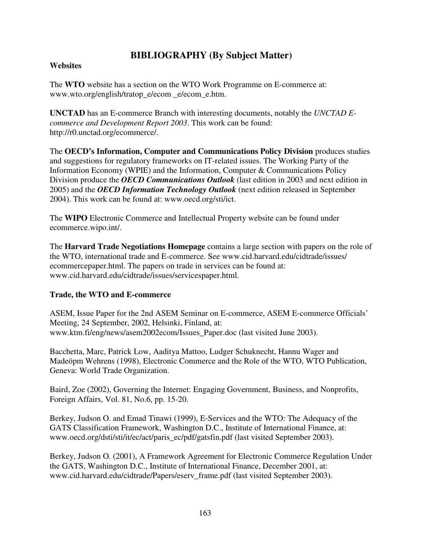# **BIBLIOGRAPHY (By Subject Matter)**

#### **Websites**

The **WTO** website has a section on the WTO Work Programme on E-commerce at: www.wto.org/english/tratop\_e/ecom \_e/ecom\_e.htm.

**UNCTAD** has an E-commerce Branch with interesting documents, notably the *UNCTAD Ecommerce and Development Report 2003*. This work can be found: http://r0.unctad.org/ecommerce/.

The **OECD's Information, Computer and Communications Policy Division** produces studies and suggestions for regulatory frameworks on IT-related issues. The Working Party of the Information Economy (WPIE) and the Information, Computer & Communications Policy Division produce the *OECD Communications Outlook* (last edition in 2003 and next edition in 2005) and the *OECD Information Technology Outlook* (next edition released in September 2004). This work can be found at: www.oecd.org/sti/ict.

The **WIPO** Electronic Commerce and Intellectual Property website can be found under ecommerce.wipo.int/.

The **Harvard Trade Negotiations Homepage** contains a large section with papers on the role of the WTO, international trade and E-commerce. See www.cid.harvard.edu/cidtrade/issues/ ecommercepaper.html. The papers on trade in services can be found at: www.cid.harvard.edu/cidtrade/issues/servicespaper.html.

#### **Trade, the WTO and E-commerce**

ASEM, Issue Paper for the 2nd ASEM Seminar on E-commerce, ASEM E-commerce Officials' Meeting, 24 September, 2002, Helsinki, Finland, at: www.ktm.fi/eng/news/asem2002ecom/Issues\_Paper.doc (last visited June 2003).

Bacchetta, Marc, Patrick Low, Aaditya Mattoo, Ludger Schuknecht, Hannu Wager and Madeöpm Wehrens (1998), Electronic Commerce and the Role of the WTO, WTO Publication, Geneva: World Trade Organization.

Baird, Zoe (2002), Governing the Internet: Engaging Government, Business, and Nonprofits, Foreign Affairs, Vol. 81, No.6, pp. 15-20.

Berkey, Judson O. and Emad Tinawi (1999), E-Services and the WTO: The Adequacy of the GATS Classification Framework, Washington D.C., Institute of International Finance, at: www.oecd.org/dsti/sti/it/ec/act/paris\_ec/pdf/gatsfin.pdf (last visited September 2003).

Berkey, Judson O. (2001), A Framework Agreement for Electronic Commerce Regulation Under the GATS, Washington D.C., Institute of International Finance, December 2001, at: www.cid.harvard.edu/cidtrade/Papers/eserv\_frame.pdf (last visited September 2003).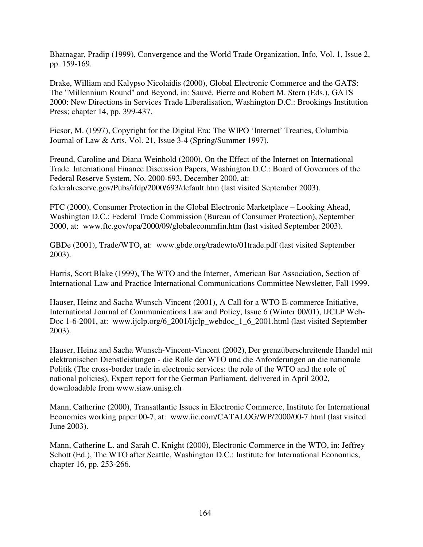Bhatnagar, Pradip (1999), Convergence and the World Trade Organization, Info, Vol. 1, Issue 2, pp. 159-169.

Drake, William and Kalypso Nicolaidis (2000), Global Electronic Commerce and the GATS: The "Millennium Round" and Beyond, in: Sauvé, Pierre and Robert M. Stern (Eds.), GATS 2000: New Directions in Services Trade Liberalisation, Washington D.C.: Brookings Institution Press; chapter 14, pp. 399-437.

Ficsor, M. (1997), Copyright for the Digital Era: The WIPO 'Internet' Treaties, Columbia Journal of Law & Arts, Vol. 21, Issue 3-4 (Spring/Summer 1997).

Freund, Caroline and Diana Weinhold (2000), On the Effect of the Internet on International Trade. International Finance Discussion Papers, Washington D.C.: Board of Governors of the Federal Reserve System, No. 2000-693, December 2000, at: federalreserve.gov/Pubs/ifdp/2000/693/default.htm (last visited September 2003).

FTC (2000), Consumer Protection in the Global Electronic Marketplace – Looking Ahead, Washington D.C.: Federal Trade Commission (Bureau of Consumer Protection), September 2000, at: www.ftc.gov/opa/2000/09/globalecommfin.htm (last visited September 2003).

GBDe (2001), Trade/WTO, at: www.gbde.org/tradewto/01trade.pdf (last visited September 2003).

Harris, Scott Blake (1999), The WTO and the Internet, American Bar Association, Section of International Law and Practice International Communications Committee Newsletter, Fall 1999.

Hauser, Heinz and Sacha Wunsch-Vincent (2001), A Call for a WTO E-commerce Initiative, International Journal of Communications Law and Policy, Issue 6 (Winter 00/01), IJCLP Web-Doc 1-6-2001, at: www.ijclp.org/6\_2001/ijclp\_webdoc\_1\_6\_2001.html (last visited September 2003).

Hauser, Heinz and Sacha Wunsch-Vincent-Vincent (2002), Der grenzüberschreitende Handel mit elektronischen Dienstleistungen - die Rolle der WTO und die Anforderungen an die nationale Politik (The cross-border trade in electronic services: the role of the WTO and the role of national policies), Expert report for the German Parliament, delivered in April 2002, downloadable from www.siaw.unisg.ch

Mann, Catherine (2000), Transatlantic Issues in Electronic Commerce, Institute for International Economics working paper 00-7, at: www.iie.com/CATALOG/WP/2000/00-7.html (last visited June 2003).

Mann, Catherine L. and Sarah C. Knight (2000), Electronic Commerce in the WTO, in: Jeffrey Schott (Ed.), The WTO after Seattle, Washington D.C.: Institute for International Economics, chapter 16, pp. 253-266.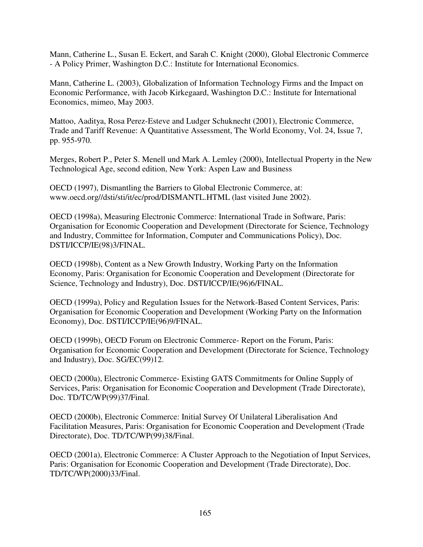Mann, Catherine L., Susan E. Eckert, and Sarah C. Knight (2000), Global Electronic Commerce - A Policy Primer, Washington D.C.: Institute for International Economics.

Mann, Catherine L. (2003), Globalization of Information Technology Firms and the Impact on Economic Performance, with Jacob Kirkegaard, Washington D.C.: Institute for International Economics, mimeo, May 2003.

Mattoo, Aaditya, Rosa Perez-Esteve and Ludger Schuknecht (2001), Electronic Commerce, Trade and Tariff Revenue: A Quantitative Assessment, The World Economy, Vol. 24, Issue 7, pp. 955-970.

Merges, Robert P., Peter S. Menell und Mark A. Lemley (2000), Intellectual Property in the New Technological Age, second edition, New York: Aspen Law and Business

OECD (1997), Dismantling the Barriers to Global Electronic Commerce, at: www.oecd.org//dsti/sti/it/ec/prod/DISMANTL.HTML (last visited June 2002).

OECD (1998a), Measuring Electronic Commerce: International Trade in Software, Paris: Organisation for Economic Cooperation and Development (Directorate for Science, Technology and Industry, Committee for Information, Computer and Communications Policy), Doc. DSTI/ICCP/IE(98)3/FINAL.

OECD (1998b), Content as a New Growth Industry, Working Party on the Information Economy, Paris: Organisation for Economic Cooperation and Development (Directorate for Science, Technology and Industry), Doc. DSTI/ICCP/IE(96)6/FINAL.

OECD (1999a), Policy and Regulation Issues for the Network-Based Content Services, Paris: Organisation for Economic Cooperation and Development (Working Party on the Information Economy), Doc. DSTI/ICCP/IE(96)9/FINAL.

OECD (1999b), OECD Forum on Electronic Commerce- Report on the Forum, Paris: Organisation for Economic Cooperation and Development (Directorate for Science, Technology and Industry), Doc. SG/EC(99)12.

OECD (2000a), Electronic Commerce- Existing GATS Commitments for Online Supply of Services, Paris: Organisation for Economic Cooperation and Development (Trade Directorate), Doc. TD/TC/WP(99)37/Final.

OECD (2000b), Electronic Commerce: Initial Survey Of Unilateral Liberalisation And Facilitation Measures, Paris: Organisation for Economic Cooperation and Development (Trade Directorate), Doc. TD/TC/WP(99)38/Final.

OECD (2001a), Electronic Commerce: A Cluster Approach to the Negotiation of Input Services, Paris: Organisation for Economic Cooperation and Development (Trade Directorate), Doc. TD/TC/WP(2000)33/Final.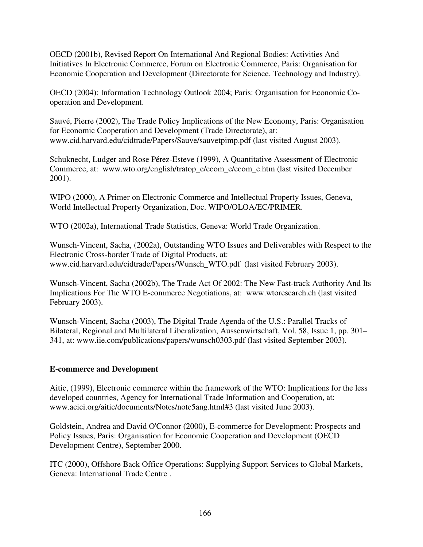OECD (2001b), Revised Report On International And Regional Bodies: Activities And Initiatives In Electronic Commerce, Forum on Electronic Commerce, Paris: Organisation for Economic Cooperation and Development (Directorate for Science, Technology and Industry).

OECD (2004): Information Technology Outlook 2004; Paris: Organisation for Economic Cooperation and Development.

Sauvé, Pierre (2002), The Trade Policy Implications of the New Economy, Paris: Organisation for Economic Cooperation and Development (Trade Directorate), at: www.cid.harvard.edu/cidtrade/Papers/Sauve/sauvetpimp.pdf (last visited August 2003).

Schuknecht, Ludger and Rose Pérez-Esteve (1999), A Quantitative Assessment of Electronic Commerce, at: www.wto.org/english/tratop\_e/ecom\_e/ecom\_e.htm (last visited December 2001).

WIPO (2000), A Primer on Electronic Commerce and Intellectual Property Issues, Geneva, World Intellectual Property Organization, Doc. WIPO/OLOA/EC/PRIMER.

WTO (2002a), International Trade Statistics, Geneva: World Trade Organization.

Wunsch-Vincent, Sacha, (2002a), Outstanding WTO Issues and Deliverables with Respect to the Electronic Cross-border Trade of Digital Products, at: www.cid.harvard.edu/cidtrade/Papers/Wunsch\_WTO.pdf (last visited February 2003).

Wunsch-Vincent, Sacha (2002b), The Trade Act Of 2002: The New Fast-track Authority And Its Implications For The WTO E-commerce Negotiations, at: www.wtoresearch.ch (last visited February 2003).

Wunsch-Vincent, Sacha (2003), The Digital Trade Agenda of the U.S.: Parallel Tracks of Bilateral, Regional and Multilateral Liberalization, Aussenwirtschaft, Vol. 58, Issue 1, pp. 301– 341, at: www.iie.com/publications/papers/wunsch0303.pdf (last visited September 2003).

#### **E-commerce and Development**

Aitic, (1999), Electronic commerce within the framework of the WTO: Implications for the less developed countries, Agency for International Trade Information and Cooperation, at: www.acici.org/aitic/documents/Notes/note5ang.html#3 (last visited June 2003).

Goldstein, Andrea and David O'Connor (2000), E-commerce for Development: Prospects and Policy Issues, Paris: Organisation for Economic Cooperation and Development (OECD Development Centre), September 2000.

ITC (2000), Offshore Back Office Operations: Supplying Support Services to Global Markets, Geneva: International Trade Centre .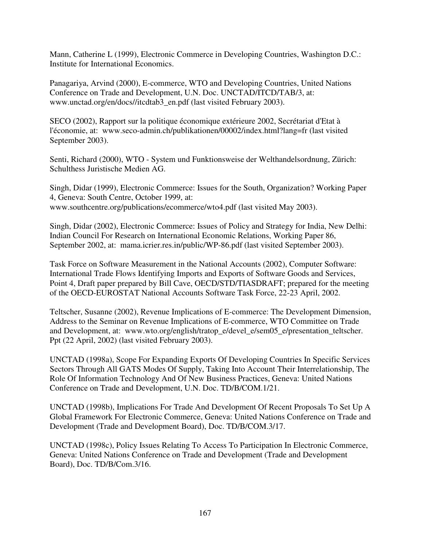Mann, Catherine L (1999), Electronic Commerce in Developing Countries, Washington D.C.: Institute for International Economics.

Panagariya, Arvind (2000), E-commerce, WTO and Developing Countries, United Nations Conference on Trade and Development, U.N. Doc. UNCTAD/ITCD/TAB/3, at: www.unctad.org/en/docs//itcdtab3\_en.pdf (last visited February 2003).

SECO (2002), Rapport sur la politique économique extérieure 2002, Secrétariat d'Etat à l'économie, at: www.seco-admin.ch/publikationen/00002/index.html?lang=fr (last visited September 2003).

Senti, Richard (2000), WTO - System und Funktionsweise der Welthandelsordnung, Zürich: Schulthess Juristische Medien AG.

Singh, Didar (1999), Electronic Commerce: Issues for the South, Organization? Working Paper 4, Geneva: South Centre, October 1999, at: www.southcentre.org/publications/ecommerce/wto4.pdf (last visited May 2003).

Singh, Didar (2002), Electronic Commerce: Issues of Policy and Strategy for India, New Delhi: Indian Council For Research on International Economic Relations, Working Paper 86, September 2002, at: mama.icrier.res.in/public/WP-86.pdf (last visited September 2003).

Task Force on Software Measurement in the National Accounts (2002), Computer Software: International Trade Flows Identifying Imports and Exports of Software Goods and Services, Point 4, Draft paper prepared by Bill Cave, OECD/STD/TIASDRAFT; prepared for the meeting of the OECD-EUROSTAT National Accounts Software Task Force, 22-23 April, 2002.

Teltscher, Susanne (2002), Revenue Implications of E-commerce: The Development Dimension, Address to the Seminar on Revenue Implications of E-commerce, WTO Committee on Trade and Development, at: www.wto.org/english/tratop e/devel e/sem05 e/presentation teltscher. Ppt (22 April, 2002) (last visited February 2003).

UNCTAD (1998a), Scope For Expanding Exports Of Developing Countries In Specific Services Sectors Through All GATS Modes Of Supply, Taking Into Account Their Interrelationship, The Role Of Information Technology And Of New Business Practices, Geneva: United Nations Conference on Trade and Development, U.N. Doc. TD/B/COM.1/21.

UNCTAD (1998b), Implications For Trade And Development Of Recent Proposals To Set Up A Global Framework For Electronic Commerce, Geneva: United Nations Conference on Trade and Development (Trade and Development Board), Doc. TD/B/COM.3/17.

UNCTAD (1998c), Policy Issues Relating To Access To Participation In Electronic Commerce, Geneva: United Nations Conference on Trade and Development (Trade and Development Board), Doc. TD/B/Com.3/16.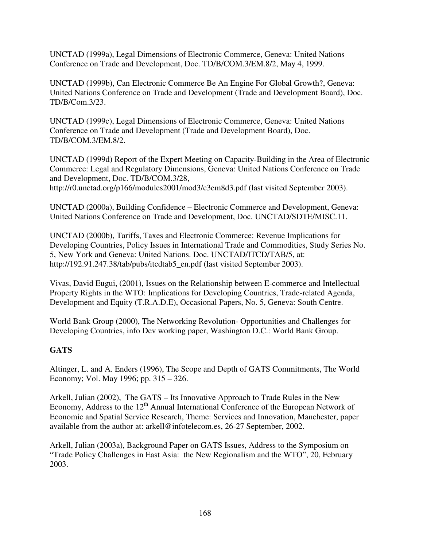UNCTAD (1999a), Legal Dimensions of Electronic Commerce, Geneva: United Nations Conference on Trade and Development, Doc. TD/B/COM.3/EM.8/2, May 4, 1999.

UNCTAD (1999b), Can Electronic Commerce Be An Engine For Global Growth?, Geneva: United Nations Conference on Trade and Development (Trade and Development Board), Doc. TD/B/Com.3/23.

UNCTAD (1999c), Legal Dimensions of Electronic Commerce, Geneva: United Nations Conference on Trade and Development (Trade and Development Board), Doc. TD/B/COM.3/EM.8/2.

UNCTAD (1999d) Report of the Expert Meeting on Capacity-Building in the Area of Electronic Commerce: Legal and Regulatory Dimensions, Geneva: United Nations Conference on Trade and Development, Doc. TD/B/COM.3/28, http://r0.unctad.org/p166/modules2001/mod3/c3em8d3.pdf (last visited September 2003).

UNCTAD (2000a), Building Confidence – Electronic Commerce and Development, Geneva: United Nations Conference on Trade and Development, Doc. UNCTAD/SDTE/MISC.11.

UNCTAD (2000b), Tariffs, Taxes and Electronic Commerce: Revenue Implications for Developing Countries, Policy Issues in International Trade and Commodities, Study Series No. 5, New York and Geneva: United Nations. Doc. UNCTAD/ITCD/TAB/5, at: http://192.91.247.38/tab/pubs/itcdtab5\_en.pdf (last visited September 2003).

Vivas, David Eugui, (2001), Issues on the Relationship between E-commerce and Intellectual Property Rights in the WTO: Implications for Developing Countries, Trade-related Agenda, Development and Equity (T.R.A.D.E), Occasional Papers, No. 5, Geneva: South Centre.

World Bank Group (2000), The Networking Revolution- Opportunities and Challenges for Developing Countries, info Dev working paper, Washington D.C.: World Bank Group.

#### **GATS**

Altinger, L. and A. Enders (1996), The Scope and Depth of GATS Commitments, The World Economy; Vol. May 1996; pp. 315 – 326.

Arkell, Julian (2002), The GATS – Its Innovative Approach to Trade Rules in the New Economy, Address to the 12<sup>th</sup> Annual International Conference of the European Network of Economic and Spatial Service Research, Theme: Services and Innovation, Manchester, paper available from the author at: arkell@infotelecom.es, 26-27 September, 2002.

Arkell, Julian (2003a), Background Paper on GATS Issues, Address to the Symposium on "Trade Policy Challenges in East Asia: the New Regionalism and the WTO", 20, February 2003.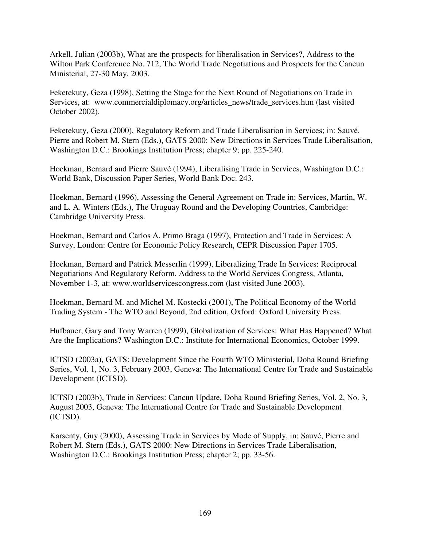Arkell, Julian (2003b), What are the prospects for liberalisation in Services?, Address to the Wilton Park Conference No. 712, The World Trade Negotiations and Prospects for the Cancun Ministerial, 27-30 May, 2003.

Feketekuty, Geza (1998), Setting the Stage for the Next Round of Negotiations on Trade in Services, at: www.commercialdiplomacy.org/articles\_news/trade\_services.htm (last visited October 2002).

Feketekuty, Geza (2000), Regulatory Reform and Trade Liberalisation in Services; in: Sauvé, Pierre and Robert M. Stern (Eds.), GATS 2000: New Directions in Services Trade Liberalisation, Washington D.C.: Brookings Institution Press; chapter 9; pp. 225-240.

Hoekman, Bernard and Pierre Sauvé (1994), Liberalising Trade in Services, Washington D.C.: World Bank, Discussion Paper Series, World Bank Doc. 243.

Hoekman, Bernard (1996), Assessing the General Agreement on Trade in: Services, Martin, W. and L. A. Winters (Eds.), The Uruguay Round and the Developing Countries, Cambridge: Cambridge University Press.

Hoekman, Bernard and Carlos A. Primo Braga (1997), Protection and Trade in Services: A Survey, London: Centre for Economic Policy Research, CEPR Discussion Paper 1705.

Hoekman, Bernard and Patrick Messerlin (1999), Liberalizing Trade In Services: Reciprocal Negotiations And Regulatory Reform, Address to the World Services Congress, Atlanta, November 1-3, at: www.worldservicescongress.com (last visited June 2003).

Hoekman, Bernard M. and Michel M. Kostecki (2001), The Political Economy of the World Trading System - The WTO and Beyond, 2nd edition, Oxford: Oxford University Press.

Hufbauer, Gary and Tony Warren (1999), Globalization of Services: What Has Happened? What Are the Implications? Washington D.C.: Institute for International Economics, October 1999.

ICTSD (2003a), GATS: Development Since the Fourth WTO Ministerial, Doha Round Briefing Series, Vol. 1, No. 3, February 2003, Geneva: The International Centre for Trade and Sustainable Development (ICTSD).

ICTSD (2003b), Trade in Services: Cancun Update, Doha Round Briefing Series, Vol. 2, No. 3, August 2003, Geneva: The International Centre for Trade and Sustainable Development (ICTSD).

Karsenty, Guy (2000), Assessing Trade in Services by Mode of Supply, in: Sauvé, Pierre and Robert M. Stern (Eds.), GATS 2000: New Directions in Services Trade Liberalisation, Washington D.C.: Brookings Institution Press; chapter 2; pp. 33-56.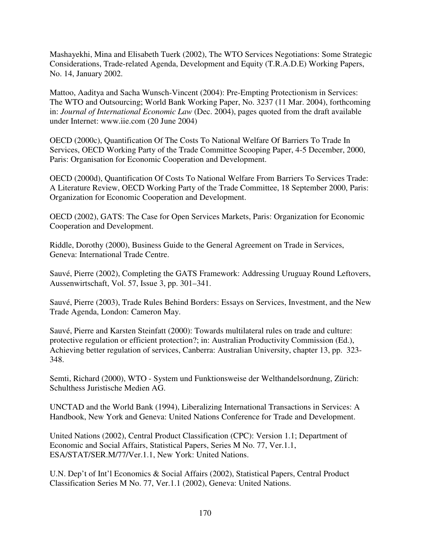Mashayekhi, Mina and Elisabeth Tuerk (2002), The WTO Services Negotiations: Some Strategic Considerations, Trade-related Agenda, Development and Equity (T.R.A.D.E) Working Papers, No. 14, January 2002.

Mattoo, Aaditya and Sacha Wunsch-Vincent (2004): Pre-Empting Protectionism in Services: The WTO and Outsourcing; World Bank Working Paper, No. 3237 (11 Mar. 2004), forthcoming in: *Journal of International Economic Law* (Dec. 2004), pages quoted from the draft available under Internet: www.iie.com (20 June 2004)

OECD (2000c), Quantification Of The Costs To National Welfare Of Barriers To Trade In Services, OECD Working Party of the Trade Committee Scooping Paper, 4-5 December, 2000, Paris: Organisation for Economic Cooperation and Development.

OECD (2000d), Quantification Of Costs To National Welfare From Barriers To Services Trade: A Literature Review, OECD Working Party of the Trade Committee, 18 September 2000, Paris: Organization for Economic Cooperation and Development.

OECD (2002), GATS: The Case for Open Services Markets, Paris: Organization for Economic Cooperation and Development.

Riddle, Dorothy (2000), Business Guide to the General Agreement on Trade in Services, Geneva: International Trade Centre.

Sauvé, Pierre (2002), Completing the GATS Framework: Addressing Uruguay Round Leftovers, Aussenwirtschaft, Vol. 57, Issue 3, pp. 301–341.

Sauvé, Pierre (2003), Trade Rules Behind Borders: Essays on Services, Investment, and the New Trade Agenda, London: Cameron May.

Sauvé, Pierre and Karsten Steinfatt (2000): Towards multilateral rules on trade and culture: protective regulation or efficient protection?; in: Australian Productivity Commission (Ed.), Achieving better regulation of services, Canberra: Australian University, chapter 13, pp. 323- 348.

Semti, Richard (2000), WTO - System und Funktionsweise der Welthandelsordnung, Zürich: Schulthess Juristische Medien AG.

UNCTAD and the World Bank (1994), Liberalizing International Transactions in Services: A Handbook, New York and Geneva: United Nations Conference for Trade and Development.

United Nations (2002), Central Product Classification (CPC): Version 1.1; Department of Economic and Social Affairs, Statistical Papers, Series M No. 77, Ver.1.1, ESA/STAT/SER.M/77/Ver.1.1, New York: United Nations.

U.N. Dep't of Int'l Economics & Social Affairs (2002), Statistical Papers, Central Product Classification Series M No. 77, Ver.1.1 (2002), Geneva: United Nations.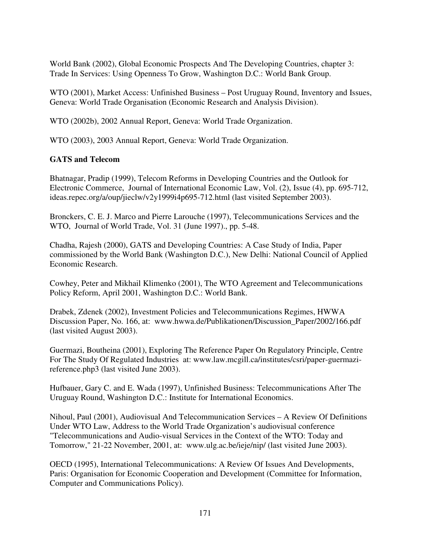World Bank (2002), Global Economic Prospects And The Developing Countries, chapter 3: Trade In Services: Using Openness To Grow, Washington D.C.: World Bank Group.

WTO (2001), Market Access: Unfinished Business – Post Uruguay Round, Inventory and Issues, Geneva: World Trade Organisation (Economic Research and Analysis Division).

WTO (2002b), 2002 Annual Report, Geneva: World Trade Organization.

WTO (2003), 2003 Annual Report, Geneva: World Trade Organization.

## **GATS and Telecom**

Bhatnagar, Pradip (1999), Telecom Reforms in Developing Countries and the Outlook for Electronic Commerce, Journal of International Economic Law, Vol. (2), Issue (4), pp. 695-712, ideas.repec.org/a/oup/jieclw/v2y1999i4p695-712.html (last visited September 2003).

Bronckers, C. E. J. Marco and Pierre Larouche (1997), Telecommunications Services and the WTO, Journal of World Trade, Vol. 31 (June 1997)., pp. 5-48.

Chadha, Rajesh (2000), GATS and Developing Countries: A Case Study of India, Paper commissioned by the World Bank (Washington D.C.), New Delhi: National Council of Applied Economic Research.

Cowhey, Peter and Mikhail Klimenko (2001), The WTO Agreement and Telecommunications Policy Reform, April 2001, Washington D.C.: World Bank.

Drabek, Zdenek (2002), Investment Policies and Telecommunications Regimes, HWWA Discussion Paper, No. 166, at: www.hwwa.de/Publikationen/Discussion\_Paper/2002/166.pdf (last visited August 2003).

Guermazi, Boutheina (2001), Exploring The Reference Paper On Regulatory Principle, Centre For The Study Of Regulated Industries at: www.law.mcgill.ca/institutes/csri/paper-guermazireference.php3 (last visited June 2003).

Hufbauer, Gary C. and E. Wada (1997), Unfinished Business: Telecommunications After The Uruguay Round, Washington D.C.: Institute for International Economics.

Nihoul, Paul (2001), Audiovisual And Telecommunication Services – A Review Of Definitions Under WTO Law, Address to the World Trade Organization's audiovisual conference "Telecommunications and Audio-visual Services in the Context of the WTO: Today and Tomorrow," 21-22 November, 2001, at: www.ulg.ac.be/ieje/nip/ (last visited June 2003).

OECD (1995), International Telecommunications: A Review Of Issues And Developments, Paris: Organisation for Economic Cooperation and Development (Committee for Information, Computer and Communications Policy).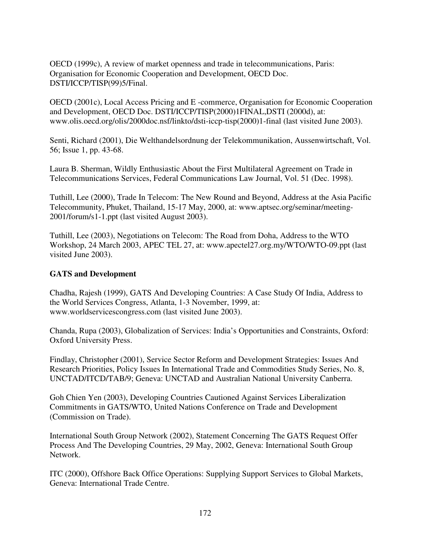OECD (1999c), A review of market openness and trade in telecommunications, Paris: Organisation for Economic Cooperation and Development, OECD Doc. DSTI/ICCP/TISP(99)5/Final.

OECD (2001c), Local Access Pricing and E -commerce, Organisation for Economic Cooperation and Development, OECD Doc. DSTI/ICCP/TISP(2000)1FINAL,DSTI (2000d), at: www.olis.oecd.org/olis/2000doc.nsf/linkto/dsti-iccp-tisp(2000)1-final (last visited June 2003).

Senti, Richard (2001), Die Welthandelsordnung der Telekommunikation, Aussenwirtschaft, Vol. 56; Issue 1, pp. 43-68.

Laura B. Sherman, Wildly Enthusiastic About the First Multilateral Agreement on Trade in Telecommunications Services, Federal Communications Law Journal, Vol. 51 (Dec. 1998).

Tuthill, Lee (2000), Trade In Telecom: The New Round and Beyond, Address at the Asia Pacific Telecommunity, Phuket, Thailand, 15-17 May, 2000, at: www.aptsec.org/seminar/meeting-2001/forum/s1-1.ppt (last visited August 2003).

Tuthill, Lee (2003), Negotiations on Telecom: The Road from Doha, Address to the WTO Workshop, 24 March 2003, APEC TEL 27, at: www.apectel27.org.my/WTO/WTO-09.ppt (last visited June 2003).

## **GATS and Development**

Chadha, Rajesh (1999), GATS And Developing Countries: A Case Study Of India, Address to the World Services Congress, Atlanta, 1-3 November, 1999, at: www.worldservicescongress.com (last visited June 2003).

Chanda, Rupa (2003), Globalization of Services: India's Opportunities and Constraints, Oxford: Oxford University Press.

Findlay, Christopher (2001), Service Sector Reform and Development Strategies: Issues And Research Priorities, Policy Issues In International Trade and Commodities Study Series, No. 8, UNCTAD/ITCD/TAB/9; Geneva: UNCTAD and Australian National University Canberra.

Goh Chien Yen (2003), Developing Countries Cautioned Against Services Liberalization Commitments in GATS/WTO, United Nations Conference on Trade and Development (Commission on Trade).

International South Group Network (2002), Statement Concerning The GATS Request Offer Process And The Developing Countries, 29 May, 2002, Geneva: International South Group Network.

ITC (2000), Offshore Back Office Operations: Supplying Support Services to Global Markets, Geneva: International Trade Centre.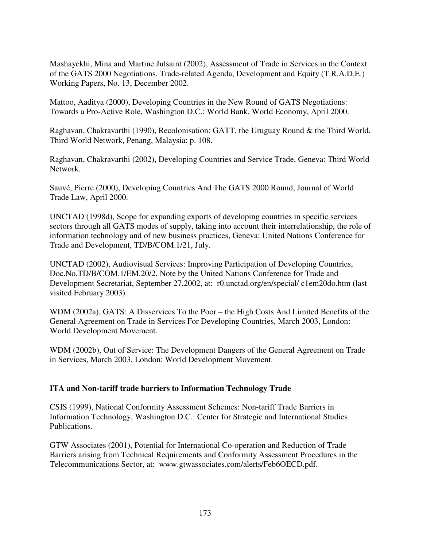Mashayekhi, Mina and Martine Julsaint (2002), Assessment of Trade in Services in the Context of the GATS 2000 Negotiations, Trade-related Agenda, Development and Equity (T.R.A.D.E.) Working Papers, No. 13, December 2002.

Mattoo, Aaditya (2000), Developing Countries in the New Round of GATS Negotiations: Towards a Pro-Active Role, Washington D.C.: World Bank, World Economy, April 2000.

Raghavan, Chakravarthi (1990), Recolonisation: GATT, the Uruguay Round & the Third World, Third World Network, Penang, Malaysia: p. 108.

Raghavan, Chakravarthi (2002), Developing Countries and Service Trade, Geneva: Third World Network.

Sauvé, Pierre (2000), Developing Countries And The GATS 2000 Round, Journal of World Trade Law, April 2000.

UNCTAD (1998d), Scope for expanding exports of developing countries in specific services sectors through all GATS modes of supply, taking into account their interrelationship, the role of information technology and of new business practices, Geneva: United Nations Conference for Trade and Development, TD/B/COM.1/21, July.

UNCTAD (2002), Audiovisual Services: Improving Participation of Developing Countries, Doc.No.TD/B/COM.1/EM.20/2, Note by the United Nations Conference for Trade and Development Secretariat, September 27,2002, at: r0.unctad.org/en/special/ c1em20do.htm (last visited February 2003).

WDM (2002a), GATS: A Disservices To the Poor – the High Costs And Limited Benefits of the General Agreement on Trade in Services For Developing Countries, March 2003, London: World Development Movement.

WDM (2002b), Out of Service: The Development Dangers of the General Agreement on Trade in Services, March 2003, London: World Development Movement.

## **ITA and Non-tariff trade barriers to Information Technology Trade**

CSIS (1999), National Conformity Assessment Schemes: Non-tariff Trade Barriers in Information Technology, Washington D.C.: Center for Strategic and International Studies Publications.

GTW Associates (2001), Potential for International Co-operation and Reduction of Trade Barriers arising from Technical Requirements and Conformity Assessment Procedures in the Telecommunications Sector, at: www.gtwassociates.com/alerts/Feb6OECD.pdf.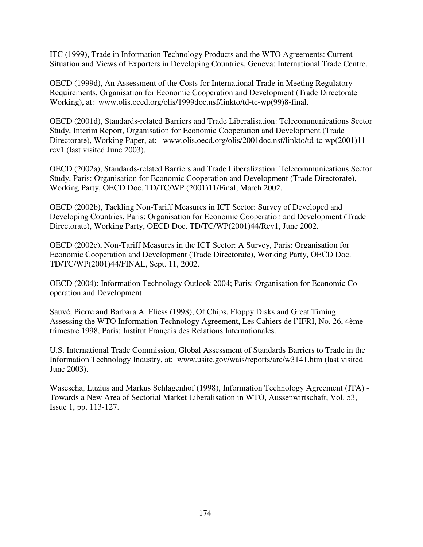ITC (1999), Trade in Information Technology Products and the WTO Agreements: Current Situation and Views of Exporters in Developing Countries, Geneva: International Trade Centre.

OECD (1999d), An Assessment of the Costs for International Trade in Meeting Regulatory Requirements, Organisation for Economic Cooperation and Development (Trade Directorate Working), at: www.olis.oecd.org/olis/1999doc.nsf/linkto/td-tc-wp(99)8-final.

OECD (2001d), Standards-related Barriers and Trade Liberalisation: Telecommunications Sector Study, Interim Report, Organisation for Economic Cooperation and Development (Trade Directorate), Working Paper, at: www.olis.oecd.org/olis/2001doc.nsf/linkto/td-tc-wp(2001)11 rev1 (last visited June 2003).

OECD (2002a), Standards-related Barriers and Trade Liberalization: Telecommunications Sector Study, Paris: Organisation for Economic Cooperation and Development (Trade Directorate), Working Party, OECD Doc. TD/TC/WP (2001)11/Final, March 2002.

OECD (2002b), Tackling Non-Tariff Measures in ICT Sector: Survey of Developed and Developing Countries, Paris: Organisation for Economic Cooperation and Development (Trade Directorate), Working Party, OECD Doc. TD/TC/WP(2001)44/Rev1, June 2002.

OECD (2002c), Non-Tariff Measures in the ICT Sector: A Survey, Paris: Organisation for Economic Cooperation and Development (Trade Directorate), Working Party, OECD Doc. TD/TC/WP(2001)44/FINAL, Sept. 11, 2002.

OECD (2004): Information Technology Outlook 2004; Paris: Organisation for Economic Cooperation and Development.

Sauvé, Pierre and Barbara A. Fliess (1998), Of Chips, Floppy Disks and Great Timing: Assessing the WTO Information Technology Agreement, Les Cahiers de l'IFRI, No. 26, 4ème trimestre 1998, Paris: Institut Français des Relations Internationales.

U.S. International Trade Commission, Global Assessment of Standards Barriers to Trade in the Information Technology Industry, at: www.usitc.gov/wais/reports/arc/w3141.htm (last visited June 2003).

Wasescha, Luzius and Markus Schlagenhof (1998), Information Technology Agreement (ITA) - Towards a New Area of Sectorial Market Liberalisation in WTO, Aussenwirtschaft, Vol. 53, Issue 1, pp. 113-127.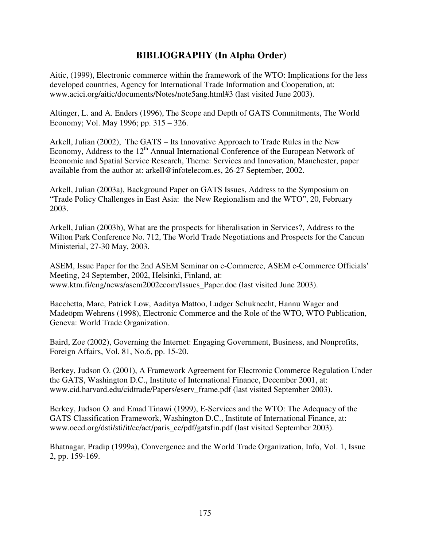## **BIBLIOGRAPHY (In Alpha Order)**

Aitic, (1999), Electronic commerce within the framework of the WTO: Implications for the less developed countries, Agency for International Trade Information and Cooperation, at: www.acici.org/aitic/documents/Notes/note5ang.html#3 (last visited June 2003).

Altinger, L. and A. Enders (1996), The Scope and Depth of GATS Commitments, The World Economy; Vol. May 1996; pp. 315 – 326.

Arkell, Julian (2002), The GATS – Its Innovative Approach to Trade Rules in the New Economy, Address to the 12<sup>th</sup> Annual International Conference of the European Network of Economic and Spatial Service Research, Theme: Services and Innovation, Manchester, paper available from the author at: arkell@infotelecom.es, 26-27 September, 2002.

Arkell, Julian (2003a), Background Paper on GATS Issues, Address to the Symposium on "Trade Policy Challenges in East Asia: the New Regionalism and the WTO", 20, February 2003.

Arkell, Julian (2003b), What are the prospects for liberalisation in Services?, Address to the Wilton Park Conference No. 712, The World Trade Negotiations and Prospects for the Cancun Ministerial, 27-30 May, 2003.

ASEM, Issue Paper for the 2nd ASEM Seminar on e-Commerce, ASEM e-Commerce Officials' Meeting, 24 September, 2002, Helsinki, Finland, at: www.ktm.fi/eng/news/asem2002ecom/Issues\_Paper.doc (last visited June 2003).

Bacchetta, Marc, Patrick Low, Aaditya Mattoo, Ludger Schuknecht, Hannu Wager and Madeöpm Wehrens (1998), Electronic Commerce and the Role of the WTO, WTO Publication, Geneva: World Trade Organization.

Baird, Zoe (2002), Governing the Internet: Engaging Government, Business, and Nonprofits, Foreign Affairs, Vol. 81, No.6, pp. 15-20.

Berkey, Judson O. (2001), A Framework Agreement for Electronic Commerce Regulation Under the GATS, Washington D.C., Institute of International Finance, December 2001, at: www.cid.harvard.edu/cidtrade/Papers/eserv\_frame.pdf (last visited September 2003).

Berkey, Judson O. and Emad Tinawi (1999), E-Services and the WTO: The Adequacy of the GATS Classification Framework, Washington D.C., Institute of International Finance, at: www.oecd.org/dsti/sti/it/ec/act/paris\_ec/pdf/gatsfin.pdf (last visited September 2003).

Bhatnagar, Pradip (1999a), Convergence and the World Trade Organization, Info, Vol. 1, Issue 2, pp. 159-169.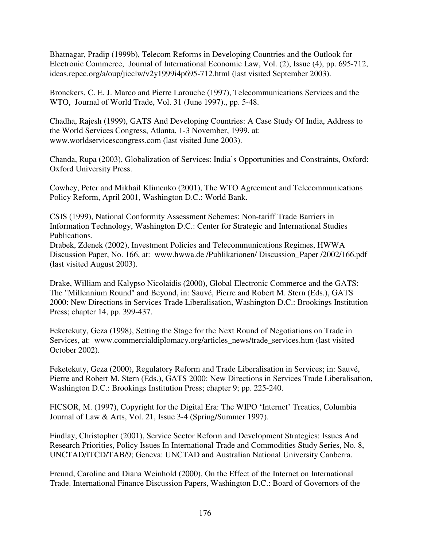Bhatnagar, Pradip (1999b), Telecom Reforms in Developing Countries and the Outlook for Electronic Commerce, Journal of International Economic Law, Vol. (2), Issue (4), pp. 695-712, ideas.repec.org/a/oup/jieclw/v2y1999i4p695-712.html (last visited September 2003).

Bronckers, C. E. J. Marco and Pierre Larouche (1997), Telecommunications Services and the WTO, Journal of World Trade, Vol. 31 (June 1997)., pp. 5-48.

Chadha, Rajesh (1999), GATS And Developing Countries: A Case Study Of India, Address to the World Services Congress, Atlanta, 1-3 November, 1999, at: www.worldservicescongress.com (last visited June 2003).

Chanda, Rupa (2003), Globalization of Services: India's Opportunities and Constraints, Oxford: Oxford University Press.

Cowhey, Peter and Mikhail Klimenko (2001), The WTO Agreement and Telecommunications Policy Reform, April 2001, Washington D.C.: World Bank.

CSIS (1999), National Conformity Assessment Schemes: Non-tariff Trade Barriers in Information Technology, Washington D.C.: Center for Strategic and International Studies Publications.

Drabek, Zdenek (2002), Investment Policies and Telecommunications Regimes, HWWA Discussion Paper, No. 166, at: www.hwwa.de /Publikationen/ Discussion\_Paper /2002/166.pdf (last visited August 2003).

Drake, William and Kalypso Nicolaidis (2000), Global Electronic Commerce and the GATS: The "Millennium Round" and Beyond, in: Sauvé, Pierre and Robert M. Stern (Eds.), GATS 2000: New Directions in Services Trade Liberalisation, Washington D.C.: Brookings Institution Press; chapter 14, pp. 399-437.

Feketekuty, Geza (1998), Setting the Stage for the Next Round of Negotiations on Trade in Services, at: www.commercialdiplomacy.org/articles\_news/trade\_services.htm (last visited October 2002).

Feketekuty, Geza (2000), Regulatory Reform and Trade Liberalisation in Services; in: Sauvé, Pierre and Robert M. Stern (Eds.), GATS 2000: New Directions in Services Trade Liberalisation, Washington D.C.: Brookings Institution Press; chapter 9; pp. 225-240.

FICSOR, M. (1997), Copyright for the Digital Era: The WIPO 'Internet' Treaties, Columbia Journal of Law & Arts, Vol. 21, Issue 3-4 (Spring/Summer 1997).

Findlay, Christopher (2001), Service Sector Reform and Development Strategies: Issues And Research Priorities, Policy Issues In International Trade and Commodities Study Series, No. 8, UNCTAD/ITCD/TAB/9; Geneva: UNCTAD and Australian National University Canberra.

Freund, Caroline and Diana Weinhold (2000), On the Effect of the Internet on International Trade. International Finance Discussion Papers, Washington D.C.: Board of Governors of the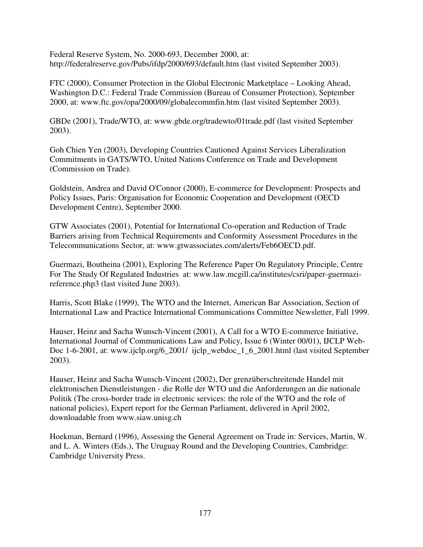Federal Reserve System, No. 2000-693, December 2000, at: http://federalreserve.gov/Pubs/ifdp/2000/693/default.htm (last visited September 2003).

FTC (2000), Consumer Protection in the Global Electronic Marketplace – Looking Ahead, Washington D.C.: Federal Trade Commission (Bureau of Consumer Protection), September 2000, at: www.ftc.gov/opa/2000/09/globalecommfin.htm (last visited September 2003).

GBDe (2001), Trade/WTO, at: www.gbde.org/tradewto/01trade.pdf (last visited September 2003).

Goh Chien Yen (2003), Developing Countries Cautioned Against Services Liberalization Commitments in GATS/WTO, United Nations Conference on Trade and Development (Commission on Trade).

Goldstein, Andrea and David O'Connor (2000), E-commerce for Development: Prospects and Policy Issues, Paris: Organisation for Economic Cooperation and Development (OECD Development Centre), September 2000.

GTW Associates (2001), Potential for International Co-operation and Reduction of Trade Barriers arising from Technical Requirements and Conformity Assessment Procedures in the Telecommunications Sector, at: www.gtwassociates.com/alerts/Feb6OECD.pdf.

Guermazi, Boutheina (2001), Exploring The Reference Paper On Regulatory Principle, Centre For The Study Of Regulated Industries at: www.law.mcgill.ca/institutes/csri/paper-guermazireference.php3 (last visited June 2003).

Harris, Scott Blake (1999), The WTO and the Internet, American Bar Association, Section of International Law and Practice International Communications Committee Newsletter, Fall 1999.

Hauser, Heinz and Sacha Wunsch-Vincent (2001), A Call for a WTO E-commerce Initiative, International Journal of Communications Law and Policy, Issue 6 (Winter 00/01), IJCLP Web-Doc 1-6-2001, at: www.ijclp.org/6\_2001/ ijclp\_webdoc\_1\_6\_2001.html (last visited September 2003).

Hauser, Heinz and Sacha Wunsch-Vincent (2002), Der grenzüberschreitende Handel mit elektronischen Dienstleistungen - die Rolle der WTO und die Anforderungen an die nationale Politik (The cross-border trade in electronic services: the role of the WTO and the role of national policies), Expert report for the German Parliament, delivered in April 2002, downloadable from www.siaw.unisg.ch

Hoekman, Bernard (1996), Assessing the General Agreement on Trade in: Services, Martin, W. and L. A. Winters (Eds.), The Uruguay Round and the Developing Countries, Cambridge: Cambridge University Press.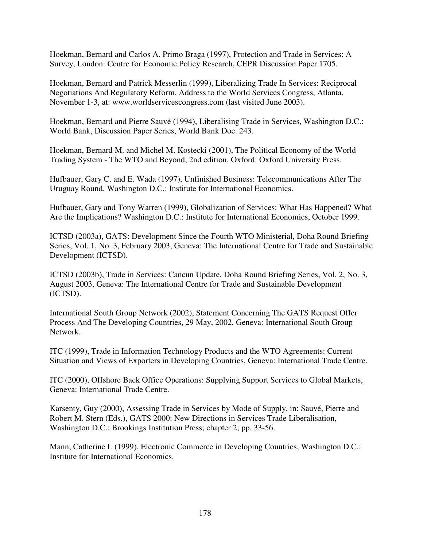Hoekman, Bernard and Carlos A. Primo Braga (1997), Protection and Trade in Services: A Survey, London: Centre for Economic Policy Research, CEPR Discussion Paper 1705.

Hoekman, Bernard and Patrick Messerlin (1999), Liberalizing Trade In Services: Reciprocal Negotiations And Regulatory Reform, Address to the World Services Congress, Atlanta, November 1-3, at: www.worldservicescongress.com (last visited June 2003).

Hoekman, Bernard and Pierre Sauvé (1994), Liberalising Trade in Services, Washington D.C.: World Bank, Discussion Paper Series, World Bank Doc. 243.

Hoekman, Bernard M. and Michel M. Kostecki (2001), The Political Economy of the World Trading System - The WTO and Beyond, 2nd edition, Oxford: Oxford University Press.

Hufbauer, Gary C. and E. Wada (1997), Unfinished Business: Telecommunications After The Uruguay Round, Washington D.C.: Institute for International Economics.

Hufbauer, Gary and Tony Warren (1999), Globalization of Services: What Has Happened? What Are the Implications? Washington D.C.: Institute for International Economics, October 1999.

ICTSD (2003a), GATS: Development Since the Fourth WTO Ministerial, Doha Round Briefing Series, Vol. 1, No. 3, February 2003, Geneva: The International Centre for Trade and Sustainable Development (ICTSD).

ICTSD (2003b), Trade in Services: Cancun Update, Doha Round Briefing Series, Vol. 2, No. 3, August 2003, Geneva: The International Centre for Trade and Sustainable Development (ICTSD).

International South Group Network (2002), Statement Concerning The GATS Request Offer Process And The Developing Countries, 29 May, 2002, Geneva: International South Group Network.

ITC (1999), Trade in Information Technology Products and the WTO Agreements: Current Situation and Views of Exporters in Developing Countries, Geneva: International Trade Centre.

ITC (2000), Offshore Back Office Operations: Supplying Support Services to Global Markets, Geneva: International Trade Centre.

Karsenty, Guy (2000), Assessing Trade in Services by Mode of Supply, in: Sauvé, Pierre and Robert M. Stern (Eds.), GATS 2000: New Directions in Services Trade Liberalisation, Washington D.C.: Brookings Institution Press; chapter 2; pp. 33-56.

Mann, Catherine L (1999), Electronic Commerce in Developing Countries, Washington D.C.: Institute for International Economics.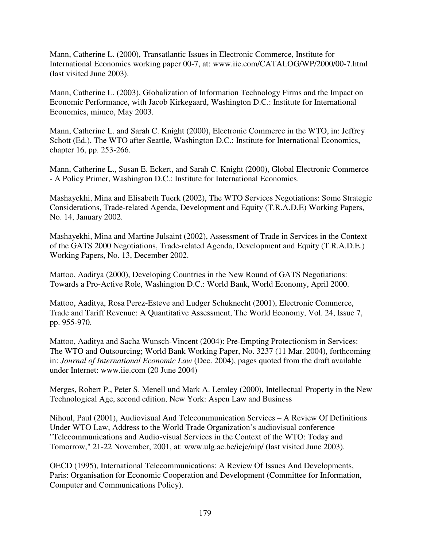Mann, Catherine L. (2000), Transatlantic Issues in Electronic Commerce, Institute for International Economics working paper 00-7, at: www.iie.com/CATALOG/WP/2000/00-7.html (last visited June 2003).

Mann, Catherine L. (2003), Globalization of Information Technology Firms and the Impact on Economic Performance, with Jacob Kirkegaard, Washington D.C.: Institute for International Economics, mimeo, May 2003.

Mann, Catherine L. and Sarah C. Knight (2000), Electronic Commerce in the WTO, in: Jeffrey Schott (Ed.), The WTO after Seattle, Washington D.C.: Institute for International Economics, chapter 16, pp. 253-266.

Mann, Catherine L., Susan E. Eckert, and Sarah C. Knight (2000), Global Electronic Commerce - A Policy Primer, Washington D.C.: Institute for International Economics.

Mashayekhi, Mina and Elisabeth Tuerk (2002), The WTO Services Negotiations: Some Strategic Considerations, Trade-related Agenda, Development and Equity (T.R.A.D.E) Working Papers, No. 14, January 2002.

Mashayekhi, Mina and Martine Julsaint (2002), Assessment of Trade in Services in the Context of the GATS 2000 Negotiations, Trade-related Agenda, Development and Equity (T.R.A.D.E.) Working Papers, No. 13, December 2002.

Mattoo, Aaditya (2000), Developing Countries in the New Round of GATS Negotiations: Towards a Pro-Active Role, Washington D.C.: World Bank, World Economy, April 2000.

Mattoo, Aaditya, Rosa Perez-Esteve and Ludger Schuknecht (2001), Electronic Commerce, Trade and Tariff Revenue: A Quantitative Assessment, The World Economy, Vol. 24, Issue 7, pp. 955-970.

Mattoo, Aaditya and Sacha Wunsch-Vincent (2004): Pre-Empting Protectionism in Services: The WTO and Outsourcing; World Bank Working Paper, No. 3237 (11 Mar. 2004), forthcoming in: *Journal of International Economic Law* (Dec. 2004), pages quoted from the draft available under Internet: www.iie.com (20 June 2004)

Merges, Robert P., Peter S. Menell und Mark A. Lemley (2000), Intellectual Property in the New Technological Age, second edition, New York: Aspen Law and Business

Nihoul, Paul (2001), Audiovisual And Telecommunication Services – A Review Of Definitions Under WTO Law, Address to the World Trade Organization's audiovisual conference "Telecommunications and Audio-visual Services in the Context of the WTO: Today and Tomorrow," 21-22 November, 2001, at: www.ulg.ac.be/ieje/nip/ (last visited June 2003).

OECD (1995), International Telecommunications: A Review Of Issues And Developments, Paris: Organisation for Economic Cooperation and Development (Committee for Information, Computer and Communications Policy).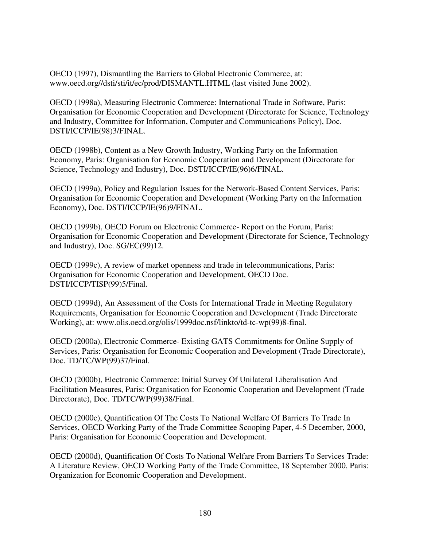OECD (1997), Dismantling the Barriers to Global Electronic Commerce, at: www.oecd.org//dsti/sti/it/ec/prod/DISMANTL.HTML (last visited June 2002).

OECD (1998a), Measuring Electronic Commerce: International Trade in Software, Paris: Organisation for Economic Cooperation and Development (Directorate for Science, Technology and Industry, Committee for Information, Computer and Communications Policy), Doc. DSTI/ICCP/IE(98)3/FINAL.

OECD (1998b), Content as a New Growth Industry, Working Party on the Information Economy, Paris: Organisation for Economic Cooperation and Development (Directorate for Science, Technology and Industry), Doc. DSTI/ICCP/IE(96)6/FINAL.

OECD (1999a), Policy and Regulation Issues for the Network-Based Content Services, Paris: Organisation for Economic Cooperation and Development (Working Party on the Information Economy), Doc. DSTI/ICCP/IE(96)9/FINAL.

OECD (1999b), OECD Forum on Electronic Commerce- Report on the Forum, Paris: Organisation for Economic Cooperation and Development (Directorate for Science, Technology and Industry), Doc. SG/EC(99)12.

OECD (1999c), A review of market openness and trade in telecommunications, Paris: Organisation for Economic Cooperation and Development, OECD Doc. DSTI/ICCP/TISP(99)5/Final.

OECD (1999d), An Assessment of the Costs for International Trade in Meeting Regulatory Requirements, Organisation for Economic Cooperation and Development (Trade Directorate Working), at: www.olis.oecd.org/olis/1999doc.nsf/linkto/td-tc-wp(99)8-final.

OECD (2000a), Electronic Commerce- Existing GATS Commitments for Online Supply of Services, Paris: Organisation for Economic Cooperation and Development (Trade Directorate), Doc. TD/TC/WP(99)37/Final.

OECD (2000b), Electronic Commerce: Initial Survey Of Unilateral Liberalisation And Facilitation Measures, Paris: Organisation for Economic Cooperation and Development (Trade Directorate), Doc. TD/TC/WP(99)38/Final.

OECD (2000c), Quantification Of The Costs To National Welfare Of Barriers To Trade In Services, OECD Working Party of the Trade Committee Scooping Paper, 4-5 December, 2000, Paris: Organisation for Economic Cooperation and Development.

OECD (2000d), Quantification Of Costs To National Welfare From Barriers To Services Trade: A Literature Review, OECD Working Party of the Trade Committee, 18 September 2000, Paris: Organization for Economic Cooperation and Development.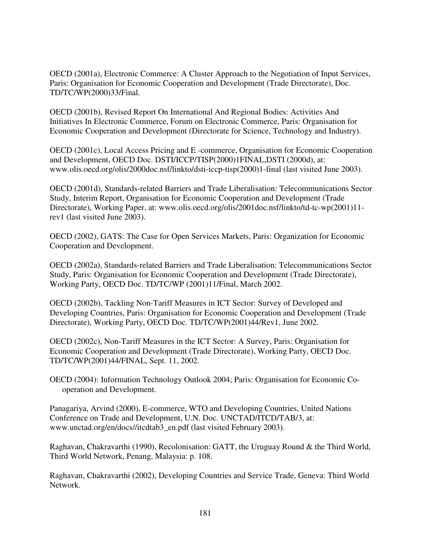OECD (2001a), Electronic Commerce: A Cluster Approach to the Negotiation of Input Services, Paris: Organisation for Economic Cooperation and Development (Trade Directorate), Doc. TD/TC/WP(2000)33/Final.

OECD (2001b), Revised Report On International And Regional Bodies: Activities And Initiatives In Electronic Commerce, Forum on Electronic Commerce, Paris: Organisation for Economic Cooperation and Development (Directorate for Science, Technology and Industry).

OECD (2001c), Local Access Pricing and E -commerce, Organisation for Economic Cooperation and Development, OECD Doc. DSTI/ICCP/TISP(2000)1FINAL,DSTI (2000d), at: www.olis.oecd.org/olis/2000doc.nsf/linkto/dsti-iccp-tisp(2000)1-final (last visited June 2003).

OECD (2001d), Standards-related Barriers and Trade Liberalisation: Telecommunications Sector Study, Interim Report, Organisation for Economic Cooperation and Development (Trade Directorate), Working Paper, at: www.olis.oecd.org/olis/2001doc.nsf/linkto/td-tc-wp(2001)11 rev1 (last visited June 2003).

OECD (2002), GATS: The Case for Open Services Markets, Paris: Organization for Economic Cooperation and Development.

OECD (2002a), Standards-related Barriers and Trade Liberalisation: Telecommunications Sector Study, Paris: Organisation for Economic Cooperation and Development (Trade Directorate), Working Party, OECD Doc. TD/TC/WP (2001)11/Final, March 2002.

OECD (2002b), Tackling Non-Tariff Measures in ICT Sector: Survey of Developed and Developing Countries, Paris: Organisation for Economic Cooperation and Development (Trade Directorate), Working Party, OECD Doc. TD/TC/WP(2001)44/Rev1, June 2002.

OECD (2002c), Non-Tariff Measures in the ICT Sector: A Survey, Paris: Organisation for Economic Cooperation and Development (Trade Directorate), Working Party, OECD Doc. TD/TC/WP(2001)44/FINAL, Sept. 11, 2002.

OECD (2004): Information Technology Outlook 2004; Paris: Organisation for Economic Cooperation and Development.

Panagariya, Arvind (2000), E-commerce, WTO and Developing Countries, United Nations Conference on Trade and Development, U.N. Doc. UNCTAD/ITCD/TAB/3, at: www.unctad.org/en/docs//itcdtab3\_en.pdf (last visited February 2003).

Raghavan, Chakravarthi (1990), Recolonisation: GATT, the Uruguay Round & the Third World, Third World Network, Penang, Malaysia: p. 108.

Raghavan, Chakravarthi (2002), Developing Countries and Service Trade, Geneva: Third World Network.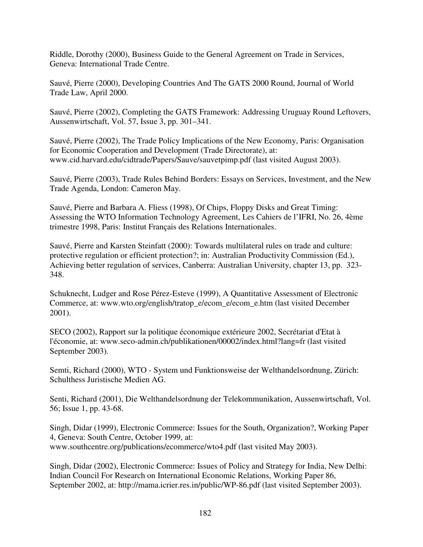Riddle, Dorothy (2000), Business Guide to the General Agreement on Trade in Services, Geneva: International Trade Centre.

Sauvé, Pierre (2000), Developing Countries And The GATS 2000 Round, Journal of World Trade Law, April 2000.

Sauvé, Pierre (2002), Completing the GATS Framework: Addressing Uruguay Round Leftovers, Aussenwirtschaft, Vol. 57, Issue 3, pp. 301–341.

Sauvé, Pierre (2002), The Trade Policy Implications of the New Economy, Paris: Organisation for Economic Cooperation and Development (Trade Directorate), at: www.cid.harvard.edu/cidtrade/Papers/Sauve/sauvetpimp.pdf (last visited August 2003).

Sauvé, Pierre (2003), Trade Rules Behind Borders: Essays on Services, Investment, and the New Trade Agenda, London: Cameron May.

Sauvé, Pierre and Barbara A. Fliess (1998), Of Chips, Floppy Disks and Great Timing: Assessing the WTO Information Technology Agreement, Les Cahiers de l'IFRI, No. 26, 4ème trimestre 1998, Paris: Institut Français des Relations Internationales.

Sauvé, Pierre and Karsten Steinfatt (2000): Towards multilateral rules on trade and culture: protective regulation or efficient protection?; in: Australian Productivity Commission (Ed.), Achieving better regulation of services, Canberra: Australian University, chapter 13, pp. 323- 348.

Schuknecht, Ludger and Rose Pérez-Esteve (1999), A Quantitative Assessment of Electronic Commerce, at: www.wto.org/english/tratop\_e/ecom\_e/ecom\_e.htm (last visited December 2001).

SECO (2002), Rapport sur la politique économique extérieure 2002, Secrétariat d'Etat à l'économie, at: www.seco-admin.ch/publikationen/00002/index.html?lang=fr (last visited September 2003).

Semti, Richard (2000), WTO - System und Funktionsweise der Welthandelsordnung, Zürich: Schulthess Juristische Medien AG.

Senti, Richard (2001), Die Welthandelsordnung der Telekommunikation, Aussenwirtschaft, Vol. 56; Issue 1, pp. 43-68.

Singh, Didar (1999), Electronic Commerce: Issues for the South, Organization?, Working Paper 4, Geneva: South Centre, October 1999, at: www.southcentre.org/publications/ecommerce/wto4.pdf (last visited May 2003).

Singh, Didar (2002), Electronic Commerce: Issues of Policy and Strategy for India, New Delhi: Indian Council For Research on International Economic Relations, Working Paper 86, September 2002, at: http://mama.icrier.res.in/public/WP-86.pdf (last visited September 2003).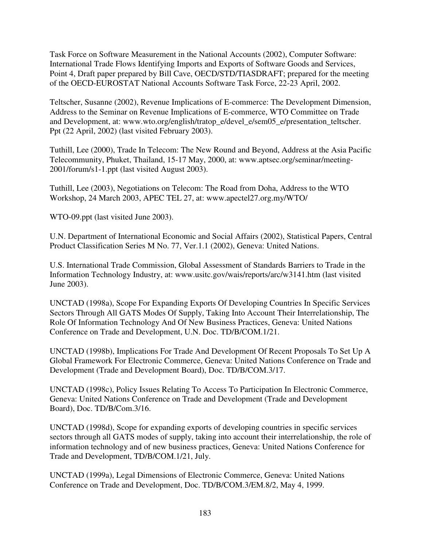Task Force on Software Measurement in the National Accounts (2002), Computer Software: International Trade Flows Identifying Imports and Exports of Software Goods and Services, Point 4, Draft paper prepared by Bill Cave, OECD/STD/TIASDRAFT; prepared for the meeting of the OECD-EUROSTAT National Accounts Software Task Force, 22-23 April, 2002.

Teltscher, Susanne (2002), Revenue Implications of E-commerce: The Development Dimension, Address to the Seminar on Revenue Implications of E-commerce, WTO Committee on Trade and Development, at: www.wto.org/english/tratop\_e/devel\_e/sem05\_e/presentation\_teltscher. Ppt (22 April, 2002) (last visited February 2003).

Tuthill, Lee (2000), Trade In Telecom: The New Round and Beyond, Address at the Asia Pacific Telecommunity, Phuket, Thailand, 15-17 May, 2000, at: www.aptsec.org/seminar/meeting-2001/forum/s1-1.ppt (last visited August 2003).

Tuthill, Lee (2003), Negotiations on Telecom: The Road from Doha, Address to the WTO Workshop, 24 March 2003, APEC TEL 27, at: www.apectel27.org.my/WTO/

WTO-09.ppt (last visited June 2003).

U.N. Department of International Economic and Social Affairs (2002), Statistical Papers, Central Product Classification Series M No. 77, Ver.1.1 (2002), Geneva: United Nations.

U.S. International Trade Commission, Global Assessment of Standards Barriers to Trade in the Information Technology Industry, at: www.usitc.gov/wais/reports/arc/w3141.htm (last visited June 2003).

UNCTAD (1998a), Scope For Expanding Exports Of Developing Countries In Specific Services Sectors Through All GATS Modes Of Supply, Taking Into Account Their Interrelationship, The Role Of Information Technology And Of New Business Practices, Geneva: United Nations Conference on Trade and Development, U.N. Doc. TD/B/COM.1/21.

UNCTAD (1998b), Implications For Trade And Development Of Recent Proposals To Set Up A Global Framework For Electronic Commerce, Geneva: United Nations Conference on Trade and Development (Trade and Development Board), Doc. TD/B/COM.3/17.

UNCTAD (1998c), Policy Issues Relating To Access To Participation In Electronic Commerce, Geneva: United Nations Conference on Trade and Development (Trade and Development Board), Doc. TD/B/Com.3/16.

UNCTAD (1998d), Scope for expanding exports of developing countries in specific services sectors through all GATS modes of supply, taking into account their interrelationship, the role of information technology and of new business practices, Geneva: United Nations Conference for Trade and Development, TD/B/COM.1/21, July.

UNCTAD (1999a), Legal Dimensions of Electronic Commerce, Geneva: United Nations Conference on Trade and Development, Doc. TD/B/COM.3/EM.8/2, May 4, 1999.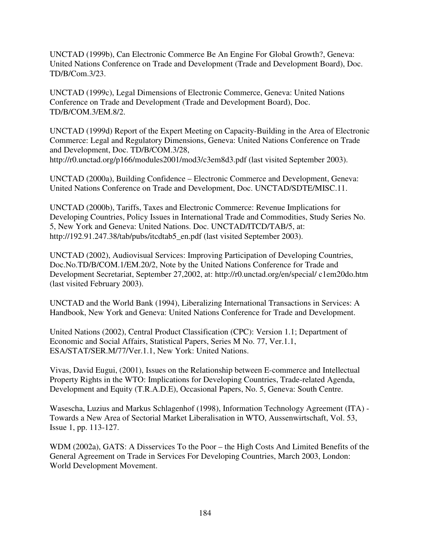UNCTAD (1999b), Can Electronic Commerce Be An Engine For Global Growth?, Geneva: United Nations Conference on Trade and Development (Trade and Development Board), Doc. TD/B/Com.3/23.

UNCTAD (1999c), Legal Dimensions of Electronic Commerce, Geneva: United Nations Conference on Trade and Development (Trade and Development Board), Doc. TD/B/COM.3/EM.8/2.

UNCTAD (1999d) Report of the Expert Meeting on Capacity-Building in the Area of Electronic Commerce: Legal and Regulatory Dimensions, Geneva: United Nations Conference on Trade and Development, Doc. TD/B/COM.3/28, http://r0.unctad.org/p166/modules2001/mod3/c3em8d3.pdf (last visited September 2003).

UNCTAD (2000a), Building Confidence – Electronic Commerce and Development, Geneva: United Nations Conference on Trade and Development, Doc. UNCTAD/SDTE/MISC.11.

UNCTAD (2000b), Tariffs, Taxes and Electronic Commerce: Revenue Implications for Developing Countries, Policy Issues in International Trade and Commodities, Study Series No. 5, New York and Geneva: United Nations. Doc. UNCTAD/ITCD/TAB/5, at: http://192.91.247.38/tab/pubs/itcdtab5\_en.pdf (last visited September 2003).

UNCTAD (2002), Audiovisual Services: Improving Participation of Developing Countries, Doc.No.TD/B/COM.1/EM.20/2, Note by the United Nations Conference for Trade and Development Secretariat, September 27,2002, at: http://r0.unctad.org/en/special/ c1em20do.htm (last visited February 2003).

UNCTAD and the World Bank (1994), Liberalizing International Transactions in Services: A Handbook, New York and Geneva: United Nations Conference for Trade and Development.

United Nations (2002), Central Product Classification (CPC): Version 1.1; Department of Economic and Social Affairs, Statistical Papers, Series M No. 77, Ver.1.1, ESA/STAT/SER.M/77/Ver.1.1, New York: United Nations.

Vivas, David Eugui, (2001), Issues on the Relationship between E-commerce and Intellectual Property Rights in the WTO: Implications for Developing Countries, Trade-related Agenda, Development and Equity (T.R.A.D.E), Occasional Papers, No. 5, Geneva: South Centre.

Wasescha, Luzius and Markus Schlagenhof (1998), Information Technology Agreement (ITA) - Towards a New Area of Sectorial Market Liberalisation in WTO, Aussenwirtschaft, Vol. 53, Issue 1, pp. 113-127.

WDM (2002a), GATS: A Disservices To the Poor – the High Costs And Limited Benefits of the General Agreement on Trade in Services For Developing Countries, March 2003, London: World Development Movement.